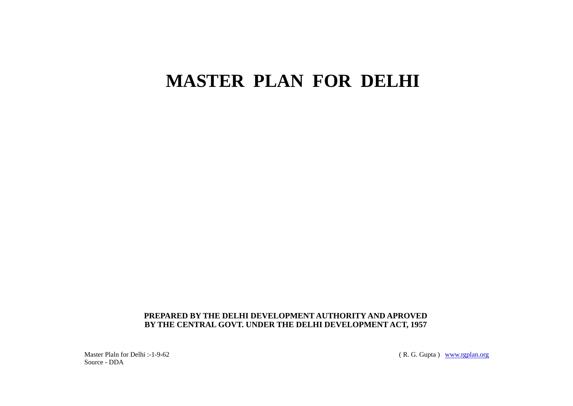# **MASTER PLAN FOR DELHI**

# **PREPARED BY THE DELHI DEVELOPMENT AUTHORITY AND APROVED BY THE CENTRAL GOVT. UNDER THE DELHI DEVELOPMENT ACT, 1957**

Master Plaln for Delhi :-1-9-62 Source - DDA

(R. G. Gupta) <u>[www.rgplan.org](http://www.rgplan.org)</u>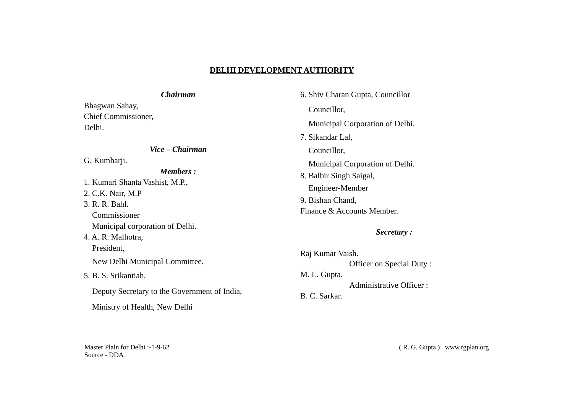# **DELHI DEVELOPMENT AUTHORITY**

# *Chairman*

Bhagwan Sahay, Chief Commissioner, Delhi.

# *Vice – Chairman*

G. Kumharji.

# *Members :*

1. Kumari Shanta Vashist, M.P., 2. C.K. Nair, M.P 3. R. R. Bahl. Commissioner Municipal corporation of Delhi. 4. A. R. Malhotra, President, New Delhi Municipal Committee. 5. B. S. Srikantiah, Deputy Secretary to the Government of India, Ministry of Health, New Delhi

6. Shiv Charan Gupta, Councillor Councillor, Municipal Corporation of Delhi. 7. Sikandar Lal, Councillor, Municipal Corporation of Delhi. 8. Balbir Singh Saigal, Engineer-Member 9. Bishan Chand, Finance & Accounts Member.

# *Secretary :*

| Raj Kumar Vaish. |                                |
|------------------|--------------------------------|
|                  | Officer on Special Duty:       |
| M. L. Gupta.     |                                |
|                  | <b>Administrative Officer:</b> |
| B. C. Sarkar.    |                                |

Master Plaln for Delhi :-1-9-62 Source - DDA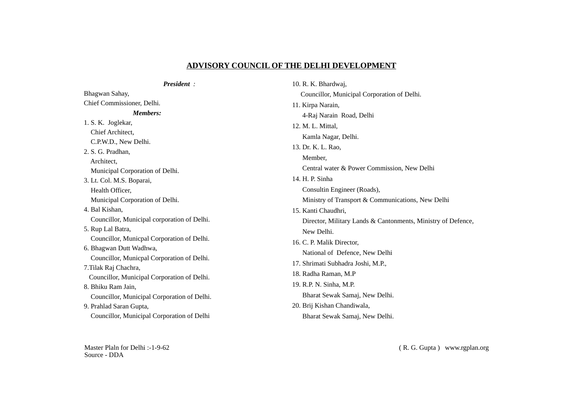# **ADVISORY COUNCIL OF THE DELHI DEVELOPMENT**

| President:                                   | 10. R. K. Bhardwaj,                                          |
|----------------------------------------------|--------------------------------------------------------------|
| Bhagwan Sahay,                               | Councillor, Municipal Corporation of Delhi.                  |
| Chief Commissioner, Delhi.                   | 11. Kirpa Narain,                                            |
| Members:                                     | 4-Raj Narain Road, Delhi                                     |
| 1. S. K. Joglekar,                           | 12. M. L. Mittal,                                            |
| Chief Architect,                             | Kamla Nagar, Delhi.                                          |
| C.P.W.D., New Delhi.                         | 13. Dr. K. L. Rao,                                           |
| 2. S. G. Pradhan,                            | Member,                                                      |
| Architect,                                   | Central water & Power Commission, New Delhi                  |
| Municipal Corporation of Delhi.              | 14. H. P. Sinha                                              |
| 3. Lt. Col. M.S. Boparai,<br>Health Officer, | Consultin Engineer (Roads),                                  |
| Municipal Corporation of Delhi.              | Ministry of Transport & Communications, New Delhi            |
| 4. Bal Kishan,                               |                                                              |
| Councillor, Municipal corporation of Delhi.  | 15. Kanti Chaudhri,                                          |
| 5. Rup Lal Batra,                            | Director, Military Lands & Cantonments, Ministry of Defence, |
| Councillor, Municpal Corporation of Delhi.   | New Delhi.                                                   |
| 6. Bhagwan Dutt Wadhwa,                      | 16. C. P. Malik Director,                                    |
| Councillor, Municpal Corporation of Delhi.   | National of Defence, New Delhi                               |
| 7. Tilak Raj Chachra,                        | 17. Shrimati Subhadra Joshi, M.P.,                           |
| Councillor, Municipal Corporation of Delhi.  | 18. Radha Raman, M.P                                         |
| 8. Bhiku Ram Jain,                           | 19. R.P. N. Sinha, M.P.                                      |
| Councillor, Municipal Corporation of Delhi.  | Bharat Sewak Samaj, New Delhi.                               |
| 9. Prahlad Saran Gupta,                      | 20. Brij Kishan Chandiwala,                                  |
| Councillor, Municipal Corporation of Delhi   | Bharat Sewak Samaj, New Delhi.                               |

Master Plaln for Delhi :-1-9-62 Source - DDA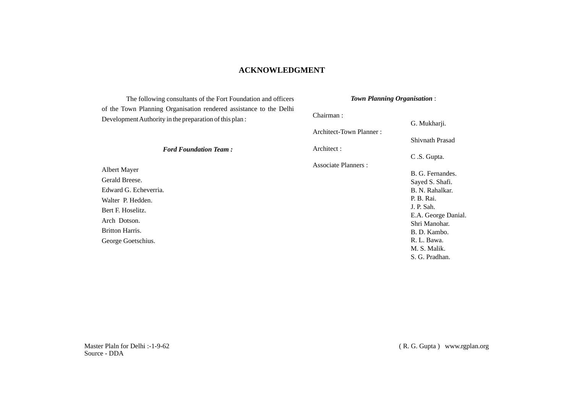# **ACKNOWLEDGMENT**

The following consultants of the Fort Foundation and officers of the Town Planning Organisation rendered assistance to the Delhi Development Authority in the preparation of this plan :

*Ford Foundation Team :*

### *Town Planning Organisation* :

Chairman : G. Mukharji. Architect-Town Planner : Shivnath Prasad Architect : C .S. Gupta. Associate Planners : B. G. Fernandes. Sayed S. Shafi. B. N. Rahalkar. P. B. Rai. J. P. Sah.

Albert Mayer Gerald Breese. Edward G. Echeverria. Walter P. Hedden. Bert F. Hoselitz. Arch Dotson. Britton Harris. George Goetschius.

E.A. George Danial. Shri Manohar. B. D. Kambo. R. L. Bawa. M. S. Malik. S. G. Pradhan.

Master Plaln for Delhi :-1-9-62 Source - DDA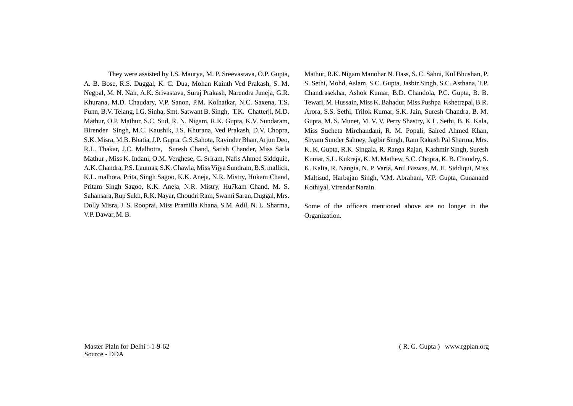They were assisted by I.S. Maurya, M. P. Sreevastava, O.P. Gupta, A. B. Bose, R.S. Duggal, K. C. Dua, Mohan Kainth Ved Prakash, S. M. Negpal, M. N. Nair, A.K. Srivastava, Suraj Prakash, Narendra Juneja, G.R. Khurana, M.D. Chaudary, V.P. Sanon, P.M. Kolhatkar, N.C. Saxena, T.S. Punn, B.V. Telang, I.G. Sinha, Smt. Satwant B. Singh, T.K. Chatterji, M.D. Mathur, O.P. Mathur, S.C. Sud, R. N. Nigam, R.K. Gupta, K.V. Sundaram, Birender Singh, M.C. Kaushik, J.S. Khurana, Ved Prakash, D.V. Chopra, S.K. Misra, M.B. Bhatia, J.P. Gupta, G.S.Sahota, Ravinder Bhan, Arjun Deo, R.L. Thakar, J.C. Malhotra, Suresh Chand, Satish Chander, Miss Sarla Mathur , Miss K. Indani, O.M. Verghese, C. Sriram, Nafis Ahmed Siddquie, A.K. Chandra, P.S. Laumas, S.K. Chawla, Miss Vijya Sundram, B.S. mallick, K.L. malhota, Prita, Singh Sagoo, K.K. Aneja, N.R. Mistry, Hukam Chand, Pritam Singh Sagoo, K.K. Aneja, N.R. Mistry, Hu7kam Chand, M. S. Sahansara, Rup Sukh, R.K. Nayar, Choudri Ram, Swami Saran, Duggal, Mrs. Dolly Misra, J. S. Rooprai, Miss Pramilla Khana, S.M. Adil, N. L. Sharma, V.P. Dawar, M. B.

Mathur, R.K. Nigam Manohar N. Dass, S. C. Sahni, Kul Bhushan, P. S. Sethi, Mohd, Aslam, S.C. Gupta, Jasbir Singh, S.C. Asthana, T.P. Chandrasekhar, Ashok Kumar, B.D. Chandola, P.C. Gupta, B. B. Tewari, M. Hussain, Miss K. Bahadur, Miss Pushpa Kshetrapal, B.R. Arora, S.S. Sethi, Trilok Kumar, S.K. Jain, Suresh Chandra, B. M. Gupta, M. S. Munet, M. V. V. Perry Shastry, K L. Sethi, B. K. Kala, Miss Sucheta Mirchandani, R. M. Popali, Saired Ahmed Khan, Shyam Sunder Sahney, Jagbir Singh, Ram Rakash Pal Sharma, Mrs. K. K. Gupta, R.K. Singala, R. Ranga Rajan, Kashmir Singh, Suresh Kumar, S.L. Kukreja, K. M. Mathew, S.C. Chopra, K. B. Chaudry, S. K. Kalia, R. Nangia, N. P. Varia, Anil Biswas, M. H. Siddiqui, Miss Maltisud, Harbajan Singh, V.M. Abraham, V.P. Gupta, Gunanand Kothiyal, Virendar Narain.

Some of the officers mentioned above are no longer in the Organization.

Master Plaln for Delhi :-1-9-62 Source - DDA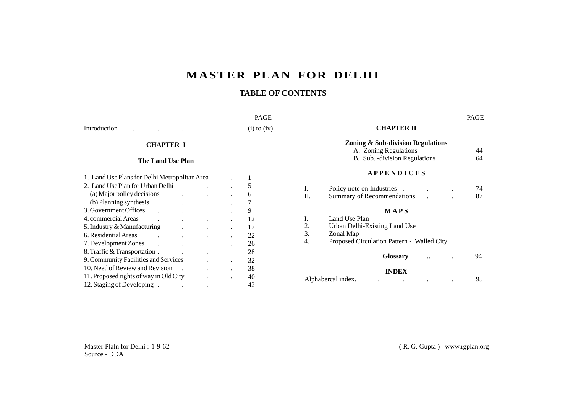# **MASTER PLAN FOR DELHI**

# **TABLE OF CONTENTS**

#### PAGE PAGE

Introduction . . . .

 $(i)$  to  $(iv)$ 

# **CHAPTER I**

### **The Land Use Plan**

| 1. Land Use Plans for Delhi Metropolitan Area |  |  |    |
|-----------------------------------------------|--|--|----|
| 2. Land Use Plan for Urban Delhi              |  |  |    |
| (a) Major policy decisions                    |  |  |    |
| (b) Planning synthesis                        |  |  |    |
| 3. Government Offices                         |  |  | 9  |
| 4. commercial Areas                           |  |  | 12 |
| 5. Industry & Manufacturing                   |  |  | 17 |
| 6. Residential Areas                          |  |  | 22 |
| 7. Development Zones                          |  |  | 26 |
| 8. Traffic & Transportation.                  |  |  | 28 |
| 9. Community Facilities and Services          |  |  | 32 |
| 10. Need of Review and Revision               |  |  | 38 |
| 11. Proposed rights of way in Old City        |  |  | 40 |
| 12. Staging of Developing.                    |  |  | 42 |

# **CHAPTER II**

## **Zoning & Sub-division Regulations**

A. Zoning Regulations (44)<br>B. Sub. -division Regulations (64) B. Sub. -division Regulations

## **A P P E N D I C E S**

| Policy note on Industries  |  | 74 |
|----------------------------|--|----|
| Summary of Recommendations |  |    |

### **M A P S**

|    | <b>INDEX</b>                                                                  |    |
|----|-------------------------------------------------------------------------------|----|
|    | <b>Glossary</b><br>$\ddot{\phantom{0}}\phantom{0}\bullet\bullet$<br>$\bullet$ | 94 |
|    | Proposed Circulation Pattern - Walled City                                    |    |
| 3. | Zonal Map                                                                     |    |
| 2. | Urban Delhi-Existing Land Use                                                 |    |
|    | Land Use Plan                                                                 |    |

| Alphabercal index. |  |  |  |
|--------------------|--|--|--|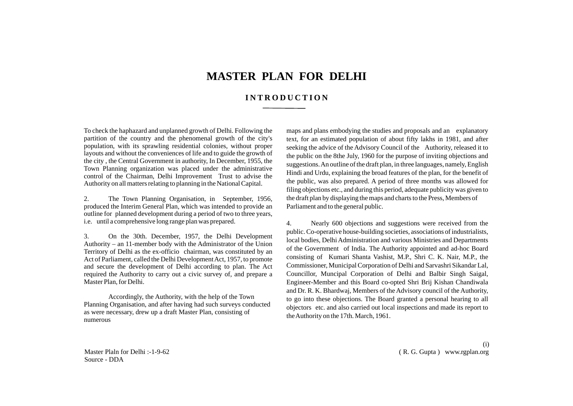# **MASTER PLAN FOR DELHI**

# **I N T R O D U C T I O N**

To check the haphazard and unplanned growth of Delhi. Following the partition of the country and the phenomenal growth of the city's population, with its sprawling residential colonies, without proper layouts and without the conveniences of life and to guide the growth of the city , the Central Government in authority, In December, 1955, the Town Planning organization was placed under the administrative control of the Chairman, Delhi Improvement Trust to advise the Authority on all matters relating to planning in the National Capital.

2. The Town Planning Organisation, in September, 1956, produced the Interim General Plan, which was intended to provide an outline for planned development during a period of two to three years, i.e. until a comprehensive long range plan was prepared.

3. On the 30th. December, 1957, the Delhi Development Authority – an 11-member body with the Administrator of the Union Territory of Delhi as the ex-officio chairman, was constituted by an Act of Parliament, called the Delhi Development Act, 1957, to promote and secure the development of Delhi according to plan. The Act required the Authority to carry out a civic survey of, and prepare a Master Plan, for Delhi.

Accordingly, the Authority, with the help of the Town Planning Organisation, and after having had such surveys conducted as were necessary, drew up a draft Master Plan, consisting of numerous

maps and plans embodying the studies and proposals and an explanatory text, for an estimated population of about fifty lakhs in 1981, and after seeking the advice of the Advisory Council of the Authority, released it to the public on the 8the July, 1960 for the purpose of inviting objections and suggestions. An outline of the draft plan, in three languages, namely, English Hindi and Urdu, explaining the broad features of the plan, for the benefit of the public, was also prepared. A period of three months was allowed for filing objections etc., and during this period, adequate publicity was given to the draft plan by displaying the maps and charts to the Press, Members of Parliament and to the general public.

4. Nearly 600 objections and suggestions were received from the public. Co-operative house-building societies, associations of industrialists, local bodies, Delhi Administration and various Ministries and Departments of the Government of India. The Authority appointed and ad-hoc Board consisting of Kumari Shanta Vashist, M.P., Shri C. K. Nair, M.P., the Commissioner, Municipal Corporation of Delhi and Sarvashri Sikandar Lal, Councillor, Muncipal Corporation of Delhi and Balbir Singh Saigal, Engineer-Member and this Board co-opted Shri Brij Kishan Chandiwala and Dr. R. K. Bhardwaj, Members of the Advisory council of the Authority, to go into these objections. The Board granted a personal hearing to all objectors etc. and also carried out local inspections and made its report to the Authority on the 17th. March, 1961.

Master Plaln for Delhi :-1-9-62 Source - DDA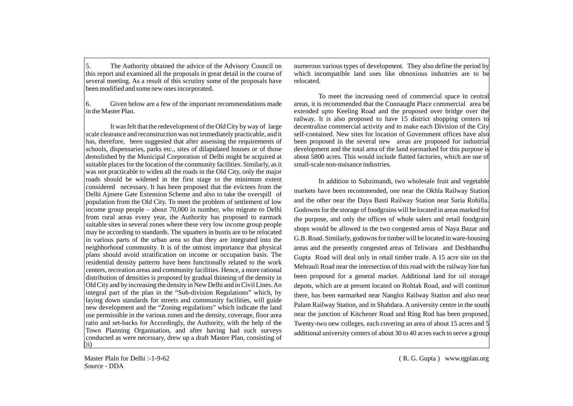5. The Authority obtained the advice of the Advisory Council on this report and examined all the proposals in great detail in the course of several meeting. As a result of this scrutiny some of the proposals have been modified and some new ones incorporated.

6. Given below are a few of the important recommendations made in the Master Plan.

It was felt that the redevelopment of the Old City by way of large scale clearance and reconstruction was not immediately practicable, and it has, therefore, been suggested that after assessing the requirements of schools, dispensaries, parks etc., sites of dilapidated houses or of those demolished by the Municipal Corporation of Delhi might be acquired at suitable places for the location of the community facilities. Similarly, as it was not practicable to widen all the roads in the Old City, only the major roads should be widened in the first stage to the minimum extent considered necessary. It has been proposed that the evictees from the Delhi Ajmere Gate Extension Scheme and also to take the overspill of population from the Old City. To meet the problem of settlement of low income group people – about 70,000 in number, who migrate to Delhi from rural areas every year, the Authority has proposed to earmark suitable sites in several zones where these very low income group people may be according to standards. The squatters in bustis are to be relocated in various parts of the urban area so that they are integrated into the neighborhood community. It is of the utmost importance that physical plans should avoid stratification on income or occupation basis. The residential density patterns have been functionally related to the work centers, recreation areas and community facilities. Hence, a more rational distribution of densities is proposed by gradual thinning of the density in Old City and by increasing the density in New Delhi and in Civil Lines. An integral part of the plan in the "Sub-division Regulations" which, by laying down standards for streets and community facilities, will guide new development and the "Zoning regulations" which indicate the land use permissible in the various zones and the density, coverage, floor area ratio and set-backs for Accordingly, the Authority, with the help of the Town Planning Organisation, and after having had such surveys conducted as were necessary, drew up a draft Master Plan, consisting of (ii)

numerous various types of development. They also define the period by which incompatible land uses like obnoxious industries are to be relocated.

To meet the increasing need of commercial space in central areas, it is recommended that the Connaught Place commercial area be extended upto Keeling Road and the proposed over bridge over the railway. It is also proposed to have 15 district shopping centers to decentralize commercial activity and to make each Division of the City self-contained. New sites for location of Government offices have also been proposed in the several new areas are proposed for industrial development and the total area of the land earmarked for this purpose is about 5800 acres. This would include flatted factories, which are use of small-scale non-nuisance industries.

In addition to Subzimandi, two wholesale fruit and vegetable markets have been recommended, one near the Okhla Railway Station and the other near the Daya Basti Railway Station near Saria Rohilla. Godowns for the storage of foodgrains will be located in areas marked for the purpose, and only the offices of whole salers and retail foodgrain shops would be allowed in the two congested areas of Naya Bazar and G.B. Road. Similarly, godowns for timber will be located in ware-housing areas and the presently congested areas of Teliwara and Deshbandhu Gupta Road will deal only in retail timber trade. A 15 acre site on the Mehrauli Road near the intersection of this road with the railway line has been proposed for a general market. Additional land for oil storage depots, which are at present located on Rohtak Road, and will continue there, has been earmarked near Nangloi Railway Station and also near Palam Railway Station, and in Shahdara. A university centre in the south near the junction of Kitchener Road and Ring Rod has been proposed. Twenty-two new colleges, each covering an area of about 15 acres and 5 additional university centers of about 30 to 40 acres each to serve a group

Master Plaln for Delhi :-1-9-62 Source - DDA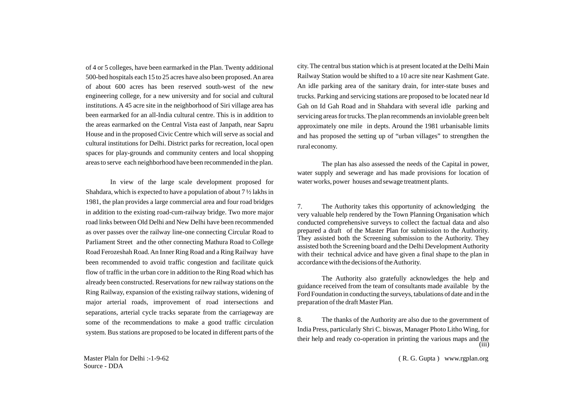of 4 or 5 colleges, have been earmarked in the Plan. Twenty additional 500-bed hospitals each 15 to 25 acres have also been proposed. An area of about 600 acres has been reserved south-west of the new engineering college, for a new university and for social and cultural institutions. A 45 acre site in the neighborhood of Siri village area has been earmarked for an all-India cultural centre. This is in addition to the areas earmarked on the Central Vista east of Janpath, near Sapru House and in the proposed Civic Centre which will serve as social and cultural institutions for Delhi. District parks for recreation, local open spaces for play-grounds and community centers and local shopping areas to serve each neighborhood have been recommended in the plan.

In view of the large scale development proposed for Shahdara, which is expected to have a population of about 7 ½ lakhs in 1981, the plan provides a large commercial area and four road bridges in addition to the existing road-cum-railway bridge. Two more major road links between Old Delhi and New Delhi have been recommended as over passes over the railway line-one connecting Circular Road to Parliament Street and the other connecting Mathura Road to College Road Ferozeshah Road. An Inner Ring Road and a Ring Railway have been recommended to avoid traffic congestion and facilitate quick flow of traffic in the urban core in addition to the Ring Road which has already been constructed. Reservations for new railway stations on the Ring Railway, expansion of the existing railway stations, widening of major arterial roads, improvement of road intersections and separations, arterial cycle tracks separate from the carriageway are some of the recommendations to make a good traffic circulation system. Bus stations are proposed to be located in different parts of the

city. The central bus station which is at present located at the Delhi Main Railway Station would be shifted to a 10 acre site near Kashment Gate. An idle parking area of the sanitary drain, for inter-state buses and trucks. Parking and servicing stations are proposed to be located near Id Gah on Id Gah Road and in Shahdara with several idle parking and servicing areas for trucks. The plan recommends an inviolable green belt approximately one mile in depts. Around the 1981 urbanisable limits and has proposed the setting up of "urban villages" to strengthen the rural economy.

The plan has also assessed the needs of the Capital in power, water supply and sewerage and has made provisions for location of water works, power houses and sewage treatment plants.

7. The Authority takes this opportunity of acknowledging the very valuable help rendered by the Town Planning Organisation which conducted comprehensive surveys to collect the factual data and also prepared a draft of the Master Plan for submission to the Authority. They assisted both the Screening submission to the Authority. They assisted both the Screening board and the Delhi Development Authority with their technical advice and have given a final shape to the plan in accordance with the decisions of the Authority.

The Authority also gratefully acknowledges the help and guidance received from the team of consultants made available by the Ford Foundation in conducting the surveys, tabulations of date and in the preparation of the draft Master Plan.

8. The thanks of the Authority are also due to the government of India Press, particularly Shri C. biswas, Manager Photo Litho Wing, for their help and ready co-operation in printing the various maps and the (iii)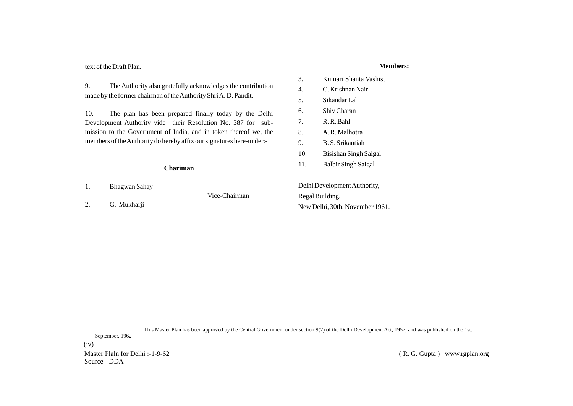text of the Draft Plan.

9. The Authority also gratefully acknowledges the contribution made by the former chairman of the Authority Shri A. D. Pandit.

10. The plan has been prepared finally today by the Delhi Development Authority vide their Resolution No. 387 for submission to the Government of India, and in token thereof we, the members of the Authority do hereby affix our signatures here-under:-

#### **Chariman**

1. Bhagwan Sahay

Vice-Chairman

2. G. Mukharji

New Delhi, 30th. November 1961.

This Master Plan has been approved by the Central Government under section 9(2) of the Delhi Development Act, 1957, and was published on the 1st. September, 1962

(iv)

Master Plaln for Delhi :-1-9-62 Source - DDA

( R. G. Gupta ) www.rgplan.org

9. B. S. Srikantiah 10. Bisishan Singh Saigal 11. Balbir Singh Saigal Delhi Development Authority, Regal Building,

3. Kumari Shanta Vashist

4. C. Krishnan Nair 5. Sikandar Lal 6. Shiv Charan 7. R. R. Bahl 8. A. R. Malhotra

### **Members:**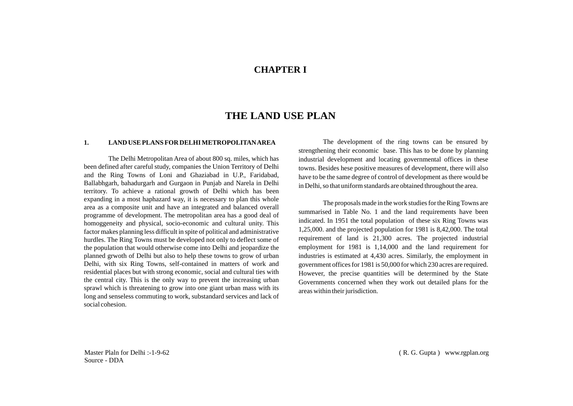# **CHAPTER I**

# **THE LAND USE PLAN**

#### **1. LAND USE PLANS FOR DELHI METROPOLITAN AREA**

The Delhi Metropolitan Area of about 800 sq. miles, which has been defined after careful study, companies the Union Territory of Delhi and the Ring Towns of Loni and Ghaziabad in U.P., Faridabad, Ballabhgarh, bahadurgarh and Gurgaon in Punjab and Narela in Delhi territory. To achieve a rational growth of Delhi which has been expanding in a most haphazard way, it is necessary to plan this whole area as a composite unit and have an integrated and balanced overall programme of development. The metropolitan area has a good deal of homoggeneity and physical, socio-economic and cultural unity. This factor makes planning less difficult in spite of political and administrative hurdles. The Ring Towns must be developed not only to deflect some of the population that would otherwise come into Delhi and jeopardize the planned grwoth of Delhi but also to help these towns to grow of urban Delhi, with six Ring Towns, self-contained in matters of work and residential places but with strong economic, social and cultural ties with the central city. This is the only way to prevent the increasing urban sprawl which is threatening to grow into one giant urban mass with its long and senseless commuting to work, substandard services and lack of social cohesion.

The development of the ring towns can be ensured by strengthening their economic base. This has to be done by planning industrial development and locating governmental offices in these towns. Besides hese positive measures of development, there will also have to be the same degree of control of development as there would be in Delhi, so that uniform standards are obtained throughout the area.

The proposals made in the work studies for the Ring Towns are summarised in Table No. 1 and the land requirements have been indicated. In 1951 the total population of these six Ring Towns was 1,25,000. and the projected population for 1981 is 8,42,000. The total requirement of land is 21,300 acres. The projected industrial employment for 1981 is 1,14,000 and the land requirement for industries is estimated at 4,430 acres. Similarly, the employment in government offices for 1981 is 50,000 for which 230 acres are required. However, the precise quantities will be determined by the State Governments concerned when they work out detailed plans for the areas within their jurisdiction.

Master Plaln for Delhi :-1-9-62 Source - DDA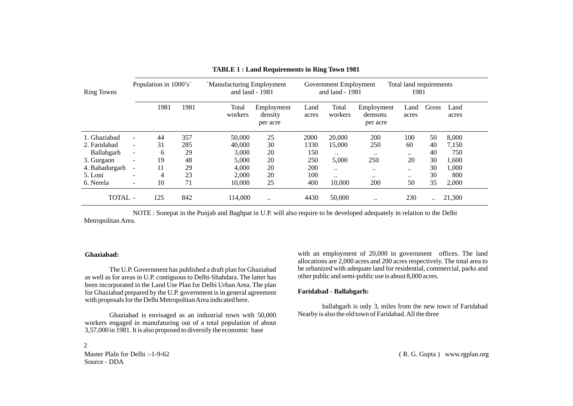| Population in 1000's<br>`Manufacturing Employment<br>and land - 1981<br><b>Ring Towns</b> |                          |      | Government Employment<br>Total land requirements<br>and land - 1981<br>1981 |                  |                                   |               |                  |                                   |               |       |               |  |
|-------------------------------------------------------------------------------------------|--------------------------|------|-----------------------------------------------------------------------------|------------------|-----------------------------------|---------------|------------------|-----------------------------------|---------------|-------|---------------|--|
|                                                                                           |                          | 1981 | 1981                                                                        | Total<br>workers | Employment<br>density<br>per acre | Land<br>acres | Total<br>workers | Employment<br>demsotu<br>per acre | Land<br>acres | Gross | Land<br>acres |  |
| 1. Ghaziabad                                                                              | $\blacksquare$           | 44   | 357                                                                         | 50,000           | 25                                | 2000          | 20,000           | 200                               | 100           | 50    | 8,000         |  |
| 2. Faridabad                                                                              | $\blacksquare$           | 31   | 285                                                                         | 40,000           | 30                                | 1330          | 15,000           | 250                               | 60            | 40    | 7,150         |  |
| Ballabgarh                                                                                | $\overline{\phantom{a}}$ | 6    | 29                                                                          | 3.000            | 20                                | 150           |                  | $\ddotsc$                         |               | 40    | 750           |  |
| 3. Gurgaon                                                                                |                          | 19   | 48                                                                          | 5.000            | 20                                | 250           | 5,000            | 250                               | 20            | 30    | 1,600         |  |
| 4. Bahadurgarh                                                                            | $\overline{\phantom{a}}$ | 11   | 29                                                                          | 4.000            | 20                                | 200           | $\ddotsc$        |                                   |               | 30    | 1,000         |  |
| 5. Loni                                                                                   | $\overline{a}$           | 4    | 23                                                                          | 2.000            | 20                                | 100           |                  |                                   |               | 30    | 800           |  |
| 6. Nerela                                                                                 | $\overline{\phantom{0}}$ | 10   | 71                                                                          | 10,000           | 25                                | 400           | 10,000           | 200                               | 50            | 35    | 2,000         |  |
| <b>TOTAL</b> -                                                                            |                          | 125  | 842                                                                         | 114.000          |                                   | 4430          | 50,000           | $\ddotsc$                         | 230           |       | 21,300        |  |

| <b>TABLE 1: Land Requirements in Ring Town 1981</b> |  |  |  |  |
|-----------------------------------------------------|--|--|--|--|
|-----------------------------------------------------|--|--|--|--|

NOTE : Sonepat in the Punjab and Baghpat in U.P. will also require to be developed adequately in relation to the Delhi Metropolitan Area.

#### **Ghaziabad:**

2

The U.P. Government has published a draft plan for Ghaziabad as well as for areas in U.P. contiguous to Delhi-Shahdara. The latter has been incorporated in the Land Use Plan for Delhi Urban Area. The plan for Ghaziabad prepared by the U.P. government is in general agreement with proposals for the Delhi Metropolitan Area indicated here.

Ghaziabad is envisaged as an industrial town with 50,000 workers engaged in manufaturing out of a total population of about 3,57,000 in 1981. It is also proposed to diversify the economic base

Master Plaln for Delhi :-1-9-62 Source - DDA

with an employment of 20,000 in government offices. The land allocations are 2,000 acres and 200 acres respectively. The total area to be urbanized with adequate land for residential, commercial, parks and other public and semi-public use is about 8,000 acres.

#### **Faridabad - Ballabgarh:**

ballabgarh is only 3, miles from the new town of Faridabad Nearby is also the old town of Faridabad. All the three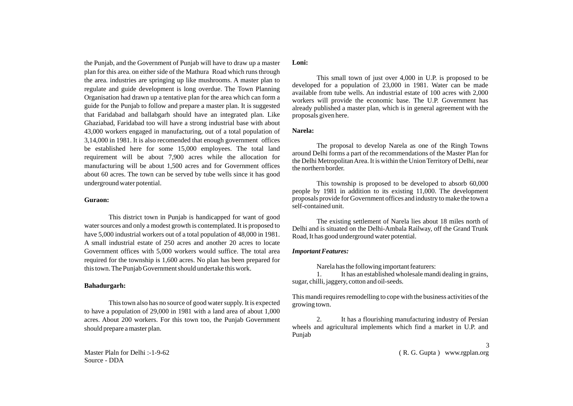the Punjab, and the Government of Punjab will have to draw up a master plan for this area. on either side of the Mathura Road which runs through the area. industries are springing up like mushrooms. A master plan to regulate and guide development is long overdue. The Town Planning Organisation had drawn up a tentative plan for the area which can form a guide for the Punjab to follow and prepare a master plan. It is suggested that Faridabad and ballabgarh should have an integrated plan. Like Ghaziabad, Faridabad too will have a strong industrial base with about 43,000 workers engaged in manufacturing, out of a total population of 3,14,000 in 1981. It is also recomended that enough government offices be established here for some 15,000 employees. The total land requirement will be about 7,900 acres while the allocation for manufacturing will be about 1,500 acres and for Government offices about 60 acres. The town can be served by tube wells since it has good underground water potential.

#### **Guraon:**

This district town in Punjab is handicapped for want of good water sources and only a modest growth is contemplated. It is proposed to have 5,000 industrial workers out of a total population of 48,000 in 1981. A small industrial estate of 250 acres and another 20 acres to locate Government offices with 5,000 workers would suffice. The total area required for the township is 1,600 acres. No plan has been prepared for this town. The Punjab Government should undertake this work.

#### **Bahadurgarh:**

This town also has no source of good water supply. It is expected to have a population of 29,000 in 1981 with a land area of about 1,000 acres. About 200 workers. For this town too, the Punjab Government should prepare a master plan.

Master Plaln for Delhi :-1-9-62 Source - DDA

#### **Loni:**

This small town of just over 4,000 in U.P. is proposed to be developed for a population of 23,000 in 1981. Water can be made available from tube wells. An industrial estate of 100 acres with 2,000 workers will provide the economic base. The U.P. Government has already published a master plan, which is in general agreement with the proposals given here.

#### **Narela:**

The proposal to develop Narela as one of the Ringh Towns around Delhi forms a part of the recommendations of the Master Plan for the Delhi Metropolitan Area. It is within the Union Territory of Delhi, near the northern border.

This township is proposed to be developed to absorb 60,000 people by 1981 in addition to its existing 11,000. The development proposals provide for Government offices and industry to make the town a self-contained unit.

The existing settlement of Narela lies about 18 miles north of Delhi and is situated on the Delhi-Ambala Railway, off the Grand Trunk Road, It has good underground water potential.

#### *Important Features:*

Narela has the following important featurers:

1. It has an established wholesale mandi dealing in grains, sugar, chilli, jaggery, cotton and oil-seeds.

This mandi requires remodelling to cope with the business activities of the growing town.

2. It has a flourishing manufacturing industry of Persian wheels and agricultural implements which find a market in U.P. and Punjab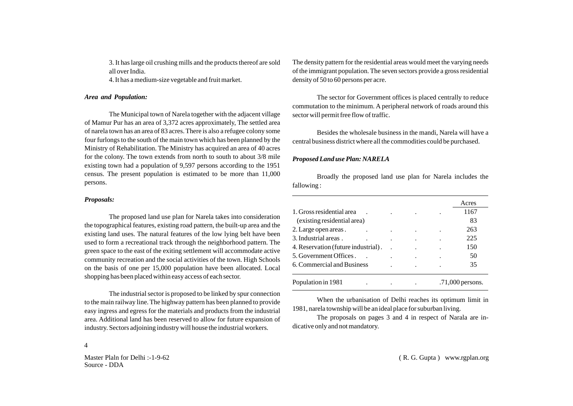3. It has large oil crushing mills and the products thereof are sold all over India.

4. It has a medium-size vegetable and fruit market.

#### *Area and Population:*

The Municipal town of Narela together with the adjacent village of Mamur Pur has an area of 3,372 acres approximately, The settled area of narela town has an area of 83 acres. There is also a refugee colony some four furlongs to the south of the main town which has been planned by the Ministry of Rehabilitation. The Ministry has acquired an area of 40 acres for the colony. The town extends from north to south to about 3/8 mile existing town had a population of 9,597 persons according to the 1951 census. The present population is estimated to be more than 11,000 persons.

#### *Proposals:*

The proposed land use plan for Narela takes into consideration the topographical features, existing road pattern, the built-up area and the existing land uses. The natural features of the low lying belt have been used to form a recreational track through the neighborhood pattern. The green space to the east of the exiting settlement will accommodate active community recreation and the social activities of the town. High Schools on the basis of one per 15,000 population have been allocated. Local shopping has been placed within easy access of each sector.

The industrial sector is proposed to be linked by spur connection to the main railway line. The highway pattern has been planned to provide easy ingress and egress for the materials and products from the industrial area. Additional land has been reserved to allow for future expansion of industry. Sectors adjoining industry will house the industrial workers.

The density pattern for the residential areas would meet the varying needs of the immigrant population. The seven sectors provide a gross residential density of 50 to 60 persons per acre.

The sector for Government offices is placed centrally to reduce commutation to the minimum. A peripheral network of roads around this sector will permit free flow of traffic.

Besides the wholesale business in the mandi, Narela will have a central business district where all the commodities could be purchased.

#### *Proposed Land use Plan: NARELA*

Broadly the proposed land use plan for Narela includes the fallowing :

|                                     |  | Acres            |
|-------------------------------------|--|------------------|
| 1. Gross residential area           |  | 1167             |
| (existing residential area)         |  | 83               |
| 2. Large open areas.                |  | 263              |
| 3. Industrial areas.                |  | 225              |
| 4. Reservation (future industrial). |  | 150              |
| 5. Government Offices.              |  | 50               |
| 6. Commercial and Business          |  | 35               |
| Population in 1981                  |  | .71,000 persons. |

When the urbanisation of Delhi reaches its optimum limit in 1981, narela township will be an ideal place for suburban living.

The proposals on pages 3 and 4 in respect of Narala are indicative only and not mandatory.

4

Master Plaln for Delhi :-1-9-62 Source - DDA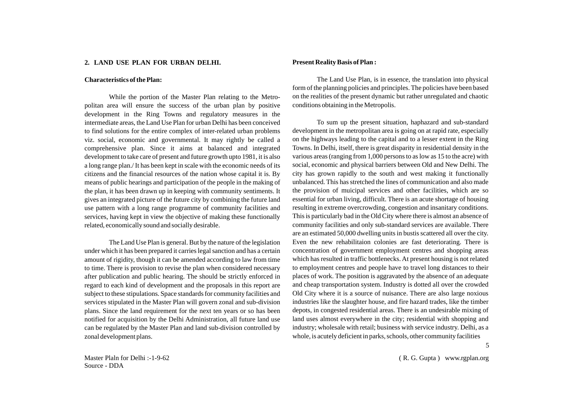#### **2. LAND USE PLAN FOR URBAN DELHI.**

#### **Characteristics of the Plan:**

While the portion of the Master Plan relating to the Metropolitan area will ensure the success of the urban plan by positive development in the Ring Towns and regulatory measures in the intermediate areas, the Land Use Plan for urban Delhi has been conceived to find solutions for the entire complex of inter-related urban problems viz. social, economic and governmental. It may rightly be called a comprehensive plan. Since it aims at balanced and integrated development to take care of present and future growth upto 1981, it is also a long range plan./ It has been kept in scale with the economic needs of its citizens and the financial resources of the nation whose capital it is. By means of public hearings and participation of the people in the making of the plan, it has been drawn up in keeping with community sentiments. It gives an integrated picture of the future city by combining the future land use pattern with a long range programme of community facilities and services, having kept in view the objective of making these functionally related, economically sound and socially desirable.

The Land Use Plan is general. But by the nature of the legislation under which it has been prepared it carries legal sanction and has a certain amount of rigidity, though it can be amended according to law from time to time. There is provision to revise the plan when considered necessary after publication and public hearing. The should be strictly enforced in regard to each kind of development and the proposals in this report are subject to these stipulations. Space standards for community facilities and services stipulated in the Master Plan will govern zonal and sub-division plans. Since the land requirement for the next ten years or so has been notified for acquisition by the Delhi Administration, all future land use can be regulated by the Master Plan and land sub-division controlled by zonal development plans.

#### **Present Reality Basis of Plan :**

The Land Use Plan, is in essence, the translation into physical form of the planning policies and principles. The policies have been based on the realities of the present dynamic but rather unregulated and chaotic conditions obtaining in the Metropolis.

To sum up the present situation, haphazard and sub-standard development in the metropolitan area is going on at rapid rate, especially on the highways leading to the capital and to a lesser extent in the Ring Towns. In Delhi, itself, there is great disparity in residential density in the various areas (ranging from 1,000 persons to as low as 15 to the acre) with social, economic and physical barriers between Old and New Delhi. The city has grown rapidly to the south and west making it functionally unbalanced. This has stretched the lines of communication and also made the provision of muicipal services and other facilities, which are so essential for urban living, difficult. There is an acute shortage of housing resulting in extreme overcrowding, congestion and insanitary conditions. This is particularly bad in the Old City where there is almost an absence of community facilities and only sub-standard services are available. There are an estimated 50,000 dwelling units in bustis scattered all over the city. Even the new rehabilitaion colonies are fast deteriorating. There is concentration of government employment centres and shopping areas which has resulted in traffic bottlenecks. At present housing is not related to employment centres and people have to travel long distances to their places of work. The position is aggravated by the absence of an adequate and cheap transportation system. Industry is dotted all over the crowded Old City where it is a source of nuisance. There are also large noxious industries like the slaughter house, and fire hazard trades, like the timber depots, in congested residential areas. There is an undesirable mixing of land uses almost everywhere in the city; residential with shopping and industry; wholesale with retail; business with service industry. Delhi, as a whole, is acutely deficient in parks, schools, other community facilities

Master Plaln for Delhi :-1-9-62 Source - DDA

( R. G. Gupta ) www.rgplan.org

5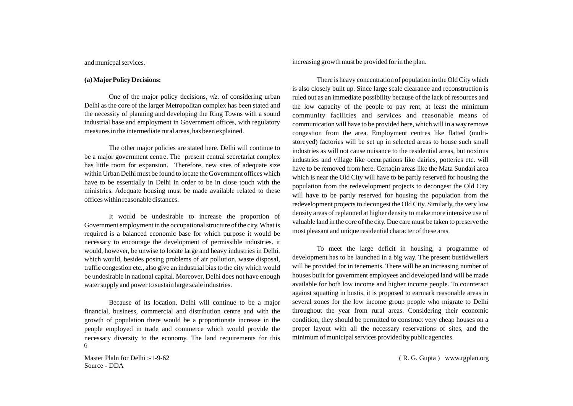#### and municpal services.

#### **(a) MajorPolicy Decisions:**

One of the major policy decisions, *viz.* of considering urban Delhi as the core of the larger Metropolitan complex has been stated and the necessity of planning and developing the Ring Towns with a sound industrial base and employment in Government offices, with regulatory measures in the intermediate rural areas, has been explained.

The other major policies are stated here. Delhi will continue to be a major government centre. The present central secretariat complex has little room for expansion. Therefore, new sites of adequate size within Urban Delhi must be found to locate the Government offices which have to be essentially in Delhi in order to be in close touch with the ministries. Adequate housing must be made available related to these offices within reasonable distances.

It would be undesirable to increase the proportion of Government employment in the occupational structure of the city. What is required is a balanced economic base for which purpose it would be necessary to encourage the development of permissible industries. it would, however, be unwise to locate large and heavy industries in Delhi, which would, besides posing problems of air pollution, waste disposal, traffic congestion etc., also give an industrial bias to the city which would be undesirable in national capital. Moreover, Delhi does not have enough water supply and power to sustain large scale industries.

Because of its location, Delhi will continue to be a major financial, business, commercial and distribution centre and with the growth of population there would be a proportionate increase in the people employed in trade and commerce which would provide the necessary diversity to the economy. The land requirements for this 6

Master Plaln for Delhi :-1-9-62 Source - DDA

increasing growth must be provided for in the plan.

There is heavy concentration of population in the Old City which is also closely built up. Since large scale clearance and reconstruction is ruled out as an immediate possibility because of the lack of resources and the low capacity of the people to pay rent, at least the minimum community facilities and services and reasonable means of communication will have to be provided here, which will in a way remove congestion from the area. Employment centres like flatted (multistoreyed) factories will be set up in selected areas to house such small industries as will not cause nuisance to the residential areas, but noxious industries and village like occurpations like dairies, potteries etc. will have to be removed from here. Certaqin areas like the Mata Sundari area which is near the Old City will have to be partly reserved for housing the population from the redevelopment projects to decongest the Old City will have to be partly reserved for housing the population from the redevelopment projects to decongest the Old City. Similarly, the very low density areas of replanned at higher density to make more intensive use of valuable land in the core of the city. Due care must be taken to preserve the most pleasant and unique residential character of these aras.

To meet the large deficit in housing, a programme of development has to be launched in a big way. The present bustidwellers will be provided for in tenements. There will be an increasing number of houses built for government employees and developed land will be made available for both low income and higher income people. To counteract against squatting in bustis, it is proposed to earmark reasonable areas in several zones for the low income group people who migrate to Delhi throughout the year from rural areas. Considering their economic condition, they should be permitted to construct very cheap houses on a proper layout with all the necessary reservations of sites, and the minimum of municipal services provided by public agencies.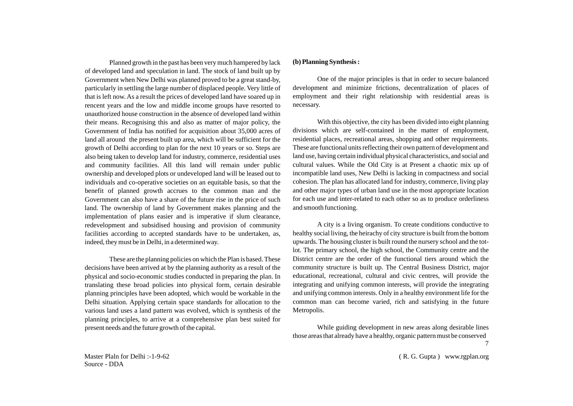Planned growth in the past has been very much hampered by lack of developed land and speculation in land. The stock of land built up by Government when New Delhi was planned proved to be a great stand-by, particularly in settling the large number of displaced people. Very little of that is left now. As a result the prices of developed land have soared up in rencent years and the low and middle income groups have resorted to unauthorized house construction in the absence of developed land within their means. Recognising this and also as matter of major policy, the Government of India has notified for acquisition about 35,000 acres of land all around the present built up area, which will be sufficient for the growth of Delhi according to plan for the next 10 years or so. Steps are also being taken to develop land for industry, commerce, residential uses and community facilities. All this land will remain under public ownership and developed plots or undeveloped land will be leased out to individuals and co-operative societies on an equitable basis, so that the benefit of planned growth accrues to the common man and the Government can also have a share of the future rise in the price of such land. The ownership of land by Government makes planning and the implementation of plans easier and is imperative if slum clearance, redevelopment and subsidised housing and provision of community facilities according to accepted standards have to be undertaken, as, indeed, they must be in Delhi, in a determined way.

These are the planning policies on which the Plan is based. These decisions have been arrived at by the planning authority as a result of the physical and socio-economic studies conducted in preparing the plan. In translating these broad policies into physical form, certain desirable planning principles have been adopted, which would be workable in the Delhi situation. Applying certain space standards for allocation to the various land uses a land pattern was evolved, which is synthesis of the planning principles, to arrive at a comprehensive plan best suited for present needs and the future growth of the capital.

#### **(b) Planning Synthesis :**

One of the major principles is that in order to secure balanced development and minimize frictions, decentralization of places of employment and their right relationship with residential areas is necessary.

With this objective, the city has been divided into eight planning divisions which are self-contained in the matter of employment, residential places, recreational areas, shopping and other requirements. These are functional units reflecting their own pattern of development and land use, having certain individual physical characteristics, and social and cultural values. While the Old City is at Present a chaotic mix up of incompatible land uses, New Delhi is lacking in compactness and social cohesion. The plan has allocated land for industry, commerce, living play and other major types of urban land use in the most appropriate location for each use and inter-related to each other so as to produce orderliness and smooth functioning.

A city is a living organism. To create conditions conductive to healthy social living, the heirachy of city structure is built from the bottom upwards. The housing cluster is built round the nursery school and the totlot. The primary school, the high school, the Community centre and the District centre are the order of the functional tiers around which the community structure is built up. The Central Business District, major educational, recreational, cultural and civic centres, will provide the integrating and unifying common interests, will provide the integrating and unifying common interests. Only in a healthy environment life for the common man can become varied, rich and satisfying in the future Metropolis.

While guiding development in new areas along desirable lines those areas that already have a healthy, organic pattern must be conserved 7

Master Plaln for Delhi :-1-9-62 Source - DDA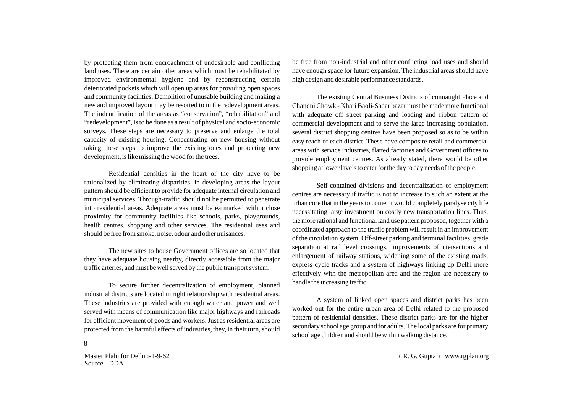by protecting them from encroachment of undesirable and conflicting land uses. There are certain other areas which must be rehabilitated by improved environmental hygiene and by reconstructing certain deteriorated pockets which will open up areas for providing open spaces and community facilities. Demolition of unusable building and making a new and improved layout may be resorted to in the redevelopment areas. The indentification of the areas as "conservation", "rehabilitation" and "redevelopment", is to be done as a result of physical and socio-economic surveys. These steps are necessary to preserve and enlarge the total capacity of existing housing. Concentrating on new housing without taking these steps to improve the existing ones and protecting new development, is like missing the wood for the trees.

Residential densities in the heart of the city have to be rationalized by eliminating disparities. in developing areas the layout pattern should be efficient to provide for adequate internal circulation and municipal services. Through-traffic should not be permitted to penetrate into residential areas. Adequate areas must be earmarked within close proximity for community facilities like schools, parks, playgrounds, health centres, shopping and other services. The residential uses and should be free from smoke, noise, odour and other nuisances.

The new sites to house Government offices are so located that they have adequate housing nearby, directly accessible from the major traffic arteries, and must be well served by the public transport system.

To secure further decentralization of employment, planned industrial districts are located in right relationship with residential areas. These industries are provided with enough water and power and well served with means of communication like major highways and railroads for efficient movement of goods and workers. Just as residential areas are protected from the harmful effects of industries, they, in their turn, should

Master Plaln for Delhi :-1-9-62 Source - DDA

8

be free from non-industrial and other conflicting load uses and should have enough space for future expansion. The industrial areas should have high design and desirable performance standards.

The existing Central Business Districts of connaught Place and Chandni Chowk - Khari Baoli-Sadar bazar must be made more functional with adequate off street parking and loading and ribbon pattern of commercial development and to serve the large increasing population, several district shopping centres have been proposed so as to be within easy reach of each district. These have composite retail and commercial areas with service industries, flatted factories and Government offices to provide employment centres. As already stated, there would be other shopping at lower lavels to cater for the day to day needs of the people.

Self-contained divisions and decentralization of employment centres are necessary if traffic is not to increase to such an extent at the urban core that in the years to come, it would completely paralyse city life necessitating large investment on costly new transportation lines. Thus, the more rational and functional land use pattern proposed, together with a coordinated approach to the traffic problem will result in an improvement of the circulation system. Off-street parking and terminal facilities, grade separation at rail level crossings, improvements of ntersections and enlargement of railway stations, widening some of the existing roads, express cycle tracks and a system of highways linking up Delhi more effectively with the metropolitan area and the region are necessary to handle the increasing traffic.

A system of linked open spaces and district parks has been worked out for the entire urban area of Delhi related to the proposed pattern of residential densities. These district parks are for the higher secondary school age group and for adults. The local parks are for primary school age children and should be within walking distance.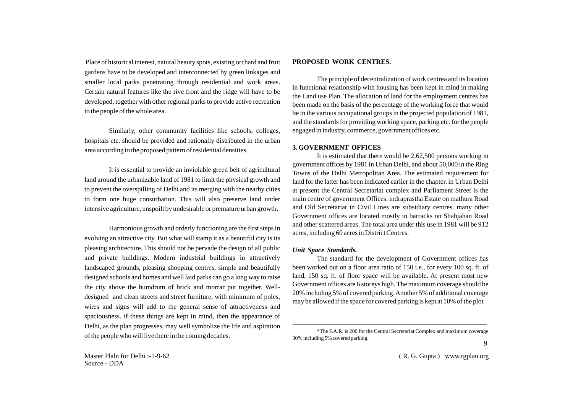Place of historical interest, natural beauty spots, existing orchard and fruit gardens have to be developed and interconnected by green linkages and smaller local parks penetrating through residential and work areas. Certain natural features like the rive front and the ridge will have to be developed, together with other regional parks to provide active recreation to the people of the whole area.

Similarly, other community facilities like schools, colleges, hospitals etc. should be provided and rationally distributed in the urban area according to the proposed pattern of residential densities.

It is essential to provide an inviolable green belt of agricultural land around the urbanizable land of 1981 to limit the physical growth and to prevent the overspilling of Delhi and its merging with the nearby cities to form one huge consurbation. This will also preserve land under intensive agriculture, unspoilt by undesirable or premature urban growth.

Harmonious growth and orderly functioning are the first steps in evolving an attractive city. But what will stamp it as a beautiful city is its pleasing architecture. This should not be pervade the design of all public and private buildings. Modern industrial buildings in attractively landscaped grounds, pleasing shopping centres, simple and beautifully designed schools and homes and well laid parks can go a long way to raise the city above the humdrum of brick and morrar put together. Welldesigned and clean streets and street furniture, with minimum of poles, wires and signs will add to the general sense of attractiveness and spaciousness. if these things are kept in mind, then the appearance of Delhi, as the plan progresses, may well symbolize the life and aspiration of the people who will live there in the coming decades.

Master Plaln for Delhi :-1-9-62 Source - DDA

#### **PROPOSED WORK CENTRES.**

The principle of decentralization of work centrea and its location in functional relationship with housing has been kept in mind in making the Land use Plan. The allocation of land for the employment centres has been made on the basis of the percentage of the working force that would be in the various occupational groups in the projected population of 1981, and the standards for providing working space, parking etc. for the people engaged in industry, commerce, government offices etc.

#### **3. GOVERNMENT OFFICES**

It is estimated that there would be 2,62,500 persons working in government offices by 1981 in Urban Delhi, and about 50,000 in the Ring Towns of the Delhi Metropolitan Area. The estimated requirement for land for the latter has been indicated earlier in the chapter. in Urban Delhi at present the Central Secretariat complex and Parliament Street is the main centre of government Offices. indraprastha Estate on mathura Road and Old Secretariat in Civil Lines are subsidiary centres. many other Government offices are located mostly in barracks on Shahjahan Road and other scattered areas. The total area under this use in 1981 will be 912 acres, including 60 acres in District Centres.

#### *Unit Space Standards.*

The standard for the development of Government offices has been worked out on a floor area ratio of 150 i.e., for every 100 sq. ft. of land, 150 sq. ft. of floor space will be available. At present most new Government offices are 6 storeys high. The maximum coverage should be 20% including 5% of covered parking. Another 5% of additional coverage may be allowed if the space for covered parking is kept at 10% of the plot

<sup>\*</sup>The F.A.R. is 200 for the Central Secretariat Complex and maximum coverage 30% including 5% covered parking.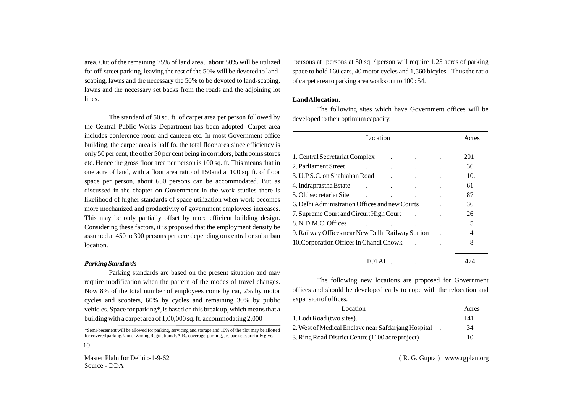area. Out of the remaining 75% of land area, about 50% will be utilized for off-street parking, leaving the rest of the 50% will be devoted to landscaping, lawns and the necessary the 50% to be devoted to land-scaping, lawns and the necessary set backs from the roads and the adjoining lot lines.

The standard of 50 sq. ft. of carpet area per person followed by the Central Public Works Department has been adopted. Carpet area includes conference room and canteen etc. In most Government office building, the carpet area is half fo. the total floor area since efficiency is only 50 per cent, the other 50 per cent being in corridors, bathrooms stores etc. Hence the gross floor area per person is 100 sq. ft. This means that in one acre of land, with a floor area ratio of 150and at 100 sq. ft. of floor space per person, about 650 persons can be accommodated. But as discussed in the chapter on Government in the work studies there is likelihood of higher standards of space utilization when work becomes more mechanized and productivity of government employees increases. This may be only partially offset by more efficient building design. Considering these factors, it is proposed that the employment density be assumed at 450 to 300 persons per acre depending on central or suburban location.

#### *Parking Standards*

10

Parking standards are based on the present situation and may require modification when the pattern of the modes of travel changes. Now 8% of the total number of employees come by car, 2% by motor cycles and scooters, 60% by cycles and remaining 30% by public vehicles. Space for parking\*, is based on this break up, which means that a building with a carpet area of 1,00,000 sq. ft. accommodating 2,000

\*Semi-besement will be allowed for parking, servicing and storage and 10% of the plot may be allotted for covered parking. Under Zoning Regulations F.A.R., coverage, parking, set-back etc. are fully give.

Master Plaln for Delhi :-1-9-62 Source - DDA

persons at persons at 50 sq. / person will require 1.25 acres of parking space to hold 160 cars, 40 motor cycles and 1,560 bicyles. Thus the ratio of carpet area to parking area works out to 100 : 54.

#### **Land Allocation.**

The following sites which have Government offices will be developed to their optimum capacity.

| Location                                          |  | Acres |
|---------------------------------------------------|--|-------|
| 1. Central Secretariat Complex                    |  | 201   |
| 2. Parliament Street                              |  | 36    |
| 3. U.P.S.C. on Shahjahan Road                     |  | 10.   |
| 4. Indraprastha Estate                            |  | 61    |
| 5. Old secretariat Site                           |  | 87    |
| 6. Delhi Administration Offices and new Courts    |  | 36    |
| 7. Supreme Court and Circuit High Court           |  | 26    |
| 8. N.D.M.C. Offices                               |  | 5     |
| 9. Railway Offices near New Delhi Railway Station |  | 4     |
| 10. Corporation Offices in Chandi Chowk           |  | 8     |
| TOTAL.                                            |  | 474   |

The following new locations are proposed for Government offices and should be developed early to cope with the relocation and expansion of offices.

| Location                                            | Acres |
|-----------------------------------------------------|-------|
| 1. Lodi Road (two sites).                           | 141   |
| 2. West of Medical Enclave near Safdarjang Hospital | 34    |
| 3. Ring Road District Centre (1100 acre project)    | 10    |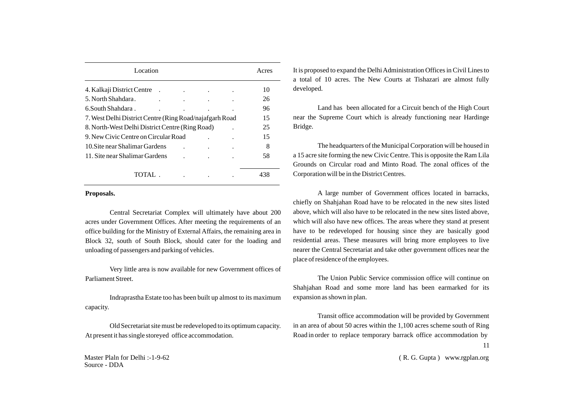| Location                                                 |  | Acres |
|----------------------------------------------------------|--|-------|
| 4. Kalkaji District Centre                               |  | 10    |
| 5. North Shahdara.                                       |  | 26    |
| 6. South Shahdara.                                       |  | 96    |
| 7. West Delhi District Centre (Ring Road/najafgarh Road) |  | 15    |
| 8. North-West Delhi District Centre (Ring Road)          |  | 25    |
| 9. New Civic Centre on Circular Road                     |  | 15    |
| 10. Site near Shalimar Gardens                           |  | 8     |
| 11. Site near Shalimar Gardens                           |  | 58    |
|                                                          |  |       |
| TOTAL                                                    |  |       |

#### **Proposals.**

Central Secretariat Complex will ultimately have about 200 acres under Government Offices. After meeting the requirements of an office building for the Ministry of External Affairs, the remaining area in Block 32, south of South Block, should cater for the loading and unloading of passengers and parking of vehicles.

Very little area is now available for new Government offices of Parliament Street.

Indraprastha Estate too has been built up almost to its maximum capacity.

Old Secretariat site must be redeveloped to its optimum capacity. At present it has single storeyed office accommodation.

Master Plaln for Delhi :-1-9-62 Source - DDA

It is proposed to expand the Delhi Administration Offices in Civil Lines to a total of 10 acres. The New Courts at Tishazari are almost fully developed.

Land has been allocated for a Circuit bench of the High Court near the Supreme Court which is already functioning near Hardinge Bridge.

The headquarters of the Municipal Corporation will be housed in a 15 acre site forming the new Civic Centre. This is opposite the Ram Lila Grounds on Circular road and Minto Road. The zonal offices of the Corporation will be in the District Centres.

A large number of Government offices located in barracks, chiefly on Shahjahan Road have to be relocated in the new sites listed above, which will also have to be relocated in the new sites listed above, which will also have new offices. The areas where they stand at present have to be redeveloped for housing since they are basically good residential areas. These measures will bring more employees to live nearer the Central Secretariat and take other government offices near the place of residence of the employees.

The Union Public Service commission office will continue on Shahjahan Road and some more land has been earmarked for its expansion as shown in plan.

Transit office accommodation will be provided by Government in an area of about 50 acres within the 1,100 acres scheme south of Ring Road in order to replace temporary barrack office accommodation by 11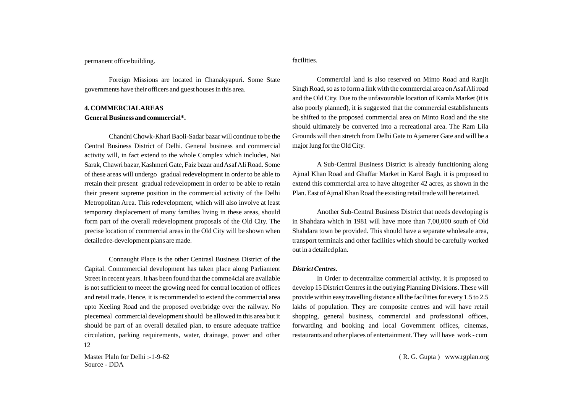#### permanent office building.

facilities.

Foreign Missions are located in Chanakyapuri. Some State governments have their officers and guest houses in this area.

# **4. COMMERCIALAREAS General Business and commercial\*.**

Chandni Chowk-Khari Baoli-Sadar bazar will continue to be the Central Business District of Delhi. General business and commercial activity will, in fact extend to the whole Complex which includes, Nai Sarak, Chawri bazar, Kashmeri Gate, Faiz bazar and Asaf Ali Road. Some of these areas will undergo gradual redevelopment in order to be able to rretain their present gradual redevelopment in order to be able to retain their present supreme position in the commercial activity of the Delhi Metropolitan Area. This redevelopment, which will also involve at least temporary displacement of many families living in these areas, should form part of the overall redevelopment proposals of the Old City. The precise location of commercial areas in the Old City will be shown when detailed re-development plans are made.

Connaught Place is the other Centrasl Business District of the Capital. Commmercial development has taken place along Parliament Street in recent years. It has been found that the comme4cial are available is not sufficient to meeet the growing need for central location of offices and retail trade. Hence, it is recommended to extend the commercial area upto Keeling Road and the proposed overbridge over the railway. No piecemeal commercial development should be allowed in this area but it should be part of an overall detailed plan, to ensure adequate traffice circulation, parking requirements, water, drainage, power and other 12

Master Plaln for Delhi :-1-9-62 Source - DDA

Commercial land is also reserved on Minto Road and Ranjit Singh Road, so as to form a link with the commercial area on Asaf Ali road and the Old City. Due to the unfavourable location of Kamla Market (it is also poorly planned), it is suggested that the commercial establishments be shifted to the proposed commercial area on Minto Road and the site should ultimately be converted into a recreational area. The Ram Lila Grounds will then stretch from Delhi Gate to Ajamerer Gate and will be a major lung for the Old City.

A Sub-Central Business District is already funcitioning along Ajmal Khan Road and Ghaffar Market in Karol Bagh. it is proposed to extend this commercial area to have altogether 42 acres, as shown in the Plan. East of Ajmal Khan Road the existing retail trade will be retained.

Another Sub-Central Business District that needs developing is in Shahdara which in 1981 will have more than 7,00,000 south of Old Shahdara town be provided. This should have a separate wholesale area, transport terminals and other facilities which should be carefully worked out in a detailed plan.

#### *District Centres.*

In Order to decentralize commercial activity, it is proposed to develop 15 District Centres in the outlying Planning Divisions. These will provide within easy travelling distance all the facilities for every 1.5 to 2.5 lakhs of population. They are composite centres and will have retail shopping, general business, commercial and professional offices, forwarding and booking and local Government offices, cinemas, restaurants and other places of entertainment. They will have work - cum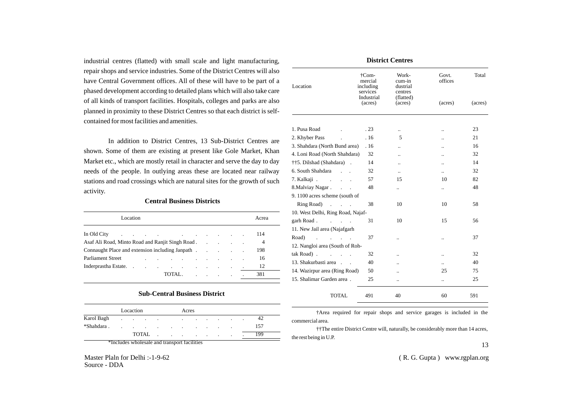industrial centres (flatted) with small scale and light manufacturing, repair shops and service industries. Some of the District Centres will also have Central Government offices. All of these will have to be part of a phased development according to detailed plans which will also take care of all kinds of transport facilities. Hospitals, colleges and parks are also planned in proximity to these District Centres so that each district is selfcontained for most facilities and amenities.

In addition to District Centres, 13 Sub-District Centres are shown. Some of them are existing at present like Gole Market, Khan Market etc., which are mostly retail in character and serve the day to day needs of the people. In outlying areas these are located near railway stations and road crossings which are natural sites for the growth of such activity.

### **Central Business Districts**

|                                                                                                                                                                                                                                | Location |  |                                                     |  |  |  | Acrea |
|--------------------------------------------------------------------------------------------------------------------------------------------------------------------------------------------------------------------------------|----------|--|-----------------------------------------------------|--|--|--|-------|
| In Old City in the contract of the contract of the contract of the contract of the contract of the contract of the contract of the contract of the contract of the contract of the contract of the contract of the contract of |          |  |                                                     |  |  |  | 114   |
|                                                                                                                                                                                                                                |          |  |                                                     |  |  |  | 4     |
|                                                                                                                                                                                                                                |          |  |                                                     |  |  |  | 198   |
| <b>Parliament Street</b>                                                                                                                                                                                                       |          |  | and the contract of the contract of the contract of |  |  |  | 16    |
|                                                                                                                                                                                                                                |          |  |                                                     |  |  |  | 12    |
|                                                                                                                                                                                                                                |          |  | TOTAL.                                              |  |  |  | 381   |
|                                                                                                                                                                                                                                |          |  |                                                     |  |  |  |       |

#### **Sub-Central Business District**

|            |         | Locaction                |                          |        | Acres                    |           |         |         |        |                          |         |     |
|------------|---------|--------------------------|--------------------------|--------|--------------------------|-----------|---------|---------|--------|--------------------------|---------|-----|
| Karol Bagh | $\cdot$ | <b>Contract Contract</b> | <b>Contract Contract</b> | $\sim$ |                          | $\bullet$ | $\cdot$ | $\cdot$ | . .    | $\cdot$                  |         |     |
| *Shahdara. | $\cdot$ | <b>Contract Contract</b> | <b>Contractor</b>        | $\sim$ | <b>Contract Contract</b> | $\sim$    | $\cdot$ | $\sim$  | $\sim$ | $\overline{\phantom{a}}$ |         | 157 |
|            |         |                          | <b>TOTAL</b>             |        | $\sim$                   | $\sim$    | $\cdot$ | $\cdot$ | $\sim$ | $\sim$                   | $\cdot$ | 199 |

\*Includes wholesale and transport facilities

Master Plaln for Delhi :-1-9-62 Source - DDA

|                                                       | <b>District Centres</b>                   |                                        |                      |         |  |  |  |  |  |  |  |  |
|-------------------------------------------------------|-------------------------------------------|----------------------------------------|----------------------|---------|--|--|--|--|--|--|--|--|
| Location                                              | †Com-<br>mercial<br>including<br>services | Work-<br>cum-in<br>dustrial<br>centres | Govt.<br>offices     | Total   |  |  |  |  |  |  |  |  |
|                                                       | Industrial<br>(acres)                     | (flatted)<br>(acres)                   | (acres)              | (acres) |  |  |  |  |  |  |  |  |
| 1. Pusa Road                                          | .23                                       |                                        | $\ddot{\phantom{a}}$ | 23      |  |  |  |  |  |  |  |  |
| 2. Khyber Pass                                        | .16                                       | 5                                      | $\ddot{\phantom{a}}$ | 21      |  |  |  |  |  |  |  |  |
| 3. Shahdara (North Bund area)                         | .16                                       |                                        | $\ddot{\phantom{a}}$ | 16      |  |  |  |  |  |  |  |  |
| 4. Loni Road (North Shahdara)                         | 32                                        | $\ddot{\phantom{a}}$                   | $\ddot{\phantom{a}}$ | 32      |  |  |  |  |  |  |  |  |
| ††5. Dilshad (Shahdara).                              | 14                                        | ٠.                                     | $\ddot{\phantom{a}}$ | 14      |  |  |  |  |  |  |  |  |
| 6. South Shahdara<br>$\overline{a}$                   | 32                                        | $\ddot{\phantom{a}}$                   |                      | 32      |  |  |  |  |  |  |  |  |
| 7. Kalkaji.<br>$\overline{a}$                         | 57                                        | 15                                     | 10                   | 82      |  |  |  |  |  |  |  |  |
| 8. Malviay Nagar.<br>$\mathbf{r} = \mathbf{r}$        | 48                                        |                                        |                      | 48      |  |  |  |  |  |  |  |  |
| 9.1100 acres scheme (south of                         |                                           |                                        |                      |         |  |  |  |  |  |  |  |  |
| Ring Road)<br>and the control of the con-             | 38                                        | 10                                     | 10                   | 58      |  |  |  |  |  |  |  |  |
| 10. West Delhi, Ring Road, Najaf-                     |                                           |                                        |                      |         |  |  |  |  |  |  |  |  |
| garh Road.<br>$\overline{a}$                          | 31                                        | 10                                     | 15                   | 56      |  |  |  |  |  |  |  |  |
| 11. New Jail area (Najafgarh                          |                                           |                                        |                      |         |  |  |  |  |  |  |  |  |
| Road)<br>$\mathbb{R}^2$<br>$\mathcal{L}^{\text{max}}$ | 37                                        |                                        |                      | 37      |  |  |  |  |  |  |  |  |
| 12. Nangloi area (South of Roh-                       |                                           |                                        |                      |         |  |  |  |  |  |  |  |  |
| tak Road).                                            | 32                                        | $\ddot{\phantom{a}}$                   | $\ddot{\phantom{a}}$ | 32      |  |  |  |  |  |  |  |  |
| 13. Shakurbasti area                                  | 40                                        |                                        | Ω.                   | 40      |  |  |  |  |  |  |  |  |
| 14. Wazirpur area (Ring Road)                         | 50                                        | $\ddot{\phantom{a}}$                   | 25                   | 75      |  |  |  |  |  |  |  |  |
| 15. Shalimar Garden area.                             | 25                                        | $\ddot{\phantom{a}}$                   |                      | 25      |  |  |  |  |  |  |  |  |
| TOTAL                                                 | 491                                       | 40                                     | 60                   | 591     |  |  |  |  |  |  |  |  |

†Area required for repair shops and service garages is included in the commercial area.

††The entire District Centre will, naturally, be considerably more than 14 acres, the rest being in U.P.

13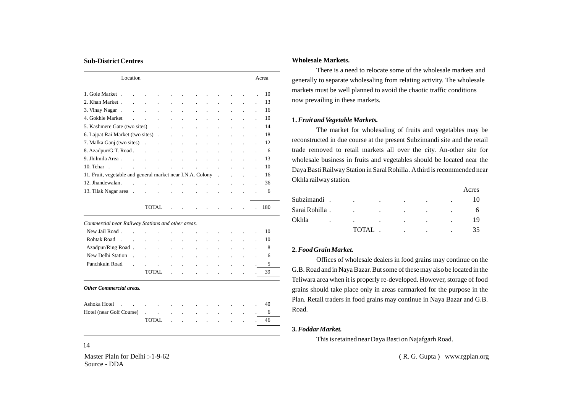#### **Sub-District Centres**

|                                                                                                                  | Location             |                                                                                 |                      |                                                           |                      |                              |                |                          |                          |                      | Acrea |
|------------------------------------------------------------------------------------------------------------------|----------------------|---------------------------------------------------------------------------------|----------------------|-----------------------------------------------------------|----------------------|------------------------------|----------------|--------------------------|--------------------------|----------------------|-------|
| 1. Gole Market.                                                                                                  |                      | the contract of the contract of the contract of the contract of the contract of |                      |                                                           |                      |                              |                |                          |                          |                      | 10    |
| 2. Khan Market .                                                                                                 | $\sim$               | <b>Contract</b><br>$\sim 100$ km s $^{-1}$                                      |                      | $\ddot{\phantom{a}}$                                      | $\sim$ 100 $\mu$     | and the contract of          |                | $\sim 100$               |                          |                      | 13    |
| 3. Vinay Nagar.                                                                                                  | $\ddot{\phantom{a}}$ | $\ddot{\phantom{a}}$                                                            | $\ddot{\phantom{0}}$ | $\blacksquare$                                            | $\ddot{\phantom{0}}$ | $\ddot{\phantom{a}}$         | $\blacksquare$ | $\overline{\phantom{a}}$ | $\ddot{\phantom{a}}$     | ä.                   | 16    |
| 4. Gokhle Market                                                                                                 | $\ddot{\phantom{a}}$ | <b>Contract Contract</b>                                                        |                      | $\mathbb{Z}^2$                                            | $\sim 100$           | $\ddot{\phantom{a}}$         | $\sim 10$      | <b>Contract</b>          | <b>Contract Contract</b> |                      | 10    |
| 5. Kashmere Gate (two sites)                                                                                     |                      |                                                                                 |                      |                                                           |                      | $\mathcal{L}^{\text{max}}$ . |                | <b>Contract</b>          | $\ddot{\phantom{a}}$     | $\ddot{\phantom{a}}$ | 14    |
|                                                                                                                  |                      |                                                                                 |                      |                                                           |                      | $\ddot{\phantom{a}}$         | $\sim$         | $\blacksquare$           | $\ddot{\phantom{a}}$     | $\blacksquare$       | 18    |
| 7. Malka Ganj (two sites) (and reserve the control of the control of the control of the control of the control o |                      |                                                                                 |                      |                                                           |                      | $\mathbf{r}$                 | $\sim$ $\sim$  | $\ddot{\phantom{a}}$     | $\mathbf{r}$             | ÷.                   | 12    |
| 8. Azadpur/G.T. Road                                                                                             |                      |                                                                                 |                      | $\mathcal{L}^{\text{max}}$ and $\mathcal{L}^{\text{max}}$ |                      | and the control of           |                | $\mathbf{r}$             | $\cdot$                  | $\blacksquare$       | 6     |
| 9. Jhilmila Area.                                                                                                |                      | and the contract of                                                             |                      | $\ddot{\phantom{a}}$                                      | $\sim$               | $\cdot$                      | $\sim 10$      | $\blacksquare$           |                          |                      | 13    |
| 10. Tehar.<br>and the state of the state of the                                                                  |                      |                                                                                 |                      | the contract of the contract of the con-                  |                      |                              |                |                          | $\ddot{\phantom{a}}$     | $\ddot{\phantom{a}}$ | 10    |
| 11. Fruit, vegetable and general market near I.N.A. Colony.                                                      |                      |                                                                                 |                      |                                                           |                      |                              |                |                          | <b>Contract State</b>    |                      | 16    |
| 12. Jhandewalan.                                                                                                 |                      |                                                                                 |                      |                                                           | <b>Contractor</b>    |                              |                | $\ddot{\phantom{a}}$     |                          | ä.                   | 36    |
| 13. Tilak Nagar area.                                                                                            |                      | $\Box$                                                                          | $\sim$ $\sim$        | $\Box$                                                    | $\sim 100$           |                              |                |                          |                          |                      | 6     |
|                                                                                                                  |                      |                                                                                 |                      |                                                           |                      |                              |                |                          |                          |                      |       |

TOTAL . . . . . . . . 180

*Commercial near Railway Stations and other areas.*

| New Delhi Station |        |  | the control of the control of the control of the control of the control of                |  |  |  |    |
|-------------------|--------|--|-------------------------------------------------------------------------------------------|--|--|--|----|
| Panchkuin Road    |        |  | . The contract of the contract of the contract $\sim$ 5 $^{\circ}$                        |  |  |  |    |
|                   | TOTAL. |  | the control of the control of the control of the control of the control of the control of |  |  |  | 39 |

#### *Other Commercial areas.*

| Ashoka Hotel <b>Ashoka</b> Hotel <b>Ashoka</b> Hotel <b>Ashoka</b> Hotel <b>Ashoka</b> Hotel <b>Ashoka</b> Hotel <b>Ashoka</b> Hotel <b>Ashoka</b> Hotel <b>Ashoka</b> Hotel <b>Ashoka</b> Hotel <b>Ashoka</b> Hotel <b>Ashoka</b> Hotel <b>Ashoka</b> Hotel <b>Ashoka</b> Hotel <b>Ashoka</b> Hotel |       |  |  |  |  |  |
|------------------------------------------------------------------------------------------------------------------------------------------------------------------------------------------------------------------------------------------------------------------------------------------------------|-------|--|--|--|--|--|
| Hotel (near Golf Course) and the country of the country of the country of the country of the country of the country of the country of the country of the country of the country of the country of the country of the country o                                                                       |       |  |  |  |  |  |
|                                                                                                                                                                                                                                                                                                      | TOTAL |  |  |  |  |  |

#### 14

Master Plaln for Delhi :-1-9-62 Source - DDA

#### **Wholesale Markets.**

There is a need to relocate some of the wholesale markets and generally to separate wholesaling from relating activity. The wholesale markets must be well planned to avoid the chaotic traffic conditions now prevailing in these markets.

#### **1.***Fruit and Vegetable Markets.*

The market for wholesaling of fruits and vegetables may be reconstructed in due course at the present Subzimandi site and the retail trade removed to retail markets all over the city. An-other site for wholesale business in fruits and vegetables should be located near the Daya Basti Railway Station in Saral Rohilla . Athird is recommended near Okhla railway station.

|                |              |   |  |   | Acres |
|----------------|--------------|---|--|---|-------|
| Subzimandi.    |              | ٠ |  | ٠ |       |
| Sarai Rohilla. |              | ٠ |  |   |       |
| Okhla          |              |   |  |   |       |
|                | <b>TOTAL</b> |   |  |   |       |

#### **2.***Food Grain Market.*

Offices of wholesale dealers in food grains may continue on the G.B. Road and in Naya Bazar. But some of these may also be located in the Teliwara area when it is properly re-developed. However, storage of food grains should take place only in areas earmarked for the purpose in the Plan. Retail traders in food grains may continue in Naya Bazar and G.B. Road.

#### **3.** *Foddar Market.*

This is retained near Daya Basti on Najafgarh Road.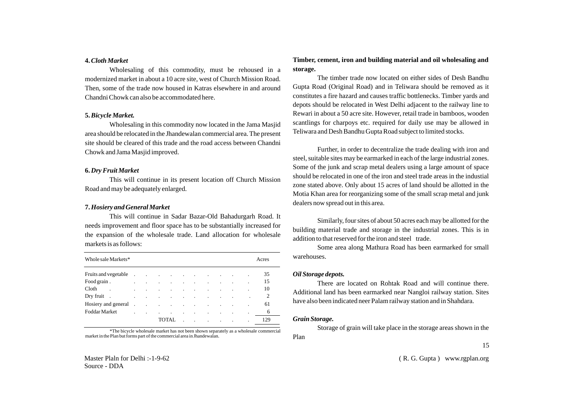#### **4.***Cloth Market*

Wholesaling of this commodity, must be rehoused in a modernized market in about a 10 acre site, west of Church Mission Road. Then, some of the trade now housed in Katras elsewhere in and around Chandni Chowk can also be accommodated here.

#### **5.** *Bicycle Market.*

Wholesaling in this commodity now located in the Jama Masjid area should be relocated in the Jhandewalan commercial area. The present site should be cleared of this trade and the road access between Chandni Chowk and Jama Masjid improved.

#### **6.** *Dry Fruit Market*

This will continue in its present location off Church Mission Road and may be adequately enlarged.

#### **7.** *Hosiery and General Market*

This will continue in Sadar Bazar-Old Bahadurgarh Road. It needs improvement and floor space has to be substantially increased for the expansion of the wholesale trade. Land allocation for wholesale markets is as follows:

| Whole sale Markets*                                                                                                                                                                                                            |                 |                                                 |                                     |  |                                     |                          |  | Acres |
|--------------------------------------------------------------------------------------------------------------------------------------------------------------------------------------------------------------------------------|-----------------|-------------------------------------------------|-------------------------------------|--|-------------------------------------|--------------------------|--|-------|
| Fruits and vegetable in the contract of the contract of the contract of the contract of the contract of the contract of the contract of the contract of the contract of the contract of the contract of the contract of the co |                 |                                                 |                                     |  |                                     |                          |  | 35    |
| Food grain.<br>and the company                                                                                                                                                                                                 |                 | the contract of the contract of the contract of |                                     |  |                                     |                          |  | 15    |
| Cloth                                                                                                                                                                                                                          |                 | $\ddot{\phantom{a}}$                            | the contract of the contract of     |  |                                     |                          |  | 10    |
| Dry fruit.                                                                                                                                                                                                                     | and the company |                                                 | and the contract of the contract of |  |                                     |                          |  |       |
| Hosiery and general the contract of the contract of the contract of the contract of the contract of the contract of the contract of the contract of the contract of the contract of the contract of the contract of the contra |                 |                                                 |                                     |  |                                     | <b>Contract Contract</b> |  | 61    |
| Foddar Market                                                                                                                                                                                                                  | $\mathbb{Z}^2$  | $\sim 100$ km s $^{-1}$                         | $\sim 10$                           |  | the contract of the contract of the |                          |  | 6     |
|                                                                                                                                                                                                                                |                 |                                                 | TOTAL.                              |  |                                     |                          |  | 129   |
|                                                                                                                                                                                                                                |                 |                                                 |                                     |  |                                     |                          |  |       |

\*The bicycle wholesale market has not been shown separately as a wholesale commercial market in the Plan but forms part of the commercial area in Jhandewalan.

### **Timber, cement, iron and building material and oil wholesaling and storage.**

The timber trade now located on either sides of Desh Bandhu Gupta Road (Original Road) and in Teliwara should be removed as it constitutes a fire hazard and causes traffic bottlenecks. Timber yards and depots should be relocated in West Delhi adjacent to the railway line to Rewari in about a 50 acre site. However, retail trade in bamboos, wooden scantlings for charpoys etc. required for daily use may be allowed in Teliwara and Desh Bandhu Gupta Road subject to limited stocks.

Further, in order to decentralize the trade dealing with iron and steel, suitable sites may be earmarked in each of the large industrial zones. Some of the junk and scrap metal dealers using a large amount of space should be relocated in one of the iron and steel trade areas in the industial zone stated above. Only about 15 acres of land should be allotted in the Motia Khan area for reorganizing some of the small scrap metal and junk dealers now spread out in this area.

Similarly, four sites of about 50 acres each may be allotted for the building material trade and storage in the industrial zones. This is in addition to that reserved for the iron and steel trade.

Some area along Mathura Road has been earmarked for small warehouses.

#### *Oil Storage depots.*

There are located on Rohtak Road and will continue there. Additional land has been earmarked near Nangloi railway station. Sites have also been indicated neer Palam railway station and in Shahdara.

#### *Grain Storage.*

Storage of grain will take place in the storage areas shown in the Plan

Master Plaln for Delhi :-1-9-62 Source - DDA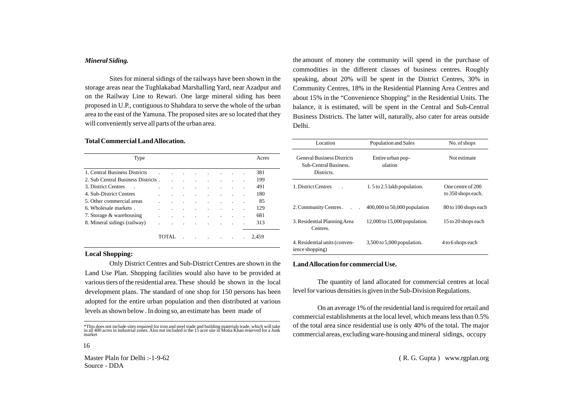#### *Mineral Siding.*

Sites for mineral sidings of the railways have been shown in the storage areas near the Tughlakabad Marshalling Yard, near Azadpur and on the Railway Line to Rewari. One large mineral siding has been proposed in U.P., contiguous to Shahdara to serve the whole of the urban area to the east of the Yamuna. The proposed sites are so located that they will conveniently serve all parts of the urban area.

#### **Total Commercial Land Allocation.**

| Type                               |  |  |         |  | Acres |
|------------------------------------|--|--|---------|--|-------|
| 1. Central Business Districts      |  |  |         |  | 381   |
| 2. Sub Central Business Districts. |  |  |         |  | 199   |
| 3. District Centres                |  |  |         |  | 491   |
| 4. Sub-District Centres            |  |  |         |  | 180   |
| 5. Other commercial areas          |  |  |         |  | 85    |
| 6. Wholesale markets               |  |  |         |  | 129   |
| 7. Storage & warehousing           |  |  |         |  | 681   |
| 8. Mineral sidings (railway)       |  |  | $\cdot$ |  | 313   |
|                                    |  |  |         |  | 2,459 |

#### **Local Shopping:**

16

Only District Centres and Sub-District Centres are shown in the Land Use Plan. Shopping facilities would also have to be provided at various tiers of the residential area. These should be shown in the local development plans. The standard of one shop for 150 persons has been adopted for the entire urban population and then distributed at various levels as shown below . In doing so, an estimate has been made of

Master Plaln for Delhi :-1-9-62 Source - DDA

the amount of money the community will spend in the purchase of commodities in the different classes of business centres. Roughly speaking, about 20% will be spent in the District Centres, 30% in Community Centres, 18% in the Residential Planning Area Centres and about 15% in the "Convenience Shopping" in the Residential Units. The balance, it is estimated, will be spent in the Central and Sub-Central Business Districts. The latter will, naturally, also cater for areas outside Delhi.

| Location                                                                 | Population and Sales             | No. of shops                            |
|--------------------------------------------------------------------------|----------------------------------|-----------------------------------------|
| <b>General Business Districts</b><br>Sub-Central Business.<br>Districts. | Entire urban pop-<br>ulation     | Not estimate                            |
| 1. District Centres                                                      | $1.5$ to 2.5 lakh population.    | One centre of 200<br>to 350 shops each. |
| 2. Community Centres.                                                    | 400,000 to 50,000 population     | 80 to 100 shops each                    |
| 3. Residential Planning Area<br>Centres.                                 | $12,000$ to $15,000$ population. | 15 to 20 shops each                     |
| 4. Residential units (conven-<br>ience shopping)                         | $3,500$ to $5,000$ population.   | 4 to 6 shops each                       |

#### **Land Allocation for commercial Use.**

The quantity of land allocated for commercial centres at local level for various densities is given in the Sub-Division Regulations.

On an average 1% of the residential land is required for retail and commercial establishments at the local level, which means less than 0.5% of the total area since residential use is only 40% of the total. The major commercial areas, excluding ware-housing and mineral sidings, occupy

<sup>\*</sup>This does not include sites required for iron and steel trade and building materials trade, which will take in all 400 acres in industrial zones. Also not included is the 15 acre site in Motia Khan reserved for a Junk market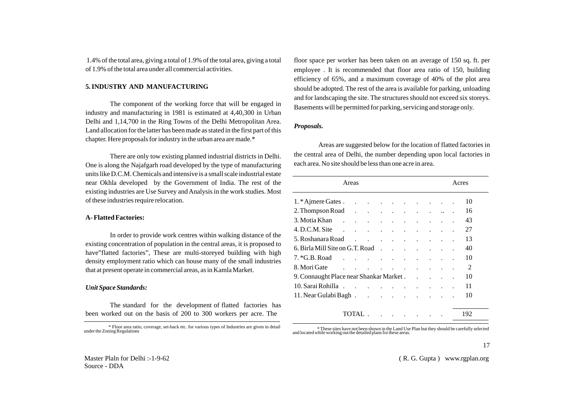1.4% of the total area, giving a total of 1.9% of the total area, giving a total of 1.9% of the total area under all commercial activities.

#### **5. INDUSTRY AND MANUFACTURING**

The component of the working force that will be engaged in industry and manufacturing in 1981 is estimated at 4,40,300 in Urban Delhi and 1,14,700 in the Ring Towns of the Delhi Metropolitan Area. Land allocation for the latter has been made as stated in the first part of this chapter. Here proposals for industry in the urban area are made.\*

There are only tow existing planned industrial districts in Delhi. One is along the Najafgarh road developed by the type of manufacturing units like D.C.M. Chemicals and intensive is a small scale industrial estate near Okhla developed by the Government of India. The rest of the existing industries are Use Survey and Analysis in the work studies. Most of these industries require relocation.

#### **A- Flatted Factories:**

In order to provide work centres within walking distance of the existing concentration of population in the central areas, it is proposed to have"flatted factories", These are multi-storeyed building with high density employment ratio which can house many of the small industries that at present operate in commercial areas, as in Kamla Market.

#### *Unit Space Standards:*

The standard for the development of flatted factories has been worked out on the basis of 200 to 300 workers per acre. The

floor space per worker has been taken on an average of 150 sq. ft. per employee . It is recommended that floor area ratio of 150, building efficiency of 65%, and a maximum coverage of 40% of the plot area should be adopted. The rest of the area is available for parking, unloading and for landscaping the site. The structures should not exceed six storeys. Basements will be permitted for parking, servicing and storage only.

#### *Proposals.*

Areas are suggested below for the location of flatted factories in the central area of Delhi, the number depending upon local factories in each area. No site should be less than one acre in area.

|                                         | Areas  |                                          | Acres                               |                      |               |               |                                     |           |  |  |     |
|-----------------------------------------|--------|------------------------------------------|-------------------------------------|----------------------|---------------|---------------|-------------------------------------|-----------|--|--|-----|
| $1.*$ Ajmere Gates                      |        |                                          |                                     |                      |               |               |                                     |           |  |  | 10  |
| 2. Thompson Road                        |        |                                          |                                     |                      |               |               |                                     |           |  |  | 16  |
| 3. Motia Khan .                         | $\sim$ |                                          | and the contract of the contract of |                      |               |               |                                     |           |  |  | 43  |
| 4. D.C.M. Site                          |        | $\sim$ $\sim$<br>$\ddot{\phantom{0}}$    |                                     | $\ddot{\phantom{a}}$ | $\sim$        | $\bullet$     |                                     |           |  |  | 27  |
| 5. Roshanara Road                       |        | $\ddot{\phantom{a}}$                     | and a strong state                  |                      |               |               |                                     |           |  |  | 13  |
| 6. Birla Mill Site on G.T. Road         |        |                                          |                                     | $\sim$               | $\sim$        | $\sim$ $\sim$ |                                     |           |  |  | 40  |
| $7.*G.B.Road$                           |        |                                          |                                     |                      | $\sim$ $\sim$ | $\sim$ $\sim$ |                                     |           |  |  | 10  |
| 8. Mori Gate                            |        | and a strong control of the state of the |                                     |                      |               |               |                                     |           |  |  | 2   |
| 9. Connaught Place near Shankar Market. |        |                                          |                                     |                      |               |               |                                     | $\sim 10$ |  |  | 10  |
| 10. Sarai Rohilla.                      |        | and the contract of the contract of      |                                     |                      |               |               |                                     |           |  |  | 11  |
| 11. Near Gulabi Bagh                    |        |                                          |                                     |                      |               |               |                                     |           |  |  | 10  |
|                                         |        | TOTAL                                    |                                     |                      |               |               | and the company of the state of the |           |  |  | 192 |

<sup>\*</sup> These sites have not been shown in the Land Use Plan but they should be carefully selected and located while working out the detailed plans for these areas.

17

<sup>\*</sup> Floor area ratio, coverage, set-back etc. for various types of Industries are given in detail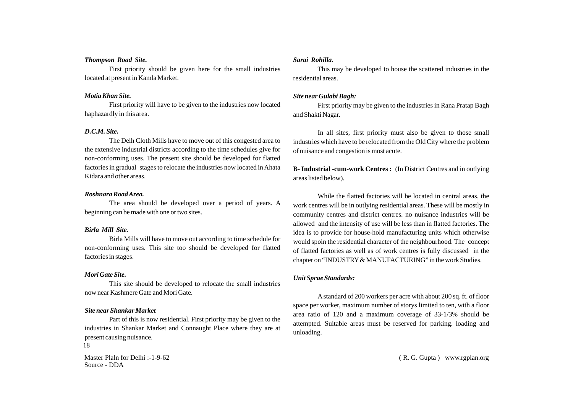#### *Thompson Road Site.*

First priority should be given here for the small industries located at present in Kamla Market.

#### *Motia Khan Site.*

First priority will have to be given to the industries now located haphazardly in this area.

#### *D.C.M. Site.*

The Delh Cloth Mills have to move out of this congested area to the extensive industrial districts according to the time schedules give for non-conforming uses. The present site should be developed for flatted factories in gradual stages to relocate the industries now located in Ahata Kidara and other areas.

#### *Roshnara Road Area.*

The area should be developed over a period of years. A beginning can be made with one or two sites.

#### *Birla Mill Site.*

Birla Mills will have to move out according to time schedule for non-conforming uses. This site too should be developed for flatted factories in stages.

#### *Mori Gate Site.*

This site should be developed to relocate the small industries now near Kashmere Gate and Mori Gate.

#### *Site near Shankar Market*

Part of this is now residential. First priority may be given to the industries in Shankar Market and Connaught Place where they are at present causing nuisance. 18

Master Plaln for Delhi :-1-9-62 Source - DDA

#### *Sarai Rohilla.*

This may be developed to house the scattered industries in the residential areas.

#### *Site near Gulabi Bagh:*

First priority may be given to the industries in Rana Pratap Bagh and Shakti Nagar.

In all sites, first priority must also be given to those small industries which have to be relocated from the Old City where the problem of nuisance and congestion is most acute.

**B- Industrial -cum-work Centres :** (In District Centres and in outlying areas listed below).

While the flatted factories will be located in central areas, the work centres will be in outlying residential areas. These will be mostly in community centres and district centres. no nuisance industries will be allowed and the intensity of use will be less than in flatted factories. The idea is to provide for house-hold manufacturing units which otherwise would spoin the residential character of the neighbourhood. The concept of flatted factories as well as of work centres is fully discussed in the chapter on "INDUSTRY& MANUFACTURING" in the work Studies.

#### *Unit Spcae Standards:*

Astandard of 200 workers per acre with about 200 sq. ft. of floor space per worker, maximum number of storys limited to ten, with a floor area ratio of 120 and a maximum coverage of 33-1/3% should be attempted. Suitable areas must be reserved for parking. loading and unloading.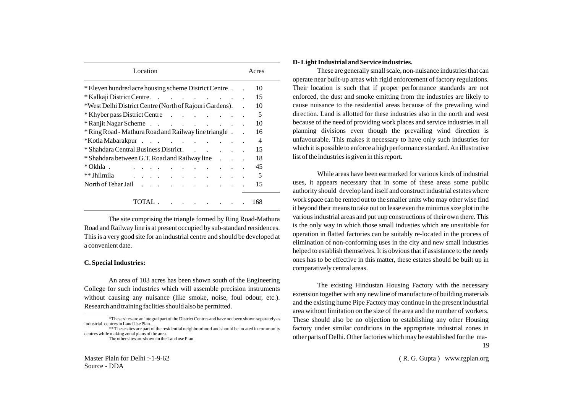| Location                                                                      | Acres |     |  |
|-------------------------------------------------------------------------------|-------|-----|--|
| * Eleven hundred acre housing scheme District Centre.                         |       | 10  |  |
| * Kalkaji District Centre.                                                    |       | 15  |  |
| *West Delhi District Centre (North of Rajouri Gardens).                       |       | 10  |  |
| * Khyber pass District Centre                                                 |       | 5   |  |
| $*$ Ranjit Nagar Scheme $\cdot \cdot \cdot \cdot \cdot \cdot$                 |       | 10  |  |
| * Ring Road - Mathura Road and Railway line triangle.                         |       | 16  |  |
| *Kotla Mabarakpur                                                             |       | 4   |  |
| * Shahdara Central Business District.                                         |       | 15  |  |
| * Shahdara between G.T. Road and Railway line                                 |       | 18  |  |
| * Okhla.                                                                      |       | 45  |  |
| ** Jhilmila<br>. The second contract is a second contract of $\mathcal{O}(1)$ |       | 5   |  |
| North of Tehar Jail                                                           |       | 15  |  |
| TOTAL.                                                                        |       | 168 |  |

The site comprising the triangle formed by Ring Road-Mathura Road and Railway line is at present occupied by sub-standard rersidences. This is a very good site for an industrial centre and should be developed at a convenient date.

#### **C. Special Industries:**

An area of 103 acres has been shown south of the Engineering College for such industries which will assemble precision instruments without causing any nuisance (like smoke, noise, foul odour, etc.). Research and training faclities should also be permitted.

\*\* These sites are part of the residential neighbourhood and should be located in community centres while making zonal plans of the area.

#### **D- Light Industrial and Service industries.**

These are generally small scale, non-nuisance industries that can operate near built-up areas with rigid enforcement of factory regulations. Their location is such that if proper performance standards are not enforced, the dust and smoke emitting from the industries are likely to cause nuisance to the residential areas because of the prevailing wind direction. Land is allotted for these industries also in the north and west because of the need of providing work places and service industries in all planning divisions even though the prevailing wind direction is unfavourable. This makes it necessary to have only such industries for which it is possible to enforce a high performance standard. An illustrative list of the industries is given in this report.

While areas have been earmarked for various kinds of industrial uses, it appears necessary that in some of these areas some public authority should develop land itself and construct industrial estates where work space can be rented out to the smaller units who may other wise find it beyond their means to take out on lease even the minimus size plot in the various industrial areas and put uup constructions of their own there. This is the only way in which those small industies which are unsuitable for operation in flatted factories can be suitably re-located in the process of elimination of non-conforming uses in the city and new small industries helped to establish themselves. It is obvious that if assistance to the needy ones has to be effective in this matter, these estates should be built up in comparatively central areas.

The existing Hindustan Housing Factory with the necessary extension together with any new line of manufacture of building materials and the existing hume Pipe Factory may continue in the present industrial area without limitation on the size of the area and the number of workers. These should also be no objection to establishing any other Housing factory under similar conditions in the appropriate industrial zones in other parts of Delhi. Other factories which may be established for the ma- 19

<sup>\*</sup>These sites are an integral part of the District Centres and have not been shown separately as industrial centres in Land Use Plan.

The other sites are shown in the Land use Plan.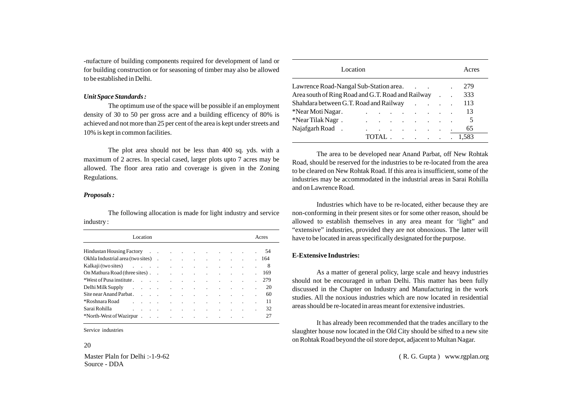-nufacture of building components required for development of land or for building construction or for seasoning of timber may also be allowed to be established in Delhi.

#### *Unit Space Standards :*

The optimum use of the space will be possible if an employment density of 30 to 50 per gross acre and a building efficency of 80% is achieved and not more than 25 per cent of the area is kept under streets and 10% is kept in common facilities.

The plot area should not be less than 400 sq. yds. with a maximum of 2 acres. In special cased, larger plots upto 7 acres may be allowed. The floor area ratio and coverage is given in the Zoning Regulations.

#### *Proposals :*

The following allocation is made for light industry and service industry :

| Location                                                                                                                                                                                                                       |  |  |  |  |  | Acres |
|--------------------------------------------------------------------------------------------------------------------------------------------------------------------------------------------------------------------------------|--|--|--|--|--|-------|
|                                                                                                                                                                                                                                |  |  |  |  |  |       |
| Okhla Industrial area (two sites) (and the contract of the contract of the contract of the contract of the contract of the contract of the contract of the contract of the contract of the contract of the contract of the con |  |  |  |  |  |       |
| Kalkaji (two sites) and the contract of the contract of the contract of the contract of the contract of the contract of the contract of the contract of the contract of the contract of the contract of the contract of the co |  |  |  |  |  |       |
|                                                                                                                                                                                                                                |  |  |  |  |  |       |
|                                                                                                                                                                                                                                |  |  |  |  |  |       |
| Delhi Milk Supply 20                                                                                                                                                                                                           |  |  |  |  |  |       |
|                                                                                                                                                                                                                                |  |  |  |  |  | 60    |
| *Roshnara Road and the contract of the contract of the contract of the contract of the contract of the contract of the contract of the contract of the contract of the contract of the contract of the contract of the contrac |  |  |  |  |  | 11    |
|                                                                                                                                                                                                                                |  |  |  |  |  | 32    |
|                                                                                                                                                                                                                                |  |  |  |  |  | 27    |

Service industries

#### 20

Master Plaln for Delhi :-1-9-62 Source - DDA

| Location                                           |  |                                                                                               |                                   |  | Acres |
|----------------------------------------------------|--|-----------------------------------------------------------------------------------------------|-----------------------------------|--|-------|
| Lawrence Road-Nangal Sub-Station area.             |  |                                                                                               | and the company of the company of |  | 279   |
| Area south of Ring Road and G.T. Road and Railway  |  |                                                                                               |                                   |  | 333   |
| $Shahdar$ a between G.T. Road and Railway $\ldots$ |  |                                                                                               |                                   |  | 113   |
| *Near Moti Nagar.                                  |  | the contract of the contract of the contract of the contract of the contract of               |                                   |  | 13    |
| *Near Tilak Nagr.                                  |  | $\mathbf{r} = \mathbf{r} \cdot \mathbf{r}$ , where $\mathbf{r} = \mathbf{r} \cdot \mathbf{r}$ |                                   |  | 5     |
| Najafgarh Road.                                    |  | the contract of the contract of the con-                                                      |                                   |  | 65    |
|                                                    |  | TOTAL                                                                                         |                                   |  | 1.583 |

The area to be developed near Anand Parbat, off New Rohtak Road, should be reserved for the industries to be re-located from the area to be cleared on New Rohtak Road. If this area is insufficient, some of the industries may be accommodated in the industrial areas in Sarai Rohilla and on Lawrence Road.

Industries which have to be re-located, either because they are non-conforming in their present sites or for some other reason, should be allowed to establish themselves in any area meant for 'light" and "extensive" industries, provided they are not obnoxious. The latter will have to be located in areas specifically designated for the purpose.

#### **E-Extensive Industries:**

As a matter of general policy, large scale and heavy industries should not be encouraged in urban Delhi. This matter has been fully discussed in the Chapter on Industry and Manufacturing in the work studies. All the noxious industries which are now located in residential areas should be re-located in areas meant for extensive industries.

It has already been recommended that the trades ancillary to the slaughter house now located in the Old City should be sifted to a new site on Rohtak Road beyond the oil store depot, adjacent to Multan Nagar.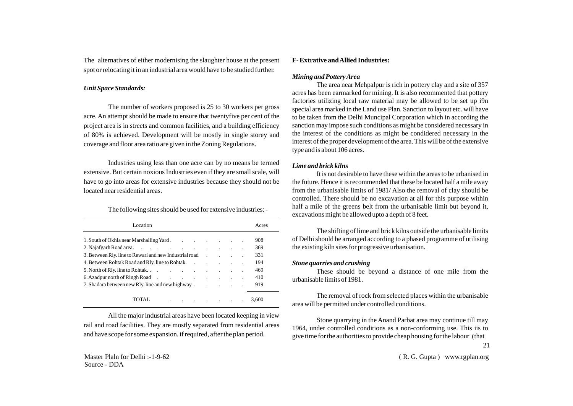The alternatives of either modernising the slaughter house at the present spot or relocating it in an industrial area would have to be studied further.

#### *Unit Space Standards:*

The number of workers proposed is 25 to 30 workers per gross acre. An attempt should be made to ensure that twentyfive per cent of the project area is in streets and common facilities, and a building efficiency of 80% is achieved. Development will be mostly in single storey and coverage and floor area ratio are given in the Zoning Regulations.

Industries using less than one acre can by no means be termed extensive. But certain noxious Industries even if they are small scale, will have to go into areas for extensive industries because they should not be located near residential areas.

#### The following sites should be used for extensive industries: -

| Location                                                                                                                                                                                                                       |  |  | Acres |
|--------------------------------------------------------------------------------------------------------------------------------------------------------------------------------------------------------------------------------|--|--|-------|
| 1. South of Okhla near Marshalling Yard.                                                                                                                                                                                       |  |  | 908   |
|                                                                                                                                                                                                                                |  |  | 369   |
| 3. Between Rly. line to Rewari and new Industrial road . The results of the Rewari and new Industrial road                                                                                                                     |  |  | 331   |
| 4. Between Rohtak Road and Rly. line to Rohtak.                                                                                                                                                                                |  |  | 194   |
|                                                                                                                                                                                                                                |  |  | 469   |
|                                                                                                                                                                                                                                |  |  | 410   |
| 7. Shadara between new Rly. line and new highway. The contract of the contract of the contract of the contract of the contract of the contract of the contract of the contract of the contract of the contract of the contract |  |  | 919   |
| the control of the control of the<br>TOTAL.                                                                                                                                                                                    |  |  | 3.600 |

All the major industrial areas have been located keeping in view rail and road facilities. They are mostly separated from residential areas and have scope for some expansion. if required, after the plan period.

### **F- Extrative and Allied Industries:**

#### *Mining and Pottery Area*

The area near Mehpalpur is rich in pottery clay and a site of 357 acres has been earmarked for mining. It is also recommented that pottery factories utilizing local raw material may be allowed to be set up i9n special area marked in the Land use Plan. Sanction to layout etc. will have to be taken from the Delhi Muncipal Corporation which in according the sanction may impose such conditions as might be considered necessary in the interest of the conditions as might be condidered necessary in the interest of the proper development of the area. This will be of the extensive type and is about 106 acres.

#### *Lime and brick kilns*

It is not desirable to have these within the areas to be urbanised in the future. Hence it is recommended that these be located half a mile away from the urbanisable limits of 1981/ Also the removal of clay should be controlled. There should be no excavation at all for this purpose within half a mile of the greens belt from the urbanisable limit but beyond it, excavations might be allowed upto a depth of 8 feet.

The shifting of lime and brick kilns outside the urbanisable limits of Delhi should be arranged according to a phased programme of utilising the existing kiln sites for progressive urbanisation.

#### *Stone quarries and crushing*

These should be beyond a distance of one mile from the urbanisable limits of 1981.

The removal of rock from selected places within the urbanisable area will be permitted under controlled conditions.

Stone quarrying in the Anand Parbat area may continue till may 1964, under controlled conditions as a non-conforming use. This iis to give time for the authorities to provide cheap housing for the labour (that

21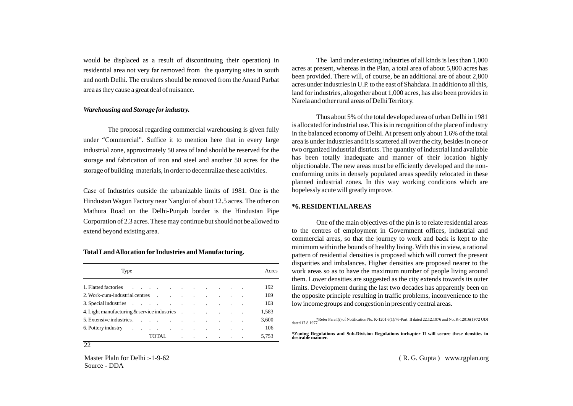would be displaced as a result of discontinuing their operation) in residential area not very far removed from the quarrying sites in south and north Delhi. The crushers should be removed from the Anand Parbat area as they cause a great deal of nuisance.

#### *Warehousing and Storage for industry.*

The proposal regarding commercial warehousing is given fully under "Commercial". Suffice it to mention here that in every large industrial zone, approximately 50 area of land should be reserved for the storage and fabrication of iron and steel and another 50 acres for the storage of building materials, in order to decentralize these activities.

Case of Industries outside the urbanizable limits of 1981. One is the Hindustan Wagon Factory near Nangloi of about 12.5 acres. The other on Mathura Road on the Delhi-Punjab border is the Hindustan Pipe Corporation of 2.3 acres. These may continue but should not be allowed to extend beyond existing area.

#### **Total Land Allocation for Industries and Manufacturing.**

| Type                                                                                                                                                                                                                           |  |  |  | Acres |
|--------------------------------------------------------------------------------------------------------------------------------------------------------------------------------------------------------------------------------|--|--|--|-------|
| 1. Flatted factories and the contract of the contract of the contract of the contract of the contract of the contract of the contract of the contract of the contract of the contract of the contract of the contract of the c |  |  |  | 192   |
|                                                                                                                                                                                                                                |  |  |  | 169   |
|                                                                                                                                                                                                                                |  |  |  | 103   |
| 4. Light manufacturing $\&$ service industries $\qquad \qquad$ .                                                                                                                                                               |  |  |  | 1,583 |
|                                                                                                                                                                                                                                |  |  |  | 3,600 |
| 6. Pottery industry containing the contact of the contact of the contact of the contact of the contact of the contact of the contact of the contact of the contact of the contact of the contact of the contact of the contact |  |  |  | 106   |
| TOTAL                                                                                                                                                                                                                          |  |  |  | 5,753 |

Master Plaln for Delhi :-1-9-62 Source - DDA

22

The land under existing industries of all kinds is less than 1,000 acres at present, whereas in the Plan, a total area of about 5,800 acres has been provided. There will, of course, be an additional are of about 2,800 acres under industries in U.P. to the east of Shahdara. In addition to all this, land for industries, altogether about 1,000 acres, has also been provides in Narela and other rural areas of Delhi Territory.

Thus about 5% of the total developed area of urban Delhi in 1981 is allocated for industrial use. This is in recognition of the place of industry in the balanced economy of Delhi. At present only about 1.6% of the total area is under industries and it is scattered all over the city, besides in one or two organized industrial districts. The quantity of industrial land available has been totally inadequate and manner of their location highly objectionable. The new areas must be efficiently developed and the nonconforming units in densely populated areas speedily relocated in these planned industrial zones. In this way working conditions which are hopelessly acute will greatly improve.

#### **\*6. RESIDENTIALAREAS**

One of the main objectives of the pln is to relate residential areas to the centres of employment in Government offices, industrial and commercial areas, so that the journey to work and back is kept to the minimum within the bounds of healthy living. With this in view, a rational pattern of residential densities is proposed which will correct the present disparities and imbalances. Higher densities are proposed nearer to the work areas so as to have the maximum number of people living around them. Lower densities are suggested as the city extends towards its outer limits. Development during the last two decades has apparently been on the opposite principle resulting in traffic problems, inconvenience to the low income groups and congestion in presently central areas.

\*Refer Para I(i) of Notification No. K-1201 6(1)/76-Part II dated 22.12.1976 and No. K-12016(1)/72 UDI dated 17.8.1977

**\*Zoning Regulations and Sub-Division Regulations inchapter II will secure these densities in desirable manner.**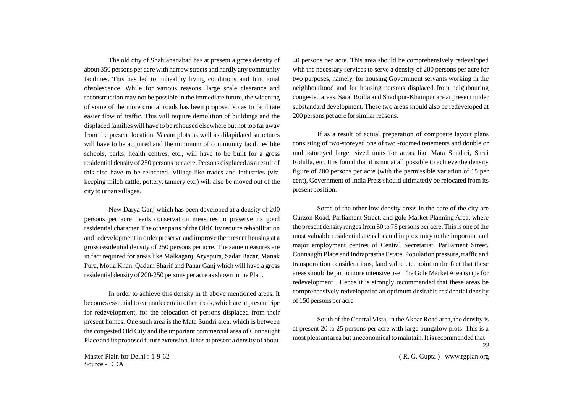The old city of Shahjahanabad has at present a gross density of about 350 persons per acre with narrow streets and hardly any community facilities. This has led to unhealthy living conditions and functional obsolescence. While for various reasons, large scale clearance and reconstruction may not be possible in the immediate future, the widening of some of the more crucial roads has been proposed so as to facilitate easier flow of traffic. This will require demolition of buildings and the displaced families will have to be rehoused elsewhere but not too far away from the present location. Vacant plots as well as dilapidated structures will have to be acquired and the minimum of community facilities like schools, parks, health centres, etc., will have to be built for a gross residential density of 250 persons per acre. Persons displaced as a result of this also have to be relocated. Village-like trades and industries (viz. keeping milch cattle, pottery, tannery etc.) will also be moved out of the city to urban villages.

New Darya Ganj which has been developed at a density of 200 persons per acre needs conservation measures to preserve its good residential character. The other parts of the Old City require rehabilitation and redevelopment in order preserve and improve the present housing at a gross residential density of 250 persons per acre. The same measures are in fact required for areas like Malkaganj, Aryapura, Sadar Bazar, Manak Pura, Motia Khan, Qadam Sharif and Pahar Ganj which will have a gross residential density of 200-250 persons per acre as shown in the Plan.

In order to achieve this density in th above mentioned areas. It becomes essential to earmark certain other areas, which are at present ripe for redevelopment, for the relocation of persons displaced from their present homes. One such area is the Mata Sundri area, which is between the congested Old City and the important commercial area of Connaught Place and its proposed future extension. It has at present a density of about

Master Plaln for Delhi :-1-9-62 Source - DDA

40 persons per acre. This area should be comprehensively redeveloped with the necessary services to serve a density of 200 persons per acre for two purposes, namely, for housing Government servants working in the neighbourhood and for housing persons displaced from neighbouring congested areas. Saral Roilla and Shadipur-Khampur are at present under substandard development. These two areas should also be redeveloped at 200 persons pet acre for similar reasons.

If as a result of actual preparation of composite layout plans consisting of two-storeyed one of two -roomed tenements and double or multi-storeyed larger sized units for areas like Mata Sundari, Sarai Rohilla, etc. It is found that it is not at all possible to achieve the density figure of 200 persons per acre (with the permissible variation of 15 per cent), Government of India Press should ultimatetly be relocated from its present position.

Some of the other low density areas in the core of the city are Curzon Road, Parliament Street, and gole Market Planning Area, where the present density ranges from 50 to 75 persons per acre. This is one of the most valuable residential areas located in proximity to the important and major employment centres of Central Secretariat. Parliament Street, Connaught Place and Indraprastha Estate. Population pressure, traffic and transportation considerations, land value etc. point to the fact that these areas should be put to more intensive use. The Gole Market Area is ripe for redevelopment . Hence it is strongly recommended that these areas be comprehensively redveloped to an optimum desirable residential density of 150 persons per acre.

South of the Central Vista, in the Akbar Road area, the density is at present 20 to 25 persons per acre with large bungalow plots. This is a most pleasant area but uneconomical to maintain. It is recommended that 23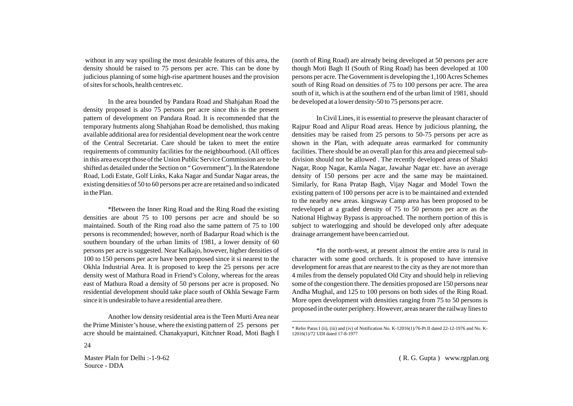without in any way spoiling the most desirable features of this area, the density should be raised to 75 persons per acre. This can be done by judicious planning of some high-rise apartment houses and the provision of sites for schools, health centres etc.

In the area bounded by Pandara Road and Shahjahan Road the density proposed is also 75 persons per acre since this is the present pattern of development on Pandara Road. It is recommended that the temporary hutments along Shahjahan Road be demolished, thus making available additional area for residential development near the work centre of the Central Secretariat. Care should be taken to meet the entire requirements of community facilities for the neighbourhood. (All offices in this area except those of the Union Public Service Commission are to be shifted as detailed under the Section on " Government"). In the Ratendone Road, Lodi Estate, Golf Links, Kaka Nagar and Sundar Nagar areas, the existing densities of 50 to 60 persons per acre are retained and so indicated in the Plan.

\*Between the Inner Ring Road and the Ring Road the existing densities are about 75 to 100 persons per acre and should be so maintained. South of the Ring road also the same pattern of 75 to 100 persons is recommended; however, north of Badarpur Road which is the southern boundary of the urban limits of 1981, a lower density of 60 persons per acre is suggested. Near Kalkajo, however, higher densities of 100 to 150 persons per acre have been proposed since it si nearest to the Okhla Industrial Area. It is proposed to keep the 25 persons per acre density west of Mathura Road in Friend's Colony, whereas for the areas east of Mathura Road a density of 50 persons per acre is proposed. No residential development should take place south of Okhla Sewage Farm since it is undesirable to have a residential area there.

Another low density residential area is the Teen Murti Area near the Prime Minister's house, where the existing pattern of 25 persons per acre should be maintained. Chanakyapuri, Kitchner Road, Moti Bagh I

Master Plaln for Delhi :-1-9-62 Source - DDA

24

(north of Ring Road) are already being developed at 50 persons per acre though Moti Bagh II (South of Ring Road) has been developed at 100 persons per acre. The Government is developing the 1,100 Acres Schemes south of Ring Road on densities of 75 to 100 persons per acre. The area south of it, which is at the southern end of the urban limit of 1981, should be developed at a lower density-50 to 75 persons per acre.

In Civil Lines, it is essential to preserve the pleasant character of Rajpur Road and Alipur Road areas. Hence by judicious planning, the densities may be raised from 25 persons to 50-75 persons per acre as shown in the Plan, with adequate areas earmarked for community facilities. There should be an overall plan for this area and piecemeal subdivision should not be allowed . The recently developed areas of Shakti Nagar, Roop Nagar, Kamla Nagar, Jawahar Nagar etc. have an average density of 150 persons per acre and the same may be maintained. Similarly, for Rana Pratap Bagh, Vijay Nagar and Model Town the existing pattern of 100 persons per acre is to be maintained and extended to the nearby new areas. kingsway Camp area has been proposed to be redeveloped at a graded density of 75 to 50 persons per acre as the National Highway Bypass is approached. The northern portion of this is subject to waterlogging and should be developed only after adequate drainage arrangement have been carried out.

\*In the north-west, at present almost the entire area is rural in character with some good orchards. It is proposed to have intensive development for areas that are nearest to the city as they are not more than 4 miles from the densely populated Old City and should help in relieving some of the congestion there. The densities proposed are 150 persons near Andha Mughal, and 125 to 100 persons on both sides of the Ring Road. More open development with densities ranging from 75 to 50 persons is proposed in the outer periphery. However, areas nearer the railway lines to

<sup>\*</sup> Refer Paras I (ii), (iii) and (iv) of Notification No. K-12016(1)/76-Pt II dated 22-12-1976 and No. K-12016(1)/72 UDI dated 17-8-1977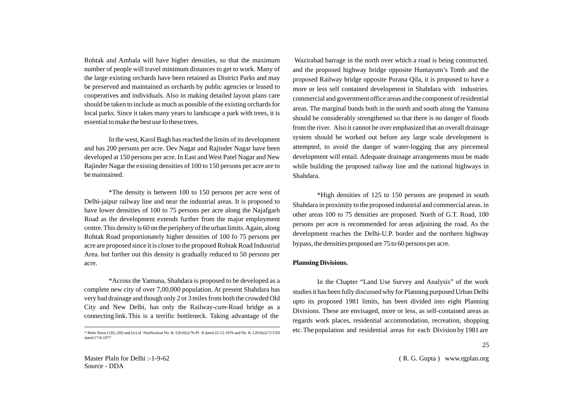Rohtak and Ambala will have higher densities, so that the maximum number of people will travel minimum distances to get to work. Many of the large existing orchards have been retained as District Parks and may be preserved and maintained as orchards by public agencies or leased to cooperatives and individuals. Also in making detailed layout plans care should be taken to include as much as possible of the existing orchards for local parks. Since it takes many years to landscape a park with trees, it is essential to make the best use fo these trees.

In the west, Karol Bagh has reached the limits of its development and has 200 persons per acre. Dev Nagar and Rajinder Nagar have been developed at 150 persons per acre. In East and West Patel Nagar and New Rajinder Nagar the existing densities of 100 to 150 persons per acre are to be maintained.

\*The density is between 100 to 150 persons per acre west of Delhi-jaipur railway line and near the industrial areas. It is proposed to have lower densities of 100 to 75 persons per acre along the Najafgarh Road as the development extends further from the major employment centre. This density is 60 on the periphery of the urban limits. Again, along Rohtak Road proportionately higher densities of 100 fo 75 persons per acre are proposed since it is closer to the proposed Rohtak Road Industrial Area. but further out this density is gradually reduced to 50 persons per acre.

\*Across the Yamuna, Shahdara is proposed to be developed as a complete new city of over 7,00,000 population. At present Shahdara has very bad drainage and though only 2 or 3 miles from both the crowded Old City and New Delhi, has only the Railway-*cum*-Road bridge as a connecting link. This is a terrific bottleneck. Taking advantage of the

 Wazirabad barrage in the north over which a road is being constructed. and the proposed highway bridge opposite Humayum's Tomb and the proposed Railway bridge opposite Purana Qila, it is proposed to have a more or less self contained development in Shahdara with industries. commercial and government office areas and the component of residential areas. The marginal bunds both in the north and south along the Yamuna should be considerably strengthened so that there is no danger of floods from the river. Also it cannot be over emphasized that an overall drainage system should be worked out before any large scale development is attempted, to avoid the danger of water-logging that any piecemeal development will entail. Adequate drainage arrangements must be made while building the proposed railway line and the national highways in Shahdara.

\*High densities of 125 to 150 persons are proposed in south Shahdara in proximity to the proposed industrial and commercial areas. in other areas 100 to 75 densities are proposed. North of G.T. Road, 100 persons per acre is recommended for areas adjoining the road. As the development reaches the Delhi-U.P. border and the northern highway bypass, the densities proposed are 75 to 60 persons per acre.

#### **Planning Divisions.**

In the Chapter "Land Use Survey and Analysis" of the work studies it has been fully discussed why for Planning purposed Urban Delhi upto its proposed 1981 limits, has been divided into eight Planning Divisions. These are envisaged, more or less, as self-contained areas as regards work places, residential accommodation, recreation, shopping  $\overline{\text{Refer~Paras I (II), (III) and (iv) of Noification No. K-12016(i)/76-Pt~II dataed 22-12-1976~and No. K-12016(i)/72~UDI}}$  etc. The population and residential areas for each Division by 1981 are

dated 17-8-1977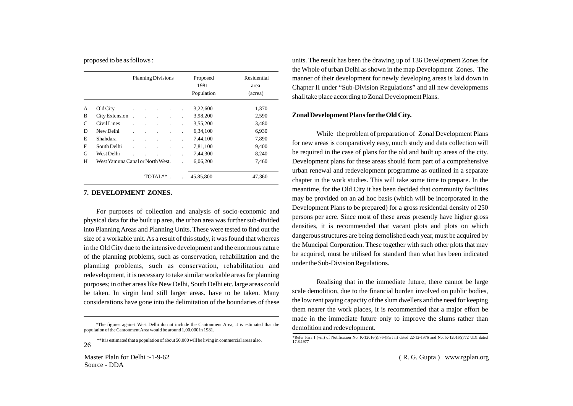proposed to be as follows :

|              |                                  | <b>Planning Divisions</b> |         |         |  | Proposed<br>1981 | Residential<br>area |  |  |
|--------------|----------------------------------|---------------------------|---------|---------|--|------------------|---------------------|--|--|
|              |                                  |                           |         |         |  | Population       | (acrea)             |  |  |
| А            | Old City                         |                           | $\cdot$ |         |  | 3,22,600         | 1,370               |  |  |
| B            | City Extension                   |                           |         |         |  | 3,98,200         | 2,590               |  |  |
| $\mathsf{C}$ | Civil Lines                      |                           |         |         |  | 3,55,200         | 3.480               |  |  |
| D            | New Delhi                        |                           |         |         |  | 6,34,100         | 6,930               |  |  |
| E            | Shahdara                         |                           |         |         |  | 7,44,100         | 7,890               |  |  |
| F            | South Delhi                      |                           |         |         |  | 7,81,100         | 9,400               |  |  |
| G            | West Delhi                       |                           |         |         |  | 7,44,300         | 8,240               |  |  |
| H            | West Yamuna Canal or North West. |                           |         |         |  | 6,06,200         | 7,460               |  |  |
|              |                                  |                           |         | TOTAL** |  | 45,85,800        | 47,360              |  |  |

#### **7. DEVELOPMENT ZONES.**

For purposes of collection and analysis of socio-economic and physical data for the built up area, the urban area was further sub-divided into Planning Areas and Planning Units. These were tested to find out the size of a workable unit. As a result of this study, it was found that whereas in the Old City due to the intensive development and the enormous nature of the planning problems, such as conservation, rehabilitation and the planning problems, such as conservation, rehabilitation and redevelopment, it is necessary to take similar workable areas for planning purposes; in other areas like New Delhi, South Delhi etc. large areas could be taken. In virgin land still larger areas. have to be taken. Many considerations have gone into the delimitation of the boundaries of these

units. The result has been the drawing up of 136 Development Zones for the Whole of urban Delhi as shown in the map Development Zones. The manner of their development for newly developing areas is laid down in Chapter II under "Sub-Division Regulations" and all new developments shall take place according to Zonal Development Plans.

#### **Zonal Development Plans for the Old City.**

While the problem of preparation of Zonal Development Plans for new areas is comparatively easy, much study and data collection will be required in the case of plans for the old and built up areas of the city. Development plans for these areas should form part of a comprehensive urban renewal and redevelopment programme as outlined in a separate chapter in the work studies. This will take some time to prepare. In the meantime, for the Old City it has been decided that community facilities may be provided on an ad hoc basis (which will be incorporated in the Development Plans to be prepared) for a gross residential density of 250 persons per acre. Since most of these areas presently have higher gross densities, it is recommended that vacant plots and plots on which dangerous structures are being demolished each year, must be acquired by the Muncipal Corporation. These together with such other plots that may be acquired, must be utilised for standard than what has been indicated under the Sub-Division Regulations.

Realising that in the immediate future, there cannot be large scale demolition, due to the financial burden involved on public bodies, the low rent paying capacity of the slum dwellers and the need for keeping them nearer the work places, it is recommended that a major effort be made in the immediate future only to improve the slums rather than

The figures against West Delhi do not include the Cantonment Area, it is estimated that the demolition and redevelopment. population of the Cantonment Area would be around 1,00,000 in 1981.

<sup>\*\*</sup>It is estimated that a population of about 50,000 will be living in commercial areas also. 26

<sup>\*</sup>Refer Para I (viii) of Notification No. K-12016(i)/76-(Part ii) dated 22-12-1976 and No. K-12016(i)/72 UDI dated 17.8.1977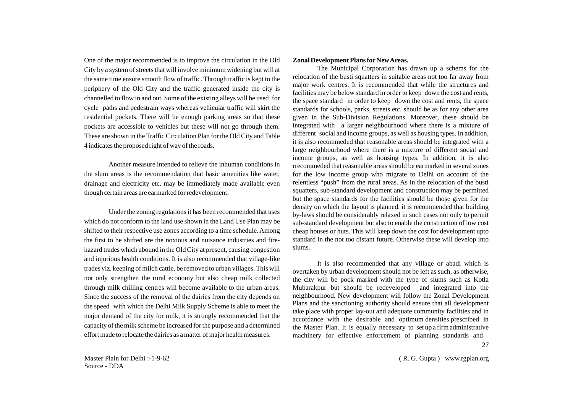One of the major recommended is to improve the circulation in the Old City by a system of streets that will involve minimum widening but will at the same time ensure smooth flow of traffic. Through traffic is kept to the periphery of the Old City and the traffic generated inside the city is channelled to flow in and out. Some of the existing alleys will be used for cycle paths and pedestrain ways whereas vehicular traffic will skirt the residential pockets. There will be enough parking areas so that these pockets are accessible to vehicles but these will not go through them. These are shown in the Traffic Circulation Plan for the Old City and Table 4 indicates the proposed right of way of the roads.

Another measure intended to relieve the inhuman conditions in the slum areas is the recommendation that basic amenities like water, drainage and electricity etc. may be immediately made available even though certain areas are earmarked for redevelopment.

Under the zoning regulations it has been recommended that uses which do not conform to the land use shown in the Land Use Plan may be shifted to their respective use zones according to a time schedule. Among the first to be shifted are the noxious and nuisance industries and firehazard trades which abound in the Old City at present, causing congestion and injurious health conditions. It is also recommended that village-like trades viz. keeping of milch cattle, be removed to urban villages. This will not only strengthen the rural economy but also cheap milk collected through milk chilling centres will become available to the urban areas. Since the success of the removal of the dairies from the city depends on the speed with which the Delhi Milk Supply Scheme is able to meet the major demand of the city for milk, it is strongly recommended that the capacity of the milk scheme be increased for the purpose and a determined effort made to relocate the dairies as a matter of major health measures.

#### **Zonal Development Plans for New Areas.**

The Municipal Corporation has drawn up a schems for the relocation of the busti squatters in suitable areas not too far away from major work centres. It is recommended that while the structures and facilities may be below standard in order to keep down the cost and rents, the space standard in order to keep down the cost and rents, the space standards for schools, parks, streets etc. should be as for any other area given in the Sub-Division Regulations. Moreover, these should be integrated with a larger neighbourhood where there is a mixture of different social and income groups, as well as housing types. In addition, it is also recommeded that reasonable areas should be integrated with a large neighbourhood where there is a mixture of different social and income groups, as well as housing types. In addition, it is also rrecommeded that reasonable areas should be earmarked in several zones for the low income group who migrate to Delhi on account of the relentless "push" from the rural areas. As in the relocation of the busti squatters, sub-standard development and construction may be permitted but the space standards for the facilities should be those given for the density on which the layout is planned. it is recommended that building by-laws should be considerably relaxed in such cases not only to permit sub-standard development but also to enable the construction of low cost cheap houses or huts. This will keep down the cost for development upto standard in the not too distant future. Otherwise these will develop into slums.

It is also recommended that any village or abadi which is overtaken by urban development should not be left as such, as otherwise, the city will be pock marked with the type of slums such as Kotla Mubarakpur but should be redeveloped and integrated into the neighbourhood. New development will follow the Zonal Development Plans and the sanctioning authority should ensure that all development take place with proper lay-out and adequate community facilities and in accordance with the desirable and optimum densities prescribed in the Master Plan. It is equally necessary to set up a firm administrative machinery for effective enforcement of planning standards and

Master Plaln for Delhi :-1-9-62 Source - DDA

( R. G. Gupta ) www.rgplan.org

 $27$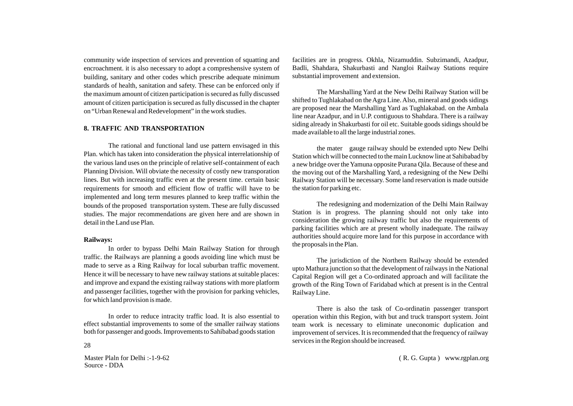community wide inspection of services and prevention of squatting and encroachment. it is also necessary to adopt a compreshensive system of building, sanitary and other codes which prescribe adequate minimum standards of health, sanitation and safety. These can be enforced only if the maximum amount of citizen participation is secured as fully discussed amount of citizen participation is secured as fully discussed in the chapter on "Urban Renewal and Redevelopment" in the work studies.

#### **8. TRAFFIC AND TRANSPORTATION**

The rational and functional land use pattern envisaged in this Plan. which has taken into consideration the physical interrelationship of the various land uses on the principle of relative self-containment of each Planning Division. Will obviate the necessity of costly new transporation lines. But with increasing traffic even at the present time. certain basic requirements for smooth and efficient flow of traffic will have to be implemented and long term mesures planned to keep traffic within the bounds of the proposed transportation system. These are fully discussed studies. The major recommendations are given here and are shown in detail in the Land use Plan.

#### **Railways:**

In order to bypass Delhi Main Railway Station for through traffic. the Railways are planning a goods avoiding line which must be made to serve as a Ring Railway for local suburban traffic movement. Hence it will be necessary to have new railway stations at suitable places: and improve and expand the existing railway stations with more platform and passenger facilities, together with the provision for parking vehicles, for which land provision is made.

In order to reduce intracity traffic load. It is also essential to effect substantial improvements to some of the smaller railway stations both for passenger and goods. Improvements to Sahibabad goods station

Master Plaln for Delhi :-1-9-62 Source - DDA

facilities are in progress. Okhla, Nizamuddin. Subzimandi, Azadpur, Badli, Shahdara, Shakurbasti and Nangloi Railway Stations require substantial improvement and extension.

The Marshalling Yard at the New Delhi Railway Station will be shifted to Tughlakabad on the Agra Line. Also, mineral and goods sidings are proposed near the Marshalling Yard as Tughlakabad. on the Ambala line near Azadpur, and in U.P. contiguous to Shahdara. There is a railway siding already in Shakurbasti for oil etc. Suitable goods sidings should be made available to all the large industrial zones.

the mater gauge railway should be extended upto New Delhi Station which will be connected to the main Lucknow line at Sahibabad by a new bridge over the Yamuna opposite Purana Qila. Because of these and the moving out of the Marshalling Yard, a redesigning of the New Delhi Railway Station will be necessary. Some land reservation is made outside the station for parking etc.

The redesigning and modernization of the Delhi Main Railway Station is in progress. The planning should not only take into consideration the growing railway traffic but also the requirements of parking facilities which are at present wholly inadequate. The railway authorities should acquire more land for this purpose in accordance with the proposals in the Plan.

The jurisdiction of the Northern Railway should be extended upto Mathura junction so that the development of railways in the National Capital Region will get a Co-ordinated approach and will facilitate the growth of the Ring Town of Faridabad which at present is in the Central Railway Line.

There is also the task of Co-ordinatin passenger transport operation within this Region, with but and truck transport system. Joint team work is necessary to eliminate uneconomic duplication and improvement of services. It is recommended that the frequency of railway services in the Region should be increased. <sup>28</sup>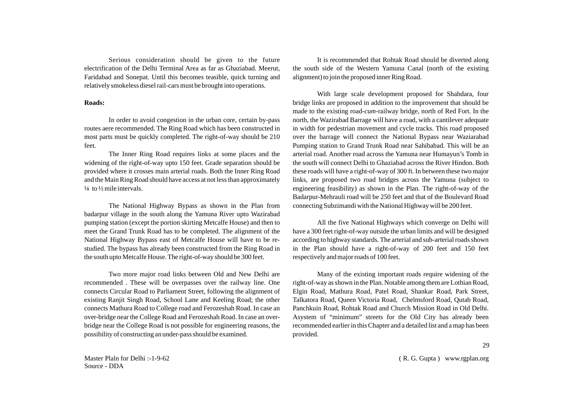Serious consideration should be given to the future electrification of the Delhi Terminal Area as far as Ghaziabad. Meerut, Faridabad and Sonepat. Until this becomes teasible, quick turning and relatively smokeless diesel rail-cars must be brought into operations.

#### **Roads:**

In order to avoid congestion in the urban core, certain by-pass routes aere recommended. The Ring Road which has been constructed in most parts must be quickly completed. The right-of-way should be 210 feet.

The Inner Ring Road requires links at some places and the widening of the right-of-way upto 150 feet. Grade separation should be provided where it crosses main arterial roads. Both the Inner Ring Road and the Main Ring Road should have access at not less than approximately  $\frac{1}{4}$  to  $\frac{1}{2}$  mile intervals.

The National Highway Bypass as shown in the Plan from badarpur village in the south along the Yamuna River upto Wazirabad pumping station (except the portion skirting Metcalfe House) and then to meet the Grand Trunk Road has to be completed. The alignment of the National Highway Bypass east of Metcalfe House will have to be restudied. The bypass has already been constructed from the Ring Road in the south upto Metcalfe House. The right-of-way should be 300 feet.

Two more major road links between Old and New Delhi are recommended . These will be overpasses over the railway line. One connects Circular Road to Parliament Street, following the alignment of existing Ranjit Singh Road, School Lane and Keeling Road; the other connects Mathura Road to College road and Ferozeshah Road. In case an over-bridge near the College Road and Ferozeshah Road. In case an overbridge near the College Road is not possible for engineering reasons, the possibility of constructing an under-pass should be examined.

It is recommended that Rohtak Road should be diverted along the south side of the Western Yamuna Canal (north of the existing alignment) to join the proposed inner Ring Road.

With large scale development proposed for Shahdara, four bridge links are proposed in addition to the improvement that should be made to the existing road-*cum*-railway bridge, north of Red Fort. In the north, the Wazirabad Barrage will have a road, with a cantilever adequate in width for pedestrian movement and cycle tracks. This road proposed over the barrage will connect the National Bypass near Waziarabad Pumping station to Grand Trunk Road near Sahibabad. This will be an arterial road. Another road across the Yamuna near Humayun's Tomb in the south will connect Delhi to Ghaziabad across the River Hindon. Both these roads will have a right-of-way of 300 ft. In between these two major links, are proposed two road bridges across the Yamuna (subject to engineering feasibility) as shown in the Plan. The right-of-way of the Badarpur-Mehrauli road will be 250 feet and that of the Boulevard Road connecting Subzimandi with the National Highway will be 200 feet.

All the five National Highways which converge on Delhi will have a 300 feet right-of-way outside the urban limits and will be designed according to highway standards. The arterial and sub-arterial roads shown in the Plan should have a right-of-way of 200 feet and 150 feet respectively and major roads of 100 feet.

Many of the existing important roads require widening of the right-of-way as shown in the Plan. Notable among them are Lothian Road, Elgin Road, Mathura Road, Patel Road, Shankar Road, Park Street, Talkatora Road, Queen Victoria Road, Chelmsford Road, Qutab Road, Panchkuin Road, Rohtak Road and Church Mission Road in Old Delhi. Asystem of "minimum" streets for the Old City has already been recommended earlier in this Chapter and a detailed list and a map has been provided.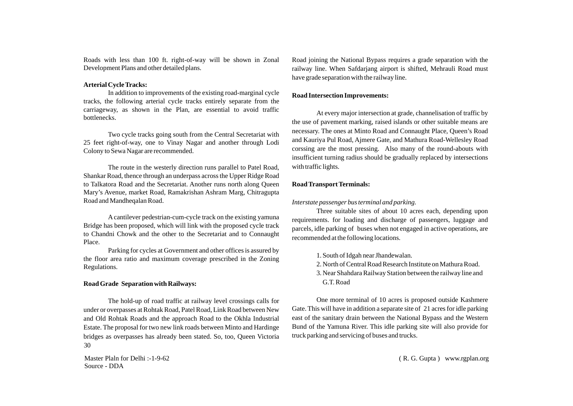Roads with less than 100 ft. right-of-way will be shown in Zonal Development Plans and other detailed plans.

#### **Arterial Cycle Tracks:**

In addition to improvements of the existing road-marginal cycle tracks, the following arterial cycle tracks entirely separate from the carriageway, as shown in the Plan, are essential to avoid traffic bottlenecks.

Two cycle tracks going south from the Central Secretariat with 25 feet right-of-way, one to Vinay Nagar and another through Lodi Colony to Sewa Nagar are recommended.

The route in the westerly direction runs parallel to Patel Road, Shankar Road, thence through an underpass across the Upper Ridge Road to Talkatora Road and the Secretariat. Another runs north along Queen Mary's Avenue, market Road, Ramakrishan Ashram Marg, Chitragupta Road and Mandheqalan Road.

Acantilever pedestrian-cum-cycle track on the existing yamuna Bridge has been proposed, which will link with the proposed cycle track to Chandni Chowk and the other to the Secretariat and to Connaught Place.

Parking for cycles at Government and other offices is assured by the floor area ratio and maximum coverage prescribed in the Zoning Regulations.

## **Road Grade Separation with Railways:**

The hold-up of road traffic at railway level crossings calls for under or overpasses at Rohtak Road, Patel Road, Link Road between New and Old Rohtak Roads and the approach Road to the Okhla Industrial Estate. The proposal for two new link roads between Minto and Hardinge bridges as overpasses has already been stated. So, too, Queen Victoria 30

Master Plaln for Delhi :-1-9-62 Source - DDA

Road joining the National Bypass requires a grade separation with the railway line. When Safdarjang airport is shifted, Mehrauli Road must have grade separation with the railway line.

# **Road Intersection Improvements:**

At every major intersection at grade, channelisation of traffic by the use of pavement marking, raised islands or other suitable means are necessary. The ones at Minto Road and Connaught Place, Queen's Road and Kauriya Pul Road, Ajmere Gate, and Mathura Road-Wellesley Road corssing are the most pressing. Also many of the round-abouts with insufficient turning radius should be gradually replaced by intersections with traffic lights.

# **Road Transport Terminals:**

# *Interstate passenger bus terminal and parking.*

Three suitable sites of about 10 acres each, depending upon requirements. for loading and discharge of passengers, luggage and parcels, idle parking of buses when not engaged in active operations, are recommended at the following locations.

- 1. South of Idgah near Jhandewalan.
- 2. North of Central Road Research Institute on Mathura Road.
- 3. Near Shahdara Railway Station between the railway line and G.T. Road

One more terminal of 10 acres is proposed outside Kashmere Gate. This will have in addition a separate site of 21 acres for idle parking east of the sanitary drain between the National Bypass and the Western Bund of the Yamuna River. This idle parking site will also provide for truck parking and servicing of buses and trucks.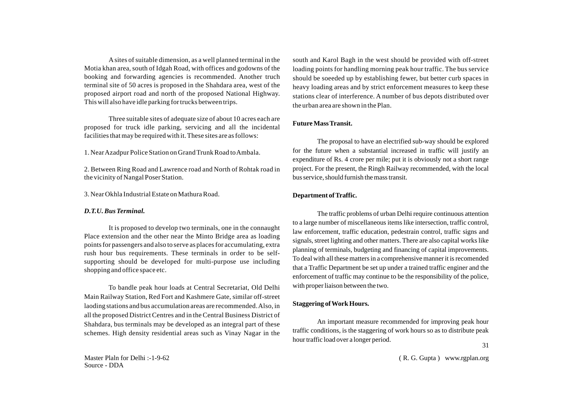Asites of suitable dimension, as a well planned terminal in the Motia khan area, south of Idgah Road, with offices and godowns of the booking and forwarding agencies is recommended. Another truch terminal site of 50 acres is proposed in the Shahdara area, west of the proposed airport road and north of the proposed National Highway. This will also have idle parking for trucks between trips.

Three suitable sites of adequate size of about 10 acres each are proposed for truck idle parking, servicing and all the incidental facilities that may be required with it. These sites are as follows:

1. Near Azadpur Police Station on Grand Trunk Road to Ambala.

2. Between Ring Road and Lawrence road and North of Rohtak road in the vicinity of Nangal Poser Station.

3. Near Okhla Industrial Estate on Mathura Road.

## *D.T.U. Bus Terminal.*

It is proposed to develop two terminals, one in the connaught Place extension and the other near the Minto Bridge area as loading points for passengers and also to serve as places for accumulating, extra rush hour bus requirements. These terminals in order to be selfsupporting should be developed for multi-purpose use including shopping and office space etc.

To bandle peak hour loads at Central Secretariat, Old Delhi Main Railway Station, Red Fort and Kashmere Gate, similar off-street laoding stations and bus accumulation areas are recommended. Also, in all the proposed District Centres and in the Central Business District of Shahdara, bus terminals may be developed as an integral part of these schemes. High density residential areas such as Vinay Nagar in the

south and Karol Bagh in the west should be provided with off-street loading points for handling morning peak hour traffic. The bus service should be soeeded up by establishing fewer, but better curb spaces in heavy loading areas and by strict enforcement measures to keep these stations clear of interference. A number of bus depots distributed over the urban area are shown in the Plan.

# **Future Mass Transit.**

The proposal to have an electrified sub-way should be explored for the future when a substantial increased in traffic will justify an expenditure of Rs. 4 crore per mile; put it is obviously not a short range project. For the present, the Ringh Railway recommended, with the local bus service, should furnish the mass transit.

# **Department of Traffic.**

The traffic problems of urban Delhi require continuous attention to a large number of miscellaneous items like intersection, traffic control, law enforcement, traffic education, pedestrain control, traffic signs and signals, street lighting and other matters. There are also capital works like planning of terminals, budgeting and financing of capital improvements. To deal with all these matters in a comprehensive manner it is recomended that a Traffic Department be set up under a trained traffic enginer and the enforcement of traffic may continue to be the responsibility of the police, with proper liaison between the two.

# **Staggering of Work Hours.**

An important measure recommended for improving peak hour traffic conditions, is the staggering of work hours so as to distribute peak hour traffic load over a longer period. 31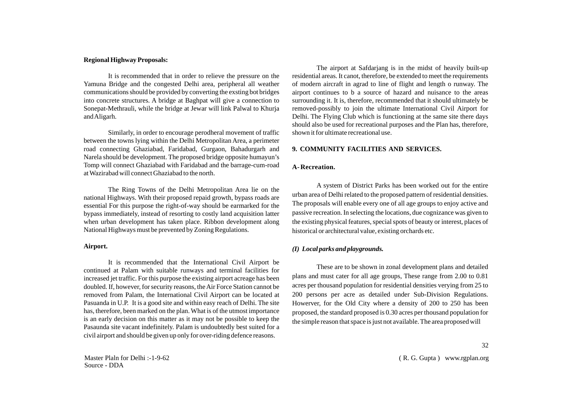#### **Regional Highway Proposals:**

It is recommended that in order to relieve the pressure on the Yamuna Bridge and the congested Delhi area, peripheral all weather communications should be provided by converting the exsting bot bridges into concrete structures. A bridge at Baghpat will give a connection to Sonepat-Methrauli, while the bridge at Jewar will link Palwal to Khurja and Aligarh.

Similarly, in order to encourage perodheral movement of traffic between the towns lying within the Delhi Metropolitan Area, a perimeter road connecting Ghaziabad, Faridabad, Gurgaon, Bahadurgarh and Narela should be development. The proposed bridge opposite humayun's Tomp will connect Ghaziabad with Faridabad and the barrage-cum-road at Wazirabad will connect Ghaziabad to the north.

The Ring Towns of the Delhi Metropolitan Area lie on the national Highways. With their proposed repaid growth, bypass roads are essential For this purpose the right-of-way should be earmarked for the bypass immediately, instead of resorting to costly land acquisition latter when urban development has taken place. Ribbon development along National Highways must be prevented by Zoning Regulations.

#### **Airport.**

It is recommended that the International Civil Airport be continued at Palam with suitable runways and terminal facilities for increased jet traffic. For this purpose the existing airport acreage has been doubled. If, however, for security reasons, the Air Force Station cannot be removed from Palam, the International Civil Airport can be located at Pasuanda in U.P. It is a good site and within easy reach of Delhi. The site has, therefore, been marked on the plan. What is of the utmost importance is an early decision on this matter as it may not be possible to keep the Pasaunda site vacant indefinitely. Palam is undoubtedly best suited for a civil airport and should be given up only for over-riding defence reasons.

Master Plaln for Delhi :-1-9-62 Source - DDA

The airport at Safdarjang is in the midst of heavily built-up residential areas. It canot, therefore, be extended to meet the requirements of modern aircraft in agrad to line of flight and length o runway. The airport continues to b a source of hazard and nuisance to the areas surrounding it. It is, therefore, recommended that it should ultimately be removed-possibly to join the ultimate International Civil Airport for Delhi. The Flying Club which is functioning at the same site there days should also be used for recreational purposes and the Plan has, therefore, shown it for ultimate recreational use.

#### **9. COMMUNITY FACILITIES AND SERVICES.**

#### **A- Recreation.**

A system of District Parks has been worked out for the entire urban area of Delhi related to the proposed pattern of residential densities. The proposals will enable every one of all age groups to enjoy active and passive recreation. In selecting the locations, due cognizance was given to the existing physical features, special spots of beauty or interest, places of historical or architectural value, existing orchards etc.

## *(I) Local parks and playgrounds.*

These are to be shown in zonal development plans and detailed plans and must cater for all age groups, These range from 2.00 to 0.81 acres per thousand population for residential densities verying from 25 to 200 persons per acre as detailed under Sub-Division Regulations. Howerver, for the Old City where a density of 200 to 250 has been proposed, the standard proposed is 0.30 acres per thousand population for the simple reason that space is just not available. The area proposed will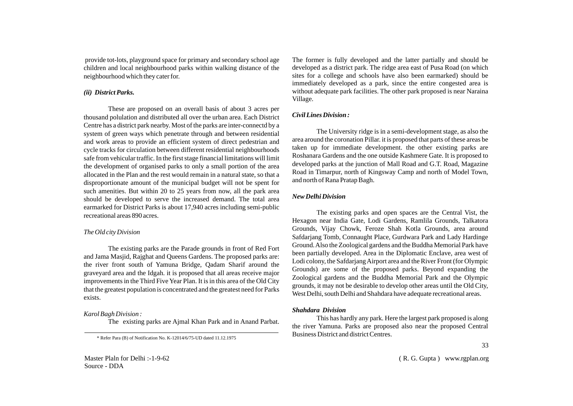provide tot-lots, playground space for primary and secondary school age children and local neighbourhood parks within walking distance of the neighbourhood which they cater for.

# *(ii) District Parks.*

These are proposed on an overall basis of about 3 acres per thousand polulation and distributed all over the urban area. Each District Centre has a district park nearby. Most of the parks are inter-connectd by a system of green ways which penetrate through and between residential and work areas to provide an efficient system of direct pedestrian and cycle tracks for circulation between different residential neighbourhoods safe from vehicular traffic. In the first stage financial limitations will limit the development of organised parks to only a small portion of the area allocated in the Plan and the rest would remain in a natural state, so that a disproportionate amount of the municipal budget will not be spent for such amenities. But within 20 to 25 years from now, all the park area should be developed to serve the increased demand. The total area earmarked for District Parks is about 17,940 acres including semi-public recreational areas 890 acres.

## *The Old city Division*

The existing parks are the Parade grounds in front of Red Fort and Jama Masjid, Rajghat and Queens Gardens. The proposed parks are: the river front south of Yamuna Bridge, Qadam Sharif around the graveyard area and the Idgah. it is proposed that all areas receive major improvements in the Third Five Year Plan. It is in this area of the Old City that the greatest population is concentrated and the greatest need for Parks exists.

## *Karol Bagh Division :*

The existing parks are Ajmal Khan Park and in Anand Parbat.

\* Refer Para (B) of Notification No. K-12014/6/75-UD dated 11.12.1975

The former is fully developed and the latter partially and should be developed as a district park. The ridge area east of Pusa Road (on which sites for a college and schools have also been earmarked) should be immediately developed as a park, since the entire congested area is without adequate park facilities. The other park proposed is near Naraina Village.

# *Civil Lines Division :*

The University ridge is in a semi-development stage, as also the area around the coronation Pillar. it is proposed that parts of these areas be taken up for immediate development. the other existing parks are Roshanara Gardens and the one outside Kashmere Gate. It is proposed to developed parks at the junction of Mall Road and G.T. Road, Magazine Road in Timarpur, north of Kingsway Camp and north of Model Town, and north of Rana Pratap Bagh.

## *New Delhi Division*

The existing parks and open spaces are the Central Vist, the Hexagon near India Gate, Lodi Gardens, Ramlila Grounds, Talkatora Grounds, Vijay Chowk, Feroze Shah Kotla Grounds, area around Safdarjang Tomb, Connaught Place, Gurdwara Park and Lady Hardinge Ground. Also the Zoological gardens and the Buddha Memorial Park have been partially developed. Area in the Diplomatic Enclave, area west of Lodi colony, the Safdarjang Airport area and the River Front (for Olympic Grounds) are some of the proposed parks. Beyond expanding the Zoological gardens and the Buddha Memorial Park and the Olympic grounds, it may not be desirable to develop other areas until the Old City, West Delhi, south Delhi and Shahdara have adequate recreational areas.

#### *Shahdara Division*

This has hardly any park. Here the largest park proposed is along the river Yamuna. Parks are proposed also near the proposed Central Business District and district Centres.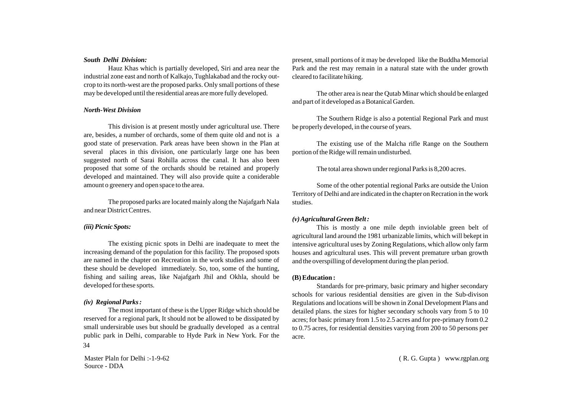#### *South Delhi Division:*

Hauz Khas which is partially developed, Siri and area near the industrial zone east and north of Kalkajo, Tughlakabad and the rocky outcrop to its north-west are the proposed parks. Only small portions of these may be developed until the residential areas are more fully developed.

#### *North-West Division*

This division is at present mostly under agricultural use. There are, besides, a number of orchards, some of them quite old and not is a good state of preservation. Park areas have been shown in the Plan at several places in this division, one particularly large one has been suggested north of Sarai Rohilla across the canal. It has also been proposed that some of the orchards should be retained and properly developed and maintained. They will also provide quite a coniderable amount o greenery and open space to the area.

The proposed parks are located mainly along the Najafgarh Nala and near District Centres.

#### *(iii) Picnic Spots:*

The existing picnic spots in Delhi are inadequate to meet the increasing demand of the population for this facility. The proposed spots are named in the chapter on Recreation in the work studies and some of these should be developed immediately. So, too, some of the hunting, fishing and sailing areas, like Najafgarh Jhil and Okhla, should be developed for these sports.

#### *(iv) Regional Parks :*

The most important of these is the Upper Ridge which should be reserved for a regional park, It should not be allowed to be dissipated by small undersirable uses but should be gradually developed as a central public park in Delhi, comparable to Hyde Park in New York. For the 34

Master Plaln for Delhi :-1-9-62 Source - DDA

present, small portions of it may be developed like the Buddha Memorial Park and the rest may remain in a natural state with the under growth cleared to facilitate hiking.

The other area is near the Qutab Minar which should be enlarged and part of it developed as a Botanical Garden.

The Southern Ridge is also a potential Regional Park and must be properly developed, in the course of years.

The existing use of the Malcha rifle Range on the Southern portion of the Ridge will remain undisturbed.

The total area shown under regional Parks is 8,200 acres.

Some of the other potential regional Parks are outside the Union Territory of Delhi and are indicated in the chapter on Recration in the work studies.

#### *(v) Agricultural Green Belt :*

This is mostly a one mile depth inviolable green belt of agricultural land around the 1981 urbanizable limits, which will bekept in intensive agricultural uses by Zoning Regulations, which allow only farm houses and agricultural uses. This will prevent premature urban growth and the overspilling of development during the plan period.

#### **(B) Education :**

Standards for pre-primary, basic primary and higher secondary schools for various residential densities are given in the Sub-divison Regulations and locations will be shown in Zonal Development Plans and detailed plans. the sizes for higher secondary schools vary from 5 to 10 acres; for basic primary from 1.5 to 2.5 acres and for pre-primary from 0.2 to 0.75 acres, for residential densities varying from 200 to 50 persons per acre.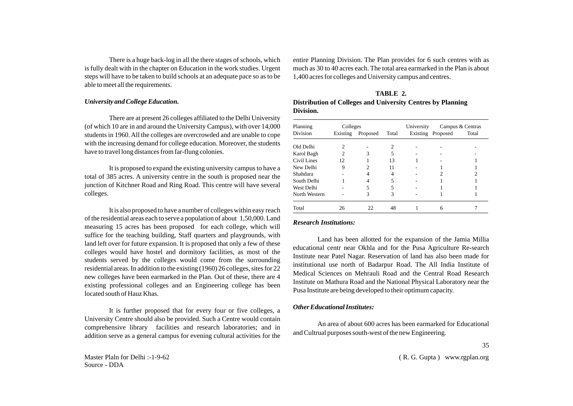There is a huge back-log in all the there stages of schools, which is fully dealt with in the chapter on Education in the work studies. Urgent steps will have to be taken to build schools at an adequate pace so as to be able to meet all the requirements.

## *University and College Education.*

There are at present 26 colleges affiliated to the Delhi University (of which 10 are in and around the University Campus), with over 14,000 students in 1960. All the colleges are overcrowded and are unable to cope with the increasing demand for college education. Moreover, the students have to travel long distances from far-flung colonies.

It is proposed to expand the existing university campus to have a total of 385 acres. A university centre in the south is proposed near the junction of Kitchner Road and Ring Road. This centre will have several colleges.

It is also proposed to have a number of colleges within easy reach of the residential areas each to serve a population of about 1,50,000. Land measuring 15 acres has been proposed for each college, which will suffice for the teaching building, Staff quarters and playgrounds, with land left over for future expansion. It is proposed that only a few of these colleges would have hostel and dormitory facilities, as most of the students served by the colleges would come from the surrounding residential areas. In addition to the existing (1960) 26 colleges, sites for 22 new colleges have been earmarked in the Plan. Out of these, there are 4 existing professional colleges and an Engineering college has been located south of Hauz Khas.

It is further proposed that for every four or five colleges, a University Centre should also be provided. Such a Centre would contain comprehensive library facilities and research laboratories; and in addition serve as a general campus for evening cultural activities for the entire Planning Division. The Plan provides for 6 such centres with as much as 30 to 40 acres each. The total area earmarked in the Plan is about 1,400 acres for colleges and University campus and centres.

| TABLE 2.                                                    |
|-------------------------------------------------------------|
| Distribution of Colleges and University Centres by Planning |
| Division.                                                   |

| Planning      | Colleges |          |       | University | Campus & Centras  |       |  |
|---------------|----------|----------|-------|------------|-------------------|-------|--|
| Division      | Existing | Proposed | Total |            | Existing Proposed | Total |  |
| Old Delhi     | 2        |          | 2     |            |                   |       |  |
| Karol Bagh    | 2        | 3        | 5     |            |                   |       |  |
| Civil Lines   | 12       |          | 13    |            |                   |       |  |
| New Delhi     | 9        |          | 11    |            |                   |       |  |
| Shahdara      |          |          | 4     |            |                   |       |  |
| South Delhi   |          |          | 5     |            |                   |       |  |
| West Delhi    |          |          | 5     |            |                   |       |  |
| North Western |          | 3        | 3     |            |                   |       |  |
| Total         | 26       | 22       | 48    |            | 6                 |       |  |

#### *Research Institutions:*

Land has been allotted for the expansion of the Jamia Millia educational centr near Okhla and for the Pusa Agriculture Re-search Institute near Patel Nagar. Reservation of land has also been made for institutional use north of Badarpur Road. The All India Institute of Medical Sciences on Mehrauli Road and the Central Road Research Institute on Mathura Road and the National Physical Laboratory near the Pusa Institute are being developed to their optimum capacity.

#### *Other Educational Institutes:*

An area of about 600 acres has been earmarked for Educational and Cultrual purposes south-west of the new Engineering.

35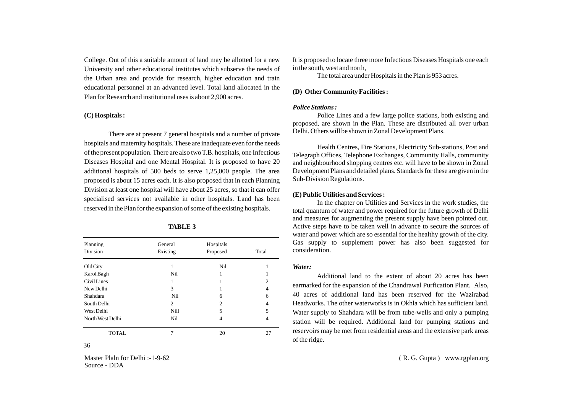College. Out of this a suitable amount of land may be allotted for a new University and other educational institutes which subserve the needs of the Urban area and provide for research, higher education and train educational personnel at an advanced level. Total land allocated in the Plan for Research and institutional uses is about 2,900 acres.

#### **(C) Hospitals :**

There are at present 7 general hospitals and a number of private hospitals and maternity hospitals. These are inadequate even for the needs of the present population. There are also two T.B. hospitals, one Infectious Diseases Hospital and one Mental Hospital. It is proposed to have 20 additional hospitals of 500 beds to serve 1,25,000 people. The area proposed is about 15 acres each. It is also proposed that in each Planning Division at least one hospital will have about 25 acres, so that it can offer specialised services not available in other hospitals. Land has been reserved in the Plan for the expansion of some of the existing hospitals.

| Planning         | General  | Hospitals      |                |  |
|------------------|----------|----------------|----------------|--|
| Division         | Existing | Proposed       | Total          |  |
| Old City         |          | Nil            |                |  |
| Karol Bagh       | Nil      |                |                |  |
| Civil Lines      |          |                | $\overline{c}$ |  |
| New Delhi        | 3        |                | 4              |  |
| Shahdara         | Nil      | 6              | 6              |  |
| South Delhi      | 2        | $\overline{c}$ | 4              |  |
| West Delhi       | Nill     | 5              | 5              |  |
| North West Delhi | Nil      | 4              | 4              |  |
| <b>TOTAL</b>     |          | 20             | 27             |  |

#### **TABLE 3**

36 Master Plaln for Delhi :-1-9-62 Source - DDA It is proposed to locate three more Infectious Diseases Hospitals one each in the south, west and north,

The total area under Hospitals in the Plan is 953 acres.

#### **(D) OtherCommunity Facilities :**

## *Police Stations :*

Police Lines and a few large police stations, both existing and proposed, are shown in the Plan. These are distributed all over urban Delhi. Others will be shown in Zonal Development Plans.

Health Centres, Fire Stations, Electricity Sub-stations, Post and Telegraph Offices, Telephone Exchanges, Community Halls, community and neighbourhood shopping centres etc. will have to be shown in Zonal Development Plans and detailed plans. Standards for these are given in the Sub-Division Regulations.

#### **(E) Public Utilities and Services :**

In the chapter on Utilities and Services in the work studies, the total quantum of water and power required for the future growth of Delhi and measures for augmenting the present supply have been pointed out. Active steps have to be taken well in advance to secure the sources of water and power which are so essential for the healthy growth of the city. Gas supply to supplement power has also been suggested for consideration.

#### *Water:*

Additional land to the extent of about 20 acres has been earmarked for the expansion of the Chandrawal Purfication Plant. Also, 40 acres of additional land has been reserved for the Wazirabad Headworks. The other waterworks is in Okhla which has sufficient land. Water supply to Shahdara will be from tube-wells and only a pumping station will be required. Additional land for pumping stations and reservoirs may be met from residential areas and the extensive park areas of the ridge.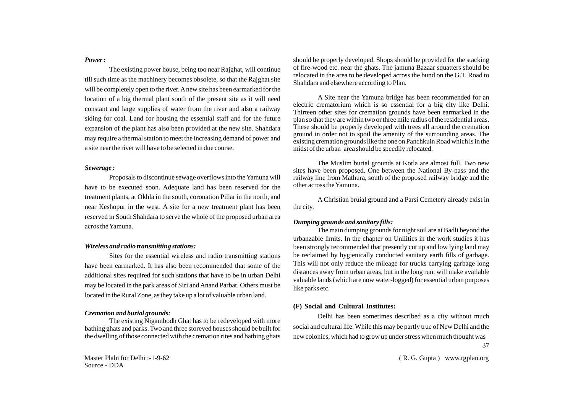#### *Power :*

The existing power house, being too near Rajghat, will continue till such time as the machinery becomes obsolete, so that the Rajghat site will be completely open to the river. Anew site has been earmarked for the location of a big thermal plant south of the present site as it will need constant and large supplies of water from the river and also a railway siding for coal. Land for housing the essential staff and for the future expansion of the plant has also been provided at the new site. Shahdara may require a thermal station to meet the increasing demand of power and a site near the river will have to be selected in due course.

#### *Sewerage :*

Proposals to discontinue sewage overflows into the Yamuna will have to be executed soon. Adequate land has been reserved for the treatment plants, at Okhla in the south, coronation Pillar in the north, and near Keshopur in the west. A site for a new treatment plant has been reserved in South Shahdara to serve the whole of the proposed urban area acros the Yamuna.

#### *Wireless and radio transmitting stations:*

Sites for the essential wireless and radio transmitting stations have been earmarked. It has also been recommended that some of the additional sites required for such stations that have to be in urban Delhi may be located in the park areas of Siri and Anand Parbat. Others must be located in the Rural Zone, as they take up a lot of valuable urban land.

#### *Cremation and burial grounds:*

The existing Nigambodh Ghat has to be redeveloped with more bathing ghats and parks. Two and three storeyed houses should be built for the dwelling of those connected with the cremation rites and bathing ghats should be properly developed. Shops should be provided for the stacking of fire-wood etc. near the ghats. The jamuna Bazaar squatters should be relocated in the area to be developed across the bund on the G.T. Road to Shahdara and elsewhere according to Plan.

A Site near the Yamuna bridge has been recommended for an electric crematorium which is so essential for a big city like Delhi. Thirteen other sites for cremation grounds have been earmarked in the plan so that they are within two or three mile radius of the residential areas. These should be properly developed with trees all around the cremation ground in order not to spoil the amenity of the surrounding areas. The existing cremation grounds like the one on Panchkuin Road which is in the midst of the urban area should be speedily relocated.

The Muslim burial grounds at Kotla are almost full. Two new sites have been proposed. One between the National By-pass and the railway line from Mathura, south of the proposed railway bridge and the other across the Yamuna.

A Christian bruial ground and a Parsi Cemetery already exist in the city.

#### *Dumping grounds and sanitary fills:*

The main dumping grounds for night soil are at Badli beyond the urbanzable limits. In the chapter on Unilities in the work studies it has been strongly recommended that presently cut up and low lying land may be reclaimed by hygienically conducted sanitary earth fills of garbage. This will not only reduce the mileage for trucks carrying garbage long distances away from urban areas, but in the long run, will make available valuable lands (which are now water-logged) for essential urban purposes like parks etc.

## **(F) Social and Cultural Institutes:**

Delhi has been sometimes described as a city without much social and cultural life. While this may be partly true of New Delhi and the new colonies, which had to grow up under stress when much thought was 37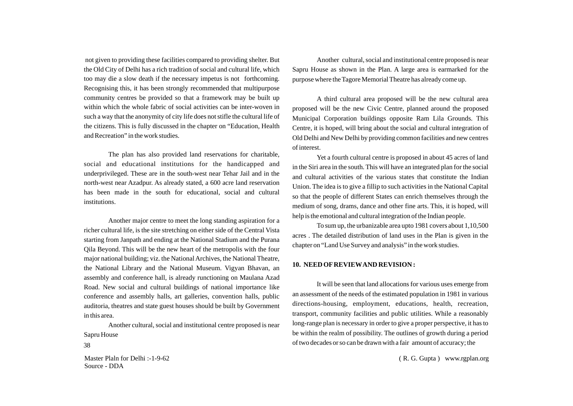not given to providing these facilities compared to providing shelter. But the Old City of Delhi has a rich tradition of social and cultural life, which too may die a slow death if the necessary impetus is not forthcoming. Recognising this, it has been strongly recommended that multipurpose community centres be provided so that a framework may be built up within which the whole fabric of social activities can be inter-woven in such a way that the anonymity of city life does not stifle the cultural life of the citizens. This is fully discussed in the chapter on "Education, Health and Recreation" in the work studies.

The plan has also provided land reservations for charitable, social and educational institutions for the handicapped and underprivileged. These are in the south-west near Tehar Jail and in the north-west near Azadpur. As already stated, a 600 acre land reservation has been made in the south for educational, social and cultural institutions.

Another major centre to meet the long standing aspiration for a richer cultural life, is the site stretching on either side of the Central Vista starting from Janpath and ending at the National Stadium and the Purana Qila Beyond. This will be the new heart of the metropolis with the four major national building; viz. the National Archives, the National Theatre, the National Library and the National Museum. Vigyan Bhavan, an assembly and conference hall, is already runctioning on Maulana Azad Road. New social and cultural buildings of national importance like conference and assembly halls, art galleries, convention halls, public auditoria, theatres and state guest houses should be built by Government in this area.

Another cultural, social and institutional centre proposed is near Sapru House

Master Plaln for Delhi :-1-9-62 Source - DDA

Another cultural, social and institutional centre proposed is near Sapru House as shown in the Plan. A large area is earmarked for the purpose where the Tagore Memorial Theatre has already come up.

A third cultural area proposed will be the new cultural area proposed will be the new Civic Centre, planned around the proposed Municipal Corporation buildings opposite Ram Lila Grounds. This Centre, it is hoped, will bring about the social and cultural integration of Old Delhi and New Delhi by providing common facilities and new centres of interest.

Yet a fourth cultural centre is proposed in about 45 acres of land in the Siri area in the south. This will have an integrated plan for the social and cultural activities of the various states that constitute the Indian Union. The idea is to give a fillip to such activities in the National Capital so that the people of different States can enrich themselves through the medium of song, drams, dance and other fine arts. This, it is hoped, will help is the emotional and cultural integration of the Indian people.

To sum up, the urbanizable area upto 1981 covers about 1,10,500 acres . The detailed distribution of land uses in the Plan is given in the chapter on "Land Use Survey and analysis" in the work studies.

#### **10. NEED OFREVIEWAND REVISION :**

It will be seen that land allocations for various uses emerge from an assessment of the needs of the estimated population in 1981 in various directions-housing, employment, educations, health, recreation, transport, community facilities and public utilities. While a reasonably long-range plan is necessary in order to give a proper perspective, it has to be within the realm of possibility. The outlines of growth during a period of two decades or so can be drawn with a fair amount of accuracy; the 38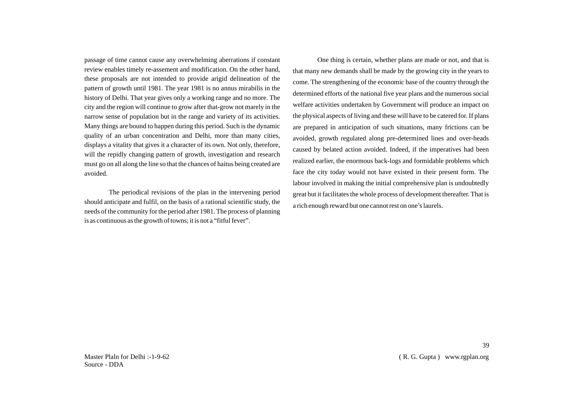passage of time cannot cause any overwhelming aberrations if constant review enables timely re-assement and modification. On the other hand, these proposals are not intended to provide arigid delineation of the pattern of growth until 1981. The year 1981 is no annus mirabilis in the history of Delhi. That year gives only a working range and no more. The city and the region will continue to grow after that-grow not marely in the narrow sense of population but in the range and variety of its activities. Many things are bound to happen during this period. Such is the dynamic quality of an urban concentration and Delhi, more than many cities, displays a vitality that gives it a character of its own. Not only, therefore, will the repidly changing pattern of growth, investigation and research must go on all along the line so that the chances of haitus being created are avoided.

The periodical revisions of the plan in the intervening period should anticipate and fulfil, on the basis of a rational scientific study, the needs of the community for the period after 1981. The process of planning is as continuous as the growth of towns; it is not a "fitful fever".

One thing is certain, whether plans are made or not, and that is that many new demands shall be made by the growing city in the years to come. The strengthening of the economic base of the country through the determined efforts of the national five year plans and the numerous social welfare activities undertaken by Government will produce an impact on the physical aspects of living and these will have to be catered for. If plans are prepared in anticipation of such situations, many frictions can be avoided, growth regulated along pre-determined lines and over-heads caused by belated action avoided. Indeed, if the imperatives had been realized earlier, the enormous back-logs and formidable problems which face the city today would not have existed in their present form. The labour involved in making the initial comprehensive plan is undoubtedly great but it facilitates the whole process of development thereafter. That is a rich enough reward but one cannot rest on one's laurels.

39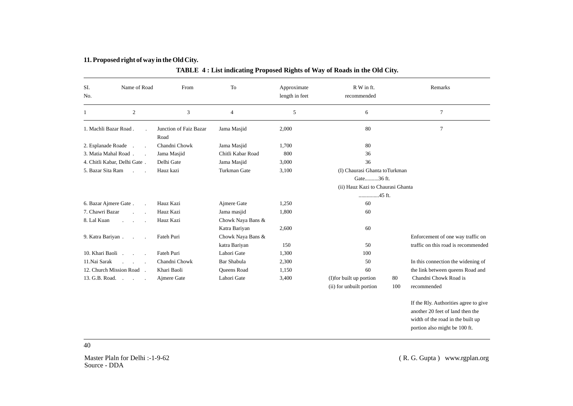# **11. Proposed right of way in the Old City.**

| SI.<br>No.                                              | Name of Road<br>From         |               | To                       | Approximate<br>length in feet | R W in ft.<br>recommended         |                | Remarks                               |
|---------------------------------------------------------|------------------------------|---------------|--------------------------|-------------------------------|-----------------------------------|----------------|---------------------------------------|
| $\mathbf{1}$                                            | $\sqrt{2}$                   | 3             | $\overline{\mathcal{A}}$ | 5                             | 6                                 |                | $\tau$                                |
| 1. Machli Bazar Road.<br>Junction of Faiz Bazar<br>Road |                              | Jama Masjid   | 2,000                    | 80                            |                                   | $\overline{7}$ |                                       |
| 2. Esplanade Roade                                      |                              | Chandni Chowk | Jama Masjid              | 1,700                         | 80                                |                |                                       |
| 3. Matia Mahal Road.                                    |                              | Jama Masjid   | Chitli Kabar Road        | 800                           | 36                                |                |                                       |
|                                                         | 4. Chitli Kabar, Delhi Gate. | Delhi Gate    | Jama Masjid              | 3,000                         | 36                                |                |                                       |
| 5. Bazar Sita Ram                                       |                              | Hauz kazi     | Turkman Gate             | 3,100                         | (I) Chaurasi Ghanta toTurkman     |                |                                       |
|                                                         |                              |               |                          |                               | Gate36 ft.                        |                |                                       |
|                                                         |                              |               |                          |                               | (ii) Hauz Kazi to Chaurasi Ghanta |                |                                       |
|                                                         |                              |               |                          |                               | 45 ft.                            |                |                                       |
| 6. Bazar Ajmere Gate.                                   |                              | Hauz Kazi     | Ajmere Gate              | 1,250                         | 60                                |                |                                       |
| 7. Chawri Bazar                                         |                              | Hauz Kazi     | Jama masjid              | 1,800                         | 60                                |                |                                       |
| 8. Lal Kuan                                             |                              | Hauz Kazi     | Chowk Naya Bans &        |                               |                                   |                |                                       |
|                                                         |                              |               | Katra Bariyan            | 2,600                         | 60                                |                |                                       |
| 9. Katra Bariyan.                                       |                              | Fateh Puri    | Chowk Naya Bans &        |                               |                                   |                | Enforcement of one way traffic on     |
|                                                         |                              |               | katra Bariyan            | 150                           | 50                                |                | traffic on this road is recommended   |
| 10. Khari Baoli .                                       | $\mathcal{L}$                | Fateh Puri    | Lahori Gate              | 1,300                         | 100                               |                |                                       |
| 11.Nai Sarak                                            |                              | Chandni Chowk | <b>Bar Shabula</b>       | 2,300                         | 50                                |                | In this connection the widening of    |
|                                                         | 12. Church Mission Road.     | Khari Baoli   | Queens Road              | 1,150                         | 60                                |                | the link between queens Road and      |
| 13. G.B. Road.                                          | $\sim$                       | Ajmere Gate   | Lahori Gate              | 3,400                         | (I) for built up portion          | 80             | Chandni Chowk Road is                 |
|                                                         |                              |               |                          |                               | (ii) for unbuilt portion          | 100            | recommended                           |
|                                                         |                              |               |                          |                               |                                   |                | If the Rly. Authorities agree to give |
|                                                         |                              |               |                          |                               |                                   |                | another 20 feet of land then the      |
|                                                         |                              |               |                          |                               |                                   |                | width of the road in the built up     |
|                                                         |                              |               |                          |                               |                                   |                | portion also might be 100 ft.         |

40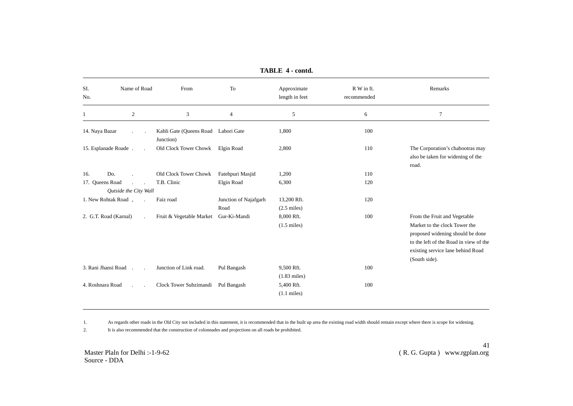| Name of Road<br>SI.<br>No. |                               | From                                             | To                            | Approximate<br>length in feet        | R W in ft.<br>recommended | Remarks                                                                                                                                                                                           |
|----------------------------|-------------------------------|--------------------------------------------------|-------------------------------|--------------------------------------|---------------------------|---------------------------------------------------------------------------------------------------------------------------------------------------------------------------------------------------|
| 1                          | $\sqrt{2}$                    | $\mathfrak{Z}$                                   | $\overline{4}$                | 5                                    | 6                         | $\overline{7}$                                                                                                                                                                                    |
| 14. Naya Bazar             |                               | Kabli Gate (Queens Road Labori Gate<br>Junction) |                               | 1,800                                | 100                       |                                                                                                                                                                                                   |
|                            | 15. Esplanade Roade.          | Old Clock Tower Chowk                            | Elgin Road                    | 2,800                                | 110                       | The Corporation's chabootras may<br>also be taken for widening of the<br>road.                                                                                                                    |
| 16.                        | Do.                           | Old Clock Tower Chowk                            | Fatehpuri Masjid              | 1,200                                | 110                       |                                                                                                                                                                                                   |
| 17. Queens Road            | Qutside the City Wall         | T.B. Clinic                                      | Elgin Road                    | 6,300                                | 120                       |                                                                                                                                                                                                   |
|                            | 1. New Rohtak Road,<br>$\sim$ | Faiz road                                        | Junction of Najafgarh<br>Road | 13,200 Rft.<br>$(2.5 \text{ miles})$ | 120                       |                                                                                                                                                                                                   |
|                            | 2. G.T. Road (Karnal)         | Fruit & Vegetable Market Gur-Ki-Mandi            |                               | 8,000 Rft.<br>$(1.5 \text{ miles})$  | 100                       | From the Fruit and Vegetable<br>Market to the clock Tower the<br>proposed widening should be done<br>to the left of the Road in view of the<br>existing service lane behind Road<br>(South side). |
|                            | 3. Rani Jhansi Road           | Junction of Link road.                           | Pul Bangash                   | 9,500 Rft.<br>$(1.83$ miles)         | 100                       |                                                                                                                                                                                                   |
| 4. Roshnara Road           |                               | Clock Tower Subzimandi                           | Pul Bangash                   | 5,400 Rft.<br>$(1.1 \text{ miles})$  | 100                       |                                                                                                                                                                                                   |

**TABLE 4 - contd.**

1. As regards other roads in the Old City not included in this statement, it is recommended that in the built up area the existing road width should remain except where there is scope for widening.

2. It is also recommended that the construction of colonnades and projections on all roads be prohibited.

Master Plaln for Delhi :-1-9-62 Source - DDA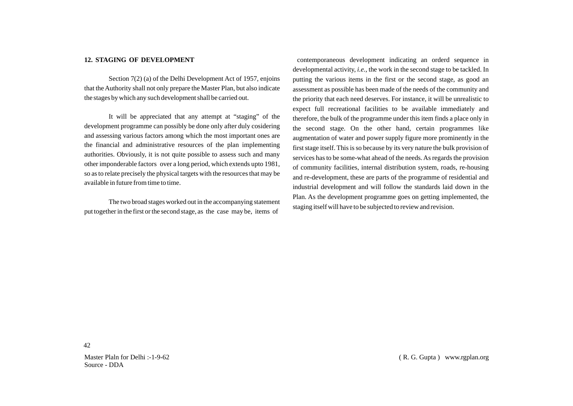#### **12. STAGING OF DEVELOPMENT**

Section 7(2) (a) of the Delhi Development Act of 1957, enjoins that the Authority shall not only prepare the Master Plan, but also indicate the stages by which any such development shall be carried out.

It will be appreciated that any attempt at "staging" of the development programme can possibly be done only after duly cosidering and assessing various factors among which the most important ones are the financial and administrative resources of the plan implementing authorities. Obviously, it is not quite possible to assess such and many other imponderable factors over a long period, which extends upto 1981, so as to relate precisely the physical targets with the resources that may be available in future from time to time.

The two broad stages worked out in the accompanying statement put together in the first or the second stage, as the case may be, items of

contemporaneous development indicating an orderd sequence in developmental activity, *i.e.,* the work in the second stage to be tackled. In putting the various items in the first or the second stage, as good an assessment as possible has been made of the needs of the community and the priority that each need deserves. For instance, it will be unrealistic to expect full recreational facilities to be available immediately and therefore, the bulk of the programme under this item finds a place only in the second stage. On the other hand, certain programmes like augmentation of water and power supply figure more prominently in the first stage itself. This is so because by its very nature the bulk provision of services has to be some-what ahead of the needs. As regards the provision of community facilities, internal distribution system, roads, re-housing and re-development, these are parts of the programme of residential and industrial development and will follow the standards laid down in the Plan. As the development programme goes on getting implemented, the staging itself will have to be subjected to review and revision.

Master Plaln for Delhi :-1-9-62 Source - DDA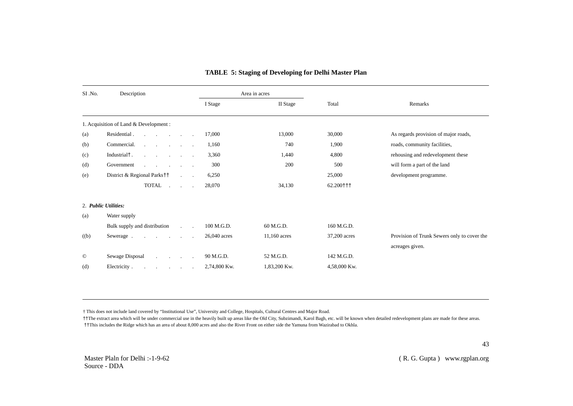| SI .No.    | Description                                           |                                                           |              | Area in acres |              |                                             |
|------------|-------------------------------------------------------|-----------------------------------------------------------|--------------|---------------|--------------|---------------------------------------------|
|            |                                                       |                                                           | I Stage      | II Stage      | Total        | Remarks                                     |
|            | 1. Acquisition of Land & Development :                |                                                           |              |               |              |                                             |
| (a)        | Residential.<br>the contract of the contract of       | $\cdot$                                                   | 17,000       | 13,000        | 30,000       | As regards provision of major roads,        |
| (b)        | Commercial.<br><b>Service</b><br>and the company of   |                                                           | 1,160        | 740           | 1,900        | roads, community facilities,                |
| (c)        | Industrial <sup>†</sup> .<br>$\sim$                   | <b>Contract Contract</b>                                  | 3,360        | 1,440         | 4,800        | rehousing and redevelopment these           |
| (d)        | Government<br><b>Service</b> State<br><b>Contract</b> | <b>Service</b> State                                      | 300          | 200           | 500          | will form a part of the land                |
| (e)        | District & Regional Parks††                           | $\mathcal{L}^{\text{max}}$                                | 6,250        |               | 25,000       | development programme.                      |
|            | <b>TOTAL</b><br>$\sim$                                | <b>Service</b>                                            | 28,070       | 34,130        | 62.200+++    |                                             |
|            | 2. Public Utilities:                                  |                                                           |              |               |              |                                             |
| (a)        | Water supply                                          |                                                           |              |               |              |                                             |
|            | Bulk supply and distribution                          | $\mathcal{L}^{\text{max}}$ and $\mathcal{L}^{\text{max}}$ | 100 M.G.D.   | 60 M.G.D.     | 160 M.G.D.   |                                             |
| (b)        | Sewerage.<br>$\sim$ 100 $\mu$                         | $\sim$                                                    | 26,040 acres | 11,160 acres  | 37,200 acres | Provision of Trunk Sewers only to cover the |
|            |                                                       |                                                           |              |               |              | acreages given.                             |
| $^{\circ}$ | Sewage Disposal<br>and the company of the             |                                                           | 90 M.G.D.    | 52 M.G.D.     | 142 M.G.D.   |                                             |
| (d)        | Electricity.<br>and the company of the company of     |                                                           | 2,74,800 Kw. | 1,83,200 Kw.  | 4,58,000 Kw. |                                             |

# **TABLE 5: Staging of Developing for Delhi Master Plan**

† This does not include land covered by "Institutional Use", University and College, Hospitals, Cultural Centres and Major Road.

††The extract area which will be under commercial use in the heavily built up areas like the Old City, Subzimandi, Karol Bagh, etc. will be known when detailed redevelopment plans are made for these areas. ††This includes the Ridge which has an area of about 8,000 acres and also the River Front on either side the Yamuna from Wazirabad to Okhla.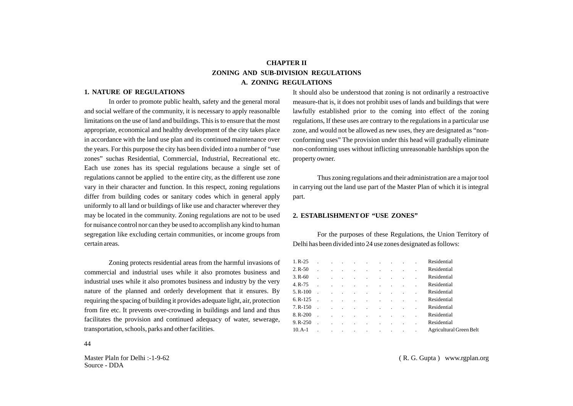# **CHAPTER II ZONING AND SUB-DIVISION REGULATIONS A. ZONING REGULATIONS**

#### **1. NATURE OF REGULATIONS**

In order to promote public health, safety and the general moral and social welfare of the community, it is necessary to apply reasonalble limitations on the use of land and buildings. This is to ensure that the most appropriate, economical and healthy development of the city takes place in accordance with the land use plan and its continued maintenance over the years. For this purpose the city has been divided into a number of "use zones" suchas Residential, Commercial, Industrial, Recreational etc. Each use zones has its special regulations because a single set of regulations cannot be applied to the entire city, as the different use zone vary in their character and function. In this respect, zoning regulations differ from building codes or sanitary codes which in general apply uniformly to all land or buildings of like use and character wherever they may be located in the community. Zoning regulations are not to be used for nuisance control nor can they be used to accomplish any kind to human segregation like excluding certain communities, or income groups from certain areas.

Zoning protects residential areas from the harmful invasions of commercial and industrial uses while it also promotes business and industrial uses while it also promotes business and industry by the very nature of the planned and orderly development that it ensures. By requiring the spacing of building it provides adequate light, air, protection from fire etc. It prevents over-crowding in buildings and land and thus facilitates the provision and continued adequacy of water, sewerage, transportation, schools, parks and other facilities.

It should also be understood that zoning is not ordinarily a restroactive measure-that is, it does not prohibit uses of lands and buildings that were lawfully established prior to the coming into effect of the zoning regulations, If these uses are contrary to the regulations in a particular use zone, and would not be allowed as new uses, they are designated as "nonconforming uses" The provision under this head will gradually eliminate non-conforming uses without inflicting unreasonable hardships upon the property owner.

Thus zoning regulations and their administration are a major tool in carrying out the land use part of the Master Plan of which it is integral part.

#### **2. ESTABLISHMENTOF "USE ZONES"**

For the purposes of these Regulations, the Union Territory of Delhi has been divided into 24 use zones designated as follows:

| $1. R - 25$  |           |  | and the control of the control of the control of the control of the control of the control of |  |  | Residential             |
|--------------|-----------|--|-----------------------------------------------------------------------------------------------|--|--|-------------------------|
| $2. R - 50$  |           |  | the contract of the contract of the                                                           |  |  | Residential             |
| $3. R - 60$  |           |  | the contract of the contract of the contract of                                               |  |  | Residential             |
| 4. R-75      |           |  | the contract of the contract of the contract of                                               |  |  | Residential             |
| $5. R-100$   |           |  | the contract of the contract of the contract of                                               |  |  | Residential             |
| $6. R-125$   |           |  | the contract of the contract of the contract of the                                           |  |  | Residential             |
| $7. R-150$   | $\sim$    |  | the contract of the contract of the contract of                                               |  |  | Residential             |
| 8.R-200      |           |  | the contract of the contract of the contract of                                               |  |  | Residential             |
| $9. R - 250$ |           |  | the contract of the contract of the contract of                                               |  |  | Residential             |
| $10.A-1$     | $\sim 10$ |  | the contract of the contract of the contract of                                               |  |  | Agricultural Green Belt |

44

Master Plaln for Delhi :-1-9-62 Source - DDA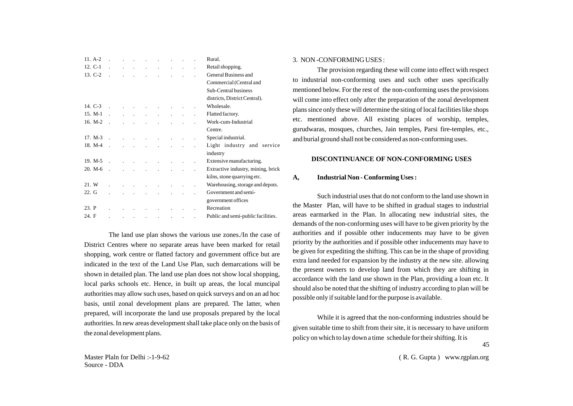| $11. A-2.$ |                  |                      |                                |              |                      |                                                           |           |                      | Rural.                             |
|------------|------------------|----------------------|--------------------------------|--------------|----------------------|-----------------------------------------------------------|-----------|----------------------|------------------------------------|
| 12. C-1    |                  |                      | and the company of the company |              | and the control of   | $\mathcal{L}^{\text{max}}$ and $\mathcal{L}^{\text{max}}$ |           |                      | Retail shopping.                   |
| 13. C-2    |                  |                      |                                | $\mathbf{r}$ |                      | $\mathbf{r}$                                              | $\cdot$   |                      | General Business and               |
|            |                  |                      |                                |              |                      |                                                           |           |                      | Commercial (Central and            |
|            |                  |                      |                                |              |                      |                                                           |           |                      | Sub-Central business               |
|            |                  |                      |                                |              |                      |                                                           |           |                      | districts, District Central).      |
| 14. $C-3$  |                  |                      |                                |              |                      |                                                           |           |                      | Wholesale.                         |
| 15. M-1    |                  |                      |                                |              |                      |                                                           |           |                      | Flatted factory.                   |
| $16. M-2$  |                  |                      |                                |              |                      |                                                           |           |                      | Work-cum-Industrial                |
|            |                  |                      |                                |              |                      |                                                           |           |                      | Centre.                            |
| $17. M-3$  | $\sim$ 100 $\mu$ | $\mathbf{r}$         | $\sim 100$                     | $\mathbf{r}$ | $\mathbf{r}$         | $\ddot{\phantom{a}}$                                      |           |                      | Special industrial.                |
| 18. M-4    |                  |                      |                                |              |                      |                                                           |           |                      | Light industry and service         |
|            |                  |                      |                                |              |                      |                                                           |           |                      | industry                           |
| $19. M-5$  |                  | $\ddot{\phantom{a}}$ | $\sim$                         |              |                      |                                                           |           |                      | Extensive manufacturing.           |
| $20. M-6$  |                  |                      |                                |              |                      |                                                           |           |                      | Extractive industry, mining, brick |
|            |                  |                      |                                |              |                      |                                                           |           |                      | kilns, stone quarrying etc.        |
| 21. W      |                  |                      | $\sim$ 10 $\,$                 |              | $\ddot{\phantom{a}}$ |                                                           |           |                      | Warehousing, storage and depots.   |
| 22. G      |                  |                      |                                |              |                      |                                                           |           |                      | Government and semi-               |
|            |                  |                      |                                |              |                      |                                                           |           |                      | government offices                 |
| 23. P      |                  |                      |                                |              |                      |                                                           |           | $\ddot{\phantom{0}}$ | Recreation                         |
| 24. F      |                  | $\cdot$              | $\cdot$                        | $\cdot$      | $\blacksquare$       | $\cdot$                                                   | $\bullet$ | $\ddot{\phantom{0}}$ | Public and semi-public facilities. |

The land use plan shows the various use zones./In the case of District Centres where no separate areas have been marked for retail shopping, work centre or flatted factory and government office but are indicated in the text of the Land Use Plan, such demarcations will be shown in detailed plan. The land use plan does not show local shopping, local parks schools etc. Hence, in built up areas, the local muncipal authorities may allow such uses, based on quick surveys and on an ad hoc basis, until zonal development plans are prepared. The latter, when prepared, will incorporate the land use proposals prepared by the local authorities. In new areas development shall take place only on the basis of the zonal development plans.

#### 3. NON -CONFORMING USES :

The provision regarding these will come into effect with respect to industrial non-conforming uses and such other uses specifically mentioned below. For the rest of the non-conforming uses the provisions will come into effect only after the preparation of the zonal development plans since only these will determine the siting of local facilities like shops etc. mentioned above. All existing places of worship, temples, gurudwaras, mosques, churches, Jain temples, Parsi fire-temples, etc., and burial ground shall not be considered as non-conforming uses.

#### **DISCONTINUANCE OF NON-CONFORMING USES**

#### **A, Industrial Non - Conforming Uses :**

Such industrial uses that do not conform to the land use shown in the Master Plan, will have to be shifted in gradual stages to industrial areas earmarked in the Plan. In allocating new industrial sites, the demands of the non-conforming uses will have to be given priority by the authorities and if possible other inducements may have to be given priority by the authorities and if possible other inducements may have to be given for expediting the shifting. This can be in the shape of providing extra land needed for expansion by the industry at the new site. allowing the present owners to develop land from which they are shifting in accordance with the land use shown in the Plan, providing a loan etc. It should also be noted that the shifting of industry according to plan will be possible only if suitable land for the purpose is available.

While it is agreed that the non-conforming industries should be given suitable time to shift from their site, it is necessary to have uniform policy on which to lay down a time schedule for their shifting. It is 45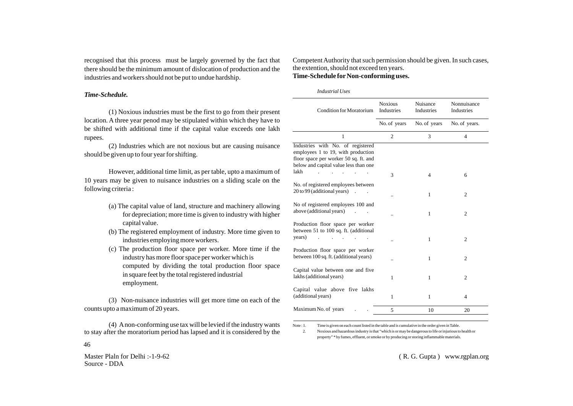recognised that this process must be largely governed by the fact that there should be the minimum amount of dislocation of production and the industries and workers should not be put to undue hardship.

#### *Time-Schedule.*

(1) Noxious industries must be the first to go from their present location. A three year penod may be stipulated within which they have to be shifted with additional time if the capital value exceeds one lakh rupees.

(2) Industries which are not noxious but are causing nuisance should be given up to four year for shifting.

However, additional time limit, as per table, upto a maximum of 10 years may be given to nuisance industries on a sliding scale on the following criteria :

- (a) The capital value of land, structure and machinery allowing for depreciation; more time is given to industry with higher capital value.
- (b) The registered employment of industry. More time given to industries employing more workers.
- (c) The production floor space per worker. More time if the industry has more floor space per worker which is computed by dividing the total production floor space in square feet by the total registered industrial employment.

(3) Non-nuisance industries will get more time on each of the counts upto a maximum of 20 years.

(4) Anon-conforming use tax will be levied if the industry wants to stay after the moratorium period has lapsed and it is considered by the

Master Plaln for Delhi :-1-9-62 Source - DDA

46

## Competent Authority that such permission should be given. In such cases, the extention, should not exceed ten years. **Time-Schedule for Non-conforming uses.**

*Industrial Uses*

| <b>Condition for Moratorium</b>                                                                                                                                   | <b>Noxious</b><br>Industries | Nuisance<br>Industries | Nonnuisance<br>Industries |
|-------------------------------------------------------------------------------------------------------------------------------------------------------------------|------------------------------|------------------------|---------------------------|
|                                                                                                                                                                   | No. of years                 | No. of years           | No. of years.             |
| 1                                                                                                                                                                 | $\mathfrak{2}$               | 3                      | $\overline{4}$            |
| Industries with No. of registered<br>employees 1 to 19, with production<br>floor space per worker 50 sq. ft. and<br>below and capital value less than one<br>lakh |                              |                        |                           |
|                                                                                                                                                                   | 3                            | 4                      | 6                         |
| No. of registered employees between<br>20 to 99 (additional years)                                                                                                |                              | 1                      | $\overline{c}$            |
| No of registered employees 100 and<br>above (additional years)                                                                                                    |                              | 1                      | $\overline{2}$            |
| Production floor space per worker<br>between 51 to 100 sq. ft. (additional<br>years)                                                                              |                              | 1                      | $\overline{2}$            |
| Production floor space per worker<br>between 100 sq. ft. (additional years)                                                                                       |                              | 1                      | $\overline{2}$            |
| Capital value between one and five<br>lakhs (additional years)                                                                                                    | 1                            | 1                      | $\overline{2}$            |
| Capital value above five lakhs<br>(additional years)                                                                                                              | 1                            | 1                      | 4                         |
| Maximum No. of years                                                                                                                                              | 5                            | 10                     | 20                        |

Note : 1. Time is given on each count listed in the table and is cumulative in the order given in Table.

2. Noxious and hazardous industry is that "which is or may be dangerous to life or injurious to health or property" \* by fumes, effluent, or smoke or by producing or storing inflammable materials.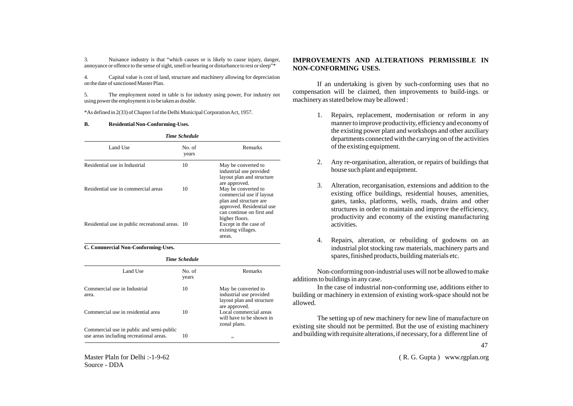3. Nuisance industry is that "which causes or is likely to cause injury, danger, annoyance or offence to the sense of sight, smell or hearing or disturbance to rest or sleep"\*

4. Capital value is cost of land, structure and machinery allowing for depreciation on the date of sanctioned Master Plan.

5. The employment noted in table is for industry using power, For industry not using power the employment is to be taken as double.

\*As defined in 2(33) of Chapter I of the Delhi Municipal Corporation Act, 1957.

#### **B. Residential Non-Conforming-Uses.**

|                                                  | <b>Time Schedule</b> |                                                                                                                                                       |  |  |  |  |  |
|--------------------------------------------------|----------------------|-------------------------------------------------------------------------------------------------------------------------------------------------------|--|--|--|--|--|
| Land Use                                         | No. of<br>years      | Remarks                                                                                                                                               |  |  |  |  |  |
| Residential use in Industrial                    | 10                   | May be converted to<br>industrial use provided<br>layout plan and structure<br>are approved.                                                          |  |  |  |  |  |
| Residential use in commercial areas              | 10                   | May be converted to<br>commercial use if layout<br>plan and structure are<br>approved. Residential use<br>can continue on first and<br>higher floors. |  |  |  |  |  |
| Residential use in public recreational areas. 10 |                      | Except in the case of<br>existing villages.<br>areas.                                                                                                 |  |  |  |  |  |

**C. Commercial Non-Conforming-Uses.**

|          | типе эспециие |         |
|----------|---------------|---------|
| Land Use | No. of        | Remarks |

*Time Schedule*

|                                                                                     | years |                                                                                              |
|-------------------------------------------------------------------------------------|-------|----------------------------------------------------------------------------------------------|
| Commercial use in Industrial<br>area.                                               | 10    | May be converted to<br>industrial use provided<br>layout plan and structure<br>are approved. |
| Commercial use in residential area                                                  | 10    | Local commercial areas<br>will have to be shown in<br>zonal plans.                           |
| Commercial use in public and semi-public<br>use areas including recreational areas. | 10    | ,,                                                                                           |

Master Plaln for Delhi :-1-9-62 Source - DDA

## **IMPROVEMENTS AND ALTERATIONS PERMISSIBLE IN NON-CONFORMING USES.**

If an undertaking is given by such-conforming uses that no compensation will be claimed, then improvements to build-ings. or machinery as stated below may be allowed :

- 1. Repairs, replacement, modernisation or reform in any manner to improve productivity, efficiency and economy of the existing power plant and workshops and other auxiliary departments connected with the carrying on of the activities of the existing equipment.
- 2. Any re-organisation, alteration, or repairs of buildings that house such plant and equipment.
- 3. Alteration, recorganisation, extensions and addition to the existing office buildings, residential houses, amenities, gates, tanks, platforms, wells, roads, drains and other structures in order to maintain and improve the efficiency, productivity and economy of the existing manufacturing activities.
- 4. Repairs, alteration, or rebuilding of godowns on an industrial plot stocking raw materials, machinery parts and spares, finished products, building materials etc.

Non-conforming non-industrial uses will not be allowed to make additions to buildings in any case.

In the case of industrial non-conforming use, additions either to building or machinery in extension of existing work-space should not be allowed.

The setting up of new machinery for new line of manufacture on existing site should not be permitted. But the use of existing machinery and building with requisite alterations, if necessary, for a different line of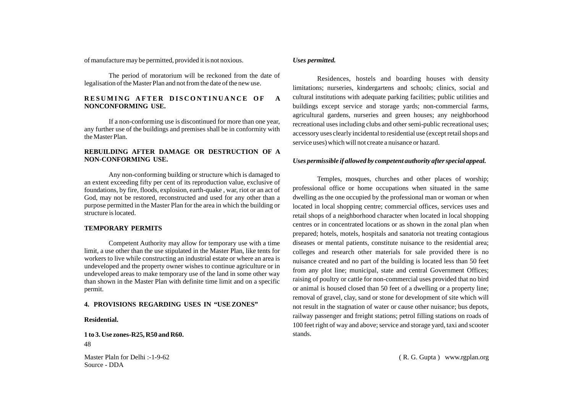of manufacture may be permitted, provided it is not noxious.

The period of moratorium will be reckoned from the date of legalisation of the Master Plan and not from the date of the new use.

#### RESUMING AFTER DISCONTINUANCE OF A **NONCONFORMING USE.**

If a non-conforming use is discontinued for more than one year, any further use of the buildings and premises shall be in conformity with the Master Plan.

## **REBUILDING AFTER DAMAGE OR DESTRUCTION OF A NON-CONFORMING USE.**

Any non-conforming building or structure which is damaged to an extent exceeding fifty per cent of its reproduction value, exclusive of foundations, by fire, floods, explosion, earth-quake , war, riot or an act of God, may not be restored, reconstructed and used for any other than a purpose permitted in the Master Plan for the area in which the building or structure is located.

#### **TEMPORARY PERMITS**

Competent Authority may allow for temporary use with a time limit, a use other than the use stipulated in the Master Plan, like tents for workers to live while constructing an industrial estate or where an area is undeveloped and the property owner wishes to continue agriculture or in undeveloped areas to make temporary use of the land in some other way than shown in the Master Plan with definite time limit and on a specific permit.

#### **4. PROVISIONS REGARDING USES IN "USE ZONES"**

#### **Residential.**

**1 to 3. Use zones-R25, R50 and R60.** 48

Master Plaln for Delhi :-1-9-62 Source - DDA

## *Uses permitted.*

Residences, hostels and boarding houses with density limitations; nurseries, kindergartens and schools; clinics, social and cultural institutions with adequate parking facilities; public utilities and buildings except service and storage yards; non-commercial farms, agricultural gardens, nurseries and green houses; any neighborhood recreational uses including clubs and other semi-public recreational uses; accessory uses clearly incidental to residential use (except retail shops and service uses) which will not create a nuisance or hazard.

## *Uses permissible if allowed by competent authority after special appeal.*

Temples, mosques, churches and other places of worship; professional office or home occupations when situated in the same dwelling as the one occupied by the professional man or woman or when located in local shopping centre; commercial offices, services uses and retail shops of a neighborhood character when located in local shopping centres or in concentrated locations or as shown in the zonal plan when prepared; hotels, motels, hospitals and sanatoria not treating contagious diseases or mental patients, constitute nuisance to the residential area; colleges and research other materials for sale provided there is no nuisance created and no part of the building is located less than 50 feet from any plot line; municipal, state and central Government Offices; raising of poultry or cattle for non-commercial uses provided that no bird or animal is housed closed than 50 feet of a dwelling or a property line; removal of gravel, clay, sand or stone for development of site which will not result in the stagnation of water or cause other nuisance; bus depots, railway passenger and freight stations; petrol filling stations on roads of 100 feet right of way and above; service and storage yard, taxi and scooter stands.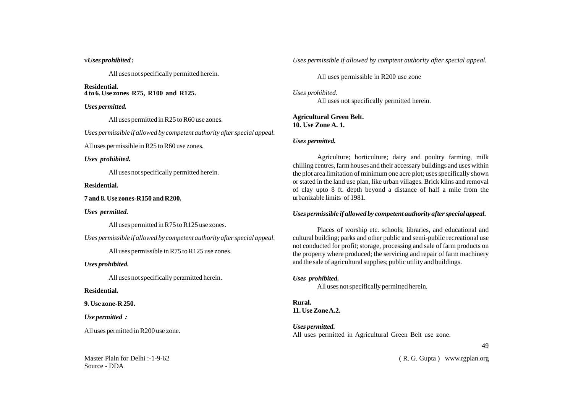#### v*Uses prohibited :*

All uses not specifically permitted herein.

**Residential. 4 to 6. Use zones R75, R100 and R125.**

#### *Uses permitted.*

All uses permitted in R25 to R60 use zones.

*Uses permissible if allowed by competent authority after special appeal.*

All uses permissible in R25 to R60 use zones.

#### *Uses prohibited.*

All uses not specifically permitted herein.

#### **Residential.**

## **7 and 8. Use zones-R150 and R200.**

#### *Uses permitted.*

All uses permitted in R75 to R125 use zones.

*Uses permissible if allowed by competent authority after special appeal.*

All uses permissible in R75 to R125 use zones.

#### *Uses prohibited.*

All uses not specifically perzmitted herein.

## **Residential.**

**9. Use zone-R 250.**

# *Use permitted :*

All uses permitted in R200 use zone.

Master Plaln for Delhi :-1-9-62 Source - DDA

*Uses permissible if allowed by comptent authority after special appeal.*

All uses permissible in R200 use zone

*Uses prohibited.* All uses not specifically permitted herein.

**Agricultural Green Belt. 10. Use Zone A. 1.** 

## *Uses permitted.*

Agriculture; horticulture; dairy and poultry farming, milk chilling centres, farm houses and their accessary buildings and uses within the plot area limitation of minimum one acre plot; uses specifically shown or stated in the land use plan, like urban villages. Brick kilns and removal of clay upto 8 ft. depth beyond a distance of half a mile from the urbanizable limits of 1981.

## *Uses permissible if allowed by competent authority after special appeal.*

Places of worship etc. schools; libraries, and educational and cultural building; parks and other public and semi-public recreational use not conducted for profit; storage, processing and sale of farm products on the property where produced; the servicing and repair of farm machinery and the sale of agricultural supplies; public utility and buildings.

## *Uses prohibited.*

All uses not specifically permitted herein.

**Rural. 11. Use Zone A.2.**

# *Uses permitted.*

All uses permitted in Agricultural Green Belt use zone.

49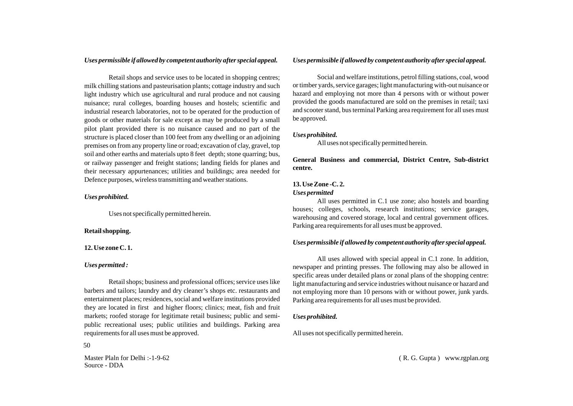## *Uses permissible if allowed by competent authority after special appeal.*

Retail shops and service uses to be located in shopping centres; milk chilling stations and pasteurisation plants; cottage industry and such light industry which use agricultural and rural produce and not causing nuisance; rural colleges, boarding houses and hostels; scientific and industrial research laboratories, not to be operated for the production of goods or other materials for sale except as may be produced by a small pilot plant provided there is no nuisance caused and no part of the structure is placed closer than 100 feet from any dwelling or an adjoining premises on from any property line or road; excavation of clay, gravel, top soil and other earths and materials upto 8 feet depth; stone quarring; bus, or railway passenger and freight stations; landing fields for planes and their necessary appurtenances; utilities and buildings; area needed for Defence purposes, wireless transmitting and weather stations.

## *Uses prohibited.*

Uses not specifically permitted herein.

### **Retail shopping.**

#### **12. Use zone C. 1.**

#### *Uses permitted :*

Retail shops; business and professional offices; service uses like barbers and tailors; laundry and dry cleaner's shops etc. restaurants and entertainment places; residences, social and welfare institutions provided they are located in first and higher floors; clinics; meat, fish and fruit markets; roofed storage for legitimate retail business; public and semipublic recreational uses; public utilities and buildings. Parking area requirements for all uses must be approved.

50

Master Plaln for Delhi :-1-9-62 Source - DDA

#### *Uses permissible if allowed by competent authority after special appeal.*

Social and welfare institutions, petrol filling stations, coal, wood or timber yards, service garages; light manufacturing with-out nuisance or hazard and employing not more than 4 persons with or without power provided the goods manufactured are sold on the premises in retail; taxi and scooter stand, bus terminal Parking area requirement for all uses must be approved.

#### *Uses prohibited.*

All uses not specifically permitted herein.

**General Business and commercial, District Centre, Sub-district centre.**

## **13. Use Zone -C. 2.**  *Uses permitted*

All uses permitted in C.1 use zone; also hostels and boarding houses; colleges, schools, research institutions; service garages, warehousing and covered storage, local and central government offices. Parking area requirements for all uses must be approved.

# *Uses permissible if allowed by competent authority after special appeal.*

All uses allowed with special appeal in C.1 zone. In addition, newspaper and printing presses. The following may also be allowed in specific areas under detailed plans or zonal plans of the shopping centre: light manufacturing and service industries without nuisance or hazard and not employing more than 10 persons with or without power, junk yards. Parking area requirements for all uses must be provided.

#### *Uses prohibited.*

All uses not specifically permitted herein.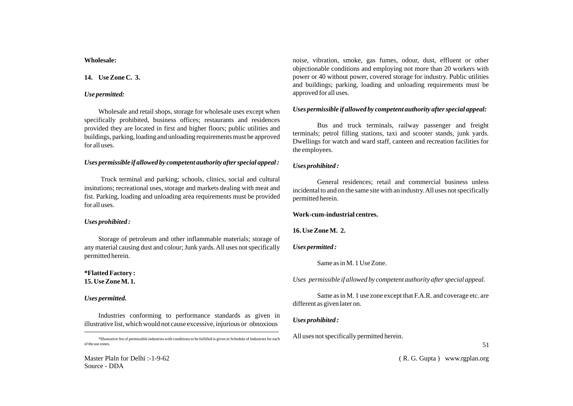#### **Wholesale:**

# **14. Use Zone C. 3.**

# *Use permitted:*

Wholesale and retail shops, storage for wholesale uses except when specifically prohibited, business offices; restaurants and residences provided they are located in first and higher floors; public utilities and buildings, parking, loading and unloading requirements must be approved for all uses.

# *Uses permissible if allowed by competent authority after special appeal :*

Truck terminal and parking; schools, clinics, social and cultural insitutions; recreational uses, storage and markets dealing with meat and fist. Parking, loading and unloading area requirements must be provided for all uses.

## *Uses prohibited :*

Storage of petroleum and other inflammable materials; storage of any material causing dust and colour; Junk yards. All uses not specifically permitted herein.

# **\*Flatted Factory : 15. Use Zone M. 1.**

# *Uses permitted.*

Industries conforming to performance standards as given in illustrative list, which would not cause excessive, injurious or obnoxious

noise, vibration, smoke, gas fumes, odour, dust, effluent or other objectionable conditions and employing not more than 20 workers with power or 40 without power, covered storage for industry. Public utilities and buildings; parking, loading and unloading requirements must be approved for all uses.

# *Uses permissible if allowed by competent authority after special appeal:*

Bus and truck terminals, railway passenger and freight terminals; petrol filling stations, taxi and scooter stands, junk yards. Dwellings for watch and ward staff, canteen and recreation facilities for the employees.

# *Uses prohibited :*

General residences; retail and commercial business unless incidental to and on the same site with an industry. All uses not specifically permitted herein.

## **Work-cum-industrial centres.**

# **16. Use Zone M. 2.**

# *Uses permitted :*

Same as in M. 1 Use Zone.

*Uses permissible if allowed by competent authority after special appeal.*

Same as in M. 1 use zone except that F.A.R. and coverage etc. are different as given later on.

# *Uses prohibited :*

All uses not specifically permitted herein.

<sup>\*</sup>Illustrative list of permissible industries with conditions to be fulfilled is given in Schedule of Industries for each of the use zones.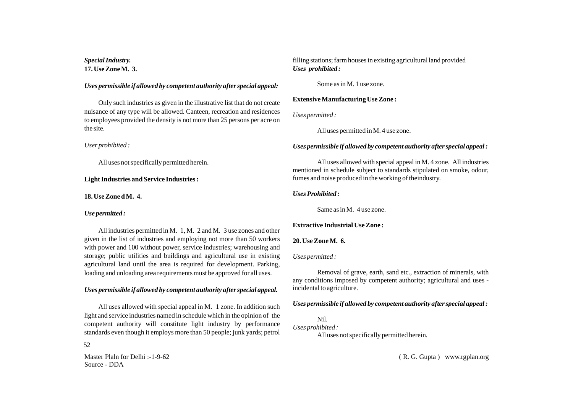*Special Industry.* **17. Use Zone M. 3.** 

#### *Uses permissible if allowed by competent authority after special appeal:*

Only such industries as given in the illustrative list that do not create nuisance of any type will be allowed. Canteen, recreation and residences to employees provided the density is not more than 25 persons per acre on the site.

*User prohibited :*

All uses not specifically permitted herein.

#### **Light Industries and Service Industries :**

**18. Use Zone d M. 4.** 

#### *Use permitted :*

All industries permitted in M. 1, M. 2 and M. 3 use zones and other given in the list of industries and employing not more than 50 workers with power and 100 without power, service industries; warehousing and storage; public utilities and buildings and agricultural use in existing agricultural land until the area is required for development. Parking, loading and unloading area requirements must be approved for all uses.

#### *Uses permissible if allowed by competent authority after special appeal.*

All uses allowed with special appeal in M. 1 zone. In addition such light and service industries named in schedule which in the opinion of the competent authority will constitute light industry by performance standards even though it employs more than 50 people; junk yards; petrol

52

Master Plaln for Delhi :-1-9-62 Source - DDA

filling stations; farm houses in existing agricultural land provided *Uses prohibited :* 

Some as in M. 1 use zone.

## **Extensive Manufacturing Use Zone :**

*Uses permitted :*

All uses permitted in M. 4 use zone.

## *Uses permissible if allowed by competent authority after special appeal :*

All uses allowed with special appeal in M. 4 zone. All industries mentioned in schedule subject to standards stipulated on smoke, odour, fumes and noise produced in the working of theindustry.

#### *Uses Prohibited :*

Same as in M. 4 use zone.

## **Extractive Industrial Use Zone :**

## **20. Use Zone M. 6.**

## *Uses permitted :*

Removal of grave, earth, sand etc., extraction of minerals, with any conditions imposed by competent authority; agricultural and uses incidental to agriculture.

## *Uses permissible if allowed by competent authority after special appeal :*

#### Nil. *Uses prohibited :*

All uses not specifically permitted herein.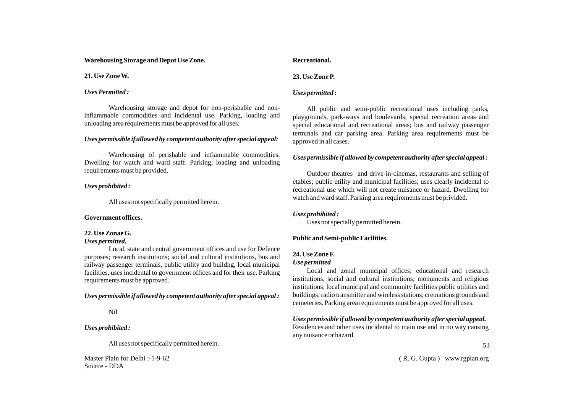**Warehousing Storage and Depot Use Zone.**

**21. Use Zone W.**

# *Uses Permitted :*

Warehousing storage and depot for non-perishable and noninflammable commodities and incidental use. Parking, loading and unloading area requirements must be approved for all uses.

# *Uses permissible if allowed by competent authority after special appeal:*

Warehousing of perishable and inflammable commodities. Dwelling for watch and ward staff. Parking, loading and unloading requirements must be provided.

# *Uses prohibited :*

All uses not specifically permitted herein.

# **Government offices.**

# **22. Use Zonae G.**

# *Uses permitted.*

Local, state and central government offices and use for Defence purposes; research institutions; social and cultural institutions, bus and railway passenger terminals, public utility and buildng, local municipal facilities, uses incidental to government offices and for their use. Parking requirements must be approved.

# *Uses permissible if allowed by competent authority after special appeal :*

# Nil

# *Uses prohibited :*

All uses not specifically permitted herein.

Master Plaln for Delhi :-1-9-62 Source - DDA

# **Recreational. 23. Use Zone P.**

# *Uses permitted :*

All public and semi-public recreational uses including parks, playgrounds, park-ways and boulevards; special recreation areas and special educational and recreational areas; bus and railway passenger terminals and car parking area. Parking area requirements must be approved in all cases.

# *Uses permissible if allowed by competent authority after special appeal :*

Outdoor theatres and drive-in-cinemas, restaurants and selling of etables; public utility and municipal facilities; uses clearly incidental to recreational use which will not create nuisance or hazard. Dwelling for watch and ward staff. Parking area requirements must be privided.

# *Uses prohibited :*

Uses not specially permitted herein.

# **Public and Semi-public Facilities.**

# **24. Use Zone F.**

# *Use permitted*

Local and zonal municipal offices; educational and research institutions, social and cultural institutions; monuments and religious institutions; local municipal and community facilities public utilities and buildings; radio transmitter and wireless stations; cremations grounds and cemeteries. Parking area requirements must be approved for all uses.

*Uses permissible if allowed by competent authority after special appeal.* Residences and other uses incidental to main use and in no way causing any nuisance or hazard.

53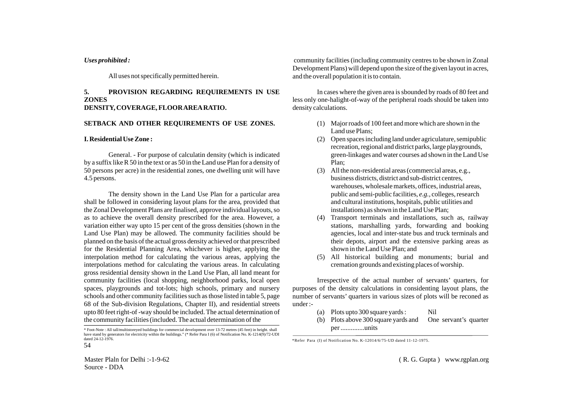#### *Uses prohibited :*

All uses not specifically permitted herein.

# **5. PROVISION REGARDING REQUIREMENTS IN USE ZONES DENSITY, COVERAGE, FLOOR AREARATIO.**

#### **SETBACK AND OTHER REQUIREMENTS OF USE ZONES.**

#### **I. Residential Use Zone :**

General. - For purpose of calculatin density (which is indicated by a suffix like R 50 in the text or as 50 in the Land use Plan for a density of 50 persons per acre) in the residential zones, one dwelling unit will have 4.5 persons.

The density shown in the Land Use Plan for a particular area shall be followed in considering layout plans for the area, provided that the Zonal Development Plans are finalised, approve individual layouts, so as to achieve the overall density prescribed for the area. However, a variation either way upto 15 per cent of the gross densities (shown in the Land Use Plan) may be allowed. The community facilities should be planned on the basis of the actual gross density achieved or that prescribed for the Residential Planning Area, whichever is higher, applying the interpolation method for calculating the various areas, applying the interpolations method for calculating the various areas. In calculating gross residential density shown in the Land Use Plan, all land meant for community facilities (local shopping, neighborhood parks, local open spaces, playgrounds and tot-lots; high schools, primary and nursery schools and other community facilities such as those listed in table 5, page 68 of the Sub-division Regulations, Chapter II), and residential streets upto 80 feet right-of -way should be included. The actual determination of the community facilities (included. The actual determination of the

community facilities (including community centres to be shown in Zonal Development Plans) will depend upon the size of the given layout in acres, and the overall population it is to contain.

In cases where the given area is sbounded by roads of 80 feet and less only one-halight-of-way of the peripheral roads should be taken into density calculations.

- (1) Major roads of 100 feet and more which are shown in the Land use Plans;
- (2) Open spaces including land under agriculature, semipublic recreation, regional and district parks, large playgrounds, green-linkages and water courses ad shown in the Land Use Plan;
- (3) All the non-residential areas (commercial areas, e.g., business districts, district and sub-district centres, warehouses, wholesale markets, offices, industrial areas, public and semi-public facilities, *e.g.,* colleges, research and cultural institutions, hospitals, public utilities and installations) as shown in the Land Use Plan;
- (4) Transport terminals and installations, such as, railway stations, marshalling yards, forwarding and booking agencies, local and inter-state bus and truck terminals and their depots, airport and the extensive parking areas as shown in the Land Use Plan; and
- (5) All historical building and monuments; burial and cremation grounds and existing places of worship.

Irrespective of the actual number of servants' quarters, for purposes of the density calculations in considenting layout plans, the number of servants' quarters in various sizes of plots will be reconed as under :-

- (a) Plots upto 300 square yards : Nil
- (b) Plots above 300 square yards and One servant's quarter per ..............units

\*Refer Para (I) of Notification No. K-12014/6/75-UD dated 11-12-1975.

Master Plaln for Delhi :-1-9-62 Source - DDA

<sup>54</sup> \* Foot-Note : All tall/multistoreyed buildings for commercial development over 13-72 metres (45 feet) in height. shall have stand by generators for electricity within the buildings." (\* Refer Para I (6) of Notification No. K-1214(9)/72-UDI dated 24-12-1976.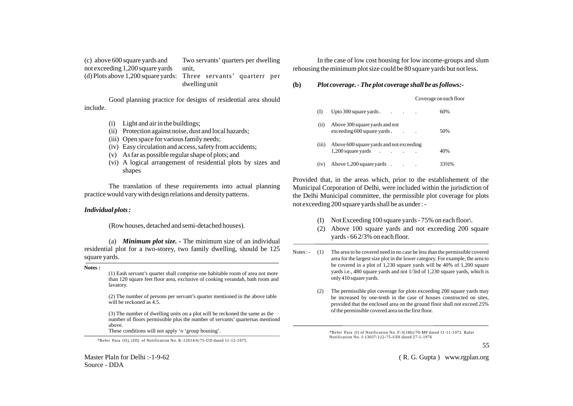(c) above 600 square yards and Two servants' quarters per dwelling not exceeding 1,200 square yards unit,<br>(d) Plots above 1.200 square vards: Three Three servants' quarterr per dwelling unit

Good planning practice for designs of residential area should include.

- (i) Light and air in the buildings;
- (ii) Protection against noise, dust and local hazards;
- (iii) Open space for various family needs;
- (iv) Easy circulation and access, safety from accidents;
- (v) As far as possible regular shape of plots; and
- (vi) A logical arrangement of residential plots by sizes and shapes

The translation of these requirements into actual planning practice would vary with design relations and density patterns.

#### *Individual plots :*

(Row houses, detached and semi-detached houses).

(a) *Minimum plot size. -* The minimum size of an individual residential plot for a two-storey, two family dwelling, should be 125 square yards.

**Notes :**

(1) Eash servant's quarter shall comprise one habitable room of area not more than 120 square feet floor area, exclusive of cooking verandah, bath room and lavatory.

(2) The number of persons per servant's quarter mentioned in the above table will be reckoned as 4.5.

(3) The number of dwelling units on a plot will be reckoned the same as the number of floors permissible plus the number of servants' quartersas mentiond above.<br>These conditions will not apply 'o 'group housing'.

\*Refer Para (II), (III) of Notification No. K-12014/6/75-UD dated 11-12-1975.

Master Plaln for Delhi :-1-9-62 Source - DDA

In the case of low cost housing for low income-groups and slum rehousing the minimum plot size could be 80 square yards but not less.

#### **(b)** *Plot coverage. - The plot coverage shall be as follows:-*

Coverage on each floor

| (I)   | Upto 300 square yards.<br><b>Contract</b>                      |  | 60%  |
|-------|----------------------------------------------------------------|--|------|
| (ii)  | Above 300 square yards and not<br>exceeding 600 square yards.  |  | 50%  |
| (iii) | Above 600 square yards and not exceeding<br>1,200 square yards |  | 40%  |
| (iv)  | Above 1.200 square vards                                       |  | 33½% |

Provided that, in the areas which, prior to the establishement of the Municipal Corporation of Delhi, were included within the jurisdiction of the Delhi Municipal committee, the permissible plot coverage for plots not exceeding 200 square yards shall be as under : -

- (I) Not Exceeding 100 square yards 75% on each floor\.
- (2) Above 100 square yards and not exceeding 200 square yards - 66 2/3% on each floor.
- Notes :- (1) The area to be covered need in no case be less than the permissible covered area for the largest size plot in the lower category. For example, the area to be covered in a plot of 1,230 square yards will be 40% of 1,200 square yards i.e., 480 square yards and not 1/3rd of 1,230 square yards, which is only 410 square yards.
	- (2) The permissible plot coverage for plots exceeding 200 square yards may be increased by one-tenth in the case of houses constructed on sites, provided that the enclosed area on the ground floor shall not exceed 25% of the permissible covered area on the first floor.

\*Refer Para (I) of Notification No. F-3(186)/70-MP dated 11-11-1972. Rafer Notification No. J-13037/122-75-UDI dated 27-1-1976

55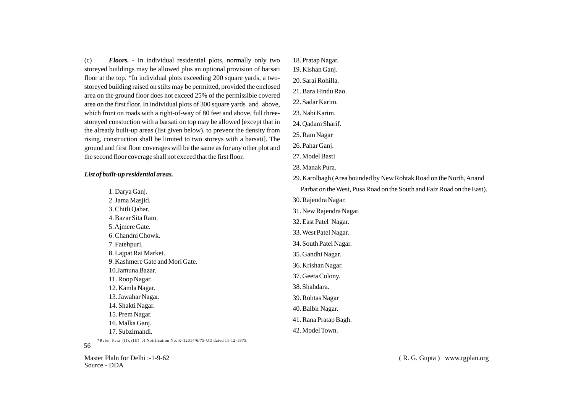(c) *Floors. -* In individual residential plots, normally only two storeyed buildings may be allowed plus an optional provision of barsati floor at the top. \*In individual plots exceeding 200 square yards, a twostoreyed building raised on stilts may be permitted, provided the enclosed area on the ground floor does not exceed 25% of the permissible covered area on the first floor. In individual plots of 300 square yards and above, which front on roads with a right-of-way of 80 feet and above, full threestoreyed constuction with a barsati on top may be allowed [except that in the already built-up areas (list given below). to prevent the density from rising, construction shall be limited to two storeys with a barsati]. The ground and first floor coverages will be the same as for any other plot and the second floor coverage shall not exceed that the first floor.

# *List of built-up residential areas.*

| outu-up restaentuu areus.          | 29. Karolbagh (Area bounded by New Rohtak Road on the North, Anand     |  |  |  |  |  |  |
|------------------------------------|------------------------------------------------------------------------|--|--|--|--|--|--|
| 1. Darya Ganj.                     | Parbat on the West, Pusa Road on the South and Faiz Road on the East). |  |  |  |  |  |  |
| 2. Jama Masjid.                    | 30. Rajendra Nagar.                                                    |  |  |  |  |  |  |
| 3. Chitli Qabar.                   | 31. New Rajendra Nagar.                                                |  |  |  |  |  |  |
| 4. Bazar Sita Ram.                 | 32. East Patel Nagar.                                                  |  |  |  |  |  |  |
| 5. Ajmere Gate.                    | 33. West Patel Nagar.                                                  |  |  |  |  |  |  |
| 6. Chandni Chowk.<br>7. Fatehpuri. | 34. South Patel Nagar.                                                 |  |  |  |  |  |  |
| 8. Lajpat Rai Market.              | 35. Gandhi Nagar.                                                      |  |  |  |  |  |  |
| 9. Kashmere Gate and Mori Gate.    | 36. Krishan Nagar.                                                     |  |  |  |  |  |  |
| 10.Jamuna Bazar.                   | 37. Geeta Colony.                                                      |  |  |  |  |  |  |
| 11. Roop Nagar.                    |                                                                        |  |  |  |  |  |  |
| 12. Kamla Nagar.                   | 38. Shahdara.                                                          |  |  |  |  |  |  |
| 13. Jawahar Nagar.                 | 39. Rohtas Nagar                                                       |  |  |  |  |  |  |
| 14. Shakti Nagar.                  | 40. Balbir Nagar.                                                      |  |  |  |  |  |  |
| 15. Prem Nagar.                    | 41. Rana Pratap Bagh.                                                  |  |  |  |  |  |  |
| 16. Malka Ganj.                    |                                                                        |  |  |  |  |  |  |
| 17. Subzimandi.                    | 42. Model Town.                                                        |  |  |  |  |  |  |

18. Pratap Nagar. 19. Kishan Ganj. 20. Sarai Rohilla. 21. Bara Hindu Rao. 22. Sadar Karim. 23. Nabi Karim. 24. Qadam Sharif. 25. Ram Nagar 26. Pahar Ganj. 27. Model Basti 28. Manak Pura.

\*Refer Para (II), (III) of Notification No. K-12014/6/75-UD dated 11-12-1975.

# 56

Master Plaln for Delhi :-1-9-62 Source - DDA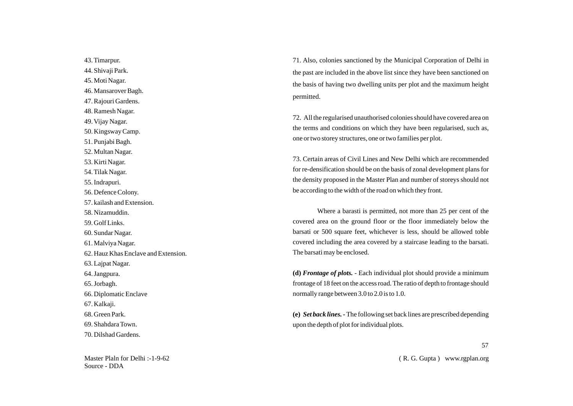43. Timarpur. 44. Shivaji Park. 45. Moti Nagar. 46. Mansarover Bagh. 47. Rajouri Gardens. 48. Ramesh Nagar. 49. Vijay Nagar. 50. Kingsway Camp. 51. Punjabi Bagh. 52. Multan Nagar. 53. Kirti Nagar. 54. Tilak Nagar. 55. Indrapuri. 56. Defence Colony. 57. kailash and Extension. 58. Nizamuddin. 59. Golf Links. 60. Sundar Nagar. 61. Malviya Nagar. 62. Hauz Khas Enclave and Extension. 63. Lajpat Nagar. 64. Jangpura. 65. Jorbagh. 66. Diplomatic Enclave 67. Kalkaji. 68. Green Park. 69. Shahdara Town. 70. Dilshad Gardens.

Master Plaln for Delhi :-1-9-62 Source - DDA

71. Also, colonies sanctioned by the Municipal Corporation of Delhi in the past are included in the above list since they have been sanctioned on the basis of having two dwelling units per plot and the maximum height permitted.

72. All the regularised unauthorised colonies should have covered area on the terms and conditions on which they have been regularised, such as, one or two storey structures, one or two families per plot.

73. Certain areas of Civil Lines and New Delhi which are recommended for re-densification should be on the basis of zonal development plans for the density proposed in the Master Plan and number of storeys should not be according to the width of the road on which they front.

Where a barasti is permitted, not more than 25 per cent of the covered area on the ground floor or the floor immediately below the barsati or 500 square feet, whichever is less, should be allowed toble covered including the area covered by a staircase leading to the barsati. The barsati may be enclosed.

**(d)** *Frontage of plots.* - Each individual plot should provide a minimum frontage of 18 feet on the access road. The ratio of depth to frontage should normally range between 3.0 to 2.0 is to 1.0.

**(e)** *Set back lines. -* The following set back lines are prescribed depending upon the depth of plot for individual plots.

57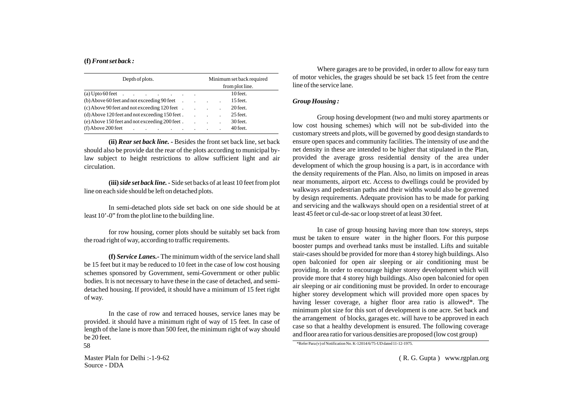## **(f)** *Front set back :*

| Depth of plots.                                               |  |                         | Minimum set back required |  |          |  |  |
|---------------------------------------------------------------|--|-------------------------|---------------------------|--|----------|--|--|
|                                                               |  | from plot line.         |                           |  |          |  |  |
|                                                               |  |                         |                           |  | 10 feet. |  |  |
| $(b)$ Above 60 feet and not exceeding 90 feet $\qquad \qquad$ |  |                         |                           |  | 15 feet. |  |  |
| $(c)$ Above 90 feet and not exceeding 120 feet $\qquad$ .     |  |                         |                           |  | 20 feet. |  |  |
| (d) Above 120 feet and not exceeding 150 feet.                |  | $\sim 100$ km s $^{-1}$ |                           |  | 25 feet. |  |  |
| (e) Above 150 feet and not exceeding 200 feet.                |  | $\sim 100$              |                           |  | 30 feet. |  |  |
| $(f)$ Above 200 feet<br>and the company of the company of     |  |                         |                           |  | 40 feet. |  |  |

**(ii)** *Rear set back line. -* Besides the front set back line, set back should also be provide dat the rear of the plots according to municipal bylaw subject to height restrictions to allow sufficient light and air circulation.

**(iii)** *side set back line. -* Side set backs of at least 10 feet from plot line on each side should be left on detached plots.

In semi-detached plots side set back on one side should be at least 10'-0" from the plot line to the building line.

for row housing, corner plots should be suitably set back from the road right of way, according to traffic requirements.

**(f)** *Service Lanes.-* The minimum width of the service land shall be 15 feet but it may be reduced to 10 feet in the case of low cost housing schemes sponsored by Government, semi-Government or other public bodies. It is not necessary to have these in the case of detached, and semidetached housing. If provided, it should have a minimum of 15 feet right of way.

In the case of row and terraced houses, service lanes may be provided. it should have a minimum right of way of 15 feet. In case of length of the lane is more than 500 feet, the minimum right of way should be 20 feet.

Where garages are to be provided, in order to allow for easy turn of motor vehicles, the grages should be set back 15 feet from the centre line of the service lane.

## *Group Housing :*

Group hosing development (two and multi storey apartments or low cost housing schemes) which will not be sub-divided into the customary streets and plots, will be governed by good design standards to ensure open spaces and community facilities. The intensity of use and the net density in these are intended to be higher that stipulated in the Plan, provided the average gross residential density of the area under development of which the group housing is a part, is in accordance with the density requirements of the Plan. Also, no limits on imposed in areas near monuments, airport etc. Access to dwellings could be provided by walkways and pedestrian paths and their widths would also be governed by design requirements. Adequate provision has to be made for parking and servicing and the walkways should open on a residential street of at least 45 feet or cul-de-sac or loop street of at least 30 feet.

In case of group housing having more than tow storeys, steps must be taken to ensure water in the higher floors. For this purpose booster pumps and overhead tanks must be installed. Lifts and suitable stair-cases should be provided for more than 4 storey high buildings. Also open balconied for open air sleeping or air conditioning must be providing. In order to encourage higher storey development which will provide more that 4 storey high buildings. Also open balconied for open air sleeping or air conditioning must be provided. In order to encourage higher storey development which will provided more open spaces by having lesser coverage, a higher floor area ratio is allowed\*. The minimum plot size for this sort of development is one acre. Set back and the arrangement of blocks, garages etc. will have to be approved in each case so that a healthy development is ensured. The following coverage and floor area ratio for various densities are proposed (low cost group)

Master Plaln for Delhi :-1-9-62 Source - DDA

 $\frac{\text{``Refer.} \text{Para}(v) \cdot \text{of (No)} \cdot \text{K-12014/675-UD} \cdot \text{dated 11-12-1975}}{11 \cdot \text{K-12014/675-UD} \cdot \text{dated 11-12-1975}}$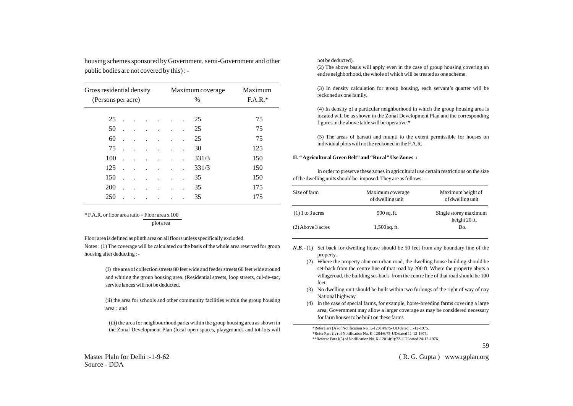| Gross residential density<br>(Persons per acre) |  |  |  |  |  | Maximum coverage<br>$\%$ | Maximum<br>$F.A.R.*$ |  |
|-------------------------------------------------|--|--|--|--|--|--------------------------|----------------------|--|
| 25                                              |  |  |  |  |  | 25                       | 75                   |  |
| 50                                              |  |  |  |  |  | 25                       | 75                   |  |
| 60                                              |  |  |  |  |  | 25                       | 75                   |  |
| 75                                              |  |  |  |  |  | 30                       | 125                  |  |
| 100                                             |  |  |  |  |  | 331/3                    | 150                  |  |
| 125                                             |  |  |  |  |  | 331/3                    | 150                  |  |
| 150                                             |  |  |  |  |  | 35                       | 150                  |  |
| 200                                             |  |  |  |  |  | 35                       | 175                  |  |
| 250                                             |  |  |  |  |  | 35                       | 175                  |  |

housing schemes sponsored by Government, semi-Government and other

 $*$  F.A.R. or floor area ratio = Floor area x 100 plot area

public bodies are not covered by this) : -

Floor area is defined as plinth area on all floors unless specifically excluded.

Notes : (1) The coverage will be calculated on the basis of the whole area reserved for group housing after deducting : -

> (I) the area of collection streets 80 feet wide and feeder streets 60 feet wide around and whiting the group housing area. (Residential streets, loop streets, cul-de-sac, service lances will not be deducted.

> (ii) the area for schools and other community facilities within the group housing area ; and

(iii) the area for neighbourhood parks within the group housing area as shown in the Zonal Development Plan (local open spaces, playgrounds and tot-lots will not be deducted).

(2) The above basis will apply even in the case of group housing covering an entire neighborhood, the whole of which will be treated as one scheme.

(3) In density calculation for group housing, each servant's quarter will be reckoned as one family.

(4) In density of a particular neighborhood in which the group housing area is located will be as shown in the Zonal Development Plan and the corresponding figures in the above table will be operative.\*

(5) The areas of barsati and mumti to the extent permissible for houses on individual plots will not be reckoned in the F.A.R.

#### **II. " Agricultural Green Belt" and "Rural" Use Zones :**

In order to preserve these zones in agricultural use certain restrictions on the size of the dwelling units should be imposed. They are as follows : -

| Size of farm        | Maximum coverage<br>of dwelling unit | Maximum beight of<br>of dwelling unit  |  |  |
|---------------------|--------------------------------------|----------------------------------------|--|--|
| $(1)$ 1 to 3 acres  | $500$ sq. ft.                        | Single storey maximum<br>height 20 ft. |  |  |
| $(2)$ Above 3 acres | $1,500$ sq. ft.                      | Do.                                    |  |  |

*N.B.*  $\cdot$  (1) Set back for dwelling house should be 50 feet from any boundary line of the property.

- (2) Where the property abut on urban road, the dwelling house building should be set-back from the centre line of that road by 200 ft. Where the property abuts a villageroad, the building set-back from the centre line of that road should be 100 feet.
- (3) No dwelling unit should be built within two furlongs of the right of way of nay National highway.
- (4) In the case of special farms, for example, horse-breeding farms covering a large area, Government may allow a larger coverage as may be considered necessary for farm houses to be built on these farms

\*Refer Para (A) of Notification No. K-12014/675- UD dated 11-12-1975. \*Refer Para (iv) of Notification No. K-1204/6/75-UD dated 11-12-1975. \*\*Refer to Para I(5) of Notification No. K-12014(9)/72-UDI dated 24-12-1976.

59

( R. G. Gupta ) www.rgplan.org

Master Plaln for Delhi :-1-9-62 Source - DDA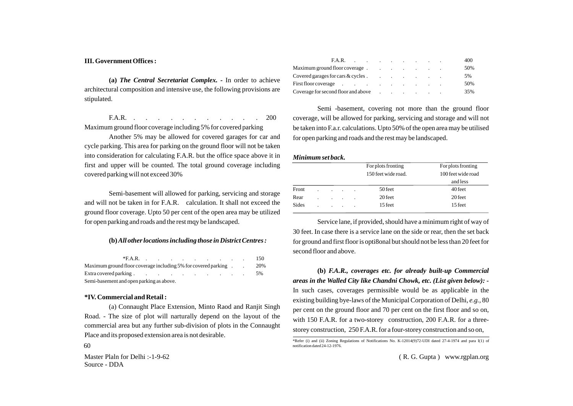#### **III. Government Offices :**

**(a)** *The Central Secretariat Complex. -* In order to achieve architectural composition and intensive use, the following provisions are stipulated.

F.A.R. . . . . . . . . . . . 200 Maximum ground floor coverage including 5% for covered parking

Another 5% may be allowed for covered garages for car and cycle parking. This area for parking on the ground floor will not be taken into consideration for calculating F.A.R. but the office space above it in first and upper will be counted. The total ground coverage including covered parking will not exceed 30%

Semi-basement will allowed for parking, servicing and storage and will not be taken in for F.A.R. calculation. It shall not exceed the ground floor coverage. Upto 50 per cent of the open area may be utilized for open parking and roads and the rest mqy be landscaped.

## **(b)** *All other locations including those in District Centres :*

|                                                                                                                                                                                                                                | $*FA.R.$ $\qquad \qquad \ldots$ |  |  |  |  |  |  |  |  |    | 150 |
|--------------------------------------------------------------------------------------------------------------------------------------------------------------------------------------------------------------------------------|---------------------------------|--|--|--|--|--|--|--|--|----|-----|
| Maximum ground floor coverage including 5% for covered parking                                                                                                                                                                 |                                 |  |  |  |  |  |  |  |  |    | 20% |
| Extra covered parking the contract of the cover of parking the cover of the cover of the cover of the cover of the cover of the cover of the cover of the cover of the cover of the cover of the cover of the cover of the cov |                                 |  |  |  |  |  |  |  |  | 5% |     |
| Semi-basement and open parking as above.                                                                                                                                                                                       |                                 |  |  |  |  |  |  |  |  |    |     |

#### **\*IV. Commercial and Retail :**

(a) Connaught Place Extension, Minto Raod and Ranjit Singh Road. - The size of plot will narturally depend on the layout of the commercial area but any further sub-division of plots in the Connaught Place and its proposed extension area is not desirable.

60

Master Plaln for Delhi :-1-9-62 Source - DDA

| $FA.R.$ $\qquad \qquad \ldots$ $\qquad \qquad \ldots$                                                                                                                                                                          |  |  |                                                     |  | 400 |
|--------------------------------------------------------------------------------------------------------------------------------------------------------------------------------------------------------------------------------|--|--|-----------------------------------------------------|--|-----|
| Maximum ground floor coverage.                                                                                                                                                                                                 |  |  | the contract of the contract of the contract of the |  | 50% |
| Covered garages for cars $\&$ cycles $\qquad \qquad \qquad$                                                                                                                                                                    |  |  |                                                     |  | 5%  |
| First floor coverage the contract of the contract of the contract of the contract of the contract of the contract of the contract of the contract of the contract of the contract of the contract of the contract of the contr |  |  |                                                     |  | 50% |
| $\alpha$ Coverage for second floor and above $\alpha$ . The second floor and above                                                                                                                                             |  |  |                                                     |  | 35% |

Semi -basement, covering not more than the ground floor coverage, will be allowed for parking, servicing and storage and will not be taken into F.a.r. calculations. Upto 50% of the open area may be utilised for open parking and roads and the rest may be landscaped.

#### *Minimum set back.*

|       |  |                |         |         | For plots fronting  | For plots fronting |
|-------|--|----------------|---------|---------|---------------------|--------------------|
|       |  |                |         |         | 150 feet wide road. | 100 feet wide road |
|       |  |                |         |         |                     | and less           |
| Front |  |                | $\sim$  |         | 50 feet             | 40 feet            |
| Rear  |  | $\blacksquare$ | $\cdot$ | $\cdot$ | 20 feet             | 20 feet            |
| Sides |  | $\blacksquare$ | ٠       | $\cdot$ | 15 feet             | 15 feet            |

Service lane, if provided, should have a minimum right of way of 30 feet. In case there is a service lane on the side or rear, then the set back for ground and first floor is opti8onal but should not be less than 20 feet for second floor and above.

**(b)** *F.A.R., coverages etc. for already built-up Commercial areas in the Walled City like Chandni Chowk, etc. (List given below): -*  In such cases, coverages permissible would be as applicable in the existing building bye-laws of the Municipal Corporation of Delhi, *e.g.,* 80 per cent on the ground floor and 70 per cent on the first floor and so on, with 150 F.A.R. for a two-storey construction, 200 F.A.R. for a threestorey construction, 250 F.A.R. for a four-storey construction and so on,

<sup>\*</sup>Refer (i) and (ii) Zoning Regulations of Notifications No. K-12014(9)72-UDI dated 27-4-1974 and para I(1) of notification dated 24-12-1976.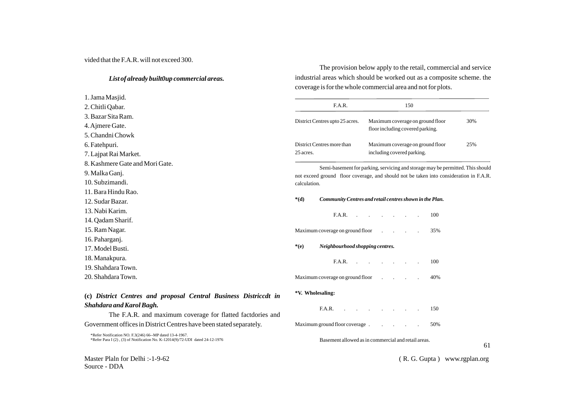## vided that the F.A.R. will not exceed 300.

# *List of already built0up commercial areas.*

1. Jama Masjid. 2. Chitli Qabar. 3. Bazar Sita Ram. 4. Ajmere Gate. 5. Chandni Chowk 6. Fatehpuri. 7. Lajpat Rai Market. 8. Kashmere Gate and Mori Gate. 9. Malka Ganj. 10. Subzimandi. 11. Bara Hindu Rao. 12. Sudar Bazar. 13. Nabi Karim. 14. Qadam Sharif. 15. Ram Nagar. 16. Paharganj. 17. Model Busti. 18. Manakpura. 19. Shahdara Town. 20. Shahdara Town.

The provision below apply to the retail, commercial and service industrial areas which should be worked out as a composite scheme. the coverage is for the whole commercial area and not for plots.

|                  | FA.R.                                                                                                                                                                    |                                                                      |                           | 150 |     |    |
|------------------|--------------------------------------------------------------------------------------------------------------------------------------------------------------------------|----------------------------------------------------------------------|---------------------------|-----|-----|----|
|                  | District Centres upto 25 acres.                                                                                                                                          | Maximum coverage on ground floor<br>floor including covered parking. | 30%                       |     |     |    |
| 25 acres.        | District Centres more than                                                                                                                                               | Maximum coverage on ground floor<br>including covered parking.       | 25%                       |     |     |    |
| calculation.     | Semi-basement for parking, servicing and storage may be permitted. This should<br>not exceed ground floor coverage, and should not be taken into consideration in F.A.R. |                                                                      |                           |     |     |    |
| $*(d)$           | Community Centres and retail centres shown in the Plan.                                                                                                                  |                                                                      |                           |     |     |    |
|                  | FA.R.                                                                                                                                                                    |                                                                      | $\mathbf{r} = \mathbf{r}$ |     | 100 |    |
|                  | Maximum coverage on ground floor                                                                                                                                         |                                                                      |                           |     | 35% |    |
| $*(e)$           | Neighbourhood shopping centres.                                                                                                                                          |                                                                      |                           |     |     |    |
|                  | F.A.R.                                                                                                                                                                   |                                                                      |                           |     | 100 |    |
|                  | Maximum coverage on ground floor                                                                                                                                         |                                                                      |                           |     | 40% |    |
| *V. Wholesaling: |                                                                                                                                                                          |                                                                      |                           |     |     |    |
|                  | F.A.R.                                                                                                                                                                   |                                                                      |                           |     | 150 |    |
|                  | Maximum ground floor coverage.                                                                                                                                           |                                                                      |                           |     | 50% |    |
|                  | Basement allowed as in commercial and retail areas.                                                                                                                      |                                                                      |                           |     |     | 61 |

# **(c)** *District Centres and proposal Central Business Districcdt in Shahdara and Karol Bagh.*

The F.A.R. and maximum coverage for flatted factdories and Government offices in District Centres have been stated separately.

\*Refer Notification NO. F.3(246) 66--MP dated 13-4-1967. \*Refer Para I (2) , (3) of Notification No. K-12014(9)/72-UDI dated 24-12-1976

Master Plaln for Delhi :-1-9-62 Source - DDA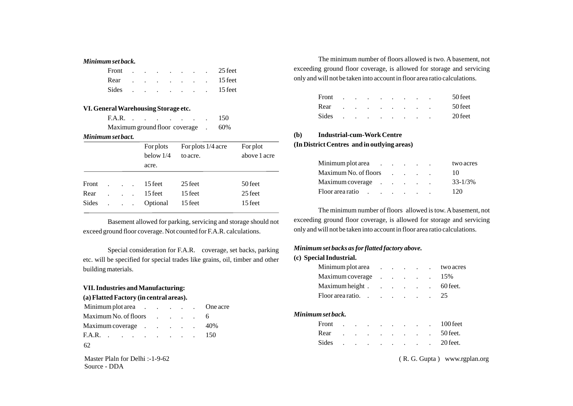## *Minimum set back.*

| Front |  | the contract of the contract of the contract of |  |                                                                                                                 | 25 feet |
|-------|--|-------------------------------------------------|--|-----------------------------------------------------------------------------------------------------------------|---------|
| Rear  |  |                                                 |  | the contract of the contract of the contract of the contract of the contract of the contract of the contract of | 15 feet |
| Sides |  |                                                 |  | $\mathbf{r} = \mathbf{r} \times \mathbf{r} = \mathbf{r} \times \mathbf{r} = \mathbf{r} \times \mathbf{r}$       | 15 feet |

# **VI. General Warehousing Storage etc.**

| F.A.R.                        |  |  |  | 150 |
|-------------------------------|--|--|--|-----|
| Maximum ground floor coverage |  |  |  | 60% |

#### *Minimum set bact.*

|              |                                                     | For plots   | For plots 1/4 acre | For plot     |
|--------------|-----------------------------------------------------|-------------|--------------------|--------------|
|              |                                                     | below $1/4$ | to acre.           | above 1 acre |
|              |                                                     | acre.       |                    |              |
|              |                                                     |             |                    |              |
| Front        | $\mathbf{L} = \mathbf{L} \times \mathbf{L}$         | 15 feet     | 25 feet            | 50 feet      |
| Rear         |                                                     | 15 feet     | 15 feet            | 25 feet      |
| <b>Sides</b> | $\mathbf{r} = \mathbf{r} + \mathbf{r} + \mathbf{r}$ | Optional    | 15 feet            | 15 feet      |

Basement allowed for parking, servicing and storage should not exceed ground floor coverage. Not counted for F.A.R. calculations.

Special consideration for F.A.R. coverage, set backs, parking etc. will be specified for special trades like grains, oil, timber and other building materials.

# **VII. Industries and Manufacturing: (a) Flatted Factory (in central areas).**

| Minimum plot area One acre |  |  |     |
|----------------------------|--|--|-----|
| Maximum No. of floors 6    |  |  |     |
| Maximum coverage           |  |  | 40% |
| F.A.R. 150                 |  |  |     |
| 62                         |  |  |     |

Master Plaln for Delhi :-1-9-62 Source - DDA

The minimum number of floors allowed is two. A basement, not exceeding ground floor coverage, is allowed for storage and servicing only and will not be taken into account in floor area ratio calculations.

| Front | $\overline{\phantom{a}}$ | $\sim$ | and the company of the company                                                      |  | $\cdot$                  | $\cdot$ | 50 feet |
|-------|--------------------------|--------|-------------------------------------------------------------------------------------|--|--------------------------|---------|---------|
| Rear  |                          |        | and the contract of the contract of the contract of the contract of the contract of |  |                          | $\cdot$ | 50 feet |
| Sides | $\ddot{\phantom{a}}$     |        | the contract of the contract of                                                     |  | <b>Contract Contract</b> | $\cdot$ | 20 feet |

## **(b) Industrial-cum-Work Centre**

**(In District Centres and in outlying areas)**

| Minimum plot area in the set of the set of the set of the set of the set of the set of the set of the set of t  |  |  | two acres    |
|-----------------------------------------------------------------------------------------------------------------|--|--|--------------|
| $Maximum No. of floors$                                                                                         |  |  | 10           |
| Maximum coverage                                                                                                |  |  | $33 - 1/3\%$ |
| Floor area ratio response to the set of the set of the set of the set of the set of the set of the set of the s |  |  | 120          |

The minimum number of floors allowed is tow. Abasement, not exceeding ground floor coverage, is allowed for storage and servicing only and will not be taken into account in floor area ratio calculations.

# *Minimum set backs as for flatted factory above.*

#### **(c) Special Industrial.**

| Minimum plot area |  |  | two acres                                     |
|-------------------|--|--|-----------------------------------------------|
| Maximum coverage  |  |  | $\therefore$ $\therefore$ $\therefore$ $15\%$ |
| Maximum height    |  |  | 60 feet.                                      |
| Floor area ratio. |  |  | 25                                            |

#### *Minimum set back.*

| Maximum coverage 40% |  |  |  |  |  | Front 100 feet |
|----------------------|--|--|--|--|--|----------------|
| F.A.R. 150           |  |  |  |  |  | Rear 50 feet.  |
| 62.                  |  |  |  |  |  | Sides 20 feet. |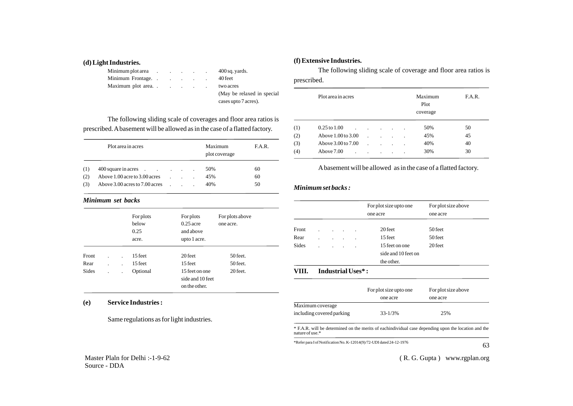### **(d) Light Industries.**

| Minimum plot area |  |  | $400$ sq. yards.            |
|-------------------|--|--|-----------------------------|
|                   |  |  | 40 feet                     |
|                   |  |  | two acres                   |
|                   |  |  | (May be relaxed in special) |
|                   |  |  | cases upto 7 acres).        |

The following sliding scale of coverages and floor area ratios is prescribed. Abasement will be allowed as in the case of a flatted factory.

|     | Plot area in acres             |  | Maximum<br>plot coverage | F.A.R. |
|-----|--------------------------------|--|--------------------------|--------|
| (1) | 400 square in acres            |  | 50%                      | 60     |
| (2) | Above 1.00 acre to 3.00 acres  |  | 45%                      | 60     |
| (3) | Above 3.00 acres to 7.00 acres |  | 40%                      | 50     |

# *Minimum set backs*

|              |                      | For plots<br>below<br>0.25<br>acre. | For plots<br>$0.25$ acre<br>and above<br>upto 1 acre. | For plots above<br>one acre. |
|--------------|----------------------|-------------------------------------|-------------------------------------------------------|------------------------------|
| Front        |                      | 15 feet                             | 20 feet                                               | $50$ feet.                   |
| Rear         |                      | 15 feet                             | 15 feet                                               | $50$ feet.                   |
| <b>Sides</b> | $\ddot{\phantom{a}}$ | Optional                            | 15 feet on one<br>side and 10 feet<br>on the other.   | 20 feet.                     |

# **(e) Service Industries :**

Same regulations as for light industries.

# **(f) Extensive Industries.**

The following sliding scale of coverage and floor area ratios is prescribed.

|     | Plot area in acres           |                      |                |         |                | Maximum<br>Plot<br>coverage | F.A.R. |
|-----|------------------------------|----------------------|----------------|---------|----------------|-----------------------------|--------|
| (1) | $0.25$ to $1.00$             | $\ddot{\phantom{a}}$ |                |         |                | 50%                         | 50     |
| (2) | Above 1.00 to 3.00           |                      | $\blacksquare$ | $\cdot$ | ٠              | 45%                         | 45     |
| (3) | Above 3.00 to 7.00           |                      |                | $\cdot$ |                | 40%                         | 40     |
| (4) | Above 7.00<br>$\blacksquare$ | $\blacksquare$       | $\blacksquare$ | $\cdot$ | $\blacksquare$ | 30%                         | 30     |

# Abasement will be allowed as in the case of a flatted factory.

### *Minimum set backs :*

|              |  |                | For plot size upto one<br>one acre | For plot size above<br>one acre       |         |
|--------------|--|----------------|------------------------------------|---------------------------------------|---------|
| Front        |  |                |                                    | 20 feet                               | 50 feet |
| Rear         |  |                |                                    | 15 feet                               | 50 feet |
| <b>Sides</b> |  | $\blacksquare$ | $\blacksquare$                     | 15 feet on one<br>side and 10 feet on | 20 feet |
| VIII.        |  |                | Industrial Uses*:                  | the other.                            |         |

# For plot size upto one For plot size above one acre one acre Maximum coverage including covered parking 33-1/3% 25%

\* F.A.R. will be determined on the merits of eachindividual case depending upon the location and the nature of use.\*

\*Refer para I of Notification No. K-12014(9)/72-UDI dated 24-12-1976

63

Master Plaln for Delhi :-1-9-62 Source - DDA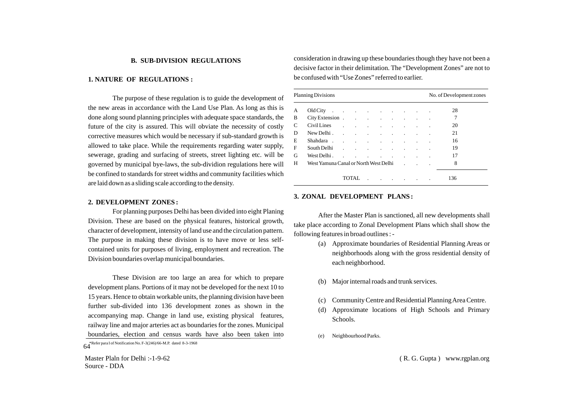### **B. SUB-DIVISION REGULATIONS**

### **1. NATURE OF REGULATIONS :**

The purpose of these regulation is to guide the development of the new areas in accordance with the Land Use Plan. As long as this is done along sound planning principles with adequate space standards, the future of the city is assured. This will obviate the necessity of costly corrective measures which would be necessary if sub-standard growth is allowed to take place. While the requirements regarding water supply, sewerage, grading and surfacing of streets, street lighting etc. will be governed by municipal bye-laws, the sub-dividion regulations here will be confined to standards for street widths and community facilities which are laid down as a sliding scale according to the density.

#### **2. DEVELOPMENT ZONES :**

For planning purposes Delhi has been divided into eight Planing Division. These are based on the physical features, historical growth, character of development, intensity of land use and the circulation pattern. The purpose in making these division is to have move or less selfcontained units for purposes of living, employment and recreation. The Division boundaries overlap municipal boundaries.

These Division are too large an area for which to prepare development plans. Portions of it may not be developed for the next 10 to 15 years. Hence to obtain workable units, the planning division have been further sub-divided into 136 development zones as shown in the accompanying map. Change in land use, existing physical features, railway line and major arteries act as boundaries for the zones. Municipal boundaries, election and census wards have also been taken into

Master Plaln for Delhi :-1-9-62 Source - DDA

consideration in drawing up these boundaries though they have not been a decisive factor in their delimitation. The "Development Zones" are not to be confused with "Use Zones" referred to earlier.

|        | <b>Planning Divisions</b>                                                                                                                                                                                                      |              |                                     |                                     |  |                      |                         |  | No. of Development zones |     |
|--------|--------------------------------------------------------------------------------------------------------------------------------------------------------------------------------------------------------------------------------|--------------|-------------------------------------|-------------------------------------|--|----------------------|-------------------------|--|--------------------------|-----|
| А      | Old City and the contract of the contract of the contract of the contract of the contract of the contract of the contract of the contract of the contract of the contract of the contract of the contract of the contract of t |              |                                     |                                     |  |                      |                         |  |                          | 28  |
| B      |                                                                                                                                                                                                                                |              |                                     |                                     |  |                      |                         |  |                          | 7   |
| C      | Civil Lines                                                                                                                                                                                                                    |              | and the company of the company of   |                                     |  |                      | and the contract of the |  |                          | 20  |
| D      | New Delhi.                                                                                                                                                                                                                     |              | and the contract of the contract of |                                     |  |                      | and the contract of     |  |                          | 21  |
| E      | Shahdara                                                                                                                                                                                                                       |              | and the contract of the con-        |                                     |  | $\sim$<br>$\sim 100$ |                         |  |                          | 16  |
| F      | South Delhi                                                                                                                                                                                                                    | $\mathbf{r}$ | $\sim$                              | and the contract of the contract of |  | $\sim 100$           |                         |  |                          | 19  |
| G      | West Delhi.<br>$\sim$                                                                                                                                                                                                          |              | the contract of the contract of the |                                     |  | $\sim 10^{-1}$       |                         |  |                          | 17  |
| H      | West Yamuna Canal or North West Delhi                                                                                                                                                                                          |              |                                     |                                     |  |                      |                         |  |                          | 8   |
| TOTAL. |                                                                                                                                                                                                                                |              |                                     |                                     |  |                      |                         |  |                          | 136 |

### **3. ZONAL DEVELOPMENT PLANS :**

After the Master Plan is sanctioned, all new developments shall take place according to Zonal Development Plans which shall show the following features in broad outlines : -

- (a) Approximate boundaries of Residential Planning Areas or neighborhoods along with the gross residential density of each neighborhood.
- (b) Major internal roads and trunk services.
- (c) Community Centre and Residential Planning Area Centre.
- (d) Approximate locations of High Schools and Primary Schools.
- (e) Neighbourhood Parks.

<sup>64</sup>\*Refer para I of Notification No. F-3(246)/66-M.P. dated 8-3-1968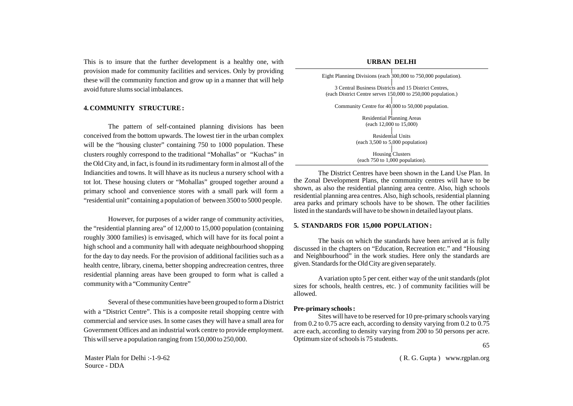This is to insure that the further development is a healthy one, with provision made for community facilities and services. Only by providing these will the community function and grow up in a manner that will help avoid future slums social imbalances.

### **4. COMMUNITY STRUCTURE :**

The pattern of self-contained planning divisions has been conceived from the bottom upwards. The lowest tier in the urban complex will be the "housing cluster" containing 750 to 1000 population. These clusters roughly correspond to the traditional "Mohallas" or "Kuchas" in the Old City and, in fact, is found in its rudimentary form in almost all of the Indiancities and towns. It will hhave as its nucleus a nursery school with a tot lot. These housing cluters or "Mohallas" grouped together around a primary school and convenience stores with a small park will form a "residential unit" containing a population of between 3500 to 5000 people.

However, for purposes of a wider range of community activities, the "residential planning area" of 12,000 to 15,000 population (containing roughly 3000 families) is envisaged, which will have for its focal point a high school and a community hall with adequate neighbourhood shopping for the day to day needs. For the provision of additional facilities such as a health centre, library, cinema, better shopping andrecreation centres, three residential planning areas have been grouped to form what is called a community with a "Community Centre"

Several of these communities have been grouped to form a District with a "District Centre". This is a composite retail shopping centre with commercial and service uses. In some cases they will have a small area for Government Offices and an industrial work centre to provide employment. This will serve a population ranging from 150,000 to 250,000.

Master Plaln for Delhi :-1-9-62 Source - DDA

| URBAN DELHI                                                                                                           |                                                                |  |  |  |  |  |  |
|-----------------------------------------------------------------------------------------------------------------------|----------------------------------------------------------------|--|--|--|--|--|--|
|                                                                                                                       | Eight Planning Divisions (each 300,000 to 750,000 population). |  |  |  |  |  |  |
| 3 Central Business Districts and 15 District Centres,<br>(each District Centre serves 150,000 to 250,000 population.) |                                                                |  |  |  |  |  |  |
| Community Centre for 40,000 to 50,000 population.                                                                     |                                                                |  |  |  |  |  |  |
| <b>Residential Planning Areas</b><br>(each 12,000 to 15,000)                                                          |                                                                |  |  |  |  |  |  |

Residential Units (each 3,500 to 5,000 population) Housing Clusters (each 750 to 1,000 population).

The District Centres have been shown in the Land Use Plan. In the Zonal Development Plans, the community centres will have to be shown, as also the residential planning area centre. Also, high schools residential planning area centres. Also, high schools, residential planning area parks and primary schools have to be shown. The other facilities listed in the standards will have to be shown in detailed layout plans.

### **5. STANDARDS FOR 15,000 POPULATION :**

The basis on which the standards have been arrived at is fully discussed in the chapters on "Education, Recreation etc." and "Housing and Neighbourhood" in the work studies. Here only the standards are given. Standards for the Old City are given separately.

Avariation upto 5 per cent. either way of the unit standards (plot sizes for schools, health centres, etc. ) of community facilities will be allowed.

### **Pre-primary schools :**

Sites will have to be reserved for 10 pre-primary schools varying from 0.2 to 0.75 acre each, according to density varying from 0.2 to 0.75 acre each, according to density varying from 200 to 50 persons per acre. Optimum size of schools is 75 students.

65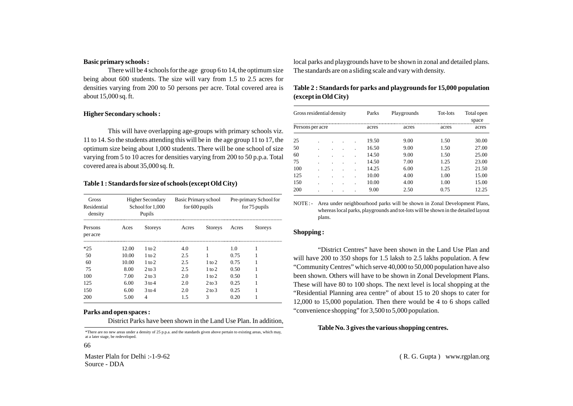### **Basic primary schools :**

There will be 4 schools for the age group 6 to 14, the optimum size being about 600 students. The size will vary from 1.5 to 2.5 acres for densities varying from 200 to 50 persons per acre. Total covered area is about 15,000 sq. ft.

### **Higher Secondary schools :**

This will have overlapping age-groups with primary schools viz. 11 to 14. So the students attending this will be in the age group 11 to 17, the optimum size being about 1,000 students. There will be one school of size varying from 5 to 10 acres for densities varying from 200 to 50 p.p.a. Total covered area is about 35,000 sq. ft.

### **Table 1 : Standards for size of schools (except Old City)**

| Gross<br>Residential<br>density |       | Higher Secondary<br>School for 1,000<br>Pupils | Basic Primary school<br>for $600$ pupils |                   | Pre-primary School for<br>for 75 pupils |                |  |
|---------------------------------|-------|------------------------------------------------|------------------------------------------|-------------------|-----------------------------------------|----------------|--|
| Persons<br>per acre             | Aces  | <b>Storeys</b>                                 | Acres                                    | <b>Storeys</b>    | Acres                                   | <b>Storeys</b> |  |
| $*25$                           | 12.00 | 1 to 2                                         | 4.0                                      |                   | 1.0                                     |                |  |
| 50                              | 10.00 | $1$ to $2$                                     | 2.5                                      |                   | 0.75                                    |                |  |
| 60                              | 10.00 | $1$ to $2$                                     | 2.5                                      | $1$ to $2$        | 0.75                                    |                |  |
| 75                              | 8.00  | $2 \text{ to } 3$                              | 2.5                                      | 1 to 2            | 0.50                                    |                |  |
| 100                             | 7.00  | $2 \text{ to } 3$                              | 2.0                                      | 1 to 2            | 0.50                                    |                |  |
| 125                             | 6.00  | $3$ to 4                                       | 2.0                                      | $2 \text{ to } 3$ | 0.25                                    |                |  |
| 150                             | 6.00  | $3$ to 4                                       | 2.0                                      | $2 \text{ to } 3$ | 0.25                                    |                |  |
| 200                             | 5.00  | 4                                              | 1.5                                      | 3                 | 0.20                                    |                |  |

### **Parks and open spaces :**

District Parks have been shown in the Land Use Plan. In addition,

\*There are no new areas under a density of 25 p.p.a. and the standards given above pertain to existing areas, which may, at a later stage, be redeveloped.

66

Master Plaln for Delhi :-1-9-62 Source - DDA

local parks and playgrounds have to be shown in zonal and detailed plans. The standards are on a sliding scale and vary with density.

| Table 2 : Standards for parks and playgrounds for 15,000 population |  |  |
|---------------------------------------------------------------------|--|--|
| (except in Old City)                                                |  |  |

| Gross residential density |  |  |  |  | Parks | Playgrounds | Tot-lots | Total open<br>space |
|---------------------------|--|--|--|--|-------|-------------|----------|---------------------|
| Persons per acre          |  |  |  |  | acres | acres       | acres    | acres               |
| 25                        |  |  |  |  | 19.50 | 9.00        | 1.50     | 30.00               |
| 50                        |  |  |  |  | 16.50 | 9.00        | 1.50     | 27.00               |
| 60                        |  |  |  |  | 14.50 | 9.00        | 1.50     | 25.00               |
| 75                        |  |  |  |  | 14.50 | 7.00        | 1.25     | 23.00               |
| 100                       |  |  |  |  | 14.25 | 6.00        | 1.25     | 21.50               |
| 125                       |  |  |  |  | 10.00 | 4.00        | 1.00     | 15.00               |
| 150                       |  |  |  |  | 10.00 | 4.00        | 1.00     | 15.00               |
| 200                       |  |  |  |  | 9.00  | 2.50        | 0.75     | 12.25               |

NOTE : - Area under neighbourhood parks will be shown in Zonal Development Plans, whereas local parks, playgrounds and tot-lots will be shown in the detailed layout plans.

### **Shopping :**

"District Centres" have been shown in the Land Use Plan and will have 200 to 350 shops for 1.5 laksh to 2.5 lakhs population. A few "Community Centres" which serve 40,000 to 50,000 population have also been shown. Others will have to be shown in Zonal Development Plans. These will have 80 to 100 shops. The next level is local shopping at the "Residential Planning area centre" of about 15 to 20 shops to cater for 12,000 to 15,000 population. Then there would be 4 to 6 shops called "convenience shopping" for 3,500 to 5,000 population.

### **Table No. 3 gives the various shopping centres.**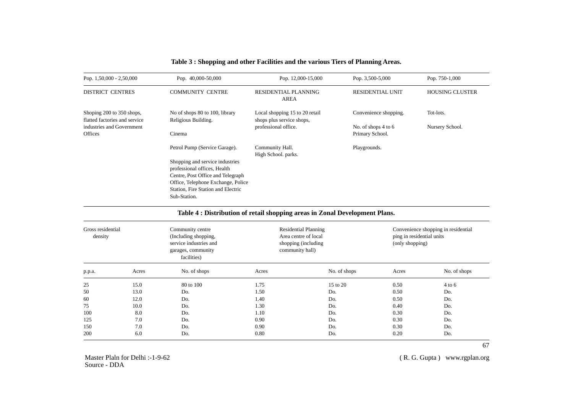| Pop. $1,50,000 - 2,50,000$                                 | Pop. 40,000-50,000                                              | Pop. 12,000-15,000                                          | Pop. 3,500-5,000        | Pop. 750-1,000         |
|------------------------------------------------------------|-----------------------------------------------------------------|-------------------------------------------------------------|-------------------------|------------------------|
| <b>DISTRICT CENTRES</b>                                    | <b>COMMUNITY CENTRE</b>                                         | RESIDENTIAL PLANNING<br>AREA                                | <b>RESIDENTIAL UNIT</b> | <b>HOUSING CLUSTER</b> |
| Shoping 200 to 350 shops,<br>flatted factories and service | No of shops 80 to 100, library<br>Religious Building.           | Local shopping 15 to 20 retail<br>shops plus service shops, | Convenience shopping.   | Tot-lots.              |
| industries and Government                                  |                                                                 | professional office.                                        | No. of shops 4 to 6     | Nursery School.        |
| Offices                                                    | Cinema                                                          |                                                             | Primary School.         |                        |
|                                                            | Petrol Pump (Service Garage).                                   | Community Hall.<br>High School. parks.                      | Playgrounds.            |                        |
|                                                            | Shopping and service industries<br>professional offices, Health |                                                             |                         |                        |
|                                                            | Centre, Post Office and Telegraph                               |                                                             |                         |                        |
|                                                            | Office, Telephone Exchange, Police                              |                                                             |                         |                        |
|                                                            | Station, Fire Station and Electric                              |                                                             |                         |                        |
|                                                            | Sub-Station.                                                    |                                                             |                         |                        |
|                                                            |                                                                 |                                                             |                         |                        |

# **Table 3 : Shopping and other Facilities and the various Tiers of Planning Areas.**

# **Table 4 : Distribution of retail shopping areas in Zonal Development Plans.**

| Gross residential<br>density |       | Community centre<br>(Including shopping,<br>service industries and<br>garages, community<br>facilities) |       | <b>Residential Planning</b><br>Area centre of local<br>shopping (including)<br>community hall) |       | Convenience shopping in residential<br>ping in residential units<br>(only shopping) |  |  |
|------------------------------|-------|---------------------------------------------------------------------------------------------------------|-------|------------------------------------------------------------------------------------------------|-------|-------------------------------------------------------------------------------------|--|--|
| p.p.a.                       | Acres | No. of shops                                                                                            | Acres | No. of shops                                                                                   | Acres | No. of shops                                                                        |  |  |
| 25                           | 15.0  | 80 to 100                                                                                               | 1.75  | 15 to 20                                                                                       | 0.50  | $4$ to 6                                                                            |  |  |
| 50                           | 13.0  | Do.                                                                                                     | 1.50  | Do.                                                                                            | 0.50  | Do.                                                                                 |  |  |
| 60                           | 12.0  | Do.                                                                                                     | 1.40  | Do.                                                                                            | 0.50  | Do.                                                                                 |  |  |
| 75                           | 10.0  | Do.                                                                                                     | 1.30  | Do.                                                                                            | 0.40  | Do.                                                                                 |  |  |
| 100                          | 8.0   | Do.                                                                                                     | 1.10  | Do.                                                                                            | 0.30  | Do.                                                                                 |  |  |
| 125                          | 7.0   | Do.                                                                                                     | 0.90  | Do.                                                                                            | 0.30  | Do.                                                                                 |  |  |
| 150                          | 7.0   | Do.                                                                                                     | 0.90  | Do.                                                                                            | 0.30  | Do.                                                                                 |  |  |
| 200                          | 6.0   | Do.                                                                                                     | 0.80  | Do.                                                                                            | 0.20  | Do.                                                                                 |  |  |

( R. G. Gupta ) www.rgplan.org

67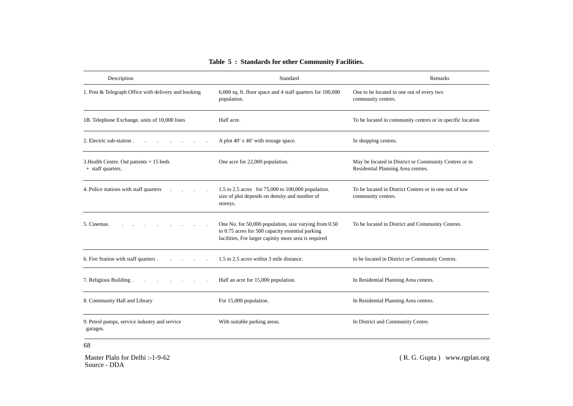| Description                                                   | Standard                                                                                                                                                           | Remarks                                                                                     |
|---------------------------------------------------------------|--------------------------------------------------------------------------------------------------------------------------------------------------------------------|---------------------------------------------------------------------------------------------|
| 1. Post & Telegraph Office with delivery and booking          | 6,000 sq. ft. floor space and 4 staff quarters for 100,000<br>population.                                                                                          | One to be located in one out of every two<br>community centres.                             |
| 1B. Telephone Exchange, units of 10,000 lines                 | Half acre.                                                                                                                                                         | To be located in community centres or in specific location                                  |
| 2. Electric sub-station.                                      | A plot 40' x 40' with storage space.                                                                                                                               | In shopping centres.                                                                        |
| 3. Health Centre. Out patients + 15 beds<br>+ staff quarters. | One acre for 22,000 population.                                                                                                                                    | May be located in District or Community Centres or in<br>Residential Planning Area centres. |
| 4. Police stations with staff quarters                        | 1.5 to 2.5 acres for 75,000 to 100,000 population.<br>size of plot depends on density and number of<br>storeys.                                                    | To be located in District Centres or in one out of tow<br>community centres.                |
| 5. Cinemas.                                                   | One No. for 50,000 population, size varying from 0.50<br>to 0.75 acres for 500 capacity essential parking<br>facilities, For larger capitity more area is required | To be located in District and Community Centres.                                            |
| 6. Fire Station with staff quarters.                          | 1.5 to 2.5 acres within 3 mile distance.                                                                                                                           | to be located in District or Community Centres.                                             |
| 7. Religious Building.                                        | Half an acre for 15,000 population.                                                                                                                                | In Residential Planning Area centres.                                                       |
| 8. Community Hall and Library                                 | For 15,000 population.                                                                                                                                             | In Residential Planning Area centres.                                                       |
| 9. Petrol pumps, service industry and service<br>garages.     | With suitable parking areas.                                                                                                                                       | In District and Community Centre.                                                           |

# **Table 5 : Standards for other Community Facilities.**

68

Master Plaln for Delhi :-1-9-62 Source - DDA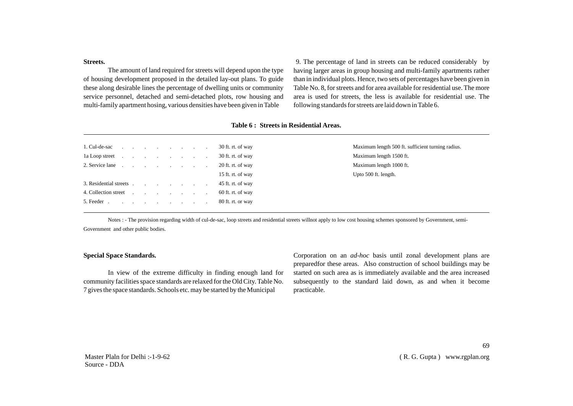**Streets.** 

The amount of land required for streets will depend upon the type of housing development proposed in the detailed lay-out plans. To guide these along desirable lines the percentage of dwelling units or community service personnel, detached and semi-detached plots, row housing and multi-family apartment hosing, various densities have been given in Table

9. The percentage of land in streets can be reduced considerably by having larger areas in group housing and multi-family apartments rather than in individual plots. Hence, two sets of percentages have been given in Table No. 8, for streets and for area available for residential use. The more area is used for streets, the less is available for residential use. The following standards for streets are laid down in Table 6.

|                                                                                                                                                                                                                                |  |  |  | 30 ft. rt. of way | Maximum length 500 ft. sufficient turning radius. |
|--------------------------------------------------------------------------------------------------------------------------------------------------------------------------------------------------------------------------------|--|--|--|-------------------|---------------------------------------------------|
|                                                                                                                                                                                                                                |  |  |  | 30 ft. rt. of way | Maximum length 1500 ft.                           |
| 2. Service lane contract to the contract of the contract of the contract of the contract of the contract of the contract of the contract of the contract of the contract of the contract of the contract of the contract of th |  |  |  | 20 ft. rt. of way | Maximum length 1000 ft.                           |
|                                                                                                                                                                                                                                |  |  |  | 15 ft. rt. of way | Upto 500 ft. length.                              |
|                                                                                                                                                                                                                                |  |  |  | 45 ft. rt. of way |                                                   |
|                                                                                                                                                                                                                                |  |  |  | 60 ft. rt. of way |                                                   |
| 5. Feeder 80 ft. rt. or way                                                                                                                                                                                                    |  |  |  |                   |                                                   |
|                                                                                                                                                                                                                                |  |  |  |                   |                                                   |

### **Table 6 : Streets in Residential Areas.**

Notes : - The provision regarding width of cul-de-sac, loop streets and residential streets willnot apply to low cost housing schemes sponsored by Government, semi-Government and other public bodies.

### **Special Space Standards.**

In view of the extreme difficulty in finding enough land for community facilities space standards are relaxed for the Old City. Table No. 7 gives the space standards. Schools etc. may be started by the Municipal

Corporation on an *ad-hoc* basis until zonal development plans are preparedfor these areas. Also construction of school buildings may be started on such area as is immediately available and the area increased subsequently to the standard laid down, as and when it become practicable.

Master Plaln for Delhi :-1-9-62 Source - DDA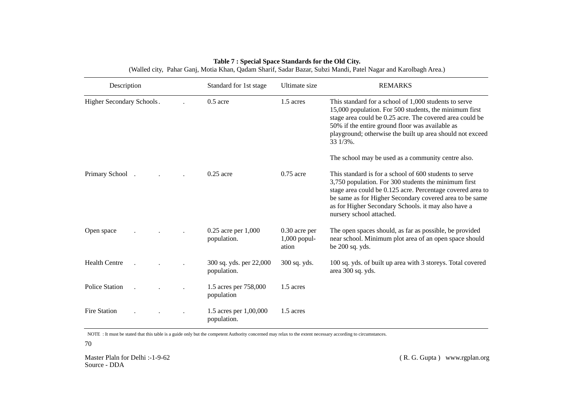| Description               |  | Standard for 1st stage                 | Ultimate size                              | <b>REMARKS</b>                                                                                                                                                                                                                                                                                                             |
|---------------------------|--|----------------------------------------|--------------------------------------------|----------------------------------------------------------------------------------------------------------------------------------------------------------------------------------------------------------------------------------------------------------------------------------------------------------------------------|
| Higher Secondary Schools. |  | $0.5$ acre                             | 1.5 acres                                  | This standard for a school of 1,000 students to serve<br>15,000 population. For 500 students, the minimum first<br>stage area could be 0.25 acre. The covered area could be<br>50% if the entire ground floor was available as<br>playground; otherwise the built up area should not exceed<br>33 1/3%.                    |
|                           |  |                                        |                                            | The school may be used as a community centre also.                                                                                                                                                                                                                                                                         |
| Primary School            |  | $0.25$ acre                            | $0.75$ acre                                | This standard is for a school of 600 students to serve<br>3,750 population. For 300 students the minimum first<br>stage area could be 0.125 acre. Percentage covered area to<br>be same as for Higher Secondary covered area to be same<br>as for Higher Secondary Schools. it may also have a<br>nursery school attached. |
| Open space                |  | $0.25$ acre per $1,000$<br>population. | $0.30$ acre per<br>$1,000$ popul-<br>ation | The open spaces should, as far as possible, be provided<br>near school. Minimum plot area of an open space should<br>be 200 sq. yds.                                                                                                                                                                                       |
| <b>Health Centre</b>      |  | 300 sq. yds. per 22,000<br>population. | 300 sq. yds.                               | 100 sq. yds. of built up area with 3 storeys. Total covered<br>area 300 sq. yds.                                                                                                                                                                                                                                           |
| <b>Police Station</b>     |  | 1.5 acres per 758,000<br>population    | 1.5 acres                                  |                                                                                                                                                                                                                                                                                                                            |
| <b>Fire Station</b>       |  | 1.5 acres per 1,00,000<br>population.  | 1.5 acres                                  |                                                                                                                                                                                                                                                                                                                            |

# **Table 7 : Special Space Standards for the Old City.** (Walled city, Pahar Ganj, Motia Khan, Qadam Sharif, Sadar Bazar, Subzi Mandi, Patel Nagar and Karolbagh Area.)

NOTE : It must be stated that this table is a guide only but the competent Authority concerned may relax to the extent necessary according to circumstances.

70

Master Plaln for Delhi :-1-9-62 Source - DDA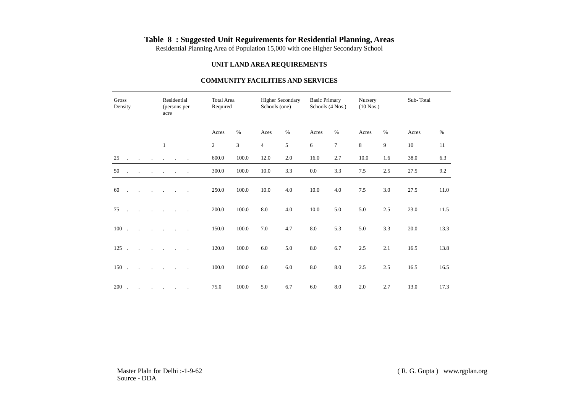# **Table 8 : Suggested Unit Reguirements for Residential Planning, Areas**

Residential Planning Area of Population 15,000 with one Higher Secondary School

## **UNIT LAND AREA REQUIREMENTS**

# **COMMUNITY FACILITIES AND SERVICES**

| Gross<br>Density                             | Residential<br>(persons per<br>acre | <b>Total Area</b><br>Required |             | Schools (one) | <b>Higher Secondary</b> | <b>Basic Primary</b><br>Schools (4 Nos.) |      | Nursery<br>$(10$ Nos.) |      | Sub-Total |      |
|----------------------------------------------|-------------------------------------|-------------------------------|-------------|---------------|-------------------------|------------------------------------------|------|------------------------|------|-----------|------|
|                                              |                                     | Acres                         | $\%$        | Aces          | $\%$                    | Acres                                    | $\%$ | Acres                  | $\%$ | Acres     | $\%$ |
|                                              |                                     | $2^{\circ}$                   | 3           |               | 5                       | 6                                        |      | 8                      | 9    | 10        | -11  |
| $25$                                         |                                     | 600.0                         | 100.0       | 12.0          | 2.0                     | 16.0                                     | 2.7  | 10.0                   | 1.6  | 38.0      | 6.3  |
| $50$ and $\ldots$ are the set of $\ldots$    |                                     | 300.0                         | 100.0       | 10.0          | 3.3                     | $0.0\,$                                  | 3.3  | 7.5                    | 2.5  | 27.5      | 9.2  |
| $60$ and $\ldots$ and $\ldots$ are $\ldots$  |                                     | 250.0                         | 100.0       | 10.0          | 4.0                     | 10.0                                     | 4.0  | 7.5                    | 3.0  | 27.5      | 11.0 |
| $75$                                         |                                     | 200.0                         | 100.0       | 8.0           | 4.0                     | $10.0\,$                                 | 5.0  | 5.0                    | 2.5  | 23.0      | 11.5 |
|                                              |                                     | 150.0                         | 100.0       | 7.0           | 4.7                     | 8.0                                      | 5.3  | 5.0                    | 3.3  | 20.0      | 13.3 |
|                                              |                                     | 120.0                         | 100.0       | 6.0           | 5.0                     | 8.0                                      | 6.7  | 2.5                    | 2.1  | 16.5      | 13.8 |
| $150$ and $\ldots$ are $\ldots$ and $\ldots$ |                                     | 100.0                         | 100.0       | 6.0           | 6.0                     | 8.0                                      | 8.0  | 2.5                    | 2.5  | 16.5      | 16.5 |
|                                              |                                     | 75.0                          | $100.0$ 5.0 |               | 6.7                     | 6.0                                      | 8.0  | 2.0                    | 2.7  | 13.0      | 17.3 |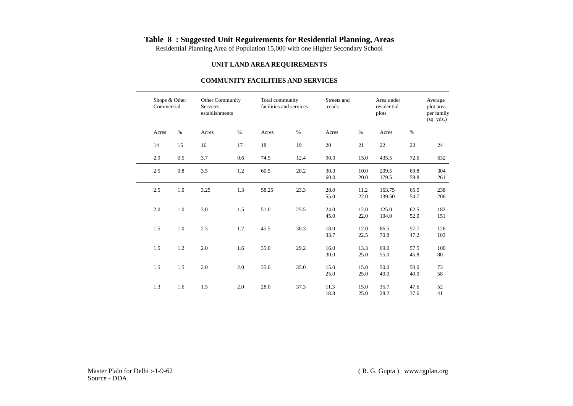# **Table 8 : Suggested Unit Reguirements for Residential Planning, Areas**

Residential Planning Area of Population 15,000 with one Higher Secondary School

## **UNIT LAND AREA REQUIREMENTS**

# **COMMUNITY FACILITIES AND SERVICES**

| Average<br>plot area<br>per family<br>(sq. yds.) | Area under<br>residential<br>plots |              | Streets and<br>roads |      | Total community<br>facilities and services |         | Other Community<br>Services<br>establishments |         | Shops & Other<br>Commercial |
|--------------------------------------------------|------------------------------------|--------------|----------------------|------|--------------------------------------------|---------|-----------------------------------------------|---------|-----------------------------|
| %                                                | Acres                              | %            | Acres                | %    | Acres                                      | %       | Acres                                         | $\%$    | Acres                       |
| 23<br>24                                         | 22                                 | 21           | 20                   | 19   | 18                                         | 17      | 16                                            | 15      | 14                          |
| 72.6<br>632                                      | 435.5                              | 15.0         | 90.0                 | 12.4 | 74.5                                       | $0.6\,$ | 3.7                                           | 0.5     | 2.9                         |
| 304<br>69.8<br>59.8<br>261                       | 209.5<br>179.5                     | 10.0<br>20.0 | $30.0\,$<br>60.0     | 20.2 | 60.5                                       | 1.2     | $3.5$                                         | 0.8     | 2.5                         |
| 238<br>65.5<br>206<br>54.7                       | 163.75<br>139.50                   | 11.2<br>22.0 | 28.0<br>55.0         | 23.3 | 58.25                                      | 1.3     | 3.25                                          | $1.0\,$ | 2.5                         |
| 62.5<br>182<br>151<br>52.0                       | 125.0<br>104.0                     | 12.0<br>22.0 | 24.0<br>45.0         | 25.5 | 51.0                                       | $1.5\,$ | 3.0                                           | $1.0\,$ | 2.0                         |
| 57.7<br>126<br>103<br>47.2                       | 86.5<br>70.8                       | 12.0<br>22.5 | 18.0<br>33.7         | 30.3 | 45.5                                       | $1.7\,$ | 2.5                                           | $1.0\,$ | 1.5                         |
| 57.5<br>100<br>80<br>45.8                        | 69.0<br>55.0                       | 13.3<br>25.0 | $16.0\,$<br>30.0     | 29.2 | 35.0                                       | 1.6     | $2.0\,$                                       | 1.2     | 1.5                         |
| 73<br>50.0<br>58<br>40.0                         | 50.0<br>40.0                       | 15.0<br>25.0 | 15.0<br>25.0         | 35.0 | 35.0                                       | 2.0     | 2.0                                           | 1.5     | 1.5                         |
| 47.6<br>52<br>37.6<br>41                         | 35.7<br>28.2                       | 15.0<br>25.0 | 11.3<br>18.8         | 37.3 | 28.0                                       | 2.0     | $1.5\,$                                       | 1.6     | 1.3                         |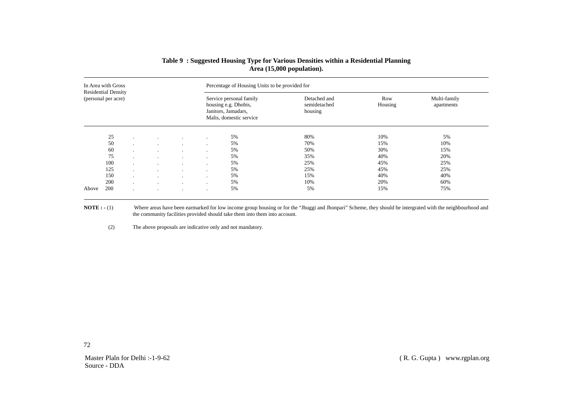| In Area with Gross<br><b>Residential Density</b> |     |                |         | Percentage of Housing Units to be provided for |              |                                                                                                   |                                         |                |                            |  |  |
|--------------------------------------------------|-----|----------------|---------|------------------------------------------------|--------------|---------------------------------------------------------------------------------------------------|-----------------------------------------|----------------|----------------------------|--|--|
| (personal per acre)                              |     |                |         |                                                |              | Service personal family<br>housing e.g. Dhobis,<br>Janitors, Jamadars,<br>Malis, domestic service | Detached and<br>semidetached<br>housing | Row<br>Housing | Multi-family<br>apartments |  |  |
|                                                  | 25  | $\cdot$        |         |                                                |              | 5%                                                                                                | 80%                                     | 10%            | 5%                         |  |  |
|                                                  | 50  | $\cdot$        |         | $\overline{a}$                                 | $\cdot$      | 5%                                                                                                | 70%                                     | 15%            | 10%                        |  |  |
|                                                  | 60  | $\mathbf{r}$   |         | $\mathbf{r}$                                   | $\mathbf{r}$ | 5%                                                                                                | 50%                                     | 30%            | 15%                        |  |  |
|                                                  | 75  | $\cdot$        |         | $\cdot$                                        | $\cdot$      | 5%                                                                                                | 35%                                     | 40%            | 20%                        |  |  |
|                                                  | 100 | $\mathbf{r}$   |         | $\cdot$                                        | $\cdot$      | 5%                                                                                                | 25%                                     | 45%            | 25%                        |  |  |
|                                                  | 125 | $\overline{a}$ | $\cdot$ | $\cdot$                                        | $\cdot$      | 5%                                                                                                | 25%                                     | 45%            | 25%                        |  |  |
|                                                  | 150 | $\mathbf{r}$   | $\sim$  | $\cdot$                                        | $\cdot$      | 5%                                                                                                | 15%                                     | 40%            | 40%                        |  |  |
|                                                  | 200 | $\sim$         | $\cdot$ | $\cdot$                                        | $\cdot$      | 5%                                                                                                | 10%                                     | 20%            | 60%                        |  |  |
| Above                                            | 200 | $\cdot$        |         | $\cdot$                                        | $\cdot$      | 5%                                                                                                | 5%                                      | 15%            | 75%                        |  |  |

# **Table 9 : Suggested Housing Type for Various Densities within a Residential Planning Area (15,000 population).**

**NOTE :** - (1) Where areas have been earmarked for low income group housing or for the "Jhuggi and Jhonpari" Scheme, they should be intergrated with the neighbourhood and the community facilities provided should take them into them into account.

(2) The above proposals are indicative only and not mandatory.

72

Master Plaln for Delhi :-1-9-62 Source - DDA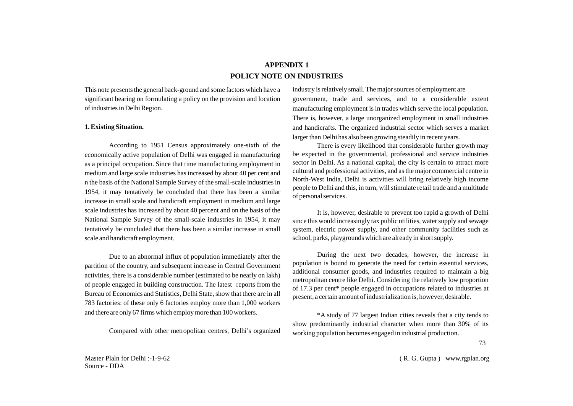# **APPENDIX 1 POLICY NOTE ON INDUSTRIES**

This note presents the general back-ground and some factors which have a significant bearing on formulating a policy on the provision and location of industries in Delhi Region.

### **1. Existing Situation.**

According to 1951 Census approximately one-sixth of the economically active population of Delhi was engaged in manufacturing as a principal occupation. Since that time manufacturing employment in medium and large scale industries has increased by about 40 per cent and n the basis of the National Sample Survey of the small-scale industries in 1954, it may tentatively be concluded that there has been a similar increase in small scale and handicraft employment in medium and large scale industries has increased by about 40 percent and on the basis of the National Sample Survey of the small-scale industries in 1954, it may tentatively be concluded that there has been a similar increase in small scale and handicraft employment.

Due to an abnormal influx of population immediately after the partition of the country, and subsequent increase in Central Government activities, there is a considerable number (estimated to be nearly on lakh) of people engaged in building construction. The latest reports from the Bureau of Economics and Statistics, Delhi State, show that there are in all 783 factories: of these only 6 factories employ more than 1,000 workers and there are only 67 firms which employ more than 100 workers.

Compared with other metropolitan centres, Delhi's organized

industry is relatively small. The major sources of employment are government, trade and services, and to a considerable extent manufacturing employment is in trades which serve the local population. There is, however, a large unorganized employment in small industries and handicrafts. The organized industrial sector which serves a market larger than Delhi has also been growing steadily in recent years.

There is every likelihood that considerable further growth may be expected in the governmental, professional and service industries sector in Delhi. As a national capital, the city is certain to attract more cultural and professional activities, and as the major commercial centre in North-West India, Delhi is activities will bring relatively high income people to Delhi and this, in turn, will stimulate retail trade and a multitude of personal services.

It is, however, desirable to prevent too rapid a growth of Delhi since this would increasingly tax public utilities, water supply and sewage system, electric power supply, and other community facilities such as school, parks, playgrounds which are already in short supply.

During the next two decades, however, the increase in population is bound to generate the need for certain essential services, additional consumer goods, and industries required to maintain a big metropolitan centre like Delhi. Considering the relatively low proportion of 17.3 per cent\* people engaged in occupations related to industries at present, a certain amount of industrialization is, however, desirable.

\*A study of 77 largest Indian cities reveals that a city tends to show predominantly industrial character when more than 30% of its working population becomes engaged in industrial production.

73

Master Plaln for Delhi :-1-9-62 Source - DDA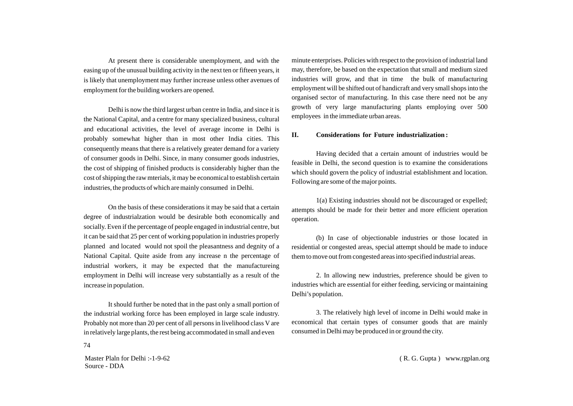At present there is considerable unemployment, and with the easing up of the unusual building activity in the next ten or fifteen years, it is likely that unemployment may further increase unless other avenues of employment for the building workers are opened.

Delhi is now the third largest urban centre in India, and since it is the National Capital, and a centre for many specialized business, cultural and educational activities, the level of average income in Delhi is probably somewhat higher than in most other India cities. This consequently means that there is a relatively greater demand for a variety of consumer goods in Delhi. Since, in many consumer goods industries, the cost of shipping of finished products is considerably higher than the cost of shipping the raw mterials, it may be economical to establish certain industries, the products of which are mainly consumed in Delhi.

On the basis of these considerations it may be said that a certain degree of industrialzation would be desirable both economically and socially. Even if the percentage of people engaged in industrial centre, but it can be said that 25 per cent of working population in industries properly planned and located would not spoil the pleasantness and degnity of a National Capital. Quite aside from any increase n the percentage of industrial workers, it may be expected that the manufactureing employment in Delhi will increase very substantially as a result of the increase in population.

It should further be noted that in the past only a small portion of the industrial working force has been employed in large scale industry. Probably not more than 20 per cent of all persons in livelihood class V are in relatively large plants, the rest being accommodated in small and even

Master Plaln for Delhi :-1-9-62 Source - DDA

74

minute enterprises. Policies with respect to the provision of industrial land may, therefore, be based on the expectation that small and medium sized industries will grow, and that in time the bulk of manufacturing employment will be shifted out of handicraft and very small shops into the organised sector of manufacturing. In this case there need not be any growth of very large manufacturing plants employing over 500 employees in the immediate urban areas.

### **II. Considerations for Future industrialization :**

Having decided that a certain amount of industries would be feasible in Delhi, the second question is to examine the considerations which should govern the policy of industrial establishment and location. Following are some of the major points.

1(a) Existing industries should not be discouraged or expelled; attempts should be made for their better and more efficient operation operation.

(b) In case of objectionable industries or those located in residential or congested areas, special attempt should be made to induce them to move out from congested areas into specified industrial areas.

2. In allowing new industries, preference should be given to industries which are essential for either feeding, servicing or maintaining Delhi's population.

3. The relatively high level of income in Delhi would make in economical that certain types of consumer goods that are mainly consumed in Delhi may be produced in or ground the city.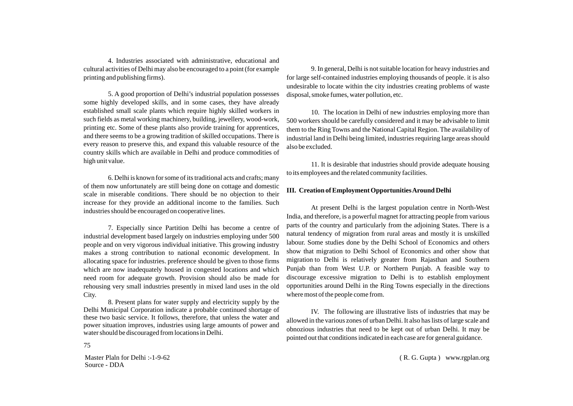4. Industries associated with administrative, educational and cultural activities of Delhi may also be encouraged to a point (for example printing and publishing firms).

5. A good proportion of Delhi's industrial population possesses some highly developed skills, and in some cases, they have already established small scale plants which require highly skilled workers in such fields as metal working machinery, building, jewellery, wood-work, printing etc. Some of these plants also provide training for apprentices, and there seems to be a growing tradition of skilled occupations. There is every reason to preserve this, and expand this valuable resource of the country skills which are available in Delhi and produce commodities of high unit value.

6. Delhi is known for some of its traditional acts and crafts; many of them now unfortunately are still being done on cottage and domestic scale in miserable conditions. There should be no objection to their increase for they provide an additional income to the families. Such industries should be encouraged on cooperative lines.

7. Especially since Partition Delhi has become a centre of industrial development based largely on industries employing under 500 people and on very vigorous individual initiative. This growing industry makes a strong contribution to national economic development. In allocating space for industries. preference should be given to those firms which are now inadequately housed in congested locations and which need room for adequate growth. Provision should also be made for rehousing very small industries presently in mixed land uses in the old City.

8. Present plans for water supply and electricity supply by the Delhi Municipal Corporation indicate a probable continued shortage of these two basic service. It follows, therefore, that unless the water and power situation improves, industries using large amounts of power and water should be discouraged from locations in Delhi.

9. In general, Delhi is not suitable location for heavy industries and for large self-contained industries employing thousands of people. it is also undesirable to locate within the city industries creating problems of waste disposal, smoke fumes, water pollution, etc.

10. The location in Delhi of new industries employing more than 500 workers should be carefully considered and it may be advisable to limit them to the Ring Towns and the National Capital Region. The availability of industrial land in Delhi being limited, industries requiring large areas should also be excluded.

11. It is desirable that industries should provide adequate housing to its employees and the related community facilities.

### **III. Creation of Employment Opportunities Around Delhi**

At present Delhi is the largest population centre in North-West India, and therefore, is a powerful magnet for attracting people from various parts of the country and particularly from the adjoining States. There is a natural tendency of migration from rural areas and mostly it is unskilled labour. Some studies done by the Delhi School of Economics and others show that migration to Delhi School of Economics and other show that migration to Delhi is relatively greater from Rajasthan and Southern Punjab than from West U.P. or Northern Punjab. A feasible way to discourage excessive migration to Delhi is to establish employment opportunities around Delhi in the Ring Towns especially in the directions where most of the people come from.

IV. The following are illustrative lists of industries that may be allowed in the various zones of urban Delhi. It also has lists of large scale and obnozious industries that need to be kept out of urban Delhi. It may be pointed out that conditions indicated in each case are for general guidance.

Master Plaln for Delhi :-1-9-62 Source - DDA

75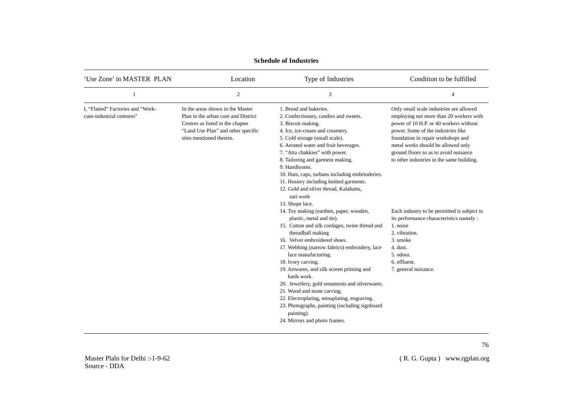| 'Use Zone' in MASTER PLAN                                     | Location                                                                                                                                                                      | Type of Industries                                                                                                                                                                                                                                                                                                                                                                                                                                                                                                                                                      | Condition to be fulfilled                                                                                                                                                                                                                                                                                                            |
|---------------------------------------------------------------|-------------------------------------------------------------------------------------------------------------------------------------------------------------------------------|-------------------------------------------------------------------------------------------------------------------------------------------------------------------------------------------------------------------------------------------------------------------------------------------------------------------------------------------------------------------------------------------------------------------------------------------------------------------------------------------------------------------------------------------------------------------------|--------------------------------------------------------------------------------------------------------------------------------------------------------------------------------------------------------------------------------------------------------------------------------------------------------------------------------------|
|                                                               | $\overline{2}$                                                                                                                                                                | 3                                                                                                                                                                                                                                                                                                                                                                                                                                                                                                                                                                       | $\overline{4}$                                                                                                                                                                                                                                                                                                                       |
| I, "Flatted" Factories and "Work-<br>cum-industrial centnres" | In the areas shown in the Master<br>Plan in the urban core and District<br>Centres as listed in the chapter<br>"Land Use Plan" and other specific<br>sites mentioned therein. | 1. Bread and bakeries.<br>2. Confectionary, candies and sweets.<br>3. Biscuit making.<br>4. Ice, ice-cream and creamery.<br>5. Cold storage (small scale).<br>6. Aerated water and fruit beverages.<br>7. "Atta chakkies" with power.<br>8. Tailoring and garment making.<br>9. Handlooms.<br>10. Hats, caps, turbans including embrioderies.<br>11. Hosiery including knitted garments.<br>12. Gold and silver thread, Kalabattu,<br>zari work<br>13. Shope lace.                                                                                                      | Only small scale industries are allowed<br>employing not more than 20 workers with<br>power of 10 H.P. or 40 workers without<br>power. Some of the industries like<br>foundation in repair workshops and<br>metal works should be allowed only<br>ground floors so as to avoid nuisance<br>to other industries in the same building. |
|                                                               |                                                                                                                                                                               | 14. Toy making (earthen, paper, wooden,<br>plastic, metal and tin).<br>15. Cotton and silk cordages, twine thread and<br>threadball making<br>16. Velvet embroidered shoes.<br>17. Webbing (narrow fabrics) embroidery, lace<br>lace manufacturing.<br>18. Ivory carving.<br>19. Artwares, and silk screen printing and<br>batik work.<br>20. Jewellery, gold ornaments and silverwares.<br>21. Wood and stone carving.<br>22. Electroplating, minaplating, engraving.<br>23. Photographs, painting (including signboard<br>painting).<br>24. Mirrors and photo frames. | Each industry to be permitted is subject to<br>its performance characteristics namely :<br>1. noise<br>2. vibration.<br>3. smoke<br>4. dust.<br>5. odour.<br>6. effluent.<br>7. general nuisance.                                                                                                                                    |

# **Schedule of Industries**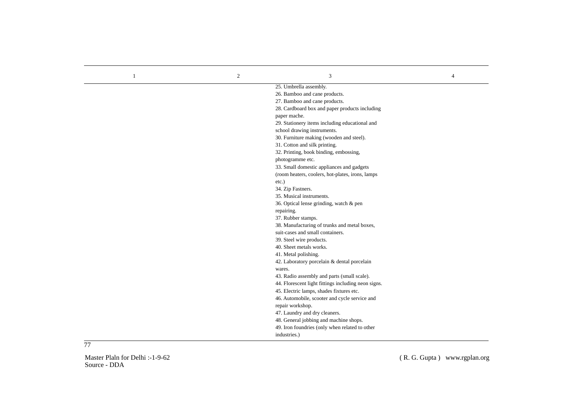| $\mathbf{1}$ | $\overline{c}$ | 3                                                   | $\overline{4}$ |
|--------------|----------------|-----------------------------------------------------|----------------|
|              |                | 25. Umbrella assembly.                              |                |
|              |                | 26. Bamboo and cane products.                       |                |
|              |                | 27. Bamboo and cane products.                       |                |
|              |                | 28. Cardboard box and paper products including      |                |
|              |                | paper mache.                                        |                |
|              |                | 29. Stationery items including educational and      |                |
|              |                | school drawing instruments.                         |                |
|              |                | 30. Furniture making (wooden and steel).            |                |
|              |                | 31. Cotton and silk printing.                       |                |
|              |                | 32. Printing, book binding, embossing,              |                |
|              |                | photogramme etc.                                    |                |
|              |                | 33. Small domestic appliances and gadgets           |                |
|              |                | (room heaters, coolers, hot-plates, irons, lamps    |                |
|              |                | $etc.$ )                                            |                |
|              |                | 34. Zip Fastners.                                   |                |
|              |                | 35. Musical instruments.                            |                |
|              |                | 36. Optical lense grinding, watch & pen             |                |
|              |                | repairing.                                          |                |
|              |                | 37. Rubber stamps.                                  |                |
|              |                | 38. Manufacturing of trunks and metal boxes,        |                |
|              |                | suit-cases and small containers.                    |                |
|              |                | 39. Steel wire products.                            |                |
|              |                | 40. Sheet metals works.                             |                |
|              |                | 41. Metal polishing.                                |                |
|              |                | 42. Laboratory porcelain & dental porcelain         |                |
|              |                | wares.                                              |                |
|              |                | 43. Radio assembly and parts (small scale).         |                |
|              |                | 44. Florescent light fittings including neon signs. |                |
|              |                | 45. Electric lamps, shades fixtures etc.            |                |
|              |                | 46. Automobile, scooter and cycle service and       |                |
|              |                | repair workshop.                                    |                |
|              |                | 47. Laundry and dry cleaners.                       |                |
|              |                | 48. General jobbing and machine shops.              |                |
|              |                | 49. Iron foundries (only when related to other      |                |
|              |                | industries.)                                        |                |

77

Master Plaln for Delhi :-1-9-62 Source - DDA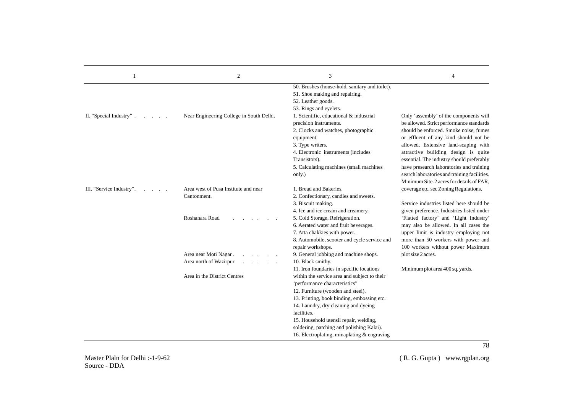| 1                                        | $\mathfrak{2}$                                      | 3                                                                                                                                                                                                                                                                                                                                                                                                          | 4                                                                                                                                                                                                                                                                                                                                                                                                                                         |
|------------------------------------------|-----------------------------------------------------|------------------------------------------------------------------------------------------------------------------------------------------------------------------------------------------------------------------------------------------------------------------------------------------------------------------------------------------------------------------------------------------------------------|-------------------------------------------------------------------------------------------------------------------------------------------------------------------------------------------------------------------------------------------------------------------------------------------------------------------------------------------------------------------------------------------------------------------------------------------|
|                                          |                                                     | 50. Brushes (house-hold, sanitary and toilet).<br>51. Shoe making and repairing.<br>52. Leather goods.<br>53. Rings and eyelets.                                                                                                                                                                                                                                                                           |                                                                                                                                                                                                                                                                                                                                                                                                                                           |
| II. "Special Industry".<br>$\sim$ $\sim$ | Near Engineering College in South Delhi.            | 1. Scientific, educational & industrial<br>precision instruments.<br>2. Clocks and watches, photographic<br>equipment.<br>3. Type writers.<br>4. Electronic instruments (includes<br>Transistors).<br>5. Calculating machines (small machines<br>only.)                                                                                                                                                    | Only 'assembly' of the components will<br>be allowed. Strict performance standards<br>should be enforced. Smoke noise, fumes<br>or effluent of any kind should not be<br>allowed. Extensive land-scaping with<br>attractive building design is quite<br>essential. The industry should preferably<br>have presearch laboratories and training<br>search laboratories and training facilities.<br>Minimum Site-2 acres for details of FAR. |
| III. "Service Industry".                 | Area west of Pusa Institute and near<br>Cantonment. | 1. Bread and Bakeries.<br>2. Confectionary, candies and sweets.<br>3. Biscuit making.<br>4. Ice and ice cream and creamery.                                                                                                                                                                                                                                                                                | coverage etc. sec Zoning Regulations.<br>Service industries listed here should be<br>given preference. Industries listed under                                                                                                                                                                                                                                                                                                            |
|                                          | Roshanara Road                                      | 5. Cold Storage, Refrigeration.<br>6. Aerated water and fruit beverages.<br>7. Atta chakkies with power.<br>8. Automobile, scooter and cycle service and<br>repair workshops.                                                                                                                                                                                                                              | 'Flatted factory' and 'Light Industry'<br>may also be allowed. In all cases the<br>upper limit is industry employing not<br>more than 50 workers with power and<br>100 workers without power Maximum                                                                                                                                                                                                                                      |
|                                          | Area near Moti Nagar.<br>Area north of Wazirpur     | 9. General jobbing and machine shops.<br>10. Black smithy.                                                                                                                                                                                                                                                                                                                                                 | plot size 2 acres.                                                                                                                                                                                                                                                                                                                                                                                                                        |
|                                          | Area in the District Centres                        | 11. Iron foundaries in specific locations<br>within the service area and subject to their<br>'performance characteristics"<br>12. Furniture (wooden and steel).<br>13. Printing, book binding, embossing etc.<br>14. Laundry, dry cleaning and dyeing<br>facilities.<br>15. Household utensil repair, welding,<br>soldering, patching and polishing Kalai).<br>16. Electroplating, minaplating & engraving | Minimum plot area 400 sq. yards.                                                                                                                                                                                                                                                                                                                                                                                                          |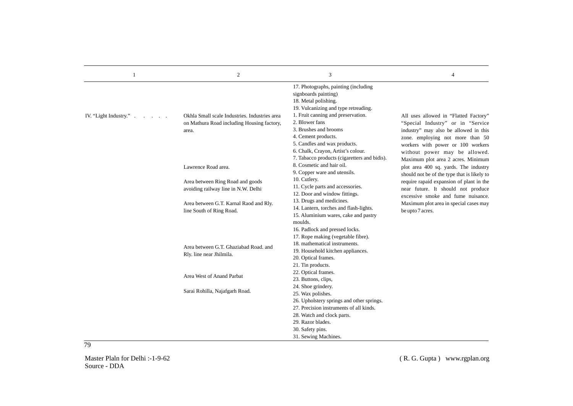| 1                      | $\overline{c}$                                                                                       | 3                                                                                                                                                                                                                                                                                                          | $\overline{4}$                                                                                                                                                                                                                |
|------------------------|------------------------------------------------------------------------------------------------------|------------------------------------------------------------------------------------------------------------------------------------------------------------------------------------------------------------------------------------------------------------------------------------------------------------|-------------------------------------------------------------------------------------------------------------------------------------------------------------------------------------------------------------------------------|
| IV. "Light Industry.". | Okhla Small scale Industries. Industries area<br>on Mathura Road including Housing factory,<br>area. | 17. Photographs, painting (including<br>signboards painting)<br>18. Metal polishing.<br>19. Vulcanizing and type retreading.<br>1. Fruit canning and preservation.<br>2. Blower fans<br>3. Brushes and brooms<br>4. Cement products.<br>5. Candles and wax products.<br>6. Chalk, Crayon, Artist's colour. | All uses allowed in "Flatted Factory"<br>"Special Industry" or in "Service<br>industry" may also be allowed in this<br>zone. employing not more than 50<br>workers with power or 100 workers<br>without power may be allowed. |
|                        | Lawrence Road area.                                                                                  | 7. Tabacco products (cigaretters and bidis).<br>8. Cosmetic and hair oil.<br>9. Copper ware and utensils.                                                                                                                                                                                                  | Maximum plot area 2 acres. Minimum<br>plot area 400 sq. yards. The industry<br>should not be of the type that is likely to                                                                                                    |
|                        | Area between Ring Road and goods<br>avoiding railway line in N.W. Delhi                              | 10. Cutlery.<br>11. Cycle parts and accessories.<br>12. Door and window fittings.                                                                                                                                                                                                                          | require rapaid expansion of plant in the<br>near future. It should not produce<br>excessive smoke and fume nuisance.                                                                                                          |
|                        | Area between G.T. Karnal Raod and Rly.<br>line South of Ring Road.                                   | 13. Drugs and medicines.<br>14. Lantern, torches and flash-lights.<br>15. Aluminium wares, cake and pastry                                                                                                                                                                                                 | Maximum plot area in special cases may<br>be upto 7 acres.                                                                                                                                                                    |
|                        | Area between G.T. Ghaziabad Road, and<br>Rly. line near Jhilmila.                                    | moulds.<br>16. Padlock and pressed locks.<br>17. Rope making (vegetable fibre).<br>18. mathematical instruments.<br>19. Household kitchen appliances.                                                                                                                                                      |                                                                                                                                                                                                                               |
|                        | Area West of Anand Parbat                                                                            | 20. Optical frames.<br>21. Tin products.<br>22. Optical frames.                                                                                                                                                                                                                                            |                                                                                                                                                                                                                               |
|                        | Sarai Rohilla, Najafgarh Road.                                                                       | 23. Buttons, clips,<br>24. Shoe grindery.<br>25. Wax polishes.<br>26. Upholstery springs and other springs.                                                                                                                                                                                                |                                                                                                                                                                                                                               |
|                        |                                                                                                      | 27. Precision instruments of all kinds.<br>28. Watch and clock parts.<br>29. Razor blades.<br>30. Safety pins.<br>31. Sewing Machines.                                                                                                                                                                     |                                                                                                                                                                                                                               |
| 79                     |                                                                                                      |                                                                                                                                                                                                                                                                                                            |                                                                                                                                                                                                                               |

Master Plaln for Delhi :-1-9-62 Source - DDA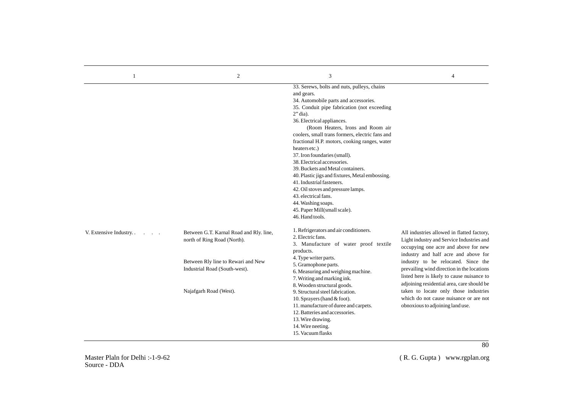|                          | 2                                                                      | 3                                                                                                                                                                                                                                                                                                                                                                                                                                                                                                                                                                                                                                                                                  | 4                                                                                                                                                                             |
|--------------------------|------------------------------------------------------------------------|------------------------------------------------------------------------------------------------------------------------------------------------------------------------------------------------------------------------------------------------------------------------------------------------------------------------------------------------------------------------------------------------------------------------------------------------------------------------------------------------------------------------------------------------------------------------------------------------------------------------------------------------------------------------------------|-------------------------------------------------------------------------------------------------------------------------------------------------------------------------------|
|                          |                                                                        | 33. Serews, bolts and nuts, pulleys, chains<br>and gears.<br>34. Automobile parts and accessories.<br>35. Conduit pipe fabrication (not exceeding<br>$2"$ dia).<br>36. Electrical appliances.<br>(Room Heaters, Irons and Room air<br>coolers, small trans formers, electric fans and<br>fractional H.P. motors, cooking ranges, water<br>heaters etc.)<br>37. Iron foundaries (small).<br>38. Electrical accessories.<br>39. Buckets and Metal containers.<br>40. Plastic jigs and fixtures, Metal embossing.<br>41. Industrial fasteners.<br>42. Oil stoves and pressure lamps.<br>43. electrical fans.<br>44. Washing soaps.<br>45. Paper Mill(small scale).<br>46. Hand tools. |                                                                                                                                                                               |
| V. Extensive Industry. . | Between G.T. Karnal Road and Rly. line,<br>north of Ring Road (North). | 1. Refrigerators and air conditioners.<br>2. Electric fans.<br>3. Manufacture of water proof textile<br>products.                                                                                                                                                                                                                                                                                                                                                                                                                                                                                                                                                                  | All industries allowed in flatted factory,<br>Light industry and Service Industries and<br>occupying one acre and above for new<br>industry and half acre and above for       |
|                          | Between Rly line to Rewari and New<br>Industrial Road (South-west).    | 4. Type writer parts.<br>5. Gramophone parts.<br>6. Measuring and weighing machine.<br>7. Writing and marking ink.<br>8. Wooden structural goods.                                                                                                                                                                                                                                                                                                                                                                                                                                                                                                                                  | industry to be relocated. Since the<br>prevailing wind direction in the locations<br>listed here is likely to cause nuisance to<br>adjoining residential area, care should be |
|                          | Najafgarh Road (West).                                                 | 9. Structural steel fabrication.<br>10. Sprayers (hand & foot).<br>11. manufacture of duree and carpets.<br>12. Batteries and accessories.<br>13. Wire drawing.<br>14. Wire neeting.<br>15. Vacuum flasks                                                                                                                                                                                                                                                                                                                                                                                                                                                                          | taken to locate only those industries<br>which do not cause nuisance or are not<br>obnoxious to adjoining land use.                                                           |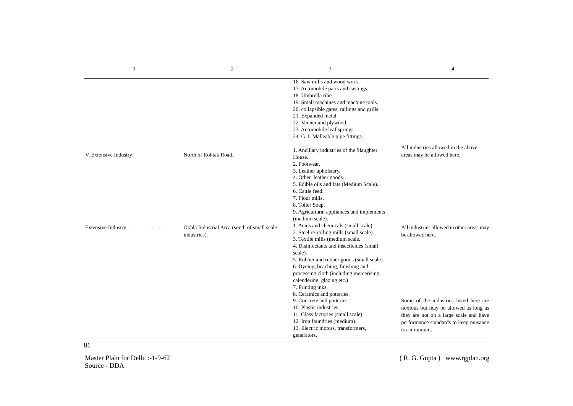| 1                         | $\overline{2}$                                              | 3                                                                                                                                                                                                                                                                                                                                                                                           | $\overline{4}$                                                                                                                                                                       |
|---------------------------|-------------------------------------------------------------|---------------------------------------------------------------------------------------------------------------------------------------------------------------------------------------------------------------------------------------------------------------------------------------------------------------------------------------------------------------------------------------------|--------------------------------------------------------------------------------------------------------------------------------------------------------------------------------------|
|                           |                                                             | 16. Saw mills and wood work.<br>17. Automobile parts and castings.<br>18. Umbrella ribe.<br>19. Small machines and machine tools.<br>20. collapsible gates, railings and grills.<br>21. Expanded metal<br>22. Venner and plywood.<br>23. Automobile leaf springs.<br>24. G. I. Malleable pipe fittings.                                                                                     |                                                                                                                                                                                      |
| V. Extensive Industry     | North of Rohtak Road.                                       | 1. Ancillary industries of the Slaughter<br>House.<br>2. Footwear.<br>3. Leather upholstery.<br>4. Other leather goods.<br>5. Edible oils and fats (Medium Scale).<br>6. Cattle feed.<br>7. Flour mills.<br>8. Toiler Soap.<br>9. Agricultural appliances and implements<br>(medium scale).                                                                                                 | All industries allowed in the above<br>areas may be allowed here.                                                                                                                    |
| <b>Extensive Industry</b> | Okhla Industrial Area (south of small scale<br>industries). | 1. Acids and chemicals (small scale).<br>2. Steel re-rolling mills (small scale).<br>3. Textile mills (medium scale.<br>4. Disinfectants and insecticides (small<br>scale).<br>5. Rubber and rubber goods (small scale).<br>6. Dyeing, beaching, finishing and<br>processing cloth (including mercerising,<br>calendering, glazing etc.)<br>7. Printing inks.<br>8. Ceramics and potteries. | All industries allowed in other areas may<br>be allowed here.                                                                                                                        |
|                           |                                                             | 9. Concrete and potteries.<br>10. Plastic industries.<br>11. Glass factories (small scale).<br>12. Iron foundries (medium).<br>13. Electric motors, transformers,<br>generators.                                                                                                                                                                                                            | Some of the industries listed here are<br>noxious but may be allowed as long as<br>they are not on a large scale and have<br>performance standards to keep nuisance<br>to a minimum. |

81

Master Plaln for Delhi :-1-9-62 Source - DDA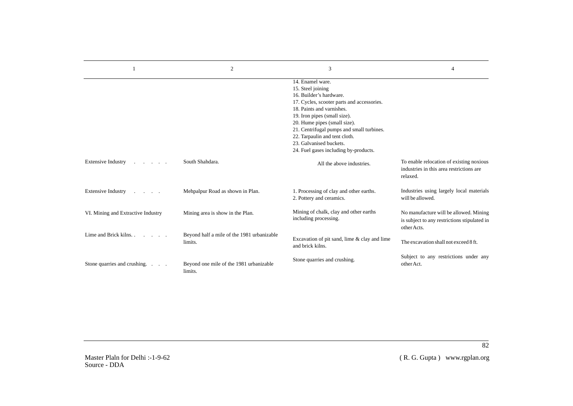|                                                            | $\overline{2}$                                        | 3                                                                                                                                                                                                                                                                                                                                                             | 4                                                                                                     |
|------------------------------------------------------------|-------------------------------------------------------|---------------------------------------------------------------------------------------------------------------------------------------------------------------------------------------------------------------------------------------------------------------------------------------------------------------------------------------------------------------|-------------------------------------------------------------------------------------------------------|
|                                                            |                                                       | 14. Enamel ware.<br>15. Steel joining<br>16. Builder's hardware.<br>17. Cycles, scooter parts and accessories.<br>18. Paints and varnishes.<br>19. Iron pipes (small size).<br>20. Hume pipes (small size).<br>21. Centrifugal pumps and small turbines.<br>22. Tarpaulin and tent cloth.<br>23. Galvanised buckets.<br>24. Fuel gases including by-products. |                                                                                                       |
| <b>Extensive Industry</b><br>and the state of the state of | South Shahdara.                                       | All the above industries.                                                                                                                                                                                                                                                                                                                                     | To enable relocation of existing noxious<br>industries in this area restrictions are<br>relaxed.      |
| Extensive Industry                                         | Mehpalpur Road as shown in Plan.                      | 1. Processing of clay and other earths.<br>2. Pottery and ceramics.                                                                                                                                                                                                                                                                                           | Industries using largely local materials<br>will be allowed.                                          |
| VI. Mining and Extractive Industry                         | Mining area is show in the Plan.                      | Mining of chalk, clay and other earths<br>including processing.                                                                                                                                                                                                                                                                                               | No manufacture will be allowed. Mining<br>is subject to any restrictions stipulated in<br>other Acts. |
| Lime and Brick kilns.                                      | Beyond half a mile of the 1981 urbanizable<br>limits. | Excavation of pit sand, lime & clay and lime<br>and brick kilns.                                                                                                                                                                                                                                                                                              | The excavation shall not exceed 8 ft.                                                                 |
| Stone quarries and crushing.<br>$\sim$ $\sim$              | Beyond one mile of the 1981 urbanizable<br>limits.    | Stone quarries and crushing.                                                                                                                                                                                                                                                                                                                                  | Subject to any restrictions under any<br>other Act.                                                   |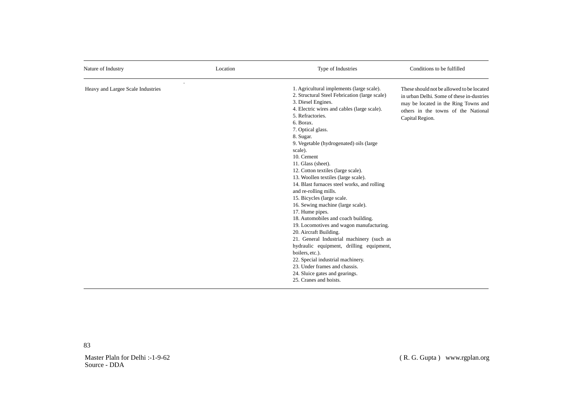| Nature of Industry                | Location | Type of Industries                                                                                                                                                                                                                                                                                                                                                                                                                                                                                                                                                                                                                                                                                                                                                                                                                                                                                                                 | Conditions to be fulfilled                                                                                                                                                               |  |  |
|-----------------------------------|----------|------------------------------------------------------------------------------------------------------------------------------------------------------------------------------------------------------------------------------------------------------------------------------------------------------------------------------------------------------------------------------------------------------------------------------------------------------------------------------------------------------------------------------------------------------------------------------------------------------------------------------------------------------------------------------------------------------------------------------------------------------------------------------------------------------------------------------------------------------------------------------------------------------------------------------------|------------------------------------------------------------------------------------------------------------------------------------------------------------------------------------------|--|--|
| Heavy and Largee Scale Industries |          | 1. Agricultural implements (large scale).<br>2. Structural Steel Febrication (large scale)<br>3. Diesel Engines.<br>4. Electric wires and cables (large scale).<br>5. Refractories.<br>6. Borax.<br>7. Optical glass.<br>8. Sugar.<br>9. Vegetable (hydrogenated) oils (large<br>scale).<br>10. Cement<br>11. Glass (sheet).<br>12. Cotton textiles (large scale).<br>13. Woollen textiles (large scale).<br>14. Blast furnaces steel works, and rolling<br>and re-rolling mills.<br>15. Bicycles (large scale.<br>16. Sewing machine (large scale).<br>17. Hume pipes.<br>18. Automobiles and coach building.<br>19. Locomotives and wagon manufacturing.<br>20. Aircraft Building.<br>21. General Industrial machinery (such as<br>hydraulic equipment, drilling equipment,<br>boilers, etc.).<br>22. Special industrial machinery.<br>23. Under frames and chassis.<br>24. Sluice gates and gearings.<br>25. Cranes and hoists. | These should not be allowed to be located<br>in urban Delhi. Some of these in-dustries<br>may be located in the Ring Towns and<br>others in the towns of the National<br>Capital Region. |  |  |

Master Plaln for Delhi :-1-9-62 Source - DDA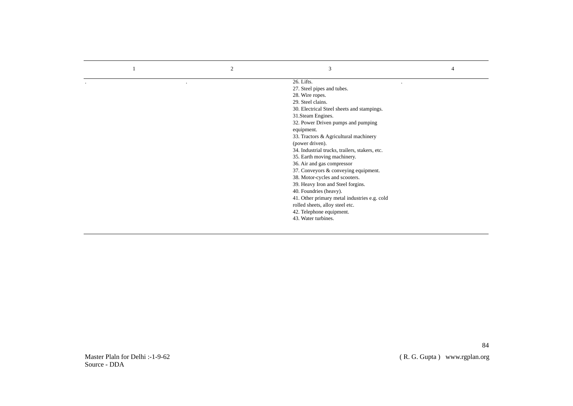| $\overline{2}$ | 3                                              |  |
|----------------|------------------------------------------------|--|
|                | 26. Lifts.                                     |  |
|                | 27. Steel pipes and tubes.                     |  |
|                | 28. Wire ropes.                                |  |
|                | 29. Steel clains.                              |  |
|                | 30. Electrical Steel sheets and stampings.     |  |
|                | 31. Steam Engines.                             |  |
|                | 32. Power Driven pumps and pumping             |  |
|                | equipment.                                     |  |
|                | 33. Tractors & Agricultural machinery          |  |
|                | (power driven).                                |  |
|                | 34. Industrial trucks, trailers, stakers, etc. |  |
|                | 35. Earth moving machinery.                    |  |
|                | 36. Air and gas compressor                     |  |
|                | 37. Conveyors & conveying equipment.           |  |
|                | 38. Motor-cycles and scooters.                 |  |
|                | 39. Heavy Iron and Steel forgins.              |  |
|                | 40. Foundries (heavy).                         |  |
|                | 41. Other primary metal industries e.g. cold   |  |
|                | rolled sheets, alloy steel etc.                |  |
|                | 42. Telephone equipment.                       |  |
|                | 43. Water turbines.                            |  |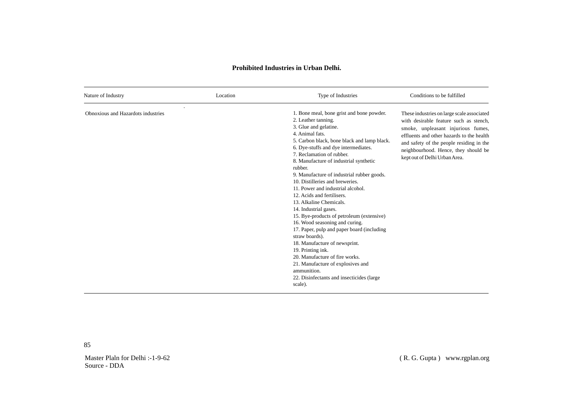# **Prohibited Industries in Urban Delhi.**

| Nature of Industry                 | Location | Type of Industries                                                                                                                                                                                                                                                                                                                                                                                                                                                                                                                                                                                                                                                                                                                                                                                                                                | Conditions to be fulfilled                                                                                                                                                                                                                                                                   |  |  |
|------------------------------------|----------|---------------------------------------------------------------------------------------------------------------------------------------------------------------------------------------------------------------------------------------------------------------------------------------------------------------------------------------------------------------------------------------------------------------------------------------------------------------------------------------------------------------------------------------------------------------------------------------------------------------------------------------------------------------------------------------------------------------------------------------------------------------------------------------------------------------------------------------------------|----------------------------------------------------------------------------------------------------------------------------------------------------------------------------------------------------------------------------------------------------------------------------------------------|--|--|
| Obnoxious and Hazardots industries |          | 1. Bone meal, bone grist and bone powder.<br>2. Leather tanning.<br>3. Glue and gelatine.<br>4. Animal fats.<br>5. Carbon black, bone black and lamp black.<br>6. Dye-stuffs and dye intermediates.<br>7. Reclamation of rubber.<br>8. Manufacture of industrial synthetic<br>rubber.<br>9. Manufacture of industrial rubber goods.<br>10. Distilleries and breweries.<br>11. Power and industrial alcohol.<br>12. Acids and fertilisers.<br>13. Alkaline Chemicals.<br>14. Industrial gases.<br>15. Bye-products of petroleum (extensive)<br>16. Wood seasoning and curing.<br>17. Paper, pulp and paper board (including)<br>straw boards).<br>18. Manufacture of newsprint.<br>19. Printing ink.<br>20. Manufacture of fire works.<br>21. Manufacture of explosives and<br>ammunition.<br>22. Disinfectants and insecticides (large<br>scale). | These industries on large scale associated<br>with desirable feature such as stench.<br>smoke, unpleasant injurious fumes,<br>effluents and other hazards to the health<br>and safety of the people residing in the<br>neighbourhood. Hence, they should be<br>kept out of Delhi Urban Area. |  |  |

Master Plaln for Delhi :-1-9-62 Source - DDA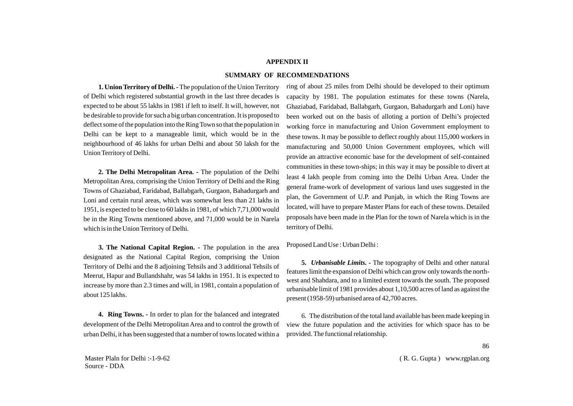### **APPENDIX II**

### **SUMMARY OF RECOMMENDATIONS**

**1. Union Territory of Delhi. -** The population of the Union Territory of Delhi which registered substantial growth in the last three decades is expected to be about 55 lakhs in 1981 if left to itself. It will, however, not be desirable to provide for such a big urban concentration. It is proposed to deflect some of the population into the Ring Town so that the population in Delhi can be kept to a manageable limit, which would be in the neighbourhood of 46 lakhs for urban Delhi and about 50 laksh for the Union Territory of Delhi.

**2. The Delhi Metropolitan Area. -** The population of the Delhi Metropolitan Area, comprising the Union Territory of Delhi and the Ring Towns of Ghaziabad, Faridabad, Ballabgarh, Gurgaon, Bahadurgarh and Loni and certain rural areas, which was somewhat less than 21 lakhs in 1951, is expected to be close to 60 lakhs in 1981, of which 7,71,000 would be in the Ring Towns mentioned above, and 71,000 would be in Narela which is in the Union Territory of Delhi.

**3. The National Capital Region. -** The population in the area designated as the National Capital Region, comprising the Union Territory of Delhi and the 8 adjoining Tehsils and 3 additional Tehsils of Meerut, Hapur and Bullandshahr, was 54 lakhs in 1951. It is expected to increase by more than 2.3 times and will, in 1981, contain a population of about 125 lakhs.

**4. Ring Towns. -** In order to plan for the balanced and integrated development of the Delhi Metropolitan Area and to control the growth of urban Delhi, it has been suggested that a number of towns located within a

ring of about 25 miles from Delhi should be developed to their optimum capacity by 1981. The population estimates for these towns (Narela, Ghaziabad, Faridabad, Ballabgarh, Gurgaon, Bahadurgarh and Loni) have been worked out on the basis of alloting a portion of Delhi's projected working force in manufacturing and Union Government employment to these towns. It may be possible to deflect roughly about 115,000 workers in manufacturing and 50,000 Union Government employees, which will provide an attractive economic base for the development of self-contained communities in these town-ships; in this way it may be possible to divert at least 4 lakh people from coming into the Delhi Urban Area. Under the general frame-work of development of various land uses suggested in the plan, the Government of U.P. and Punjab, in which the Ring Towns are located, will have to prepare Master Plans for each of these towns. Detailed proposals have been made in the Plan for the town of Narela which is in the territory of Delhi.

Proposed Land Use : Urban Delhi :

**5.** *Urbanisable Limits. -* The topography of Delhi and other natural features limit the expansion of Delhi which can grow only towards the northwest and Shahdara, and to a limited extent towards the south. The proposed urbanisable limit of 1981 provides about 1,10,500 acres of land as against the present (1958-59) urbanised area of 42,700 acres.

6. The distribution of the total land available has been made keeping in view the future population and the activities for which space has to be provided. The functional relationship.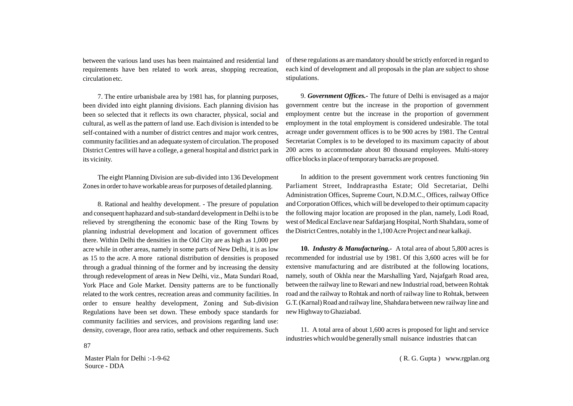between the various land uses has been maintained and residential land requirements have ben related to work areas, shopping recreation, circulation etc.

7. The entire urbanisbale area by 1981 has, for planning purposes, been divided into eight planning divisions. Each planning division has been so selected that it reflects its own character, physical, social and cultural, as well as the pattern of land use. Each division is intended to be self-contained with a number of district centres and major work centres, community facilities and an adequate system of circulation. The proposed District Centres will have a college, a general hospital and district park in its vicinity.

The eight Planning Division are sub-divided into 136 Development Zones in order to have workable areas for purposes of detailed planning.

8. Rational and healthy development. - The presure of population and consequent haphazard and sub-standard development in Delhi is to be relieved by strengthening the economic base of the Ring Towns by planning industrial development and location of government offices there. Within Delhi the densities in the Old City are as high as 1,000 per acre while in other areas, namely in some parts of New Delhi, it is as low as 15 to the acre. A more rational distribution of densities is proposed through a gradual thinning of the former and by increasing the density through redevelopment of areas in New Delhi, viz., Mata Sundari Road, York Place and Gole Market. Density patterns are to be functionally related to the work centres, recreation areas and community facilities. In order to ensure healthy development, Zoning and Sub-division Regulations have been set down. These embody space standards for community facilities and services, and provisions regarding land use: density, coverage, floor area ratio, setback and other requirements. Such of these regulations as are mandatory should be strictly enforced in regard to each kind of development and all proposals in the plan are subject to shose stipulations.

9. *Government Offices.-* The future of Delhi is envisaged as a major government centre but the increase in the proportion of government employment centre but the increase in the proportion of government employment in the total employment is considered undesirable. The total acreage under government offices is to be 900 acres by 1981. The Central Secretariat Complex is to be developed to its maximum capacity of about 200 acres to accommodate about 80 thousand employees. Multi-storey office blocks in place of temporary barracks are proposed.

In addition to the present government work centres functioning 9in Parliament Street, Inddraprastha Estate; Old Secretariat, Delhi Administration Offices, Supreme Court, N.D.M.C., Offices, railway Office and Corporation Offices, which will be developed to their optimum capacity the following major location are proposed in the plan, namely, Lodi Road, west of Medical Enclave near Safdarjang Hospital, North Shahdara, some of the District Centres, notably in the 1,100 Acre Project and near kalkaji.

**10.** *Industry & Manufacturing.-* A total area of about 5,800 acres is recommended for industrial use by 1981. Of this 3,600 acres will be for extensive manufacturing and are distributed at the following locations, namely, south of Okhla near the Marshalling Yard, Najafgarh Road area, between the railway line to Rewari and new Industrial road, between Rohtak road and the railway to Rohtak and north of railway line to Rohtak, between G.T. (Karnal) Road and railway line, Shahdara between new railway line and new Highway to Ghaziabad.

11. A total area of about 1,600 acres is proposed for light and service industries which would be generally small nuisance industries that can

Master Plaln for Delhi :-1-9-62 Source - DDA

87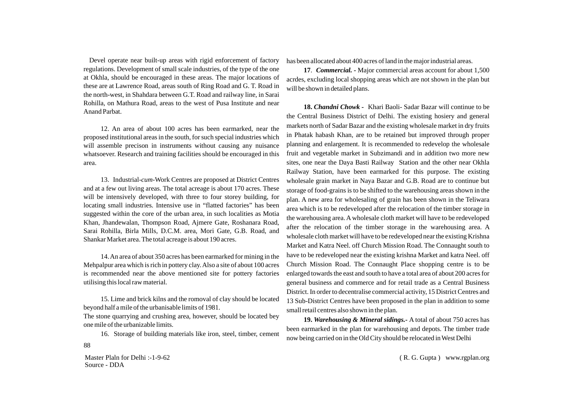Devel operate near built-up areas with rigid enforcement of factory regulations. Development of small scale industries, of the type of the one at Okhla, should be encouraged in these areas. The major locations of these are at Lawrence Road, areas south of Ring Road and G. T. Road in the north-west, in Shahdara between G.T. Road and railway line, in Sarai Rohilla, on Mathura Road, areas to the west of Pusa Institute and near Anand Parbat.

12. An area of about 100 acres has been earmarked, near the proposed institutional areas in the south, for such special industries which will assemble precison in instruments without causing any nuisance whatsoever. Research and training facilities should be encouraged in this area.

13. Industrial-*cum-*Work Centres are proposed at District Centres and at a few out living areas. The total acreage is about 170 acres. These will be intensively developed, with three to four storey building, for locating small industries. Intensive use in "flatted factories" has been suggested within the core of the urban area, in such localities as Motia Khan, Jhandewalan, Thompson Road, Ajmere Gate, Roshanara Road, Sarai Rohilla, Birla Mills, D.C.M. area, Mori Gate, G.B. Road, and Shankar Market area. The total acreage is about 190 acres.

14. An area of about 350 acres has been earmarked for mining in the Mehpalpur area which is rich in pottery clay. Also a site of about 100 acres is recommended near the above mentioned site for pottery factories utilising this local raw material.

15. Lime and brick kilns and the romoval of clay should be located beyond half a mile of the urbanisable limits of 1981.

The stone quarrying and crushing area, however, should be located bey one mile of the urbanizable limits.

16. Storage of building materials like iron, steel, timber, cement

Master Plaln for Delhi :-1-9-62 Source - DDA

88

has been allocated about 400 acres of land in the major industrial areas.

**17**. *Commercial. -* Major commercial areas account for about 1,500 acrdes, excluding local shopping areas which are not shown in the plan but will be shown in detailed plans.

**18.** *Chandni Chowk -* Khari Baoli- Sadar Bazar will continue to be the Central Business District of Delhi. The existing hosiery and general markets north of Sadar Bazar and the existing wholesale market in dry fruits in Phatak habash Khan, are to be retained but improved through proper planning and enlargement. It is recommended to redevelop the wholesale fruit and vegetable market in Subzimandi and in addition two more new sites, one near the Daya Basti Railway Station and the other near Okhla Railway Station, have been earmarked for this purpose. The existing wholesale grain market in Naya Bazar and G.B. Road are to continue but storage of food-grains is to be shifted to the warehousing areas shown in the plan. A new area for wholesaling of grain has been shown in the Teliwara area which is to be redeveloped after the relocation of the timber storage in the warehousing area. Awholesale cloth market will have to be redeveloped after the relocation of the timber storage in the warehousing area. A wholesale cloth market will have to be redeveloped near the existing Krishna Market and Katra Neel. off Church Mission Road. The Connaught south to have to be redeveloped near the existing krishna Market and katra Neel. off Church Mission Road. The Connaught Place shopping centre is to be enlarged towards the east and south to have a total area of about 200 acres for general business and commerce and for retail trade as a Central Business District. In order to decentralise commercial activity, 15 District Centres and 13 Sub-District Centres have been proposed in the plan in addition to some small retail centres also shown in the plan.

**19.** *Warehousing & Mineral sidings.-* A total of about 750 acres has been earmarked in the plan for warehousing and depots. The timber trade now being carried on in the Old City should be relocated in West Delhi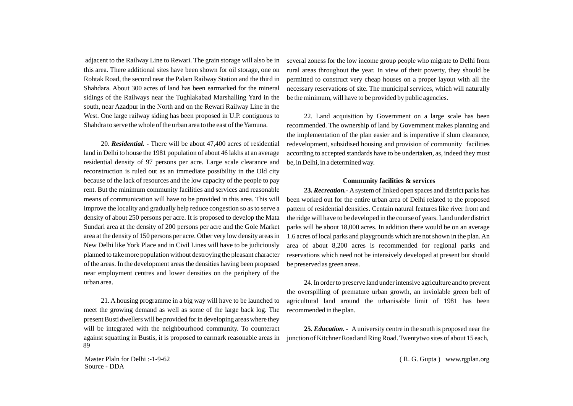adjacent to the Railway Line to Rewari. The grain storage will also be in this area. There additional sites have been shown for oil storage, one on Rohtak Road, the second near the Palam Railway Station and the third in Shahdara. About 300 acres of land has been earmarked for the mineral sidings of the Railways near the Tughlakabad Marshalling Yard in the south, near Azadpur in the North and on the Rewari Railway Line in the West. One large railway siding has been proposed in U.P. contiguous to Shahdra to serve the whole of the urban area to the east of the Yamuna.

20. *Residential. -* There will be about 47,400 acres of residential land in Delhi to house the 1981 population of about 46 lakhs at an average residential density of 97 persons per acre. Large scale clearance and reconstruction is ruled out as an immediate possibility in the Old city because of the lack of resources and the low capacity of the people to pay rent. But the minimum community facilities and services and reasonable means of communication will have to be provided in this area. This will improve the locality and gradually help reduce congestion so as to serve a density of about 250 persons per acre. It is proposed to develop the Mata Sundari area at the density of 200 persons per acre and the Gole Market area at the density of 150 persons per acre. Other very low density areas in New Delhi like York Place and in Civil Lines will have to be judiciously planned to take more population without destroying the pleasant character of the areas. In the development areas the densities having been proposed near employment centres and lower densities on the periphery of the urban area.

21. A housing programme in a big way will have to be launched to meet the growing demand as well as some of the large back log. The present Busti dwellers will be provided for in developing areas where they will be integrated with the neighbourhood community. To counteract against squatting in Bustis, it is proposed to earmark reasonable areas in 89

several zoness for the low income group people who migrate to Delhi from rural areas throughout the year. In view of their poverty, they should be permitted to construct very cheap houses on a proper layout with all the necessary reservations of site. The municipal services, which will naturally be the minimum, will have to be provided by public agencies.

22. Land acquisition by Government on a large scale has been recommended. The ownership of land by Government makes planning and the implementation of the plan easier and is imperative if slum clearance, redevelopment, subsidised housing and provision of community facilities according to accepted standards have to be undertaken, as, indeed they must be, in Delhi, in a determined way.

### **Community facilities & services**

**23.** *Recreation.-* Asystem of linked open spaces and district parks has been worked out for the entire urban area of Delhi related to the proposed pattern of residential densities. Centain natural features like river front and the ridge will have to be developed in the course of years. Land under district parks will be about 18,000 acres. In addition there would be on an average 1.6 acres of local parks and playgrounds which are not shown in the plan. An area of about 8,200 acres is recommended for regional parks and reservations which need not be intensively developed at present but should be preserved as green areas.

24. In order to preserve land under intensive agriculture and to prevent the overspilling of premature urban growth, an inviolable green belt of agricultural land around the urbanisable limit of 1981 has been recommended in the plan.

**25.** *Education. -* Auniversity centre in the south is proposed near the junction of Kitchner Road and Ring Road. Twentytwo sites of about 15 each,

Master Plaln for Delhi :-1-9-62 Source - DDA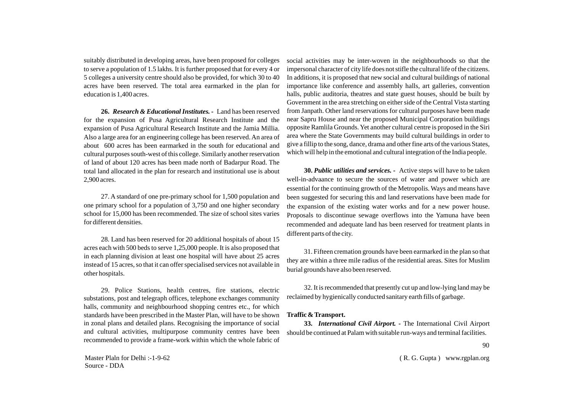suitably distributed in developing areas, have been proposed for colleges to serve a population of 1.5 lakhs. It is further proposed that for every 4 or 5 colleges a university centre should also be provided, for which 30 to 40 acres have been reserved. The total area earmarked in the plan for education is 1,400 acres.

**26.** *Research & Educational Institutes. -* Land has been reserved for the expansion of Pusa Agricultural Research Institute and the expansion of Pusa Agricultural Research Institute and the Jamia Millia. Also a large area for an engineering college has been reserved. An area of about 600 acres has been earmarked in the south for educational and cultural purposes south-west of this college. Similarly another reservation of land of about 120 acres has been made north of Badarpur Road. The total land allocated in the plan for research and institutional use is about 2,900 acres.

27. A standard of one pre-primary school for 1,500 population and one primary school for a population of 3,750 and one higher secondary school for 15,000 has been recommended. The size of school sites varies for different densities.

28. Land has been reserved for 20 additional hospitals of about 15 acres each with 500 beds to serve 1,25,000 people. It is also proposed that in each planning division at least one hospital will have about 25 acres instead of 15 acres, so that it can offer specialised services not available in other hospitals.

29. Police Stations, health centres, fire stations, electric substations, post and telegraph offices, telephone exchanges community halls, community and neighbourhood shopping centres etc., for which standards have been prescribed in the Master Plan, will have to be shown in zonal plans and detailed plans. Recognising the importance of social and cultural activities, multipurpose community centres have been recommended to provide a frame-work within which the whole fabric of

Master Plaln for Delhi :-1-9-62 Source - DDA

social activities may be inter-woven in the neighbourhoods so that the impersonal character of city life does not stifle the cultural life of the citizens. In additions, it is proposed that new social and cultural buildings of national importance like conference and assembly halls, art galleries, convention halls, public auditoria, theatres and state guest houses, should be built by Government in the area stretching on either side of the Central Vista starting from Janpath. Other land reservations for cultural purposes have been made near Sapru House and near the proposed Municipal Corporation buildings opposite Ramlila Grounds. Yet another cultural centre is proposed in the Siri area where the State Governments may build cultural buildings in order to give a fillip to the song, dance, drama and other fine arts of the various States, which will help in the emotional and cultural integration of the India people.

**30.** *Public utilities and services. -* Active steps will have to be taken well-in-advaance to secure the sources of water and power which are essential for the continuing growth of the Metropolis. Ways and means have been suggested for securing this and land reservations have been made for the expansion of the existing water works and for a new power house. Proposals to discontinue sewage overflows into the Yamuna have been recommended and adequate land has been reserved for treatment plants in different parts of the city.

31. Fifteen cremation grounds have been earmarked in the plan so that they are within a three mile radius of the residential areas. Sites for Muslim burial grounds have also been reserved.

32. It is recommended that presently cut up and low-lying land may be reclaimed by hygienically conducted sanitary earth fills of garbage.

### **Traffic & Transport.**

**33.** *International Civil Airport. -* The International Civil Airport should be continued at Palam with suitable run-ways and terminal facilities.

90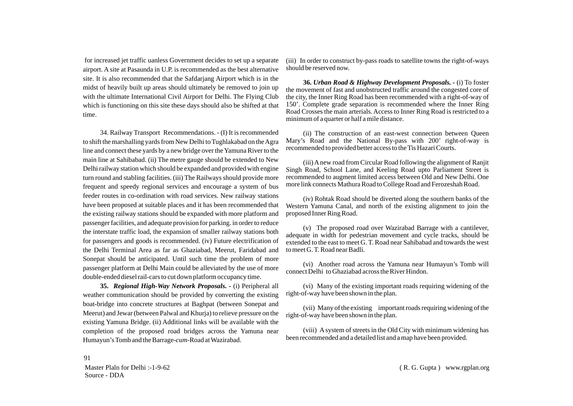for increased jet traffic uanless Government decides to set up a separate airport. A site at Pasaunda in U.P. is recommended as the best alternative site. It is also recommended that the Safdarjang Airport which is in the midst of heavily built up areas should ultimately be removed to join up with the ultimate International Civil Airport for Delhi. The Flying Club which is functioning on this site these days should also be shifted at that time.

34. Railway Transport Recommendations. - (I) It is recommended to shift the marshalling yards from New Delhi to Tughlakabad on the Agra line and connect these yards by a new bridge over the Yamuna River to the main line at Sahibabad. (ii) The metre gauge should be extended to New Delhi railway station which should be expanded and provided with engine turn round and stabling facilities. (iii) The Railways should provide more frequent and speedy regional services and encourage a system of bus feeder routes in co-ordination with road services. New railway stations have been proposed at suitable places and it has been recommended that the existing railway stations should be expanded with more platform and passenger facilities, and adequate provision for parking. in order to reduce the interstate traffic load, the expansion of smaller railway stations both for passengers and goods is recommended. (iv) Future electrification of the Delhi Terminal Area as far as Ghaziabad, Meerut, Faridabad and Sonepat should be anticipated. Until such time the problem of more passenger platform at Delhi Main could be alleviated by the use of more double-ended diesel rail-cars to cut down platform occupancy time.

**35.** *Regional High-Way Network Proposals. -* (i) Peripheral all weather communication should be provided by converting the existing boat-bridge into concrete structures at Baghpat (between Sonepat and Meerut) and Jewar (between Palwal and Khurja) to relieve pressure on the existing Yamuna Bridge. (ii) Additional links will be available with the completion of the proposed road bridges across the Yamuna near Humayun's Tomb and the Barrage-*cum-*Road at Wazirabad.

(iii) In order to construct by-pass roads to satellite towns the right-of-ways should be reserved now.

**36.** *Urban Road & Highway Development Proposals. -* (i) To foster the movement of fast and unobstructed traffic around the congested core of the city, the Inner Ring Road has been recommended with a right-of-way of 150'. Complete grade separation is recommended where the Inner Ring Road Crosses the main arterials. Access to Inner Ring Road is restricted to a minimum of a quarter or half a mile distance.

(ii) The construction of an east-west connection between Queen Mary's Road and the National By-pass with 200' right-of-way is recommended to provided better access to the Tis Hazari Courts.

(iii) Anew road from Circular Road following the alignment of Ranjit Singh Road, School Lane, and Keeling Road upto Parliament Street is recommended to augment limited access between Old and New Delhi. One more link connects Mathura Road to College Road and Ferozeshah Road.

(iv) Rohtak Road should be diverted along the southern banks of the Western Yamuna Canal, and north of the existing alignment to join the proposed Inner Ring Road.

(v) The proposed road over Wazirabad Barrage with a cantilever, adequate in width for pedestrian movement and cycle tracks, should be extended to the east to meet G. T. Road near Sahibabad and towards the west to meet G. T. Road near Badli.

(vi) Another road across the Yamuna near Humayun's Tomb will connect Delhi to Ghaziabad across the River Hindon.

(vi) Many of the existing important roads requiring widening of the right-of-way have been shown in the plan.

(vii) Many of the existing important roads requiring widening of the right-of-way have been shown in the plan.

(viii) Asystem of streets in the Old City with minimum widening has been recommended and a detailed list and a map have been provided.

Master Plaln for Delhi :-1-9-62 Source - DDA

91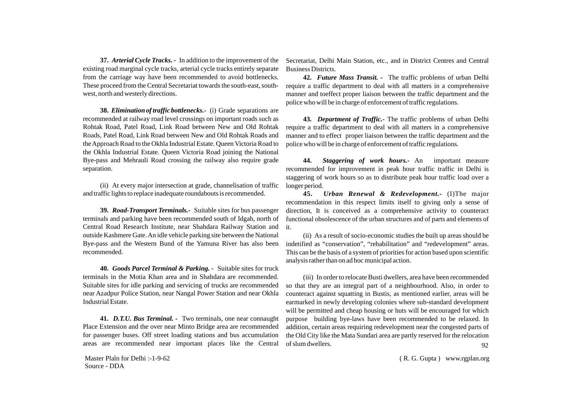**37.** *Arterial Cycle Tracks. -* In addition to the improvement of the existing road marginal cycle tracks, arterial cycle tracks entirely separate from the carriage way have been recommended to avoid bottlenecks. These proceed from the Central Secretariat towards the south-east, southwest, north and westerly directions.

**38.** *Elimination of traffic bottlenecks.-* (i) Grade separations are recommended at railway road level crossings on important roads such as Rohtak Road, Patel Road, Link Road between New and Old Rohtak Roads, Patel Road, Link Road between New and Old Rohtak Roads and the Approach Road to the Okhla Industrial Estate. Queen Victoria Road to the Okhla Industrial Estate. Queen Victoria Road joining the National Bye-pass and Mehrauli Road crossing the railway also require grade separation.

(ii) At every major intersection at grade, channelisation of traffic and traffic lights to replace inadequate roundabouts is recommended.

**39.** *Road-Transport Terminals.-* Suitable sites for bus passenger terminals and parking have been recommended south of Idgah, north of Central Road Research Institute, near Shahdara Railway Station and outside Kashmere Gate. An idle vehicle parking site between the National Bye-pass and the Western Bund of the Yamuna River has also been recommended.

**40.** *Goods Parcel Terminal & Parking. -* Suitable sites for truck terminals in the Motia Khan area and in Shahdara are recommended. Suitable sites for idle parking and servicing of trucks are recommended near Azadpur Police Station, near Nangal Power Station and near Okhla Industrial Estate.

**41.** *D.T.U. Bus Terminal. -* Two terminals, one near connaught Place Extension and the over near Minto Bridge area are recommended for passenger buses. Off street loading stations and bus accumulation areas are recommended near important places like the Central

Master Plaln for Delhi :-1-9-62 Source - DDA

Secretariat, Delhi Main Station, etc., and in District Centres and Central Business Districts.

**42.** *Future Mass Transit. -* The traffic problems of urban Delhi require a traffic department to deal with all matters in a comprehensive manner and toeffect proper liaison between the traffic department and the police who will be in charge of enforcement of traffic regulations.

**43.** *Department of Traffic.-* The traffic problems of urban Delhi require a traffic department to deal with all matters in a comprehensive manner and to effect proper liaison between the traffic department and the police who will be in charge of enforcement of traffic regulations.

**44.** *Staggering of work hours.-* An important measure recommended for improvement in peak hour traffic traffic in Delhi is staggering of work hours so as to distribute peak hour traffic load over a longer period.

**45.** *Urban Renewal & Redevelopment.-* (I)The major recommendation in this respect limits itself to giving only a sense of direction, It is conceived as a comprehensive activity to counteract functional obsolescence of the urban structures and of parts and elements of it.

(ii) As a result of socio-economic studies the built up areas should be indetified as "conservation", "rehabilitation" and "redevelopment" areas. This can be the basis of a system of priorities for action based upon scientific analysis rather than on ad hoc municipal action.

(iii) In order to relocate Busti dwellers, area have been recommended so that they are an integral part of a neighbourhood. Also, in order to counteract against squatting in Bustis, as mentioned earlier, areas will be earmarked in newly developing colonies where sub-standard development will be permitted and cheap housing or huts will be encouraged for which purpose building bye-laws have been recommended to be relaxed. In addition, certain areas requiring redevelopment near the congested parts of the Old City like the Mata Sundari area are partly reserved for the relocation of slum dwellers. 92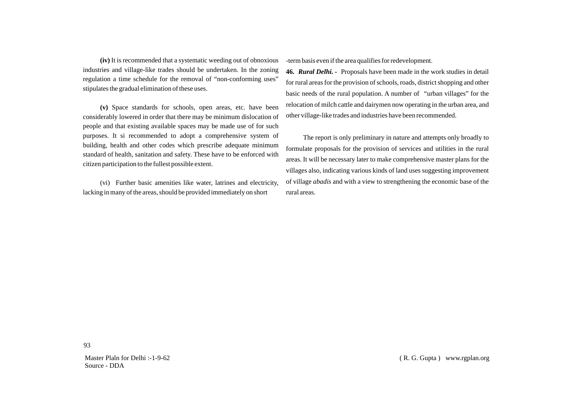**(iv)** It is recommended that a systematic weeding out of obnoxious industries and village-like trades should be undertaken. In the zoning regulation a time schedule for the removal of "non-conforming uses" stipulates the gradual elimination of these uses.

**(v)** Space standards for schools, open areas, etc. have been considerably lowered in order that there may be minimum dislocation of people and that existing available spaces may be made use of for such purposes. It si recommended to adopt a comprehensive system of building, health and other codes which prescribe adequate minimum standard of health, sanitation and safety. These have to be enforced with citizen participation to the fullest possible extent.

(vi) Further basic amenities like water, latrines and electricity, lacking in many of the areas, should be provided immediately on short

-term basis even if the area qualifies for redevelopment.

**46.** *Rural Delhi. -* Proposals have been made in the work studies in detail for rural areas for the provision of schools, roads, district shopping and other basic needs of the rural population. A number of "urban villages" for the relocation of milch cattle and dairymen now operating in the urban area, and other village-like trades and industries have been recommended.

The report is only preliminary in nature and attempts only broadly to formulate proposals for the provision of services and utilities in the rural areas. It will be necessary later to make comprehensive master plans for the villages also, indicating various kinds of land uses suggesting improvement of village *abadis* and with a view to strengthening the economic base of the rural areas.

Master Plaln for Delhi :-1-9-62 Source - DDA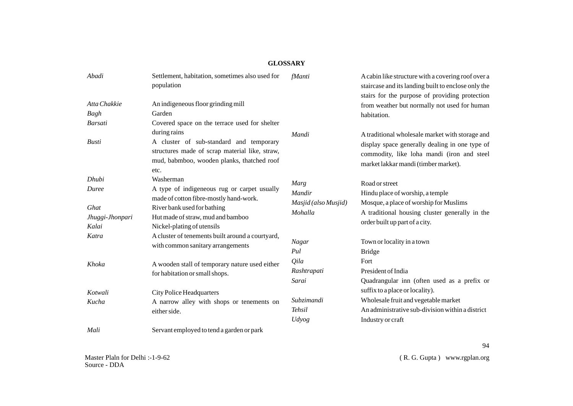# **GLOSSARY**

| Abadi           | Settlement, habitation, sometimes also used for<br>population                                                                                   | fManti                                    | A cabin like structure with a covering roof over a<br>staircase and its landing built to enclose only the<br>stairs for the purpose of providing protection |
|-----------------|-------------------------------------------------------------------------------------------------------------------------------------------------|-------------------------------------------|-------------------------------------------------------------------------------------------------------------------------------------------------------------|
| Atta Chakkie    | An indigeneous floor grinding mill                                                                                                              |                                           | from weather but normally not used for human                                                                                                                |
| Bagh            | Garden                                                                                                                                          |                                           | habitation.                                                                                                                                                 |
| Barsati         | Covered space on the terrace used for shelter                                                                                                   |                                           |                                                                                                                                                             |
|                 | during rains                                                                                                                                    | Mandi                                     | A traditional wholesale market with storage and                                                                                                             |
| <b>Busti</b>    | A cluster of sub-standard and temporary<br>structures made of scrap material like, straw,<br>mud, babmboo, wooden planks, thatched roof<br>etc. |                                           | display space generally dealing in one type of<br>commodity, like loha mandi (iron and steel<br>market lakkar mandi (timber market).                        |
| Dhubi           | Washerman                                                                                                                                       | Marg                                      | Road or street                                                                                                                                              |
| Duree           | A type of indigeneous rug or carpet usually                                                                                                     | Mandir<br>Masjid (also Musjid)<br>Mohalla | Hindu place of worship, a temple                                                                                                                            |
|                 | made of cotton fibre-mostly hand-work.                                                                                                          |                                           | Mosque, a place of worship for Muslims                                                                                                                      |
| Ghat            | River bank used for bathing                                                                                                                     |                                           | A traditional housing cluster generally in the                                                                                                              |
| Jhuggi-Jhonpari | Hut made of straw, mud and bamboo                                                                                                               |                                           | order built up part of a city.                                                                                                                              |
| Kalai           | Nickel-plating of utensils                                                                                                                      |                                           |                                                                                                                                                             |
| Katra           | A cluster of tenements built around a courtyard,<br>with common sanitary arrangements                                                           | <b>Nagar</b>                              | Town or locality in a town                                                                                                                                  |
|                 |                                                                                                                                                 | Pul                                       | <b>Bridge</b>                                                                                                                                               |
| Khoka           | A wooden stall of temporary nature used either                                                                                                  | Qila                                      | Fort                                                                                                                                                        |
|                 | for habitation or small shops.                                                                                                                  | Rashtrapati                               | President of India                                                                                                                                          |
|                 |                                                                                                                                                 | Sarai                                     | Quadrangular inn (often used as a prefix or                                                                                                                 |
| Kotwali         | <b>City Police Headquarters</b>                                                                                                                 |                                           | suffix to a place or locality).                                                                                                                             |
| Kucha           | A narrow alley with shops or tenements on                                                                                                       | Subzimandi                                | Wholesale fruit and vegetable market                                                                                                                        |
|                 | either side.                                                                                                                                    | <b>Tehsil</b>                             | An administrative sub-division within a district                                                                                                            |
|                 |                                                                                                                                                 | Udyog                                     | Industry or craft                                                                                                                                           |
| Mali            | Servant employed to tend a garden or park                                                                                                       |                                           |                                                                                                                                                             |

( R. G. Gupta ) www.rgplan.org

94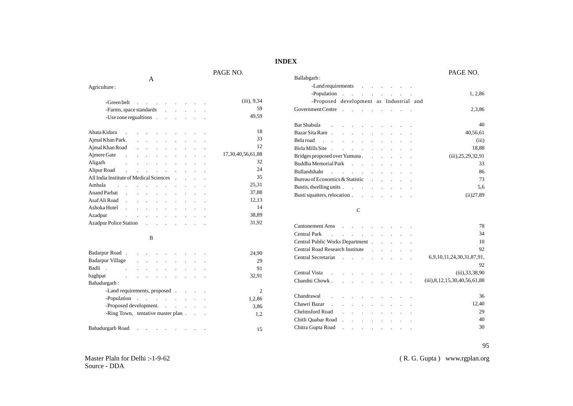# **INDEX**

# PAGE NO. PAGE NO.

| -Greenbelt                                                                                           |                                                                                                                 |                            |                 |                   |                                     |            |  | $(iii)$ , 9,34         |
|------------------------------------------------------------------------------------------------------|-----------------------------------------------------------------------------------------------------------------|----------------------------|-----------------|-------------------|-------------------------------------|------------|--|------------------------|
| -Farms, space standards                                                                              |                                                                                                                 |                            |                 |                   |                                     |            |  | 59                     |
| -Use zone regualtions                                                                                |                                                                                                                 |                            |                 |                   |                                     |            |  | 49,59                  |
| Ahata Kidara .                                                                                       | <b>Contract Contract</b>                                                                                        |                            |                 | <b>Contractor</b> | and the contract of the contract of |            |  | 18                     |
| Ajmal Khan Park.                                                                                     |                                                                                                                 |                            |                 |                   |                                     |            |  | 33                     |
| Ajmal Khan Road                                                                                      |                                                                                                                 |                            |                 |                   |                                     |            |  | 12                     |
| Ajmere Gate                                                                                          |                                                                                                                 |                            |                 |                   |                                     |            |  | 17, 30, 40, 56, 61, 88 |
| Aligarh                                                                                              |                                                                                                                 |                            |                 |                   |                                     |            |  | 32                     |
| Alipur Road (Alipur Road (Alipur Road (Alipur Road (Alipur Road (Alipur Road (Alipur Road (Alipur Ro |                                                                                                                 |                            |                 |                   |                                     |            |  | 24                     |
| All India Institute of Medical Sciences                                                              |                                                                                                                 |                            |                 |                   |                                     |            |  | 35                     |
| Ambala                                                                                               | the contract of the contract of the contract of the contract of the contract of the contract of the contract of |                            |                 |                   |                                     |            |  | 25,31                  |
| Anand Parbat                                                                                         |                                                                                                                 |                            |                 |                   |                                     |            |  | 37,88                  |
| Asaf Ali Road                                                                                        |                                                                                                                 |                            |                 |                   |                                     | $\sim 100$ |  | 12,13                  |
| Ashoka Hotel.                                                                                        |                                                                                                                 | $\mathcal{L}^{\text{max}}$ | and the control |                   | and the company of the              |            |  | 14                     |
| Azadpur<br>the contract of the contract of the contract of                                           |                                                                                                                 |                            |                 |                   |                                     |            |  | 38,89                  |
| <b>Azadpur Police Station</b>                                                                        |                                                                                                                 |                            |                 |                   | the contract of the contract of     |            |  | 31,92                  |
|                                                                                                      |                                                                                                                 |                            |                 |                   |                                     |            |  |                        |

 $\, {\bf B}$ 

A

Agriculture :

|                  |                                                                                                                 |  |  |  |  | 24.90  |
|------------------|-----------------------------------------------------------------------------------------------------------------|--|--|--|--|--------|
| Badarpur Village |                                                                                                                 |  |  |  |  | 29     |
| Badli.           | and the contract of the con-                                                                                    |  |  |  |  | 91     |
| baghpat          | the contract of the contract of the contract of the contract of the contract of the contract of the contract of |  |  |  |  | 32.91  |
| Bahadurgarh:     |                                                                                                                 |  |  |  |  |        |
|                  | -Land requirements, proposed                                                                                    |  |  |  |  |        |
|                  | -Population                                                                                                     |  |  |  |  | 1,2,86 |
|                  | -Proposed development.                                                                                          |  |  |  |  | 3.86   |
|                  | -Ring Town, tentative master plan                                                                               |  |  |  |  | 1,2    |
|                  |                                                                                                                 |  |  |  |  |        |
|                  |                                                                                                                 |  |  |  |  | 15     |

| Ballabgarh:                             |  |  |  |  |                            |
|-----------------------------------------|--|--|--|--|----------------------------|
| -Land requirements                      |  |  |  |  |                            |
| -Population                             |  |  |  |  | 1, 2,86                    |
| -Proposed development as Industrial and |  |  |  |  |                            |
| Government Centre                       |  |  |  |  | 2,3,86                     |
|                                         |  |  |  |  | 40                         |
|                                         |  |  |  |  | 40,56,61                   |
| Belaroad                                |  |  |  |  | (iii)                      |
| Birla Mills Site                        |  |  |  |  | 18.88                      |
| Bridges proposed over Yamuna.           |  |  |  |  | $(iii)$ , $25, 29, 32, 91$ |
| Buddha Memorial Park                    |  |  |  |  | 33                         |
| Bullandshahr                            |  |  |  |  | 86                         |
| Bureau of Economics & Statistic         |  |  |  |  | 73                         |
| Bustis, dwelling units                  |  |  |  |  | 5,6                        |
| Busti squatters, relocation             |  |  |  |  | (ii)27,89                  |

### C

| Cantonement Area                                  |              |        |                                                                                 |         |  |  | 78                                      |
|---------------------------------------------------|--------------|--------|---------------------------------------------------------------------------------|---------|--|--|-----------------------------------------|
| Central Park                                      |              |        | the contract of the contract of the contract of the contract of the contract of |         |  |  | 34                                      |
| Central Public Works Department                   |              |        |                                                                                 |         |  |  | 10                                      |
| Central Road Research Institute Theory and Tennis |              |        |                                                                                 |         |  |  | 92                                      |
| Central Secretariat.                              |              |        | and a strong of the state of                                                    |         |  |  | 6,9,10,11,24,30,31,87,91,               |
|                                                   |              |        |                                                                                 |         |  |  | 92                                      |
| Central Vista<br>$\sim$                           |              |        | the contract of the contract of the contract of the contract of the contract of |         |  |  | $(iii)$ , 33, 38, 90                    |
| Chandni Chowk.                                    |              |        |                                                                                 |         |  |  | $(iii)$ , 8, 12, 15, 30, 40, 56, 61, 88 |
| Chandrawal                                        |              |        | the contract of the contract of the                                             |         |  |  | 36                                      |
| Chawri Bazar<br>$\sim$                            |              |        | and the contract of the con-                                                    |         |  |  | 12,40                                   |
| Chelmsford Road                                   | $\mathbf{r}$ | $\sim$ | <b>Contract Contract</b>                                                        | $\cdot$ |  |  | 29                                      |
| Chitli Quabar Road                                |              |        |                                                                                 |         |  |  | 40                                      |
| Chitra Gupta Road                                 |              |        |                                                                                 |         |  |  | 30                                      |
|                                                   |              |        |                                                                                 |         |  |  |                                         |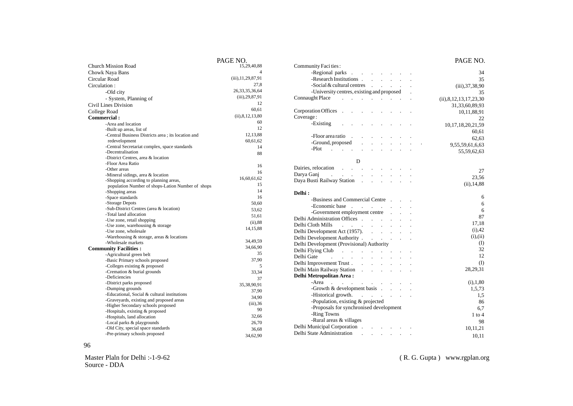|                                                    | PAUE NU.              |
|----------------------------------------------------|-----------------------|
| <b>Church Mission Road</b>                         | 15,29,40,88           |
| Chowk Naya Bans                                    |                       |
| Circular Road                                      | (iii), 11, 29, 87, 91 |
| Circulation:                                       | 27,8                  |
| -Old city                                          | 26, 33, 35, 36, 64    |
| - System, Planning of                              | $(iii)$ , 29, 87, 91  |
| Civil Lines Division                               | 12                    |
|                                                    | 60,61                 |
| College Road                                       | (ii), 8, 12, 13, 80   |
| Commercial:                                        | 60                    |
| -Area and location                                 |                       |
| -Built up areas, list of                           | 12                    |
| -Central Business Districts area; its location and | 12,13,88              |
| redevelopment                                      | 60,61,62              |
| -Central Secretariat complex, space standards      | 14                    |
| -Decentralisation                                  | 88                    |
| -District Centres, area & location                 |                       |
| -Floor Area Ratio                                  | 16                    |
| -Other areas                                       | 16                    |
| -Mineral sidings, area $&$ location                | 16,60,61,62           |
| -Shopping according to planning areas,             | 15                    |
| population Number of shops-Lation Number of shops  | 14                    |
| -Shopping areas                                    |                       |
| -Space standards                                   | 16                    |
| -Storage Depots                                    | 50,60                 |
| -Sub-District Centres (area & location)            | 53,62                 |
| -Total land allocation                             | 51,61                 |
| -Use zone, retail shopping                         | $(ii)$ ,88            |
| -Use zone, warehousing $&$ storage                 | 14, 15, 88            |
| -Use zone, wholesale                               |                       |
| -Warehousing & storage, areas & locations          | 34,49,59              |
| -Wholesale markets                                 | 34,66,90              |
| <b>Community Facilities:</b>                       | 35                    |
| -Agricultural green belt                           |                       |
| -Basic Primary schools proposed                    | 37,90                 |
| -Colleges existing & proposed                      | 5                     |
| -Cremation & burial grounds                        | 33,34                 |
| -Deficiencies                                      | 37                    |
| -District parks proposed                           | 35,38,90,91           |
| -Dumping grounds                                   | 37,90                 |
| -Educational, Social & cultural institutions       | 34,90                 |
| -Graveyards, existing and proposed areas           | $(iii)$ , 36          |
| -Higher Secondary schools proposed                 | 90                    |
| -Hospitals, existing & proposed                    | 32,66                 |
| -Hospitals, land allocation                        |                       |
| -Local parks & playgrounds                         | 26,70                 |
| -Old City, special space standards                 | 36,68                 |
| -Pre-primary schools proposed                      | 34,62,90              |

| PAGE NO.                   |                                                                                                                | PAGE NO.                    |
|----------------------------|----------------------------------------------------------------------------------------------------------------|-----------------------------|
| 15,29,40,88                | Community Faci ties:                                                                                           |                             |
| $\overline{4}$             | -Regional parks                                                                                                | 34                          |
| $(iii)$ , $11, 29, 87, 91$ | -Research Institutions                                                                                         | 35                          |
| 27,8                       | $-Social & cultural centres$                                                                                   | (iii), 37, 38, 90           |
| 26, 33, 35, 36, 64         | -University centres, existing and proposed.                                                                    | 35                          |
| $(iii)$ , 29, 87, 91       | Connaught Place Account 2014 1996                                                                              | (ii), 8, 12, 13, 17, 23, 30 |
| 12                         |                                                                                                                | 31, 33, 60, 89, 93          |
| 60,61                      | Corporation Offices                                                                                            | 10,11,88,91                 |
| (ii), 8, 12, 13, 80        | Coverage:                                                                                                      | 22                          |
| 60                         | -Existing                                                                                                      | 10, 17, 18, 20, 21, 59      |
| 12                         |                                                                                                                | 60,61                       |
| 12,13,88                   | -Floor area ratio                                                                                              | 62,63                       |
| 60,61,62                   | -Ground, proposed<br>and the state of the state of the                                                         |                             |
| 14                         | $-Plot$                                                                                                        | 9,55,59,61,6,63             |
| 88                         |                                                                                                                | 55,59,62,63                 |
|                            | D                                                                                                              |                             |
| 16                         | Dairies, relocation                                                                                            |                             |
| 16                         | Darya Ganj                                                                                                     | 27                          |
| 16,60,61,62                | Daya Busti Railway Station                                                                                     | 23,56                       |
| 15                         |                                                                                                                | $(ii)$ , 14,88              |
| 14                         | Delhi:                                                                                                         |                             |
| 16                         | -Business and Commercial Centre                                                                                | 6                           |
| 50,60                      | -Economic base                                                                                                 | 6                           |
| 53,62                      |                                                                                                                | $\sqrt{6}$                  |
| 51,61                      | -Government employment centre                                                                                  | 87                          |
| $(ii)$ , 88                |                                                                                                                | 17,18                       |
| 14,15,88                   | Delhi Cloth Mills<br>and the contract of the contract of                                                       | $(i)$ , 42                  |
|                            | Delhi Development Act (1957).                                                                                  | (i), (ii)                   |
| 34,49,59                   | Delhi Development Authority                                                                                    | (1)                         |
| 34,66,90                   | Delhi Development (Provisional) Authority                                                                      | 32                          |
| 35                         |                                                                                                                | 12                          |
| 37,90                      | Delhi Gate Processor and Processor and Processor and Processor and Processor and Processor and Processor and P |                             |
| 5                          | Delhi Improvement Trust                                                                                        | (1)                         |
| 33,34                      | Delhi Main Railway Station                                                                                     | 28,29,31                    |
| 37                         | <b>Delhi Metropolitan Area:</b>                                                                                |                             |
| 35,38,90,91                | $-Area$                                                                                                        | (i), 1, 80                  |
| 37,90                      | -Growth $\&$ development basis $\qquad \qquad$                                                                 | 1,5,73                      |
| 34,90                      | -Historical growth.                                                                                            | 1,5                         |
| $(iii)$ , 36               | -Population, existing & projected                                                                              | 86                          |
| 90                         | -Proposals for synchronised development                                                                        | 6,7                         |
| 32,66                      | -Ring Towns                                                                                                    | $1$ to $4$                  |
| 26,70                      | -Rural areas & villages                                                                                        | 98                          |
| 36,68                      |                                                                                                                | 10,11,21                    |
| 34,62,90                   |                                                                                                                | 10,11                       |
|                            |                                                                                                                |                             |

96

Master Plaln for Delhi :-1-9-62 Source - DDA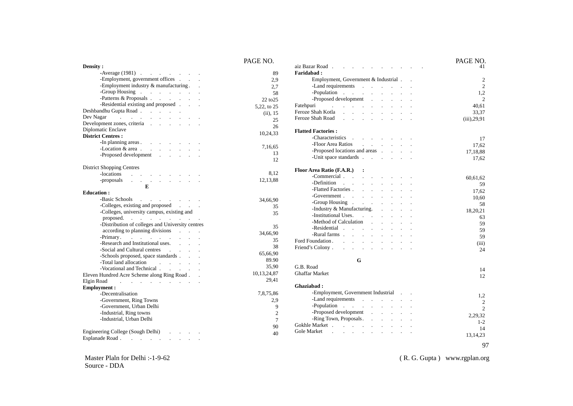|                                                                                                                                                                                                                                                         | PAGE NO.       |
|---------------------------------------------------------------------------------------------------------------------------------------------------------------------------------------------------------------------------------------------------------|----------------|
| Density:                                                                                                                                                                                                                                                |                |
| -Average $(1981)$<br>-Employment, government offices                                                                                                                                                                                                    | 89             |
| -Employment industry & manufacturing. .                                                                                                                                                                                                                 | 2,9            |
|                                                                                                                                                                                                                                                         | 2,7            |
| -Group Housing the contract of the contract of the contract of the contract of the contract of the contract of the contract of the contract of the contract of the contract of the contract of the contract of the contract of<br>-Patterns & Proposals | 58             |
| -Residential existing and proposed                                                                                                                                                                                                                      | 22 to 25       |
|                                                                                                                                                                                                                                                         | 5,22, to 25    |
| Deshbandhu Gupta Road                                                                                                                                                                                                                                   | $(ii)$ , 15    |
| Dev Nagar and a series of the series of the series of the series of the series of the series of the series of the series of the series of the series of the series of the series of the series of the series of the series of                           | 25             |
| Development zones, criteria                                                                                                                                                                                                                             | 26             |
| Diplomatic Enclave                                                                                                                                                                                                                                      | 10,24,33       |
| <b>District Centres:</b>                                                                                                                                                                                                                                |                |
| -In planning areas                                                                                                                                                                                                                                      | 7,16,65        |
| $\text{Location } \& \text{ area } \quad \text{ . } \quad \text{ . } \quad \text{ . } \quad \text{ . }$                                                                                                                                                 | 13             |
| -Proposed development<br>$\mathcal{L}^{\text{max}}$                                                                                                                                                                                                     | 12             |
|                                                                                                                                                                                                                                                         |                |
| <b>District Shopping Centres</b>                                                                                                                                                                                                                        |                |
| $-\text{locations}$                                                                                                                                                                                                                                     | 8,12           |
| -proposals                                                                                                                                                                                                                                              | 12,13,88       |
| E                                                                                                                                                                                                                                                       |                |
| <b>Education:</b>                                                                                                                                                                                                                                       |                |
| Basic Schools and the contract of the set of the set of the set of the set of the set of the set of the set of the set of the set of the set of the set of the set of the set of the set of the set of the set of the set of t                          | 34,66,90       |
| -Colleges, existing and proposed                                                                                                                                                                                                                        | 35             |
| -Colleges, university campus, existing and                                                                                                                                                                                                              | 35             |
| proposed.                                                                                                                                                                                                                                               |                |
| -Distribution of colleges and University centres                                                                                                                                                                                                        | 35             |
| according to planning divisions                                                                                                                                                                                                                         | 34,66,90       |
|                                                                                                                                                                                                                                                         | 35             |
| -Research and Institutional uses. .<br>$\sim$                                                                                                                                                                                                           | 38             |
| -Social and Cultural centres<br>$\sim 10^{-11}$                                                                                                                                                                                                         | 65,66,90       |
| -Schools proposed, space standards.                                                                                                                                                                                                                     |                |
| $\sim$                                                                                                                                                                                                                                                  | 89.90          |
| -Vocational and Technical                                                                                                                                                                                                                               | 35,90          |
| Eleven Hundred Acre Scheme along Ring Road                                                                                                                                                                                                              | 10,13,24,87    |
| Elgin Road<br>$\ddot{\phantom{a}}$                                                                                                                                                                                                                      | 29,41          |
| <b>Employment:</b>                                                                                                                                                                                                                                      |                |
| -Decentralisation                                                                                                                                                                                                                                       | 7,8,75,86      |
| -Government, Ring Towns                                                                                                                                                                                                                                 | 2,9            |
| -Government, Urban Delhi                                                                                                                                                                                                                                | 9              |
| -Industrial, Ring towns                                                                                                                                                                                                                                 | $\overline{c}$ |
| -Industrial, Urban Delhi                                                                                                                                                                                                                                | $\overline{7}$ |
|                                                                                                                                                                                                                                                         | 90             |
| Engineering College (Sough Delhi)                                                                                                                                                                                                                       | 40             |

|                                                                                                                                                               | PAGE NO.              |
|---------------------------------------------------------------------------------------------------------------------------------------------------------------|-----------------------|
| aiz Bazar Road.                                                                                                                                               | 41                    |
| <b>Faridabad:</b>                                                                                                                                             |                       |
| Employment, Government & Industrial.                                                                                                                          | 2<br>$\mathfrak{D}$   |
| -Land requirements<br>-Population                                                                                                                             |                       |
| $\mathcal{L}^{\text{max}}$<br>$\mathbb{Z}^2$<br>$\ddot{\phantom{a}}$<br>-Proposed development                                                                 | 1,2<br>$\mathfrak{D}$ |
| $\ddot{\phantom{a}}$                                                                                                                                          |                       |
| Fatehpuri<br>and the control of<br>$\mathbf{r}$<br>Feroze Shah Kotla                                                                                          | 40,61                 |
| $\overline{a}$<br>$\overline{a}$<br>$\overline{a}$<br>$\ddot{\phantom{a}}$<br>Feroze Shah Road                                                                | 33,37                 |
| $\Box$<br>$\ddot{\phantom{0}}$<br>$\ddot{\phantom{a}}$<br>$\ddot{\phantom{a}}$<br>$\ddot{\phantom{0}}$<br>$\ddot{\phantom{0}}$                                | $(iii)$ , 29, 91      |
| <b>Flatted Factories:</b>                                                                                                                                     |                       |
| -Characteristics<br>and the company of<br>$\ddot{\phantom{a}}$                                                                                                | 17                    |
| -Floor Area Ratios<br>$\Delta \sim 1000$ km s $^{-1}$                                                                                                         | 17,62                 |
| -Proposed locations and areas .<br>$\overline{a}$                                                                                                             |                       |
| -Unit space standards<br>$\mathbf{1}$ and $\mathbf{1}$ and $\mathbf{1}$                                                                                       | 17,18,88              |
|                                                                                                                                                               | 17,62                 |
| Floor Area Ratio (F.A.R.)<br>$\ddot{\phantom{a}}$                                                                                                             |                       |
| -Commercial<br>$\sim 10^{-11}$<br>$\overline{a}$                                                                                                              | 60,61,62              |
| -Definition<br><b>Contract Contract</b><br>$\mathbf{r}$<br>$\ddot{\phantom{a}}$<br>a.<br>$\ddot{\phantom{a}}$<br>$\ddot{\phantom{a}}$<br>$\ddot{\phantom{a}}$ | 59                    |
| -Flatted Factories.<br>$\overline{a}$                                                                                                                         | 17,62                 |
| -Government<br>$\mathbf{r}$<br>$\mathcal{L}$                                                                                                                  | 10,60                 |
| -Group Housing<br>$\overline{a}$<br>$\ddot{\phantom{a}}$<br>$\ddot{\phantom{a}}$<br>$\overline{a}$                                                            | 58                    |
| -Industry & Manufacturing.<br>$\ddot{\phantom{a}}$<br>$\ddot{\phantom{a}}$                                                                                    | 18,20,21              |
| -Institutional Uses.<br>$\sim$                                                                                                                                | 63                    |
| -Method of Calculation                                                                                                                                        | 59                    |
| - Residential<br>$\sim$<br>$\sim$ 10<br>$\ddot{\phantom{a}}$<br>$\ddot{\phantom{a}}$<br>$\ddot{\phantom{a}}$<br>$\ddot{\phantom{a}}$                          | 59                    |
| -Rural farms.<br>$\overline{a}$                                                                                                                               |                       |
| Ford Foundation. Ford.<br>$\mathbf{r}$<br>$\sim$<br>$\ddot{\phantom{a}}$<br>$\mathbf{r}$<br>$\ddot{\phantom{a}}$                                              | 59                    |
| Friend's Colony.<br>$\ddot{\phantom{a}}$<br>$\ddot{\phantom{a}}$<br>$\ddot{\phantom{a}}$<br>$\ddot{\phantom{a}}$                                              | (iii)                 |
|                                                                                                                                                               | 24                    |
| G                                                                                                                                                             |                       |
| G.B. Road                                                                                                                                                     | 14                    |
| <b>Ghaffar Market</b>                                                                                                                                         | 12                    |
|                                                                                                                                                               |                       |
| Ghaziabad:                                                                                                                                                    |                       |
| - Employment, Government Industrial                                                                                                                           | 1,2                   |
| -Land requirements<br>$\sim 10^{-1}$ km $^{-1}$<br><b>Carl Carl</b>                                                                                           | 2                     |
| -Population<br><b>Carl Carl</b><br>$\mathbf{r}$<br>$\sim 100$<br>$\sim$<br>$\mathbf{r}$                                                                       | $\mathfrak{D}$        |
| -Proposed development<br>$\ddot{\phantom{a}}$<br>$\ddot{\phantom{a}}$<br>$\ddot{\phantom{a}}$                                                                 | 2,29,32               |
| -Ring Town, Proposals.<br>$\ddot{\phantom{a}}$<br>$\ddot{\phantom{a}}$<br>$\ddot{\phantom{a}}$<br>$\ddot{\phantom{a}}$                                        | $1 - 2$               |
| Gokhle Market<br>$\mathcal{L}_{\rm{max}}$                                                                                                                     | 14                    |
| <b>Gole Market</b><br>$\sim$ 100 $\sim$<br>$\mathbf{r}$<br>$\overline{a}$<br>$\cdot$<br>÷<br>$\overline{a}$<br>$\overline{a}$                                 | 13, 14, 23            |
|                                                                                                                                                               |                       |

Master Plaln for Delhi :-1-9-62 Source - DDA

( R. G. Gupta ) www.rgplan.org

97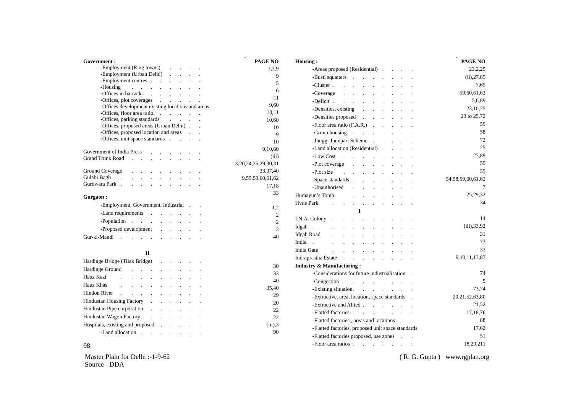| Government:                                                                     | PAGE NO                   | Housing:                                                       |
|---------------------------------------------------------------------------------|---------------------------|----------------------------------------------------------------|
| -Employment (Ring towns)                                                        | 1.2.9                     | -Areas proposed (Residential)                                  |
| -Employment (Urban Delhi)                                                       | 9                         | -Busti squatters                                               |
| -Employment centres                                                             | 5                         |                                                                |
| -Housing                                                                        | 6                         | -Cluster                                                       |
| -Offices in barracks                                                            | 11                        | -Coverage                                                      |
| -Offices, plot coverages<br>and the company of the company                      | 9,60                      | -Deficit                                                       |
| -Offices development existing locations and areas                               |                           | -Densities, existing                                           |
| -Offices, floor area ratio.                                                     | 10,11                     | -Densities proposed                                            |
| -Offices, parking standards                                                     | 10.60                     | -Floor area ratio $(F.A.R.)$                                   |
| -Offices, proposed areas (Urban Delhi)<br>-Offices, proposed location and areas | 10                        |                                                                |
| -Offices, unit space standards                                                  | $\mathbf Q$               | -Group housing.                                                |
|                                                                                 | 10                        | - Jhuggi Jhonpari Scheme                                       |
| Government of India Press                                                       | 9,10,60                   | -Land allocation (Residential)                                 |
| Grand Trunk Road                                                                | (iii)                     | -Low Cost                                                      |
|                                                                                 | 3, 20, 24, 25, 29, 30, 31 | -Plot coverage                                                 |
| <b>Ground Coverage</b><br>and the contract of the contract of the               | 33, 37, 40                | -Plot size<br>and the company of the company of the            |
| Gulabi Bagh<br>the contract of the contract of the contract of the              | 9,55,59,60,61,62          | -Space standards                                               |
| Gurdwara Park                                                                   | 17,18                     | -Unauthorised                                                  |
|                                                                                 | 33                        | and the company of the company of                              |
| Gurgaon:                                                                        |                           | Humayun's Tomb                                                 |
| -Employment, Government, Industrial                                             |                           | Hyde Park<br>the contract of the contract of the contract of   |
| -Land requirements                                                              | 1,2                       | $\mathbf{I}$                                                   |
| -Population                                                                     | $\mathfrak{2}$            | I.N.A. Colony.<br>and a strong control of the state            |
|                                                                                 | $\overline{c}$            | Idgah.<br>design and a state of the state of                   |
| -Proposed development                                                           | $\overline{3}$            | Idgah Road<br>and a strategic control of the state of          |
| Gur-ki-Mandi                                                                    | 40                        |                                                                |
|                                                                                 |                           | India .<br>and the contract of the contract of the contract of |
| H                                                                               |                           | India Gate<br>and a strong control of the state of             |
| Hardinge Bridge (Tilak Bridge)                                                  |                           | Indraprastha Estate                                            |
|                                                                                 | 30                        | <b>Industry &amp; Manufactoring:</b>                           |
| Hardinge Ground<br>and a strategic control of the state                         | 33                        | -Considerations for future industrialisation.                  |
| Hauz Kazi                                                                       | 40                        | -Congestion example and the congression                        |
| Hauz Khas<br>and a series of the contract of the series                         | 35.40                     | -Existing situation                                            |

-Existing situation. -Extractive, area, location, space standards . -Extractive and Allied . . . . . . -Flatted factories . . . . . . . -Flatted factories , areas and locations . . -Flatted factories, proposed unit space standards. -Flatted factories proposed, use zones . . -Floor area ratios . . . . . . . (iii),33,92 31 73 33 9,10,11,13,87 74 5 73,74 20,21,52,63,80 21,52 17,18,76 88 17,62 51 18,20,211

Master Plaln for Delhi :-1-9-62 Source - DDA

Hindon River . . . . . . . . . Hindustan Housing Factory . . . . . . Hindustan Pipe corporation . . . . . . Hindustan Wagon Factory. . . . . . . . Hospitals, existing and proposed . . . . . . . . -Land allocation . . . . . . .

98

( R. G. Gupta ) www.rgplan.org

**PAGE NO** 23,2,25  $(ii)$ , 27,89 7,65 59,60,61,62 5,6,89 23,10,25 23 to 25,72 59 58 72 25 27,89 55 55

.

54,58,59,60,61,62

7 25,29,32 34

14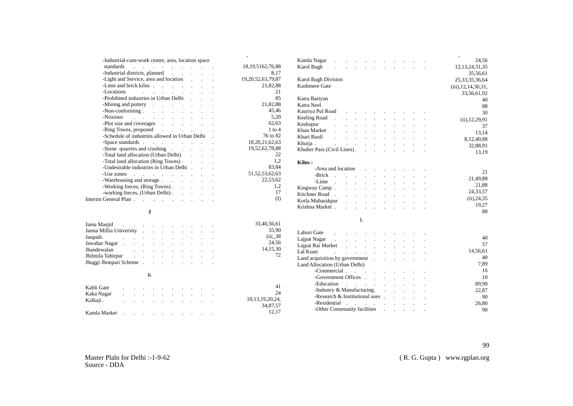| -Industrial-cum-work centre, area, location space                                                                                                                                                                              |                 |                        |
|--------------------------------------------------------------------------------------------------------------------------------------------------------------------------------------------------------------------------------|-----------------|------------------------|
| standards<br>the contract of the contract of the contract of                                                                                                                                                                   |                 | 18, 19, 5162, 76, 88   |
| -Industrial districts, planned                                                                                                                                                                                                 |                 | 8,17                   |
| -Light and Service, area and location                                                                                                                                                                                          |                 | 19, 20, 52, 63, 79, 87 |
| -Lime and brick kilns                                                                                                                                                                                                          |                 | 21,82,88               |
| -Locations<br>and a strategic control of the state of                                                                                                                                                                          |                 | 21                     |
| -Prohibited industries in Urban Delhi                                                                                                                                                                                          |                 | 85                     |
| -Mining and pottery expansion of the set of the set of the set of the set of the set of the set of the set of the set of the set of the set of the set of the set of the set of the set of the set of the set of the set of th |                 | 21,82,88               |
| $-Non-conforming$ $\ldots$ $\ldots$ $\ldots$                                                                                                                                                                                   |                 | 45,46                  |
| Noxious                                                                                                                                                                                                                        |                 | 5,20                   |
| -Plot size and coverages                                                                                                                                                                                                       |                 | 62,63                  |
| -Ring Towns, proposed                                                                                                                                                                                                          |                 | $1$ to $4$             |
| -Schedule of industries allowed in Urban Delhi.                                                                                                                                                                                |                 | 76 to 82               |
|                                                                                                                                                                                                                                |                 | 18, 20, 21, 62, 63     |
| -Stone quarries and crushing                                                                                                                                                                                                   |                 | 19,52,62,78,88         |
| -Total land allocation (Urban Delhi)                                                                                                                                                                                           |                 | 22                     |
| -Total land allocation (Ring Towns).                                                                                                                                                                                           |                 | 1,2                    |
| - Undesirable industries in Urban Delhi.                                                                                                                                                                                       |                 | 83,84                  |
| -Use zones                                                                                                                                                                                                                     |                 | 51, 52, 53, 62, 63     |
| -Warehousing and storage                                                                                                                                                                                                       |                 | 22,53,62               |
| -Working forces, (Ring Towns).                                                                                                                                                                                                 |                 | 1,2                    |
| -working forces, (Urban Delhi)                                                                                                                                                                                                 | $\cdot$         | 17                     |
| Interim General Plan                                                                                                                                                                                                           | $\sim$ 10 $\pm$ | (I)                    |
|                                                                                                                                                                                                                                |                 |                        |

#### **J**

| Jama Masjid and a contract the contract of the set of the set of the set of the set of the set of the set of the set of the set of the set of the set of the set of the set of the set of the set of the set of the set of the |  |  |  |  | 33,40,56,61 |
|--------------------------------------------------------------------------------------------------------------------------------------------------------------------------------------------------------------------------------|--|--|--|--|-------------|
| Jamia Millia University                                                                                                                                                                                                        |  |  |  |  | 35.90       |
| Janpath. The contract of the contract of the contract of the contract of the contract of the contract of the contract of the contract of the contract of the contract of the contract of the contract of the contract of the c |  |  |  |  | $(iii)$ 38  |
| Jawahar Nagar (1997) and the set of the set of the set of the set of the set of the set of the set of the set of the set of the set of the set of the set of the set of the set of the set of the set of the set of the set of |  |  |  |  | 24,56       |
| Jhandewalan                                                                                                                                                                                                                    |  |  |  |  | 14, 15, 30  |
| Jhilmila Tahirpur                                                                                                                                                                                                              |  |  |  |  | 72          |
| Jhuggi Jhonpari Scheme                                                                                                                                                                                                         |  |  |  |  |             |

#### K

| Kabli Gate   | $\sim$       | the contract of the contract of the contract of the                             |  |                                                  |  |                                   |        | 41                  |
|--------------|--------------|---------------------------------------------------------------------------------|--|--------------------------------------------------|--|-----------------------------------|--------|---------------------|
| Kaka Nagar   |              |                                                                                 |  |                                                  |  | the contract of the contract of   |        | 24                  |
|              | $\mathbf{r}$ | the contract of the contract of the contract of the contract of the contract of |  |                                                  |  | <b>Contract Contract Contract</b> | $\sim$ |                     |
| Kalkaji.     |              | and the contract of the contract of the contract of                             |  |                                                  |  | $\sim$ $\sim$                     |        | 10, 13, 19, 20, 24, |
|              |              |                                                                                 |  |                                                  |  |                                   |        | 34,87.57            |
| Kamla Market |              |                                                                                 |  | and the company of the company of the company of |  |                                   |        | 12.17               |

|                    | Kamla Nagar                           |                            |                            |                                                           |                            |                                  |                            |              |  | $\bullet$<br>24,56     |
|--------------------|---------------------------------------|----------------------------|----------------------------|-----------------------------------------------------------|----------------------------|----------------------------------|----------------------------|--------------|--|------------------------|
| 8,19,5162,76,88    | Karol Bagh<br>$\mathbf{r}$            |                            | $\mathcal{L}^{\text{max}}$ | $\ddot{\phantom{a}}$                                      |                            | $\sim$                           |                            |              |  | 12, 13, 24, 31, 35     |
| 8,17               |                                       |                            |                            |                                                           |                            |                                  |                            |              |  | 35,56,61               |
| ,20,52,63,79,87    | Karol Bagh Division                   |                            |                            |                                                           |                            |                                  |                            |              |  | 25, 33, 35, 36, 64     |
| 21,82,88           | Kashmere Gate                         |                            |                            |                                                           |                            |                                  |                            |              |  | (iii), 12, 14, 30, 31, |
| 21                 |                                       |                            |                            |                                                           |                            |                                  |                            |              |  | 33,56,61,92            |
| 85                 | Katra Bariyan                         |                            |                            |                                                           |                            |                                  |                            |              |  | 40                     |
| 21,82,88           | Katra Neel                            |                            |                            |                                                           |                            |                                  |                            |              |  | 88                     |
| 45,46              | Kauriya Pul Road                      |                            |                            | and a strong control of the state of                      |                            |                                  |                            |              |  | 30                     |
| 5,20               | Keeling Road<br>$\sim$                |                            | $\mathbf{L}$               | $\sim$                                                    |                            |                                  |                            |              |  | (ii), 12, 29, 91       |
| 62,63              | Keshopur<br>$\mathbf{r}$              |                            | $\mathbf{r}$               | $\mathcal{L}^{\text{max}}$                                | $\overline{a}$             | $\mathbf{r}$                     | $\overline{a}$             |              |  | 37                     |
| $1$ to $4$         | Khan Market                           |                            |                            | and a state of                                            | $\mathbf{r}$               | $\mathbf{r}$                     |                            |              |  | 13,14                  |
| 76 to 82           | Khari Baoli                           |                            |                            | and the company                                           | $\sim$                     | $\mathcal{L}^{\mathcal{L}}$      | $\ddot{\phantom{a}}$       |              |  | 8,12,40,88             |
| 18,20,21,62,63     | Khurja.                               | $\mathcal{L}^{\text{max}}$ | <b>Contractor</b>          | $\mathcal{L}^{\text{max}}$                                | $\mathcal{L}$              | $\blacksquare$                   |                            |              |  | 32,88,91               |
| 19,52,62,78,88     | Khuber Pass (Civil Lines).            |                            |                            |                                                           | $\mathbf{L} = \mathbf{L}$  | $\mathbf{r}$                     |                            |              |  | 13,19                  |
| 22                 |                                       |                            |                            |                                                           |                            |                                  |                            |              |  |                        |
| 1,2                | Kilns:                                |                            |                            |                                                           |                            |                                  |                            |              |  |                        |
| 83,84              | -Area and location                    |                            |                            |                                                           |                            | $\sim$                           |                            |              |  |                        |
| 51, 52, 53, 62, 63 | -Brick                                | and the company of         |                            | $\ddot{\phantom{0}}$                                      | $\ddot{\phantom{a}}$       | $\mathcal{L}^{\text{max}}$       | $\ddot{\phantom{a}}$       |              |  | 21                     |
| 22,53,62           | -Lime.                                |                            | $\mathcal{L}^{\text{max}}$ |                                                           | $\ddot{\phantom{a}}$       |                                  |                            |              |  | 21,49,88               |
| 1,2                | Kingway Camp.                         |                            |                            |                                                           |                            |                                  |                            |              |  | 21,88                  |
| 17                 | Kitchner Road.                        |                            |                            |                                                           |                            |                                  |                            |              |  | 24,33,57               |
| (I)                | Kotla Mubarakpur                      |                            |                            | $\mathcal{L}^{\text{max}}$ and $\mathcal{L}^{\text{max}}$ | $\mathcal{L}^{\text{max}}$ | $\mathbf{L}$                     |                            |              |  | (ii), 24, 35           |
|                    | Krishna Market.                       |                            |                            | <b>Provident Control</b>                                  |                            |                                  | $\mathbf{r}$               |              |  | 19,27                  |
|                    |                                       |                            |                            |                                                           |                            |                                  |                            |              |  | 88                     |
|                    |                                       |                            |                            | L                                                         |                            |                                  |                            |              |  |                        |
| 33,40,56,61        |                                       |                            |                            |                                                           |                            |                                  |                            |              |  |                        |
| 35,90              | Lahori Gate                           | $\mathcal{L}^{\text{max}}$ |                            | and a state of the                                        | $\mathcal{L}^{\text{max}}$ | $\sim$                           | $\mathbf{r}$               |              |  |                        |
| $(iii)$ 38         | Lajpat Nagar                          | $\mathbf{L}$               |                            | and a strategic control of the                            |                            |                                  | $\mathbf{r}$               | $\mathbf{r}$ |  | 40                     |
| 24,56              | Lajpat Rai Market                     |                            |                            | and a strategic control of the                            |                            |                                  | $\mathbf{r}$               |              |  | 57                     |
| 14,15,30           | Lal Kuan<br>$\mathbb{R}^{\mathbb{Z}}$ |                            |                            | and a strong control of the state of                      |                            |                                  |                            |              |  | 14,56,61               |
| 72                 | Land acquisition by government .      |                            |                            |                                                           |                            | and the contract of the contract |                            |              |  | 40                     |
|                    | Land Allocation (Urban Delhi)         |                            |                            |                                                           |                            |                                  |                            |              |  | 7,89                   |
|                    | -Commercial                           |                            |                            |                                                           |                            | $\mathcal{L}^{\text{max}}$       |                            |              |  | 16                     |
|                    | -Government Offices                   |                            |                            |                                                           |                            |                                  | $\mathcal{L}^{\text{max}}$ |              |  | 10                     |
|                    | -Education                            |                            |                            |                                                           |                            |                                  | $\mathbf{L}$               |              |  | 89,90                  |
| 41                 | -Industry & Manufacturing.            |                            |                            |                                                           |                            | <b>Contract Contract</b>         |                            | $\mathbf{L}$ |  | 22,87                  |
| 24                 | -Research & Institutional uses        |                            |                            |                                                           |                            |                                  |                            |              |  | 90                     |
| 10,13,19,20,24,    | -Residential.                         |                            |                            | and a strategic con-                                      |                            |                                  |                            |              |  | 26.80                  |
| 34,87,57           | -Other Community facilities           |                            |                            |                                                           |                            |                                  |                            |              |  | 90                     |
| 12.17              |                                       |                            |                            |                                                           |                            |                                  |                            |              |  |                        |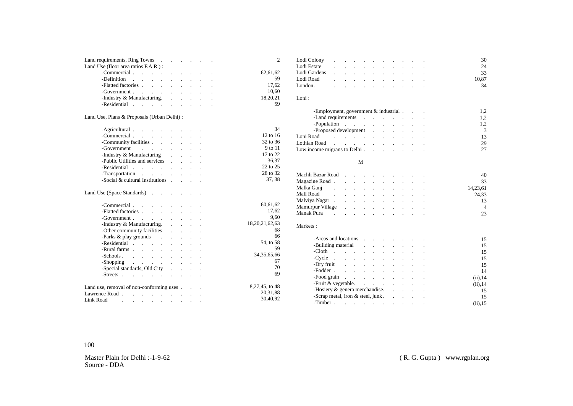| Land requirements, Ring Towns                                                                                                                                                                                                  |                                 |                                                                                               |  | $\overline{2}$ |
|--------------------------------------------------------------------------------------------------------------------------------------------------------------------------------------------------------------------------------|---------------------------------|-----------------------------------------------------------------------------------------------|--|----------------|
| Land Use (floor area ratios F.A.R.) :                                                                                                                                                                                          |                                 |                                                                                               |  |                |
| -Commercial                                                                                                                                                                                                                    |                                 |                                                                                               |  | 62,61,62       |
| -Definition .<br><b>Service</b> State                                                                                                                                                                                          |                                 |                                                                                               |  | 59             |
| -Flatted factories<br>$\alpha=1/2$                                                                                                                                                                                             |                                 |                                                                                               |  | 17,62          |
|                                                                                                                                                                                                                                |                                 |                                                                                               |  | 10,60          |
| -Government<br>-Industry & Manufacturing.                                                                                                                                                                                      | $\frac{1}{2}$ , $\frac{1}{2}$ , |                                                                                               |  | 18,20,21       |
| -Residential expansion of the set of the set of the set of the set of the set of the set of the set of the set of the set of the set of the set of the set of the set of the set of the set of the set of the set of the set o |                                 |                                                                                               |  | 59             |
| Land Use, Plans & Proposals (Urban Delhi):                                                                                                                                                                                     |                                 |                                                                                               |  |                |
| -Agricultural                                                                                                                                                                                                                  |                                 | $\mathbf{r} = \mathbf{r} \cdot \mathbf{r}$ , where $\mathbf{r} = \mathbf{r} \cdot \mathbf{r}$ |  | 34             |
| -Commercial<br>$\mathcal{L}^{\text{max}}$                                                                                                                                                                                      |                                 |                                                                                               |  | 12 to 16       |
| -Community facilities<br>$\sim$                                                                                                                                                                                                |                                 |                                                                                               |  | 32 to 36       |
| -Government<br>and the control<br>$\mathcal{L}^{\text{max}}$                                                                                                                                                                   |                                 |                                                                                               |  | 9 to 11        |
| -Industry & Manufacturing<br>$\mathbf{r}$                                                                                                                                                                                      |                                 |                                                                                               |  | 17 to 22       |
| -Public Utilities and services<br>$\mathbb{R}^{\mathbb{Z}^2}$                                                                                                                                                                  |                                 |                                                                                               |  | 36,37          |
| -Residential                                                                                                                                                                                                                   |                                 |                                                                                               |  | 22 to 25       |
| -Transportation                                                                                                                                                                                                                |                                 |                                                                                               |  | 28 to 32       |
| -Social & cultural Institutions                                                                                                                                                                                                |                                 |                                                                                               |  | 37, 38         |
|                                                                                                                                                                                                                                |                                 |                                                                                               |  |                |
| Land Use (Space Standards)                                                                                                                                                                                                     |                                 |                                                                                               |  |                |
| -Commercial.                                                                                                                                                                                                                   |                                 |                                                                                               |  | 60,61,62       |
| -Flatted factories                                                                                                                                                                                                             |                                 |                                                                                               |  | 17,62          |
| -Government                                                                                                                                                                                                                    | and the control                 |                                                                                               |  | 9.60           |
| -Industry & Manufacturing.<br>$\sim 10^{-11}$                                                                                                                                                                                  |                                 |                                                                                               |  | 18,20,21,62,63 |
| -Other community facilities<br>$\mathbf{r}$                                                                                                                                                                                    |                                 |                                                                                               |  | 68             |
| -Parks & play grounds .<br>$\mathbf{r}$                                                                                                                                                                                        |                                 |                                                                                               |  | 66             |
| -Residential                                                                                                                                                                                                                   |                                 |                                                                                               |  | 54, to 58      |
| -Rural farms<br>$\mathcal{L}^{\text{max}}$                                                                                                                                                                                     |                                 |                                                                                               |  | 59             |
| -Schools                                                                                                                                                                                                                       |                                 | $\mathbf{L} = \mathbf{L} \times \mathbf{L}$                                                   |  | 34, 35, 65, 66 |
| $-$ Shopping $\cdot$ $\cdot$ $\cdot$ $\cdot$                                                                                                                                                                                   |                                 | $\mathcal{L}^{\text{max}}$ and $\mathcal{L}^{\text{max}}$                                     |  | 67             |
| -Special standards, Old City                                                                                                                                                                                                   |                                 |                                                                                               |  | 70             |
|                                                                                                                                                                                                                                |                                 |                                                                                               |  | 69             |
|                                                                                                                                                                                                                                |                                 |                                                                                               |  | 8,27,45, to 48 |
| Land use, removal of non-conforming uses                                                                                                                                                                                       |                                 |                                                                                               |  | 20,31,88       |
| Lawrence Road.<br>the contract of the contract of                                                                                                                                                                              |                                 |                                                                                               |  |                |
| Link Road<br>and the contract of the contract of the contract of the con-                                                                                                                                                      |                                 |                                                                                               |  | 30,40,92       |

| Lodi Colony                                                                                                                                                                                                                    |  |  |  |  |  | 30    |
|--------------------------------------------------------------------------------------------------------------------------------------------------------------------------------------------------------------------------------|--|--|--|--|--|-------|
| Lodi Estate results in the set of the set of the set of the set of the set of the set of the set of the set of the set of the set of the set of the set of the set of the set of the set of the set of the set of the set of t |  |  |  |  |  | 24    |
|                                                                                                                                                                                                                                |  |  |  |  |  | 33    |
| Lodi Road results in the set of the set of the set of the set of the set of the set of the set of the set of t                                                                                                                 |  |  |  |  |  | 10.87 |
| London. The contract of the contract of the contract of the contract of the contract of the contract of the contract of the contract of the contract of the contract of the contract of the contract of the contract of the co |  |  |  |  |  | 34    |
|                                                                                                                                                                                                                                |  |  |  |  |  |       |

#### Loni :

| -Employment, government $&$ industrial $\ldots$ .                                                                                                                                                                              |  |  |  | 1.2 |
|--------------------------------------------------------------------------------------------------------------------------------------------------------------------------------------------------------------------------------|--|--|--|-----|
| -Land requirements and the contract of the contract of the contract of the contract of the contract of the contract of the contract of the contract of the contract of the contract of the contract of the contract of the con |  |  |  | 1,2 |
| -Population                                                                                                                                                                                                                    |  |  |  | 1.2 |
| -Proposed development                                                                                                                                                                                                          |  |  |  | 3   |
| Loni Road                                                                                                                                                                                                                      |  |  |  | 13  |
| Lothian Road                                                                                                                                                                                                                   |  |  |  | 29  |
| Low income migrans to Delhi. $\cdot \cdot \cdot$ . $\cdot \cdot \cdot$                                                                                                                                                         |  |  |  | 27  |
|                                                                                                                                                                                                                                |  |  |  |     |

#### M

| Machli Bazar Road                                                                                                             |  |  |  |  | 40       |
|-------------------------------------------------------------------------------------------------------------------------------|--|--|--|--|----------|
|                                                                                                                               |  |  |  |  | 33       |
| Malka Ganj                                                                                                                    |  |  |  |  | 14.23.61 |
| Mall Road                                                                                                                     |  |  |  |  | 24.33    |
|                                                                                                                               |  |  |  |  | 13       |
| Mamurpur Village                                                                                                              |  |  |  |  |          |
| Manak Pura<br>the contract of the contract of the contract of the contract of the contract of the contract of the contract of |  |  |  |  | 23       |

#### Markets :

| -Areas and locations                                                                                                                                                                                                           |  |  |  | 15          |
|--------------------------------------------------------------------------------------------------------------------------------------------------------------------------------------------------------------------------------|--|--|--|-------------|
| -Building material contact the contract of the set of the set of the set of the set of the set of the set of the set of the set of the set of the set of the set of the set of the set of the set of the set of the set of the |  |  |  | 15          |
| -Cloth .<br>the contract of the contract of the contract of the contract of the contract of                                                                                                                                    |  |  |  | 15          |
| $-Cycle$ $\qquad \qquad$ $\qquad \qquad$ $\qquad$ $\qquad \qquad$ $\qquad \qquad$ $\qquad \qquad$ $\qquad \qquad$                                                                                                              |  |  |  | 15          |
| -Dry fruit $\qquad \qquad$                                                                                                                                                                                                     |  |  |  | 15          |
| -Fodder                                                                                                                                                                                                                        |  |  |  | 14          |
| -Food grain research and research and research and research and research and research and research and research                                                                                                                |  |  |  | $(ii)$ , 14 |
| -Fruit $\&$ vegetable. $\qquad \qquad$                                                                                                                                                                                         |  |  |  | $(ii)$ , 14 |
| -Hosiery $\&$ genera merchandise. $\qquad \qquad$ .                                                                                                                                                                            |  |  |  | 15          |
| -Scrap metal, iron $\&$ steel, junk $\ldots$                                                                                                                                                                                   |  |  |  | 15          |
| -Timber.                                                                                                                                                                                                                       |  |  |  |             |
|                                                                                                                                                                                                                                |  |  |  |             |

#### 100

Master Plaln for Delhi :-1-9-62 Source - DDA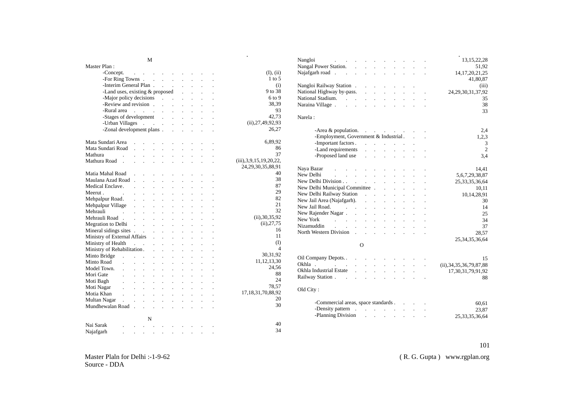M

| Master Plan:                        |                                                           |                            |                            |                      |                            |                            |                      |                      |                                                        |
|-------------------------------------|-----------------------------------------------------------|----------------------------|----------------------------|----------------------|----------------------------|----------------------------|----------------------|----------------------|--------------------------------------------------------|
| -Concept.                           | and a state                                               |                            |                            |                      |                            |                            |                      |                      | (I), (ii)                                              |
|                                     |                                                           |                            |                            |                      |                            |                            |                      |                      | $1 \text{ to } 5$                                      |
| -Interim General Plan               |                                                           |                            |                            |                      |                            | $\mathcal{L}^{\text{max}}$ | $\ddot{\phantom{a}}$ |                      | (i)                                                    |
| -Land uses, existing & proposed     |                                                           |                            |                            |                      |                            | $\mathcal{L}^{\text{max}}$ |                      |                      | 9 to 38                                                |
| -Major policy decisions             |                                                           |                            |                            |                      |                            | $\mathbf{r}$               | $\mathbf{r}$         |                      | 6 to 9                                                 |
| -Review and revision                |                                                           |                            |                            |                      |                            | $\mathcal{L}$              | $\mathbf{r}$         |                      | 38,39                                                  |
| -Rural area                         | $\mathcal{L}^{\text{max}}$ and $\mathcal{L}^{\text{max}}$ |                            |                            | $\ddot{\phantom{a}}$ | <b>Contractor</b>          | $\mathbf{L}$               | $\ddot{\phantom{a}}$ |                      | 93                                                     |
| -Stages of development              |                                                           |                            |                            | $\mathbb{R}^2$       | $\mathcal{L}^{\text{max}}$ | $\mathbb{Z}^2$             | $\ddot{\phantom{a}}$ |                      | 42.73                                                  |
| -Urban Villages                     |                                                           |                            |                            |                      | $\ddot{\phantom{a}}$       |                            |                      |                      | (ii), 27, 49, 92, 93                                   |
| -Zonal development plans.           |                                                           |                            |                            |                      |                            |                            |                      |                      | 26,27                                                  |
| Mata Sundari Area                   |                                                           |                            |                            |                      |                            |                            |                      |                      | 6,89,92                                                |
| Mata Sundari Road                   | $\mathbb{Z}^2$                                            | $\mathbb{Z}^2$             | $\ddot{\phantom{a}}$       | $\ddot{\phantom{0}}$ | $\ddot{\phantom{0}}$       |                            |                      |                      | 86                                                     |
| Mathura                             |                                                           |                            |                            |                      |                            |                            |                      |                      | 37                                                     |
| Mathura Road<br>$\overline{a}$      |                                                           |                            |                            |                      |                            |                            |                      |                      | (iii), 3, 9, 15, 19, 20, 22,<br>24, 29, 30, 35, 88, 91 |
| Matia Mahal Road                    |                                                           |                            |                            |                      |                            |                            |                      |                      | 40                                                     |
| Maulana Azad Road.                  |                                                           |                            |                            | $\ddot{\phantom{0}}$ | $\ddot{\phantom{0}}$       |                            |                      |                      | 38                                                     |
| Medical Enclave.                    |                                                           |                            |                            |                      |                            |                            |                      |                      | 87                                                     |
| Meerut.                             |                                                           |                            |                            |                      |                            |                            |                      |                      | 29                                                     |
| Mehpalpur Road.                     |                                                           |                            |                            |                      |                            |                            |                      |                      | 82                                                     |
| Mehpalpur Village                   | $\ddot{\phantom{a}}$                                      | $\ddot{\phantom{a}}$       | $\ddot{\phantom{a}}$       | $\ddot{\phantom{0}}$ | $\ddot{\phantom{a}}$       | $\ddot{\phantom{0}}$       |                      |                      | 21                                                     |
| Mehrauli<br>$\sim 100$ km s $^{-1}$ | $\ddot{\phantom{0}}$                                      | $\Box$                     |                            | $\ddot{\phantom{0}}$ | $\ddot{\phantom{0}}$       |                            |                      |                      | 32                                                     |
| Mehrauli Road.                      | $\mathbf{r}$                                              |                            |                            |                      |                            |                            |                      |                      | (ii), 30, 35, 92                                       |
| Megration to Delhi.                 |                                                           |                            | $\mathbf{r}$               | $\cdot$              | $\sim$                     |                            |                      |                      | (ii), 27, 75                                           |
| Mineral sidings sites               |                                                           |                            |                            | $\ddot{\phantom{a}}$ | $\sim$ 10 $\pm$            |                            |                      |                      | 16                                                     |
| Ministry of External Affairs        |                                                           |                            | $\ddot{\phantom{a}}$       | $\ddot{\phantom{a}}$ | $\sim 10$                  | $\ddot{\phantom{0}}$       | $\ddot{\phantom{0}}$ |                      | 11                                                     |
| Ministry of Health                  | $\sim 10^{11}$ km s $^{-1}$                               |                            |                            | $\mathbb{Z}^2$       | $\ddot{\phantom{0}}$       |                            |                      |                      | (I)                                                    |
| Ministry of Rehabilitation.         |                                                           |                            |                            |                      |                            |                            |                      |                      | 4                                                      |
| Minto Bridge                        | $\mathbf{L} = \mathbf{L} \times \mathbf{L}$               |                            | $\ddot{\phantom{a}}$       | $\mathbf{r}$         |                            |                            |                      |                      | 30,31,92                                               |
| Minto Road                          |                                                           |                            |                            |                      |                            |                            |                      |                      | 11, 12, 13, 30                                         |
| Model Town.                         | $\ddot{\phantom{a}}$                                      | $\ddot{\phantom{a}}$       | $\ddot{\phantom{a}}$       | $\ddot{\phantom{a}}$ | $\ddot{\phantom{0}}$       | $\ddot{\phantom{a}}$       | $\ddot{\phantom{0}}$ | $\ddot{\phantom{0}}$ | 24,56                                                  |
| Mori Gate                           |                                                           |                            |                            | $\ddot{\phantom{a}}$ | $\ddot{\phantom{a}}$       | $\ddot{\phantom{a}}$       |                      |                      | 88                                                     |
| Moti Bagh                           |                                                           |                            |                            | $\ddot{\phantom{a}}$ | $\ddot{\phantom{a}}$       |                            |                      |                      | 24                                                     |
| Moti Nagar                          | $\overline{a}$                                            | $\overline{a}$             | $\ddot{\phantom{a}}$       | $\ddot{\phantom{a}}$ | $\ddot{\phantom{a}}$       | $\ddot{\phantom{a}}$       | $\ddot{\phantom{a}}$ |                      | 78,57                                                  |
| Motia Khan                          | $\sim 10^{-11}$                                           | $\mathbf{L}^{\text{max}}$  | $\ddot{\phantom{a}}$       | $\ddot{\phantom{a}}$ | $\ddot{\phantom{0}}$       |                            |                      |                      | 17, 18, 31, 70, 88, 92                                 |
| Multan Nagar<br>$\mathbf{r}$        | <b>Contractor</b>                                         | $\mathcal{L}^{\text{max}}$ | $\mathbf{L}$               | $\mathbf{r}$         | $\ddot{\phantom{a}}$       | $\overline{a}$             | $\cdot$              |                      | 20                                                     |
| Mundhewalan Road.                   |                                                           | <b>Contractor</b>          | $\mathcal{L}^{\text{max}}$ | $\ddot{\phantom{a}}$ | $\ddot{\phantom{a}}$       |                            |                      |                      | 30                                                     |
|                                     |                                                           | N                          |                            |                      |                            |                            |                      |                      |                                                        |
| Nai Sarak                           |                                                           |                            |                            |                      |                            |                            |                      |                      | 40                                                     |

34

|                      | Nangloi<br>$\mathbf{r} = \mathbf{r} \cdot \mathbf{r}$ , where $\mathbf{r}$   |                                         |                                                                                                                                                           |                             |                             |                            |                                                           | 13, 15, 22, 28               |
|----------------------|------------------------------------------------------------------------------|-----------------------------------------|-----------------------------------------------------------------------------------------------------------------------------------------------------------|-----------------------------|-----------------------------|----------------------------|-----------------------------------------------------------|------------------------------|
|                      | Nangal Power Station.                                                        |                                         |                                                                                                                                                           |                             |                             |                            |                                                           | 51,92                        |
| (I), (ii)            | Najafgarh road                                                               |                                         | <b>Service State</b>                                                                                                                                      |                             |                             |                            |                                                           | 14, 17, 20, 21, 25           |
| $1$ to 5             |                                                                              |                                         |                                                                                                                                                           |                             |                             |                            |                                                           | 41,80,87                     |
| (i)                  | Nangloi Railway Station.                                                     |                                         | $\mathcal{L}^{\text{max}}$ , where $\mathcal{L}^{\text{max}}$                                                                                             |                             |                             |                            |                                                           | (iii)                        |
| 9 to 38              | National Highway by-pass.                                                    |                                         | and a state                                                                                                                                               |                             | $\sim 10^{-11}$             | $\mathcal{L}^{\text{max}}$ | $\mathcal{L}^{\text{max}}$ and $\mathcal{L}^{\text{max}}$ | 24, 29, 30, 31, 37, 92       |
| 6 to 9               | National Stadium.                                                            |                                         | $\mathcal{L}^{\text{max}}$ and $\mathcal{L}^{\text{max}}$                                                                                                 |                             |                             |                            |                                                           | 35                           |
| 38,39                | Naraina Village                                                              |                                         | <b>Service State</b>                                                                                                                                      |                             | $\mathcal{L}^{\text{max}}$  |                            |                                                           | 38                           |
| 93                   |                                                                              |                                         |                                                                                                                                                           |                             |                             |                            |                                                           | 33                           |
| 42,73                | Narela:                                                                      |                                         |                                                                                                                                                           |                             |                             |                            |                                                           |                              |
| (ii), 27, 49, 92, 93 |                                                                              |                                         |                                                                                                                                                           |                             |                             |                            |                                                           |                              |
| 26,27                |                                                                              |                                         |                                                                                                                                                           |                             |                             |                            |                                                           |                              |
|                      | $-A$ rea & population. $\qquad \qquad$ . $\qquad \qquad$ . $\qquad \qquad$ . |                                         |                                                                                                                                                           |                             |                             |                            |                                                           | 2.4                          |
| 6,89,92              | -Employment, Government $&$ Industrial . $\qquad$ .                          |                                         |                                                                                                                                                           |                             |                             |                            |                                                           | 1,2,3                        |
| 86                   | -Important factors.                                                          |                                         | $\mathcal{A}^{\mathcal{A}}$ , where $\mathcal{A}^{\mathcal{A}}$ , $\mathcal{A}^{\mathcal{A}}$ , $\mathcal{A}^{\mathcal{A}}$ , $\mathcal{A}^{\mathcal{A}}$ |                             |                             |                            |                                                           | 3                            |
| 37                   | -Land requirements                                                           |                                         | and a strong control of the state of                                                                                                                      |                             |                             |                            |                                                           | $\overline{c}$               |
|                      | -Proposed land use                                                           |                                         |                                                                                                                                                           |                             |                             |                            |                                                           | 3.4                          |
| 3,9,15,19,20,22,     |                                                                              |                                         |                                                                                                                                                           |                             |                             |                            |                                                           |                              |
| ,29,30,35,88,91      | Naya Bazar<br>and a series of the contract of the series of                  |                                         |                                                                                                                                                           |                             |                             |                            |                                                           | 14,41                        |
| 40                   | New Delhi<br>and the company of the company of the company                   |                                         |                                                                                                                                                           |                             |                             |                            | $\epsilon$                                                | 5, 6, 7, 29, 38, 87          |
| 38                   | New Delhi Division                                                           |                                         |                                                                                                                                                           |                             |                             |                            |                                                           | 25, 33, 35, 36, 64           |
| 87                   | New Delhi Municipal Committee.                                               |                                         |                                                                                                                                                           |                             | <b>Service</b>              |                            |                                                           | 10,11                        |
| 29                   |                                                                              |                                         |                                                                                                                                                           |                             |                             |                            |                                                           | 10,14,28,91                  |
| 82                   | New Jail Area (Najafgarh).                                                   |                                         | and a strategic control of                                                                                                                                |                             |                             |                            | $\mathcal{L}$                                             | 30                           |
| 21                   | New Jail Road.<br><b>Contract Contract</b>                                   |                                         | <b>Contract Contract</b>                                                                                                                                  | $\sim 10^{-11}$             | $\mathcal{L}^{\text{max}}$  |                            |                                                           | 14                           |
| 32                   | New Rajender Nagar. .                                                        |                                         | $\mathbf{L}$                                                                                                                                              |                             |                             |                            |                                                           | 25                           |
| (ii), 30, 35, 92     | New York<br>and the contract of the contract of                              |                                         |                                                                                                                                                           | $\mathbf{L}$                | $\mathcal{L}^{\mathcal{L}}$ |                            |                                                           | 34                           |
| (ii), 27, 75         | Nizamuddin<br><b>Carl Carl Corp.</b>                                         | and a strategic control of the state of |                                                                                                                                                           |                             |                             |                            |                                                           | 37                           |
| 16                   |                                                                              |                                         |                                                                                                                                                           |                             |                             |                            | $\sim 10$                                                 | 28.57                        |
| 11                   |                                                                              |                                         |                                                                                                                                                           |                             |                             |                            |                                                           |                              |
| $($ $\Gamma$         |                                                                              | $\Omega$                                |                                                                                                                                                           |                             |                             |                            |                                                           | 25, 34, 35, 36, 64           |
| $\overline{4}$       |                                                                              |                                         |                                                                                                                                                           |                             |                             |                            |                                                           |                              |
| 30,31,92             |                                                                              |                                         |                                                                                                                                                           |                             |                             |                            |                                                           |                              |
| 11, 12, 13, 30       | Oil Company Depots                                                           | $\mathbb{Z}^2$<br><b>Contract</b>       | $\mathcal{L}$                                                                                                                                             |                             |                             | $\sim 100$                 |                                                           | 15                           |
| 24,56                | Okhla.<br><b>Contract Contract</b>                                           |                                         | $\mathcal{L}^{\text{max}}$                                                                                                                                | $\ddot{\phantom{a}}$        |                             | $\mathcal{L}^{\text{max}}$ |                                                           | (ii), 34, 35, 36, 79, 87, 88 |
| 88                   | Okhla Industrial Estate                                                      | $\mathbf{r}$                            |                                                                                                                                                           |                             |                             |                            |                                                           | 17,30,31,79,91,92            |
| 24                   | Railway Station                                                              | $\mathbf{r}$                            | $\mathbf{L}$                                                                                                                                              | $\mathcal{L}^{\mathcal{L}}$ | $\mathbf{r}$                |                            |                                                           | 88                           |
| 78,57                |                                                                              |                                         |                                                                                                                                                           |                             |                             |                            |                                                           |                              |
| ,18,31,70,88,92      | Old City:                                                                    |                                         |                                                                                                                                                           |                             |                             |                            |                                                           |                              |
| 20                   |                                                                              |                                         |                                                                                                                                                           |                             |                             |                            |                                                           |                              |
| 30                   | -Commercial areas, space standards                                           |                                         |                                                                                                                                                           |                             |                             |                            |                                                           | 60,61                        |
|                      | -Density pattern                                                             |                                         |                                                                                                                                                           |                             |                             |                            |                                                           | 23,87                        |
|                      | -Planning Division                                                           |                                         |                                                                                                                                                           |                             |                             |                            |                                                           | 25, 33, 35, 36, 64           |
|                      |                                                                              |                                         |                                                                                                                                                           |                             |                             |                            |                                                           |                              |

Nai Sarak . . . . . . . . . . Najafgarh . . . . . . . . . .

#### 101

( R. G. Gupta ) www.rgplan.org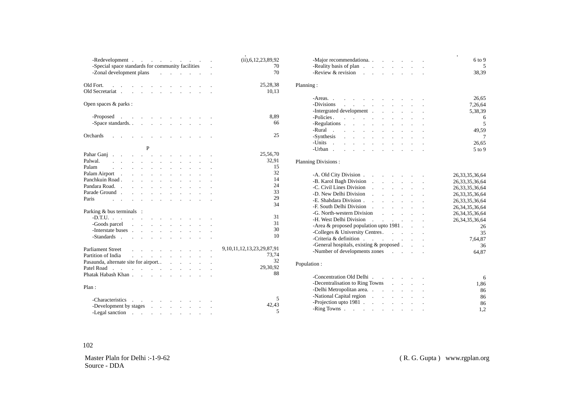| -Redevelopment<br>-Special space standards for community facilities<br>-Zonal development plans and contact the contact of the contact of the contact of the contact of the contact of the contact of the contact of the contact of the contact of the contact of the contact of the contact of the c | (ii), 6, 12, 23, 89, 92<br>70<br>70 | -Major recommendationa.<br>-Reality basis of plan<br>-Review $&$ revision               |
|-------------------------------------------------------------------------------------------------------------------------------------------------------------------------------------------------------------------------------------------------------------------------------------------------------|-------------------------------------|-----------------------------------------------------------------------------------------|
| Old Fort.<br>and the contract of the contract of the con-                                                                                                                                                                                                                                             | 25,28,38<br>10.13                   | Planning:                                                                               |
| Open spaces & parks :                                                                                                                                                                                                                                                                                 |                                     | $-Areas.$ $\ldots$ $\ldots$ $\ldots$ $\ldots$<br>-Divisions<br>-Intergrated development |
| -Proposed                                                                                                                                                                                                                                                                                             | 8,89                                |                                                                                         |
|                                                                                                                                                                                                                                                                                                       | 66                                  | $-Policies.$ $\ldots$ $\ldots$ $\ldots$ $\ldots$                                        |
|                                                                                                                                                                                                                                                                                                       |                                     |                                                                                         |
| Orchards<br>the contract of the contract of the contract of                                                                                                                                                                                                                                           | 25                                  | -Rural                                                                                  |
|                                                                                                                                                                                                                                                                                                       |                                     |                                                                                         |
| P                                                                                                                                                                                                                                                                                                     |                                     | -Units                                                                                  |
|                                                                                                                                                                                                                                                                                                       | 25,56,70                            |                                                                                         |
| Pahar Ganj                                                                                                                                                                                                                                                                                            | 32,91                               |                                                                                         |
| Palwal.<br>the contract of the contract of the contract of the                                                                                                                                                                                                                                        | 15                                  | <b>Planning Divisions:</b>                                                              |
| Palam<br>design and a strain and a strain and a                                                                                                                                                                                                                                                       | 32                                  |                                                                                         |
| Palam Airport                                                                                                                                                                                                                                                                                         |                                     | -A. Old City Division<br>26                                                             |
| Panchkuin Road                                                                                                                                                                                                                                                                                        | 14                                  | -B. Karol Bagh Division<br>26                                                           |
| Pandara Road.                                                                                                                                                                                                                                                                                         | 24                                  | -C. Civil Lines Division<br>26                                                          |
| Parade Ground                                                                                                                                                                                                                                                                                         | 33                                  | -D. New Delhi Division<br>26                                                            |
| Paris<br>and the contract of the contract of the contract of the contract of the contract of the contract of the contract of the contract of the contract of the contract of the contract of the contract of the contract of the contra                                                               | 29                                  | 26                                                                                      |
|                                                                                                                                                                                                                                                                                                       | 34                                  | -F. South Delhi Division<br>26                                                          |
| Parking & bus terminals :                                                                                                                                                                                                                                                                             |                                     | -G. North-western Division<br>26                                                        |
|                                                                                                                                                                                                                                                                                                       | 31                                  | 26                                                                                      |
|                                                                                                                                                                                                                                                                                                       | 31                                  | -Area $\&$ proposed population upto 1981. $\qquad \qquad$ .                             |
|                                                                                                                                                                                                                                                                                                       | 30                                  | -Colleges & University Centres.                                                         |
|                                                                                                                                                                                                                                                                                                       | 10                                  |                                                                                         |
|                                                                                                                                                                                                                                                                                                       |                                     | -General hospitals, existing & proposed                                                 |
|                                                                                                                                                                                                                                                                                                       | 9, 10, 11, 12, 13, 23, 29, 87, 91   | -Number of developments zones and the contract of developments zones                    |
| Partition of India<br>and the contract of the contract of the                                                                                                                                                                                                                                         | 73,74                               |                                                                                         |
| Pasaunda, alternate site for airport.                                                                                                                                                                                                                                                                 | 32                                  | Population:                                                                             |
| Patel Road                                                                                                                                                                                                                                                                                            | 29,30,92                            |                                                                                         |
|                                                                                                                                                                                                                                                                                                       | 88                                  |                                                                                         |
|                                                                                                                                                                                                                                                                                                       |                                     | -Concentration Old Delhi                                                                |
| Plan:                                                                                                                                                                                                                                                                                                 |                                     | -Decentralisation to Ring Towns                                                         |
|                                                                                                                                                                                                                                                                                                       |                                     | -Delhi Metropolitan area.                                                               |
| -Characteristics                                                                                                                                                                                                                                                                                      | .5                                  |                                                                                         |
| -Development by stages and the contract of the contract of the contract of the contract of the contract of the contract of the contract of the contract of the contract of the contract of the contract of the contract of the                                                                        | 42,43                               | -Projection upto $1981$                                                                 |
| -Legal sanction $\cdots$ $\cdots$ $\cdots$ $\cdots$                                                                                                                                                                                                                                                   | 5                                   | -Ring Towns                                                                             |
|                                                                                                                                                                                                                                                                                                       |                                     |                                                                                         |

| -Major recommendationa.                                                                                                                                                                                                        |                                         |                      |                    |                      |                            |                                                                                                                                | 6 to 9             |
|--------------------------------------------------------------------------------------------------------------------------------------------------------------------------------------------------------------------------------|-----------------------------------------|----------------------|--------------------|----------------------|----------------------------|--------------------------------------------------------------------------------------------------------------------------------|--------------------|
| -Reality basis of plan                                                                                                                                                                                                         |                                         |                      |                    |                      |                            |                                                                                                                                | 5                  |
| -Review $&$ revision                                                                                                                                                                                                           |                                         |                      |                    |                      |                            |                                                                                                                                | 38,39              |
|                                                                                                                                                                                                                                |                                         |                      |                    |                      |                            |                                                                                                                                |                    |
| ning:                                                                                                                                                                                                                          |                                         |                      |                    |                      |                            |                                                                                                                                |                    |
| $-Areas.$ $\ldots$ $\ldots$ $\ldots$ $\ldots$ $\ldots$                                                                                                                                                                         |                                         |                      |                    |                      |                            |                                                                                                                                | 26,65              |
| -Divisions<br>$\Delta \phi$ , $\Delta \phi$ , $\Delta \phi$ , $\Delta \phi$                                                                                                                                                    |                                         |                      | $\mathbf{r}$       | $\ddot{\phantom{0}}$ |                            |                                                                                                                                | 7,26,64            |
|                                                                                                                                                                                                                                |                                         |                      |                    |                      |                            |                                                                                                                                | 5,38,39            |
| -Policies.                                                                                                                                                                                                                     |                                         |                      |                    |                      |                            |                                                                                                                                | 6                  |
| -Regulations expansion of the set of the set of the set of the set of the set of the set of the set of the set of the set of the set of the set of the set of the set of the set of the set of the set of the set of the set o |                                         |                      |                    |                      |                            |                                                                                                                                | 5                  |
| -Rural                                                                                                                                                                                                                         |                                         |                      |                    |                      |                            |                                                                                                                                | 49,59              |
| the contract of the contract of the contract of<br>-Synthesis                                                                                                                                                                  |                                         |                      |                    |                      |                            |                                                                                                                                |                    |
| $\mathcal{A}$ , and $\mathcal{A}$ , and $\mathcal{A}$ , and $\mathcal{A}$ , and $\mathcal{A}$ , and $\mathcal{A}$                                                                                                              |                                         |                      |                    |                      |                            |                                                                                                                                | 7                  |
| -Units $\qquad \qquad$ .                                                                                                                                                                                                       |                                         |                      |                    |                      |                            |                                                                                                                                | 26,65              |
| -Urban                                                                                                                                                                                                                         | and a strategic control of the state of |                      |                    |                      |                            |                                                                                                                                | $5$ to 9           |
| nning Divisions :                                                                                                                                                                                                              |                                         |                      |                    |                      |                            |                                                                                                                                |                    |
|                                                                                                                                                                                                                                |                                         |                      |                    |                      |                            |                                                                                                                                |                    |
| -A. Old City Division.                                                                                                                                                                                                         |                                         | $\epsilon$           | and the control of |                      |                            |                                                                                                                                | 26, 33, 35, 36, 64 |
| -B. Karol Bagh Division                                                                                                                                                                                                        |                                         | $\ddot{\phantom{0}}$ |                    | <b>Contractor</b>    | $\ddot{\phantom{a}}$       | $\mathcal{L}^{\text{max}}$                                                                                                     | 26, 33, 35, 36, 64 |
| -C. Civil Lines Division                                                                                                                                                                                                       |                                         | $\ddot{\phantom{a}}$ |                    | $\ddot{\phantom{a}}$ | $\ddot{\phantom{a}}$       |                                                                                                                                | 26, 33, 35, 36, 64 |
| -D. New Delhi Division                                                                                                                                                                                                         |                                         | $\overline{a}$       |                    |                      |                            |                                                                                                                                | 26, 33, 35, 36, 64 |
|                                                                                                                                                                                                                                |                                         |                      |                    |                      | $\overline{a}$             |                                                                                                                                | 26, 33, 35, 36, 64 |
|                                                                                                                                                                                                                                |                                         |                      |                    |                      | $\sim$ $-$                 |                                                                                                                                | 26, 34, 35, 36, 64 |
| -G. North-western Division                                                                                                                                                                                                     |                                         |                      |                    |                      |                            | $\mathcal{L}^{\text{max}}$ and $\mathcal{L}^{\text{max}}$                                                                      | 26, 34, 35, 36, 64 |
| -H. West Delhi Division                                                                                                                                                                                                        |                                         |                      |                    |                      |                            | $\mathcal{A}^{\mathcal{A}}$ and $\mathcal{A}^{\mathcal{A}}$ are $\mathcal{A}^{\mathcal{A}}$ . Then $\mathcal{A}^{\mathcal{A}}$ | 26, 34, 35, 36, 64 |
| -Area $\&$ proposed population upto 1981. $\qquad$ .                                                                                                                                                                           |                                         |                      |                    |                      |                            |                                                                                                                                | 26                 |
| -Colleges & University Centres.                                                                                                                                                                                                |                                         |                      |                    |                      |                            |                                                                                                                                | 35                 |
| -Criteria & definition $\cdots$ $\cdots$ $\cdots$ $\cdots$                                                                                                                                                                     |                                         |                      |                    |                      |                            |                                                                                                                                | 7,64,87            |
| -General hospitals, existing & proposed                                                                                                                                                                                        |                                         |                      |                    |                      |                            |                                                                                                                                | 36                 |
| -Number of developments zones                                                                                                                                                                                                  |                                         |                      |                    |                      |                            |                                                                                                                                | 64,87              |
|                                                                                                                                                                                                                                |                                         |                      |                    |                      |                            |                                                                                                                                |                    |
| ulation:                                                                                                                                                                                                                       |                                         |                      |                    |                      |                            |                                                                                                                                |                    |
|                                                                                                                                                                                                                                |                                         |                      |                    |                      |                            |                                                                                                                                |                    |
| -Decentralisation to Ring Towns .                                                                                                                                                                                              |                                         |                      |                    |                      | $\mathcal{L}^{\text{max}}$ |                                                                                                                                | 6<br>1,86          |
| -Delhi Metropolitan area.                                                                                                                                                                                                      |                                         |                      |                    |                      |                            |                                                                                                                                |                    |
|                                                                                                                                                                                                                                |                                         |                      |                    |                      | $\ddot{\phantom{0}}$       |                                                                                                                                | 86                 |
| -National Capital region<br>-Projection upto 1981                                                                                                                                                                              |                                         |                      |                    |                      |                            |                                                                                                                                | 86                 |
|                                                                                                                                                                                                                                |                                         |                      |                    |                      |                            |                                                                                                                                | 86                 |
|                                                                                                                                                                                                                                |                                         |                      |                    |                      |                            |                                                                                                                                | 1,2                |

#### 102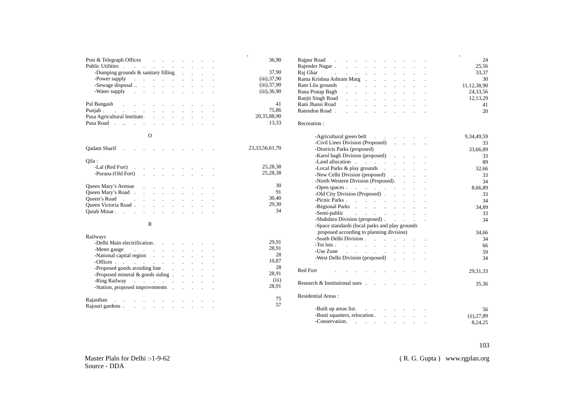| Post & Telegraph Offices                                                                                                                                                                                                       |          |        |                   |  | 36,90              |
|--------------------------------------------------------------------------------------------------------------------------------------------------------------------------------------------------------------------------------|----------|--------|-------------------|--|--------------------|
| Public Utilities .<br>the contract of the contract of the contract of                                                                                                                                                          |          |        |                   |  |                    |
| -Dumping grounds $&$ sanitary filling $\ldots$                                                                                                                                                                                 |          |        |                   |  | 37,90              |
| -Power supply contain the contact of the contact of the contact of the contact of the contact of the contact of the contact of the contact of the contact of the contact of the contact of the contact of the contact of the c |          |        |                   |  | $(iii)$ , 37, 90   |
|                                                                                                                                                                                                                                |          |        |                   |  | (iii), 37, 90      |
| -Water supply a contract to the set of the set of the set of the set of the set of the set of the set of the set of the set of the set of the set of the set of the set of the set of the set of the set of the set of the set |          |        |                   |  | $(iii)$ , 36, 90   |
| Pul Bangash and a series of the series of the series of the series of the series of the series of the series of the series of the series of the series of the series of the series of the series of the series of the series o |          |        |                   |  | 41                 |
| Punjab                                                                                                                                                                                                                         |          |        |                   |  | 75,86              |
|                                                                                                                                                                                                                                |          |        |                   |  | 20,35,88,90        |
| Pusa Road                                                                                                                                                                                                                      |          |        |                   |  | 13,33              |
|                                                                                                                                                                                                                                |          |        |                   |  |                    |
|                                                                                                                                                                                                                                | $\Omega$ |        |                   |  |                    |
| Qadam Sharif                                                                                                                                                                                                                   |          |        |                   |  | 23, 33, 56, 61, 70 |
| Qila :                                                                                                                                                                                                                         |          |        |                   |  |                    |
| -Lal (Red Fort)                                                                                                                                                                                                                |          |        |                   |  | 25,28,38           |
| -Purana (Old Fort)                                                                                                                                                                                                             |          |        | <b>Contractor</b> |  | 25,28,38           |
|                                                                                                                                                                                                                                |          |        |                   |  |                    |
| Queen Mary's Avenue                                                                                                                                                                                                            |          |        |                   |  | 30                 |
|                                                                                                                                                                                                                                |          |        |                   |  | 91                 |
| Queen's Road                                                                                                                                                                                                                   |          |        |                   |  | 30,40              |
| Queen Victoria Road                                                                                                                                                                                                            |          |        |                   |  | 29.30              |
| Outab Minar. (a) in the contract of the contract of the contract of the contract of the contract of the contract of the contract of the contract of the contract of the contract of the contract of the contract of the contra |          |        |                   |  | 34                 |
|                                                                                                                                                                                                                                |          |        |                   |  |                    |
|                                                                                                                                                                                                                                | R        |        |                   |  |                    |
| Railways                                                                                                                                                                                                                       |          |        |                   |  |                    |
| -Delhi Main electrification.                                                                                                                                                                                                   |          | $\sim$ |                   |  | 29,91              |
| -Meter gauge containing the contact of the state of the state of the state of the state of the state of the state of the state of the state of the state of the state of the state of the state of the state of the state of t |          |        |                   |  | 28,91              |

|                                                                                                                                                                                                                                |  |  |  |  | ٠              |
|--------------------------------------------------------------------------------------------------------------------------------------------------------------------------------------------------------------------------------|--|--|--|--|----------------|
| Rajpur Road                                                                                                                                                                                                                    |  |  |  |  | 24             |
|                                                                                                                                                                                                                                |  |  |  |  | 25,56          |
| Raj Ghar (Charles Contains) and Raj Gharres and Albert Charles Contains and Albert Charles Contains and Albert                                                                                                                 |  |  |  |  | 33,37          |
| Rama Krishna Ashram Marg                                                                                                                                                                                                       |  |  |  |  | 30             |
| Ram Lila grounds results in the set of the set of the set of the set of the set of the set of the set of the set of the set of the set of the set of the set of the set of the set of the set of the set of the set of the set |  |  |  |  | 11, 12, 38, 90 |
| Rana Pratap Bagh (b) and the contract of the contract of the contract of the contract of the contract of the contract of the contract of the contract of the contract of the contract of the contract of the contract of the c |  |  |  |  | 24,33,56       |
| Ranjit Singh Road                                                                                                                                                                                                              |  |  |  |  | 12, 13, 29     |
| Rani Jhansi Road (Carl Contract Contract Contract Contract Contract Contract Contract Contract Contract Contract Contract Contract Contract Contract Contract Contract Contract Contract Contract Contract Contract Contract C |  |  |  |  | 41             |
| Ratendon Road                                                                                                                                                                                                                  |  |  |  |  | 20             |

#### Recreation :

28 10,87 28 28,91 (iii) 28,91 75 57

.

| - Agricultural green belt                                                                                                                                                                                                     | $\sim$ $\sim$              |                  | 9,34,49,59   |
|-------------------------------------------------------------------------------------------------------------------------------------------------------------------------------------------------------------------------------|----------------------------|------------------|--------------|
| -Civil Lines Division (Proposed)                                                                                                                                                                                              |                            | and the state of | 33           |
| -Districts Parks (proposed)                                                                                                                                                                                                   |                            |                  | 33,66,89     |
| -Karol bagh Division (proposed)                                                                                                                                                                                               | $\mathcal{L}^{\text{max}}$ |                  | 33           |
| -Land allocation                                                                                                                                                                                                              | $\mathbf{r}$               |                  | 89           |
| -Local Parks & play grounds                                                                                                                                                                                                   |                            |                  | 32,66        |
| -New Celhi Division (proposed)                                                                                                                                                                                                |                            |                  | 33           |
| -North Western Division (Proposed).                                                                                                                                                                                           |                            |                  | 34           |
|                                                                                                                                                                                                                               |                            |                  | 8,66,89      |
| -Old City Division (Proposed)                                                                                                                                                                                                 |                            |                  | 33           |
|                                                                                                                                                                                                                               |                            |                  | 34           |
| -Regional Parks                                                                                                                                                                                                               |                            |                  | 34,89        |
| -Semi-public<br>and the contract of the contract of                                                                                                                                                                           |                            |                  | 33           |
| -Shahdara Division (proposed)                                                                                                                                                                                                 |                            |                  | 34           |
| -Space standards (local parks and play grounds                                                                                                                                                                                |                            |                  |              |
| proposed according to planning division)                                                                                                                                                                                      |                            |                  | 34,66        |
| -South Delhi Division                                                                                                                                                                                                         |                            |                  | 34           |
| -Tot lots                                                                                                                                                                                                                     |                            |                  | 66           |
| -Use Zone research and research in the set of the set of the set of the set of the set of the set of the set of the set of the set of the set of the set of the set of the set of the set of the set of the set of the set of |                            |                  | 59           |
| -West Delhi Division (proposed).                                                                                                                                                                                              |                            |                  | 34           |
|                                                                                                                                                                                                                               |                            |                  |              |
| Red Fort                                                                                                                                                                                                                      |                            |                  | 29, 31, 33   |
|                                                                                                                                                                                                                               |                            |                  |              |
| Research & Institutional uses.                                                                                                                                                                                                |                            |                  | 35,36        |
|                                                                                                                                                                                                                               |                            |                  |              |
| <b>Residential Areas:</b>                                                                                                                                                                                                     |                            |                  |              |
| -Built up areas list.                                                                                                                                                                                                         |                            |                  |              |
| -Busti squatters, relocation                                                                                                                                                                                                  |                            |                  | 56           |
| -Conservation.                                                                                                                                                                                                                |                            |                  | (ii), 27, 89 |
|                                                                                                                                                                                                                               |                            |                  | 8.24.25      |

-Meter gauge entitled and the set of the set of the set of the set of the set of the set of the set of the set o -National capital region exercise in the case of the case of the case of the case of the case of the case of the case of the case of the case of the case of the case of the case of the case of the case of the case of the c -Offices . . . . . . . . . . . Proposed goods avoiding line . . . . . . . . Proposed mineral & goods siding . . . . . . -Ring Railway **.** . . . . . . . . . . . -Station, proposed improvements . . . . . . . Rajasthan . . . . . . . . . . . Rajouri gardens . . . . . . . . . .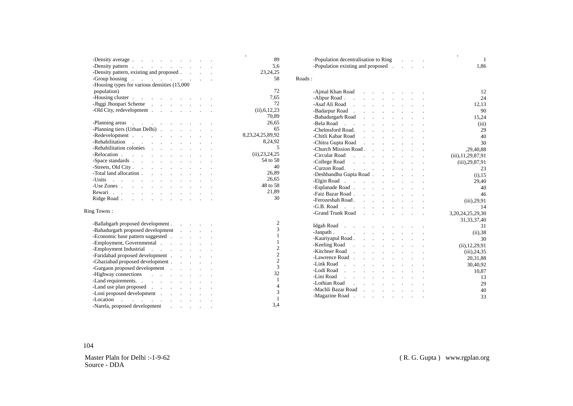| -Density average experience of the set of the set of the set of the set of the set of the set of the set of the set of the set of the set of the set of the set of the set of the set of the set of the set of the set of the  |  |  |  |  | 89                    |
|--------------------------------------------------------------------------------------------------------------------------------------------------------------------------------------------------------------------------------|--|--|--|--|-----------------------|
| -Density pattern                                                                                                                                                                                                               |  |  |  |  | 5,6                   |
| -Density pattern, existing and proposed.                                                                                                                                                                                       |  |  |  |  | 23, 24, 25            |
| -Group housing reserve that is a service of the service of the service of the service of the service of the service of the service of the service of the service of the service of the service of the service of the service o |  |  |  |  | 58                    |
| -Housing types for various densities (15,000                                                                                                                                                                                   |  |  |  |  |                       |
| population)                                                                                                                                                                                                                    |  |  |  |  | 72                    |
| -Housing cluster                                                                                                                                                                                                               |  |  |  |  | 7,65                  |
| - Jhggi Jhonpari Scheme                                                                                                                                                                                                        |  |  |  |  | 72                    |
| -Old City, redevelopment                                                                                                                                                                                                       |  |  |  |  | (ii), 6, 12, 23       |
|                                                                                                                                                                                                                                |  |  |  |  | 70,89                 |
| -Planning areas and the contract of the contract of the contract of the contract of the contract of the contract of the contract of the contract of the contract of the contract of the contract of the contract of the contra |  |  |  |  | 26,65                 |
| -Planning tiers (Urban Delhi)                                                                                                                                                                                                  |  |  |  |  | 65                    |
|                                                                                                                                                                                                                                |  |  |  |  | 8, 23, 24, 25, 89, 92 |
| -Rehabilitation                                                                                                                                                                                                                |  |  |  |  | 8,24,92               |
| -Rehabilitation colonies and a series of the series of the series of the series of the series of the series of the series of the series of the series of the series of the series of the series of the series of the series of |  |  |  |  | -5                    |
| -Relocation                                                                                                                                                                                                                    |  |  |  |  | (ii), 23, 24, 25      |
|                                                                                                                                                                                                                                |  |  |  |  | 54 to 58              |
|                                                                                                                                                                                                                                |  |  |  |  | 40                    |
| -Total land allocation                                                                                                                                                                                                         |  |  |  |  | 26,89                 |
| -Units $\cdots$ . The set of $\cdots$ is the set of $\cdots$                                                                                                                                                                   |  |  |  |  | 26,65                 |
|                                                                                                                                                                                                                                |  |  |  |  | 48 to 58              |
| Rewari                                                                                                                                                                                                                         |  |  |  |  | 21,89                 |
|                                                                                                                                                                                                                                |  |  |  |  | 30                    |
|                                                                                                                                                                                                                                |  |  |  |  |                       |
| Ring Towns:                                                                                                                                                                                                                    |  |  |  |  |                       |
|                                                                                                                                                                                                                                |  |  |  |  |                       |
| -Ballabgarh proposed development                                                                                                                                                                                               |  |  |  |  | $\overline{c}$        |
| -Bahadurgarh proposed development                                                                                                                                                                                              |  |  |  |  | $\overline{3}$        |
| -Economic base pattern suggested                                                                                                                                                                                               |  |  |  |  | $\mathbf{1}$          |
|                                                                                                                                                                                                                                |  |  |  |  |                       |

| 89                  | -Population decentralisation to Ring<br>$\mathcal{L}(\mathcal{L})$ and $\mathcal{L}(\mathcal{L})$ .                                                              | 1                     |
|---------------------|------------------------------------------------------------------------------------------------------------------------------------------------------------------|-----------------------|
| 5,6                 | -Population existing and proposed                                                                                                                                | 1,86                  |
| 23, 24, 25          |                                                                                                                                                                  |                       |
| 58                  | Roads:                                                                                                                                                           |                       |
| 72                  | -Ajmal Khan Road<br>and a state                                                                                                                                  | 12                    |
| 7.65                | -Alipur Road.<br>$\sim$<br>and a state                                                                                                                           | 24                    |
| 72                  | -Asaf Ali Road<br>$\mathbf{r} = \mathbf{r}$<br>$\mathbb{R}^{\mathbb{Z}^2}$                                                                                       | 12,13                 |
| $(ii)$ , 6, 12, 23  | -Badarpur Road.<br>$\mathbf{r}$                                                                                                                                  | 90                    |
| 70,89               | -Bahadurgarh Road<br>and the company<br>$\mathbf{r}$                                                                                                             | 15,24                 |
| 26,65               | -Bela Road<br>$\sim$<br>$\sim 10^{-11}$<br>and a strategic control of the                                                                                        | (iii)                 |
| 65                  | -Chelmsford Road.<br>and a state<br>$\mathbf{L} = \mathbf{L}$                                                                                                    | 29                    |
| ,23,24,25,89,92     | -Chitli Kabar Road<br>$\sim$<br>$\mathcal{L}^{\text{max}}$                                                                                                       | 40                    |
| 8,24,92             | -Chitra Gupta Road<br>$\mathbf{r}$<br>$\mathbf{L}$                                                                                                               | 30                    |
| 5                   | -Church Mission Road.                                                                                                                                            | ,29,40,88             |
| (ii), 23, 24, 25    | -Circular Road<br><b>Carl Carl</b>                                                                                                                               |                       |
| 54 to 58            | -College Road<br>$\mathcal{L}^{\text{max}}$ and $\mathcal{L}^{\text{max}}$                                                                                       | (iii), 11, 29, 87, 91 |
| 40                  |                                                                                                                                                                  | $(iii)$ , 29, 87, 91  |
| 26,89               | -Curzon Road.<br>and a state<br>$\mathbf{r}$                                                                                                                     | 23                    |
| 26,65               | -Deshbandhu Gupta Road                                                                                                                                           | $(i)$ , 15            |
| 48 to 58            | -Elgin Road<br>$\mathbf{r}$                                                                                                                                      | 29,40                 |
| 21,89               | -Esplanade Road                                                                                                                                                  | 40                    |
| 30                  | -Faiz Bazar Road.<br>and a strong of the state of                                                                                                                | 46                    |
|                     | -Ferozeshah Road.<br>and a strategic control of                                                                                                                  | $(iii)$ , 29, 91      |
|                     | -G.B. Road<br><b>Carl Carl</b><br>and a strategic control of the<br>$\mathbf{r}$                                                                                 | 14                    |
|                     | -Grand Trunk Road<br>and the company of the state of<br>$\ddot{\phantom{a}}$                                                                                     | 3,20,24,25,29,30      |
| 2                   |                                                                                                                                                                  | 31, 33, 37, 40        |
| 3                   | Idgah Road<br>$\cdot$                                                                                                                                            | 31                    |
| $\mathbf{1}$        | -Janpath                                                                                                                                                         | (ii).38               |
| $\mathbf{1}$        | -Kauriyapul Road.<br>$\mathbf{L}^{\text{max}}$ and $\mathbf{L}^{\text{max}}$                                                                                     | 30                    |
| $\overline{c}$      | -Keeling Road.                                                                                                                                                   | (ii), 12, 29, 91      |
| $\overline{c}$      | -Kitchner Road<br>$\sim$<br>$\mathbf{L}^{\text{max}}$<br>$\mathcal{L}^{\text{max}}$<br><b>Service</b><br>$\sim$                                                  | $(iii)$ , 24, 35      |
| $\overline{c}$      | -Lawrence Road.<br>$\mathbf{r} = \mathbf{r}$<br><b>Service</b> State<br>$\mathbf{r}$                                                                             | 20,31,88              |
| 3                   | -Link Road<br><b>Carl Corporation</b><br>and a strategic control of the state of                                                                                 | 30,40,92              |
| 32                  | -Lodi Road<br>the control of the control of the control of the control of the control of the control of                                                          | 10,87                 |
|                     | -Lini Road<br>the contract of the contract of<br>$\mathcal{L}^{\text{max}}$ and $\mathcal{L}^{\text{max}}$                                                       | 13                    |
| 1<br>$\overline{4}$ | -Lothian Road<br>$\sim$<br>$\mathbf{r}$<br>$\mathcal{L}^{\text{max}}$<br>$\mathcal{L}^{\text{max}}$<br>$\mathcal{L}^{\text{max}}$ and $\mathcal{L}^{\text{max}}$ | 29                    |
|                     | -Machli Bazar Road<br>$\mathbf{L}$<br>$\mathbf{L}$<br>$\sim$                                                                                                     | 40                    |
| 3                   | -Magazine Road.<br>$\ddot{\phantom{a}}$<br>$\sim 100$ km s $^{-1}$<br>and the control                                                                            | 33                    |
| $\mathbf{1}$        |                                                                                                                                                                  |                       |

104

Master Plaln for Delhi :-1-9-62 Source - DDA

Employment, Governmental . . . . . . . -Employment Industrial . . . . . . . -Faridabad proposed development . . . . . -Ghaziabad proposed development . . . . . . . . -Gurgaon proposed development . . . . . -Highway connections . . . . . . . -Land requirements. . . . . . . . . -Land use plan proposed . . . . . . . -Loni proposed development . . . . . . -Location . . . . . . . . . . -Narela, proposed development . . . . .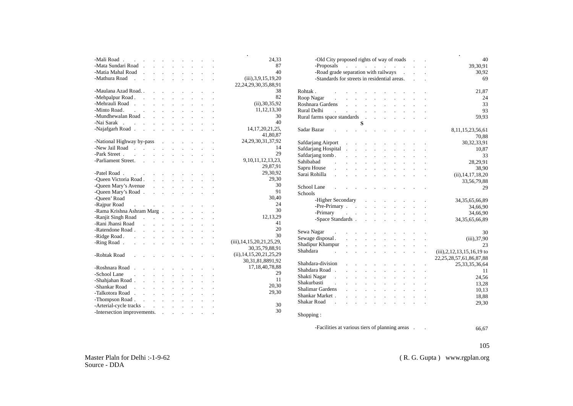|                                                                                 |                      |                                                      |                                |                                                                                                                   |                              |                                                           |                                     |         | 24,33                             |
|---------------------------------------------------------------------------------|----------------------|------------------------------------------------------|--------------------------------|-------------------------------------------------------------------------------------------------------------------|------------------------------|-----------------------------------------------------------|-------------------------------------|---------|-----------------------------------|
| -Mata Sundari Road.                                                             |                      |                                                      | $\mathcal{L}^{\text{max}}$ and | $\sim$                                                                                                            | $\mathcal{L}^{\text{max}}$   | $\ddot{\phantom{a}}$                                      |                                     |         | 87                                |
| -Matia Mahal Road.                                                              |                      | $\mathbf{L}$                                         | $\mathcal{L}^{\pm}$            | $\sim$                                                                                                            |                              | $\mathcal{L}^{\text{max}}$ and                            |                                     |         | 40                                |
| -Mathura Road<br><b>Carl Carl</b>                                               |                      | $\mathbf{r}$                                         | $\sim 10^{-1}$                 | $\ddot{\phantom{a}}$                                                                                              | $\mathbf{r}$                 |                                                           |                                     |         | (iii), 3, 9, 15, 19, 20           |
|                                                                                 |                      |                                                      |                                |                                                                                                                   |                              |                                                           |                                     |         | 22, 24, 29, 30, 35, 88, 91        |
| -Maulana Azad Road                                                              |                      | $\overline{a}$                                       | $\sim$ 100 $\mu$               |                                                                                                                   |                              |                                                           | the contract of the contract of the |         | 38                                |
| -Mehpalpur Road.                                                                | $\sim 10$            |                                                      |                                | and a strategic                                                                                                   |                              |                                                           | and a strategic state               |         | 82                                |
| -Mehrauli Road                                                                  |                      |                                                      | $\sim$ $\sim$                  | $\ddot{\phantom{0}}$                                                                                              | $\ddot{\phantom{a}}$         | $\sim 100$ km s $^{-1}$                                   | $\ddot{\phantom{0}}$                |         | (ii), 30, 35, 92                  |
| -Minto Road.<br><b>Contract Contract</b>                                        |                      | $\ddot{\phantom{0}}$                                 | $\ddot{\phantom{a}}$           | $\ddot{\phantom{0}}$                                                                                              | $\ddot{\phantom{0}}$         | $\ddot{\phantom{a}}$                                      |                                     |         | 11, 12, 13, 30                    |
| -Mundhewalan Road.                                                              |                      | <b>Contract Contract</b>                             |                                | $\mathbf{r}$                                                                                                      | $\overline{a}$               | $\sim$                                                    |                                     |         | 30                                |
| -Nai Sarak                                                                      |                      |                                                      |                                |                                                                                                                   | $\ddot{\phantom{a}}$         | $\sim$ $\sim$                                             |                                     |         | 40                                |
| -Najafgarh Road.                                                                |                      |                                                      |                                |                                                                                                                   |                              |                                                           |                                     |         | 14, 17, 20, 21, 25,               |
|                                                                                 |                      |                                                      |                                |                                                                                                                   |                              |                                                           |                                     |         | 41,80,87                          |
| -National Highway by-pass                                                       |                      |                                                      |                                |                                                                                                                   |                              | <b>All Cards</b>                                          |                                     |         | 24, 29, 30, 31, 37, 92            |
| -New Jail Road                                                                  |                      |                                                      |                                | $\mathbf{r}$                                                                                                      | $\mathbf{r}$                 |                                                           |                                     |         | 14                                |
| -Park Street.                                                                   |                      | $\mathbb{R}^2$ . The set of $\mathbb{R}^2$           |                                | $\ddot{\phantom{a}}$                                                                                              | $\ddot{\phantom{a}}$         | $\overline{a}$                                            |                                     |         | 29                                |
| -Parliament Street.                                                             |                      |                                                      |                                | $\ddot{\phantom{0}}$                                                                                              | $\ddot{\phantom{a}}$         | $\ddot{\phantom{a}}$                                      | $\sim$ $\sim$                       |         | 9, 10, 11, 12, 13, 23,            |
|                                                                                 |                      |                                                      |                                |                                                                                                                   |                              |                                                           |                                     |         | 29,87,91                          |
| -Patel Road.<br><b>Contractor</b>                                               |                      |                                                      |                                | $\sim$                                                                                                            | $\cdot$                      |                                                           |                                     |         | 29,30,92                          |
| -Queen Victoria Road.                                                           |                      | $\mathbf{r}$                                         |                                | $\mathbb{R}^2$                                                                                                    | $\ddot{\phantom{a}}$         |                                                           |                                     |         | 29,30                             |
| -Queen Mary's Avenue                                                            |                      | $\overline{a}$                                       | $\sim$                         | $\sim$                                                                                                            | $\ddot{\phantom{a}}$         | $\mathbf{r}$                                              |                                     |         | 30                                |
| -Queen Mary's Road.                                                             |                      | $\ddot{\phantom{a}}$                                 |                                | <b>Contract Contract</b>                                                                                          | $\ddot{\phantom{a}}$         |                                                           |                                     |         | 91                                |
| -Oueen' Road                                                                    |                      |                                                      |                                |                                                                                                                   |                              |                                                           |                                     |         | 30,40                             |
| -Rajpur Road<br>$\mathcal{A}=\mathcal{A}=\mathcal{A}=\mathcal{A}=\mathcal{A}$ . |                      |                                                      |                                |                                                                                                                   | $\ddot{\phantom{a}}$         |                                                           |                                     |         | 24                                |
| -Rama Krishna Ashram Marg.                                                      |                      |                                                      |                                | $\sim$                                                                                                            | $\ddot{\phantom{a}}$         |                                                           |                                     |         | 30                                |
| -Ranjit Singh Road                                                              |                      |                                                      |                                | $\ddot{\phantom{a}}$                                                                                              | $\mathbf{r}$                 | $\mathbf{r}$                                              |                                     |         | 12,13,29                          |
| -Rani Jhansi Road                                                               |                      | $\mathcal{L}^{\text{max}}$ .                         |                                |                                                                                                                   | $\ddot{\phantom{a}}$         |                                                           |                                     |         | 41                                |
| -Ratendone Road.                                                                |                      |                                                      |                                | $\ddot{\phantom{a}}$                                                                                              |                              |                                                           |                                     |         | 20                                |
|                                                                                 |                      | <b>Contract Contract</b>                             |                                | $\ddot{\phantom{a}}$                                                                                              | $\ddot{\phantom{a}}$         | $\ddot{\phantom{a}}$                                      | $\mathcal{L}^{\text{max}}$          |         | 30                                |
| -Ridge Road                                                                     |                      | $\mathcal{L}^{\text{max}}(\mathcal{L}^{\text{max}})$ |                                | $\ddot{\phantom{a}}$                                                                                              | $\ddot{\phantom{0}}$         | $\Box$                                                    |                                     |         | $(iii)$ , 14, 15, 20, 21, 25, 29, |
| -Ring Road.<br>$\ddot{\phantom{a}}$                                             |                      | and the contract of the con-                         |                                |                                                                                                                   | $\mathcal{L}^{\text{max}}$ . |                                                           |                                     |         | 30, 35, 79, 88, 91                |
|                                                                                 |                      |                                                      |                                |                                                                                                                   |                              |                                                           |                                     |         | (ii), 14, 15, 20, 21, 25, 29      |
| -Rohtak Road                                                                    |                      |                                                      |                                |                                                                                                                   |                              |                                                           |                                     |         | 30,31,81,8891,92                  |
|                                                                                 |                      |                                                      |                                |                                                                                                                   |                              |                                                           |                                     |         |                                   |
| - Roshnara Road.                                                                |                      | $\ddot{\phantom{0}}$                                 | $\ddot{\phantom{0}}$           | $\blacksquare$                                                                                                    | $\overline{\phantom{a}}$     | $\blacksquare$                                            |                                     |         | 17, 18, 40, 78, 88                |
| -School Lane .                                                                  | $\ddot{\phantom{a}}$ | $\ddot{\phantom{a}}$                                 | $\sim 10^{-11}$                | $\mathcal{L}^{\text{max}}$                                                                                        | $\mathcal{L}^{\text{max}}$   | $\epsilon$                                                |                                     |         | 29                                |
| -Shahjahan $\mbox{\sf Road}$ .                                                  | $\mathbf{r}$         |                                                      | $\ddot{\phantom{a}}$           | $\ddot{\phantom{0}}$                                                                                              | $\ddot{\phantom{a}}$         |                                                           |                                     |         | 11                                |
| -Shankar Road                                                                   |                      | $\mathbf{r}$                                         | $\ddot{\phantom{a}}$           | $\ddot{\phantom{a}}$                                                                                              | $\mathbf{L}$                 | $\sim$                                                    | $\ddot{\phantom{0}}$                |         | 20,30                             |
| -Talkotora Road                                                                 |                      |                                                      |                                | $\mathbf{L}$                                                                                                      |                              | $\mathcal{L}^{\text{max}}$ and $\mathcal{L}^{\text{max}}$ | $\mathbf{L}$                        |         | 29,30                             |
| -Thompson Road                                                                  |                      |                                                      |                                |                                                                                                                   |                              |                                                           |                                     |         |                                   |
| -Arterial-cycle tracks.                                                         |                      |                                                      |                                | $\mathcal{L}^{\mathcal{A}}$ and $\mathcal{L}^{\mathcal{A}}$ are the set of the set of $\mathcal{L}^{\mathcal{A}}$ |                              |                                                           | $\mathcal{L}^{\text{max}}$          | $\cdot$ | 30                                |
| -Intersection improvements. .                                                   |                      |                                                      |                                | $\sim 100$                                                                                                        | $\sim 100$                   | $\bullet$ .                                               |                                     |         | 30                                |

| 24,33                                     | -Old City proposed rights of way of roads .  |                                                                             |                            |                            | 40                         |                                |                      |              |                                               |                                    |
|-------------------------------------------|----------------------------------------------|-----------------------------------------------------------------------------|----------------------------|----------------------------|----------------------------|--------------------------------|----------------------|--------------|-----------------------------------------------|------------------------------------|
| 87                                        | -Proposals                                   | $\mathcal{A}$ and $\mathcal{A}$ are all the set of the set of $\mathcal{A}$ |                            |                            | 39,30,91                   |                                |                      |              |                                               |                                    |
| 40                                        | -Road grade separation with railways         |                                                                             |                            |                            | 30,92                      |                                |                      |              |                                               |                                    |
| iii), 3, 9, 15, 19, 20<br>,29,30,35,88,91 | -Standards for streets in residential areas. |                                                                             |                            |                            |                            |                                |                      |              |                                               | 69                                 |
| 38                                        | Rohtak.<br>$\mathcal{L}^{\mathcal{L}}$       |                                                                             |                            |                            |                            |                                |                      |              |                                               | 21,87                              |
| 82                                        | Roop Nagar                                   |                                                                             |                            |                            |                            |                                |                      |              |                                               | 24                                 |
| (ii), 30, 35, 92                          | Roshnara Gardens                             | and a state                                                                 |                            |                            |                            | and a state                    |                      |              |                                               | 33                                 |
| 11, 12, 13, 30                            | Rural Delhi<br>$\mathcal{L}^{\text{max}}$    | and a strategic control of the                                              |                            |                            |                            |                                |                      | $\sim 100$   | $\mathcal{L}^{\mathcal{L}}$                   | 93                                 |
| 30                                        |                                              |                                                                             |                            |                            |                            |                                |                      |              |                                               | 59,93                              |
| 40                                        |                                              |                                                                             | S                          |                            |                            |                                |                      |              |                                               |                                    |
| 14, 17, 20, 21, 25,<br>41,80,87           | Sadar Bazar                                  | and the company of the com-                                                 |                            |                            |                            |                                |                      |              |                                               | 8,11,15,23,56,61<br>70,88          |
| ,29,30,31,37,92                           | Safdarjang Airport                           |                                                                             |                            |                            |                            |                                |                      |              |                                               | 30, 32, 33, 91                     |
| 14                                        | Safdarjang Hospital                          |                                                                             |                            | $\mathcal{L}^{\text{max}}$ |                            | $\ddot{\phantom{a}}$           |                      |              |                                               |                                    |
| 29                                        |                                              | $\mathbf{r}$                                                                | $\mathcal{L}^{\text{max}}$ | $\mathcal{L}^{\text{max}}$ | $\mathcal{L}^{\text{max}}$ | $\mathcal{L}^{\text{max}}$     | $\ddot{\phantom{a}}$ |              |                                               | 10,87                              |
| 10, 11, 12, 13, 23,                       | Safdarjang tomb.                             | $\mathbf{L}$                                                                | $\mathbf{L}$               | $\mathbf{L}$               | $\mathbf{r}$               | $\mathbb{Z}^{\mathbb{Z}}$      |                      |              |                                               | 33                                 |
| 29,87,91                                  | Sahibabad<br>$\mathbf{r}$                    | <b>Contractor</b>                                                           |                            | $\sim$                     |                            | and the company                |                      | $\sim$       | $\sim$                                        | 28,29,91                           |
| 29,30,92                                  | Sapru House<br>$\ddot{\phantom{a}}$          |                                                                             |                            |                            | $\cdot$                    | $\ddot{\phantom{a}}$           |                      |              |                                               | 38,90                              |
| 29,30                                     | Sarai Rohilla<br>$\mathbf{r}$                |                                                                             | $\mathcal{L}^{\text{max}}$ | $\mathbf{L}$               |                            |                                |                      |              |                                               | (ii), 14, 17, 18, 20               |
| 30                                        |                                              |                                                                             |                            |                            |                            |                                |                      |              |                                               | 33,56,79,88                        |
| 91                                        | School Lane                                  |                                                                             |                            |                            |                            |                                |                      |              |                                               | 29                                 |
| 30,40                                     | Schools                                      |                                                                             |                            |                            |                            |                                |                      |              |                                               |                                    |
| 24                                        | -Higher Secondary                            |                                                                             |                            |                            |                            | and a strategic control of the |                      |              |                                               | 34, 35, 65, 66, 89                 |
| 30                                        | -Pre-Primary                                 |                                                                             |                            |                            |                            | and a strategic and            |                      | $\mathbf{L}$ | $\mathcal{L}^{\text{max}}$                    | 34,66,90                           |
| 12,13,29                                  | -Primary                                     | <b>Contractor</b>                                                           |                            |                            |                            |                                |                      |              | and a strong control of the strong strong and | 34,66,90                           |
| 41                                        | -Space Standards.                            |                                                                             |                            |                            |                            | and a strategic control of the |                      |              |                                               | 34, 35, 65, 66, 89                 |
| 20                                        |                                              |                                                                             |                            |                            |                            |                                |                      |              |                                               |                                    |
| 30                                        | Sewa Nagar                                   | and the state of the state of the                                           |                            |                            |                            |                                |                      |              |                                               | 30                                 |
| 15, 20, 21, 25, 29,                       | Sewage disposal.                             |                                                                             |                            |                            |                            | <u>.</u>                       |                      |              |                                               | $(iii)$ , 37, 90                   |
|                                           | Shadipur Khampur                             | <b>Contractor</b>                                                           |                            |                            |                            | and the company of             |                      |              | $\mathcal{L}^{\mathcal{L}}$                   | 23                                 |
| 30, 35, 79, 88, 91                        | Shahdara<br>$\sim$ 100 $\sim$                |                                                                             |                            |                            |                            |                                |                      |              |                                               | $(iii)$ , 2, 12, 13, 15, 16, 19 to |
| ,15,20,21,25,29                           |                                              |                                                                             |                            |                            |                            |                                |                      |              |                                               | 22, 25, 28, 57, 61, 86, 87, 88     |
| 0,31,81,8891,92                           | Shahdara-division                            |                                                                             |                            |                            |                            | <b>Contract Contract</b>       |                      |              |                                               | 25, 33, 35, 36, 64                 |
| 17, 18, 40, 78, 88                        | Shahdara Road.                               |                                                                             | $\sim$                     | $\mathcal{L}^{\text{max}}$ | $\mathcal{L}^{\pm}$        | $\sim$                         | $\ddot{\phantom{a}}$ |              | <b>All Control</b>                            | 11                                 |
| 29<br>11                                  | Shakti Nagar                                 |                                                                             |                            |                            |                            |                                |                      |              |                                               | 24,56                              |
|                                           | Shakurbasti<br>$\mathcal{L}^{\text{max}}$    |                                                                             |                            |                            |                            | $\mathbf{r}$                   | $\mathbf{r}$         |              |                                               | 13,28                              |
| 20,30                                     | Shalimar Gardens                             |                                                                             |                            |                            | $\mathbf{r}$               |                                | <b>Service</b>       | $\mathbf{L}$ | $\mathcal{L}^{\text{max}}$                    | 10,13                              |
| 29,30                                     | Shankar Market.                              |                                                                             | $\mathbf{r}$               | $\mathcal{L}^{\text{max}}$ |                            |                                |                      |              | and the company of the company of             | 18,88                              |
|                                           | Shakar Road                                  |                                                                             |                            |                            | $\Box$                     | $\sim$ $\sim$                  | <b>Contractor</b>    |              |                                               | 29,30                              |
| 30                                        |                                              |                                                                             |                            |                            |                            |                                |                      |              |                                               |                                    |
| 30                                        | Shopping:                                    |                                                                             |                            |                            |                            |                                |                      |              |                                               |                                    |
|                                           |                                              |                                                                             |                            |                            |                            |                                |                      |              |                                               |                                    |

-Facilities at various tiers of planning areas . .

66,67

105

Master Plaln for Delhi :-1-9-62 Source - DDA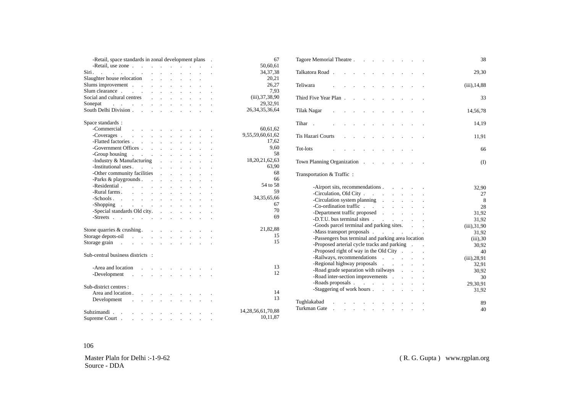| - Retail, space standards in zonal development plans .                                                                                                                                                                         | 67                |
|--------------------------------------------------------------------------------------------------------------------------------------------------------------------------------------------------------------------------------|-------------------|
| -Retail, use zone example and the set of the set of the set of the set of the set of the set of the set of the set of the set of the set of the set of the set of the set of the set of the set of the set of the set of the s | 50,60,61          |
| Siri, and a series of the series of the series of the series of the series of the series of the series of the series of the series of the series of the series of the series of the series of the series of the series of the  | 34, 37, 38        |
|                                                                                                                                                                                                                                | 20.21             |
| Slums improvement                                                                                                                                                                                                              | 26.27             |
| Slum clearance                                                                                                                                                                                                                 | 7.93              |
| Social and cultural centres and the contract of the contract of the contract of the contract of the contract of the contract of the contract of the contract of the contract of the contract of the contract of the contract o | (iii), 37, 38, 90 |
| Sonepat                                                                                                                                                                                                                        | 29,32,91          |
|                                                                                                                                                                                                                                | 26.34.35.36.64    |

| Space standards:                                                                                                                                                                                                               |                        |
|--------------------------------------------------------------------------------------------------------------------------------------------------------------------------------------------------------------------------------|------------------------|
| -Commercial<br>$\mathbf{r} = \mathbf{r} \cdot \mathbf{r}$ , where $\mathbf{r} = \mathbf{r} \cdot \mathbf{r}$<br><b>Contractor</b>                                                                                              | 60,61,62               |
| -Coverages                                                                                                                                                                                                                     | 9,55,59,60,61,62       |
|                                                                                                                                                                                                                                | 17,62                  |
|                                                                                                                                                                                                                                | 9.60                   |
| -Group housing reserve that the contract of the contract of the contract of the contract of the contract of the contract of the contract of the contract of the contract of the contract of the contract of the contract of th | 58                     |
| -Industry & Manufacturing                                                                                                                                                                                                      | 18, 20, 21, 62, 63     |
|                                                                                                                                                                                                                                | 63,90                  |
| -Other community facilities                                                                                                                                                                                                    | 68                     |
| -Parks $\&$ playgrounds $\qquad \qquad$                                                                                                                                                                                        | 66                     |
| -Residential                                                                                                                                                                                                                   | 54 to 58               |
| -Rural farms.<br>and a strategic control of the                                                                                                                                                                                | 59                     |
| -Schools                                                                                                                                                                                                                       | 34, 35, 65, 66         |
| -Shopping<br>$\Delta \sim 10^4$                                                                                                                                                                                                | 67                     |
| -Special standards Old city.                                                                                                                                                                                                   | 70                     |
| -Streets $\qquad \qquad \ldots \qquad \qquad \ldots \qquad \qquad \ldots$                                                                                                                                                      | 69                     |
|                                                                                                                                                                                                                                |                        |
| Stone quarries $\&$ crushing. $\qquad \qquad$ .                                                                                                                                                                                | 21,82,88               |
|                                                                                                                                                                                                                                | 15                     |
| Storage grain the contract of the state of the state of the state of the state of the state of the state of the state of the state of the state of the state of the state of the state of the state of the state of the state  | 15                     |
|                                                                                                                                                                                                                                |                        |
| Sub-central business districts :                                                                                                                                                                                               |                        |
|                                                                                                                                                                                                                                |                        |
| -Area and location                                                                                                                                                                                                             | 13<br>12               |
| -Development .<br>and the company of the company of the                                                                                                                                                                        |                        |
|                                                                                                                                                                                                                                |                        |
| Sub-district centres :                                                                                                                                                                                                         | 14                     |
| Area and location.<br>$\mathbf{r}$<br>and the contract of the state of                                                                                                                                                         | 13                     |
| Development<br>the contract of the contract of the contract of<br>$\sim 10$                                                                                                                                                    |                        |
| Subzimandi.                                                                                                                                                                                                                    | 14, 28, 56, 61, 70, 88 |
|                                                                                                                                                                                                                                | 10,11,87               |
| Supreme Court.<br>and a strong state of the state                                                                                                                                                                              |                        |

| Tagore Memorial Theatre                                                                                                                                                                                                       | 38               |
|-------------------------------------------------------------------------------------------------------------------------------------------------------------------------------------------------------------------------------|------------------|
| Talkatora Road.                                                                                                                                                                                                               | 29,30            |
| Teliwara<br>$\ddot{\phantom{a}}$                                                                                                                                                                                              | $(iii)$ , 14,88  |
| Third Five Year Plan<br>$\blacksquare$                                                                                                                                                                                        | 33               |
| Tilak Nagar .<br>$\ddot{\phantom{a}}$<br>$\ddot{\phantom{a}}$<br>$\ddot{\phantom{0}}$                                                                                                                                         | 14,56,78         |
| Tihar.<br>$\mathcal{L}^{\text{max}}$<br>$\ddot{\phantom{a}}$<br>$\ddot{\phantom{a}}$                                                                                                                                          | 14,19            |
| Tis Hazari Courts<br>$\mathcal{L}^{\text{max}}$<br>$\ddot{\phantom{a}}$<br>$\ddot{\phantom{a}}$                                                                                                                               | 11,91            |
| Tot-lots<br>and the company<br>$\ddot{\phantom{0}}$<br>$\ddot{\phantom{a}}$<br>$\ddot{\phantom{0}}$                                                                                                                           | 66               |
| Town Planning Organization<br>$\ddot{\phantom{a}}$<br>$\ddot{\phantom{a}}$                                                                                                                                                    | $($ $\Gamma$     |
| Transportation & Traffic:                                                                                                                                                                                                     |                  |
| -Airport sits, recommendations                                                                                                                                                                                                | 32,90            |
| -Circulation, Old City                                                                                                                                                                                                        | 27               |
| -Circulation system planning                                                                                                                                                                                                  | 8                |
|                                                                                                                                                                                                                               | 28               |
| -Co-ordination traffic<br>-Department traffic proposed                                                                                                                                                                        | 31,92            |
| -D.T.U. bus terminal sites<br>$\mathbf{r}$                                                                                                                                                                                    | 31,92            |
| -Goods parcel terminal and parking sites.                                                                                                                                                                                     | (iii), 31, 90    |
| -Mass transport proposals example and the set of the set of the set of the set of the set of the set of the set of the set of the set of the set of the set of the set of the set of the set of the set of the set of the set | 31,92            |
| -Passengers bus terminal and parking area location                                                                                                                                                                            | $(iii)$ , 30     |
| -Proposed arterial cycle tracks and parking                                                                                                                                                                                   | 30,92            |
| -Proposed right of way in the Old City                                                                                                                                                                                        | 40               |
| -Railways, recommendations<br>$\mathcal{L}^{\mathcal{L}}$                                                                                                                                                                     | $(iii)$ , 28, 91 |
| -Regional highway proposals<br>$\sim$                                                                                                                                                                                         | 32,91            |
| -Road grade separation with railways                                                                                                                                                                                          | 30,92            |
| -Road inter-section improvements                                                                                                                                                                                              | 30               |
| $\mathcal{L}^{\text{max}}$ .                                                                                                                                                                                                  | 29,30,91         |
| -Staggering of work hours                                                                                                                                                                                                     | 31,92            |
| Tughlakabad                                                                                                                                                                                                                   | 89               |
| Turkman Gate<br>$\ddot{\phantom{a}}$<br>$\mathbb{Z}^{\mathbb{Z}}$<br>$\ddot{\phantom{0}}$<br>$\Box$<br>$\blacksquare$<br>$\cdot$                                                                                              | 40               |

#### 106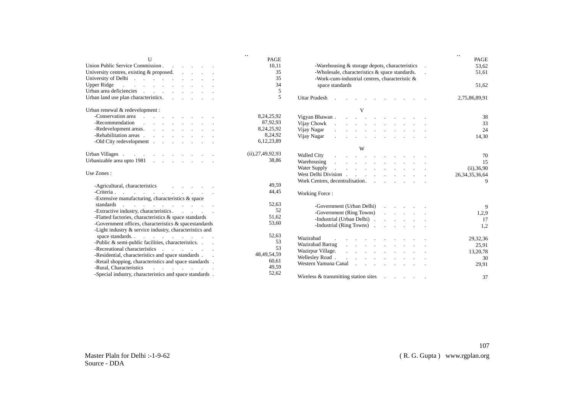| $\mathbf{U}$                                                                                                                                                                                                                   | $\ddotsc$<br>PAGE    |                                                                                                                                                                                                                                | $\ddotsc$<br>PAGE  |
|--------------------------------------------------------------------------------------------------------------------------------------------------------------------------------------------------------------------------------|----------------------|--------------------------------------------------------------------------------------------------------------------------------------------------------------------------------------------------------------------------------|--------------------|
| Union Public Service Commission.                                                                                                                                                                                               | 10.11                | -Warehousing $&$ storage depots, characteristics                                                                                                                                                                               | 53,62              |
| University centres, existing $&$ proposed. $\cdots$                                                                                                                                                                            | 35                   | -Wholesale, characteristics & space standards.                                                                                                                                                                                 | 51,61              |
| University of Delhi                                                                                                                                                                                                            | 35                   | -Work-cum-industrial centres, characteristic &                                                                                                                                                                                 |                    |
| Upper Ridge<br>the contract of the contract of the contract of                                                                                                                                                                 | 34                   | space standards                                                                                                                                                                                                                | 51,62              |
| Urban area deficiencies and a contract of the contract of the contract of the contract of the contract of the contract of the contract of the contract of the contract of the contract of the contract of the contract of the  | 5                    |                                                                                                                                                                                                                                |                    |
| Urban land use plan characteristics.                                                                                                                                                                                           | 5                    | <b>Uttar Pradesh</b><br>the contract of the contract of the contract of the contract of the contract of the contract of the contract of                                                                                        | 2,75,86,89,91      |
| Urban renewal & redevelopment :                                                                                                                                                                                                |                      |                                                                                                                                                                                                                                |                    |
| -Conservation area conservation area conservation area conservation area conservations of the conservation of the conservation of the conservation of the conservation of the conservation of the conservation of the conserva | 8, 24, 25, 92        |                                                                                                                                                                                                                                | 38                 |
|                                                                                                                                                                                                                                | 87,92,93             | Vijay Chowk<br>the contract of the contract of the contract of                                                                                                                                                                 | 33                 |
|                                                                                                                                                                                                                                | 8, 24, 25, 92        | Vijay Nagar<br>and a straightful contract and a straight and                                                                                                                                                                   | 24                 |
|                                                                                                                                                                                                                                | 8,24,92              | Vijay Nagar<br>the company of the company of the company of                                                                                                                                                                    | 14,30              |
| -Old City redevelopment                                                                                                                                                                                                        | 6,12,23,89           |                                                                                                                                                                                                                                |                    |
|                                                                                                                                                                                                                                |                      | W                                                                                                                                                                                                                              |                    |
| Urban Villages.<br>the contract of the contract of the con-                                                                                                                                                                    | (ii), 27, 49, 92, 93 | <b>Walled City</b><br>and a straightful contract and a straight and                                                                                                                                                            | 70                 |
| Urbanizable area upto 1981                                                                                                                                                                                                     | 38,86                | Warehousing<br>designed to the control of the control of the                                                                                                                                                                   | 15                 |
|                                                                                                                                                                                                                                |                      | Water Supply<br>designed to the control of the control of the                                                                                                                                                                  | $(ii)$ , 36, 90    |
| Use Zones:                                                                                                                                                                                                                     |                      |                                                                                                                                                                                                                                | 26, 34, 35, 36, 64 |
|                                                                                                                                                                                                                                |                      | Work Centres, decentralisation.                                                                                                                                                                                                | 9                  |
| -Agricultural, characteristics<br>and the company of the company of                                                                                                                                                            | 49.59                |                                                                                                                                                                                                                                |                    |
| -Criteria.                                                                                                                                                                                                                     | 44,45                | Working Force:                                                                                                                                                                                                                 |                    |
| -Extensive manufacturing, characteristics & space                                                                                                                                                                              |                      |                                                                                                                                                                                                                                |                    |
| standards<br>the contract of the contract of the contract of                                                                                                                                                                   | 52,63                | -Government (Urban Delhi)                                                                                                                                                                                                      | 9                  |
| - Extractive industry, characteristics                                                                                                                                                                                         | 52                   | -Government (Ring Towns)<br>and a strong and a                                                                                                                                                                                 | 1,2,9              |
| -Flatted factories, characteristics & space standards                                                                                                                                                                          | 51,62                | -Industrial (Urban Delhi).<br>and the state of the state of                                                                                                                                                                    | 17                 |
| -Government offices, characteristics & spacestandards                                                                                                                                                                          | 53,60                | -Industrial (Ring Towns)                                                                                                                                                                                                       | 1,2                |
| -Light industry & service industry, characteristics and                                                                                                                                                                        |                      |                                                                                                                                                                                                                                |                    |
| space standards.                                                                                                                                                                                                               | 52,63                | Wazirabad                                                                                                                                                                                                                      |                    |
| -Public $\&$ semi-public facilities, characteristics. $\qquad$ .                                                                                                                                                               | 53                   | the contract of the contract of the contract of the contract of the contract of the contract of the contract of<br>Wazirabad Barrag<br>and a straightful contract and a straight                                               | 29,32,36           |
| -Recreational characteristics                                                                                                                                                                                                  | 53                   | Wazirpur Village.<br>design and a state of the state of the                                                                                                                                                                    | 25,91              |
| -Residential, characteristics and space standards.                                                                                                                                                                             | 48, 49, 54, 59       | Wellesley Road.<br>the control of the control of the control of                                                                                                                                                                | 13,20,78           |
| -Retail shopping, characteristics and space standards .                                                                                                                                                                        | 60,61                | Western Yamuna Canal (1996) and the contract of the contract of the contract of the contract of the contract of the contract of the contract of the contract of the contract of the contract of the contract of the contract o | 30                 |
| -Rural, Characteristics<br>and the company of the company                                                                                                                                                                      | 49,59                |                                                                                                                                                                                                                                | 29,91              |
| -Special industry, characteristics and space standards.                                                                                                                                                                        | 52,62                |                                                                                                                                                                                                                                |                    |
|                                                                                                                                                                                                                                |                      | Wireless & transmitting station sites<br>the company of the company of                                                                                                                                                         | 37                 |

107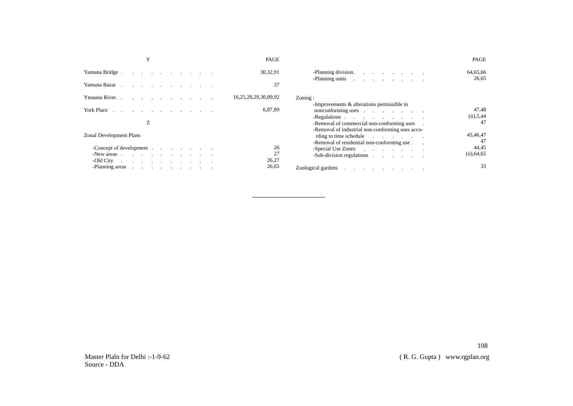|                                                                                                                                                                                                                                | PAGE                 |                                                                                                                                                                                                                                | PAGE                     |
|--------------------------------------------------------------------------------------------------------------------------------------------------------------------------------------------------------------------------------|----------------------|--------------------------------------------------------------------------------------------------------------------------------------------------------------------------------------------------------------------------------|--------------------------|
| Yamuna Bridge.                                                                                                                                                                                                                 | 30,32,91             | -Planning division.                                                                                                                                                                                                            | 64,65,66                 |
| Yamuna Bazar                                                                                                                                                                                                                   | 37                   | -Planning units in the contract of the contract of the contract of the contract of the contract of the contract of the contract of the contract of the contract of the contract of the contract of the contract of the contrac | 26,65                    |
| Ymauna River.                                                                                                                                                                                                                  | 16,25,28,29,30,89,92 | Zoning:                                                                                                                                                                                                                        |                          |
| York Place                                                                                                                                                                                                                     | 6,87,89              | -Improvements & alterations permissible in<br>-Regulations                                                                                                                                                                     | 47,48<br>(ii), 5, 44     |
| Z                                                                                                                                                                                                                              |                      | - Removal of commercial non-conforming uses .                                                                                                                                                                                  | 47                       |
| <b>Zonal Development Plans</b>                                                                                                                                                                                                 |                      | -Removal of industrial non-conforming uses acco-<br>rding to time schedule<br>-Removal of residential non-conforming use.                                                                                                      | 45,46,47<br>47           |
| -Concept of development the contract of the contract of the contract of the contract of the contract of the contract of the contract of the contract of the contract of the contract of the contract of the contract of the co | 26<br>27             | -Sub-division regulations                                                                                                                                                                                                      | 44,45<br>$(ii)$ , 64, 65 |
| -Old City $\qquad \qquad \ldots \qquad \qquad \ldots$<br>-Planning areas                                                                                                                                                       | 26,27<br>26,65       | Zoological gardens and the contract of the contract of the contract of the contract of the contract of the contract of the contract of the contract of the contract of the contract of the contract of the contract of the con | 33                       |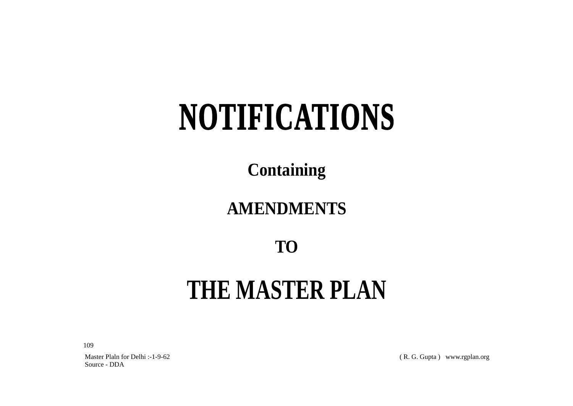# **NOTIFICATIONS**

**Containing**

## **AMENDMENTS**

### **TO**

## **THE MASTER PLAN**

109

Master Plaln for Delhi :-1-9-62 Source - DDA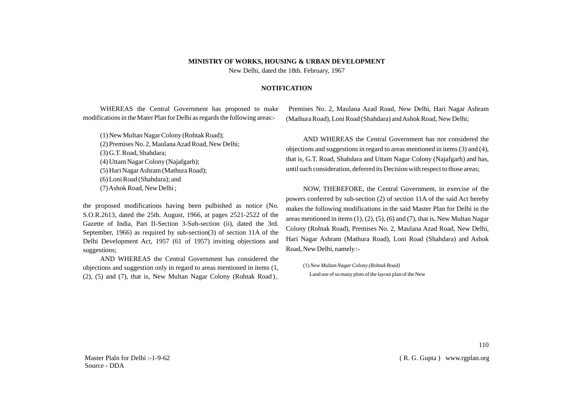#### **MINISTRY OF WORKS, HOUSING & URBAN DEVELOPMENT**

New Delhi, dated the 18th. February, 1967

#### **NOTIFICATION**

WHEREAS the Central Government has proposed to make modifications in the Mater Plan for Delhi as regards the following areas:-

(1) New Multan Nagar Colony (Rohtak Road); (2) Premises No. 2, Maulana Azad Road, New Delhi; (3) G.T. Road, Shahdara; (4) Uttam Nagar Colony (Najafgarh); (5) Hari Nagar Ashram (Mathura Road); (6) Loni Road (Shahdara); and (7) Ashok Road, New Delhi ;

the proposed modifications having been pulbished as notice (No. S.O.R.2613, dated the 25th. August, 1966, at pages 2521-2522 of the Gazette of India, Part II-Section 3-Sub-section (ii), dated the 3rd. September, 1966) as required by sub-section(3) of section 11A of the Delhi Development Act, 1957 (61 of 1957) inviting objections and suggestions;

AND WHEREAS the Central Government has considered the objections and suggestion only in regard to areas mentioned in items (1,  $(2)$ ,  $(5)$  and  $(7)$ , that is, New Multan Nagar Colony (Rohtak Road),

Premises No. 2, Maulana Azad Road, New Delhi, Hari Nagar Ashram (Mathura Road), Loni Road (Shahdara) and Ashok Road, New Delhi;

AND WHEREAS the Central Government has not considered the objections and suggestions in regard to areas mentioned in items (3) and (4), that is, G.T. Road, Shahdara and Uttam Nagar Colony (Najafgarh) and has, until such consideration, deferred its Decision with respect to those areas;

NOW, THEREFORE, the Central Government, in exercise of the powers conferred by sub-section (2) of section 11A of the said Act hereby makes the following modifications in the said Master Plan for Delhi in the areas mentioned in items  $(1)$ ,  $(2)$ ,  $(5)$ ,  $(6)$  and  $(7)$ , that is, New Multan Nagar Colony (Rohtak Road), Premises No. 2, Maulana Azad Road, New Delhi, Hari Nagar Ashram (Mathura Road), Loni Road (Shahdara) and Ashok Road, New Delhi, namely :-

(1)*New Multan Nagar Colony (Rohtak Road)* Land use of so many plots of the layout plan of the New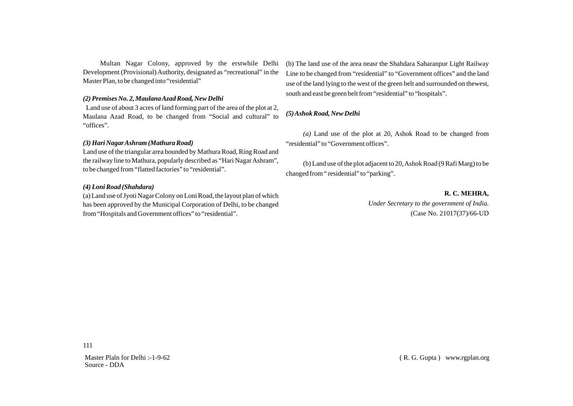Multan Nagar Colony, approved by the erstwhile Delhi Development (Provisional) Authority, designated as "recreational" in the Master Plan, to be changed into "residential"

#### *(2) Premises No. 2, Maulana Azad Road, New Delhi*

Land use of about 3 acres of land forming part of the area of the plot at 2, Maulana Azad Road, to be changed from "Social and cultural" to "offices".

#### *(3) Hari Nagar Ashram (Mathura Road)*

Land use of the triangular area bounded by Mathura Road, Ring Road and the railway line to Mathura, popularly described as "Hari Nagar Ashram", to be changed from "flatted factories" to "residential".

#### *(4) Loni Road (Shahdara)*

(a) Land use of Jyoti Nagar Colony on Loni Road, the layout plan of which has been approved by the Municipal Corporation of Delhi, to be changed from "Hospitals and Government offices" to "residential".

(b) The land use of the area neasr the Shahdara Saharanpur Light Railway Line to be changed from "residential" to "Government offices" and the land use of the land lying to the west of the green belt and surrounded on thewest, south and east be green belt from "residential" to "hospitals".

#### *(5) Ashok Road, New Delhi*

*(a)* Land use of the plot at 20, Ashok Road to be changed from "residential" to "Government offices".

(b) Land use of the plot adjacent to 20, Ashok Road (9 Rafi Marg) to be changed from " residential" to "parking".

**R. C. MEHRA,**

*Under Secretary to the government of India.* (Case No. 21017(37)/66-UD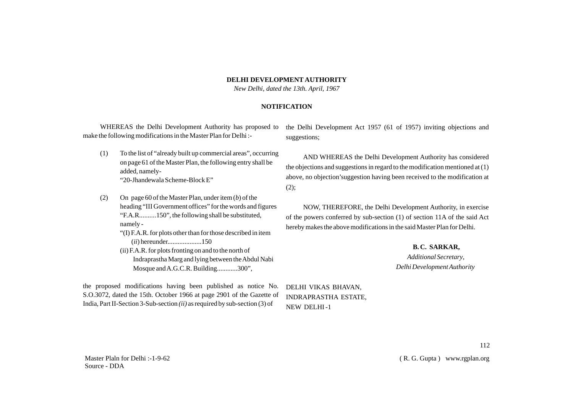#### **DELHI DEVELOPMENT AUTHORITY**

*New Delhi, dated the 13th. April, 1967*

#### **NOTIFICATION**

WHEREAS the Delhi Development Authority has proposed to make the following modifications in the Master Plan for Delhi :-

- (1) To the list of "already built up commercial areas", occurring on page 61 of the Master Plan, the following entry shall be added, namely- "20-Jhandewala Scheme-Block E"
- (2) On page 60 of the Master Plan, under item (*b*) of the heading "III Government offices" for the words and figures "F.A.R..........150", the following shall be substituted, namely -
	- "(I) F.A.R. for plots other than for those described in item (*ii*) hereunder....................150
	- (ii) F.A.R. for plots fronting on and to the north of Indraprastha Marg and lying between the Abdul Nabi Mosque and A.G.C.R. Building............300",

the proposed modifications having been published as notice No. S.O.3072, dated the 15th. October 1966 at page 2901 of the Gazette of India, Part II-Section 3-Sub-section *(ii)* as required by sub-section (3) of

the Delhi Development Act 1957 (61 of 1957) inviting objections and suggestions;

AND WHEREAS the Delhi Development Authority has considered the objections and suggestions in regard to the modification mentioned at (1) above, no objection'suggestion having been received to the modification at  $(2)$ ;

NOW, THEREFORE, the Delhi Development Authority, in exercise of the powers conferred by sub-section (1) of section 11A of the said Act hereby makes the above modifications in the said Master Plan for Delhi.

> **B. C. SARKAR,** *Additional Secretary*, *Delhi Development Authority*

DELHI VIKAS BHAVAN, INDRAPRASTHA ESTATE, NEW DELHI -1

112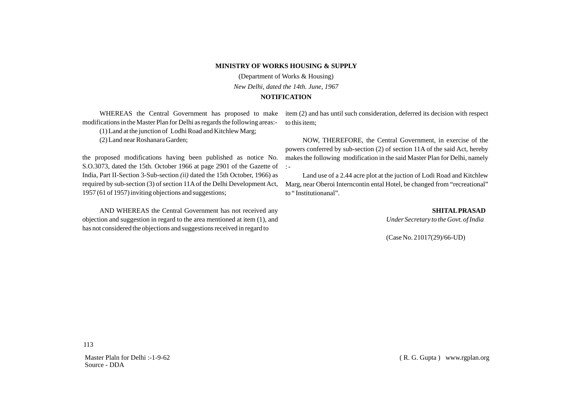#### **MINISTRY OF WORKS HOUSING & SUPPLY**

(Department of Works & Housing) *New Delhi, dated the 14th. June, 1967* **NOTIFICATION**

modifications in the Master Plan for Delhi as regards the following areas:-

(1) Land at the junction of Lodhi Road and Kitchlew Marg;

(2) Land near Roshanara Garden;

the proposed modifications having been published as notice No. S.O.3073, dated the 15th. October 1966 at page 2901 of the Gazette of :-India, Part II-Section 3-Sub-section *(ii)* dated the 15th October, 1966) as required by sub-section (3) of section 11Aof the Delhi Development Act, 1957 (61 of 1957) inviting objections and suggestions;

AND WHEREAS the Central Government has not received any objection and suggestion in regard to the area mentioned at item (1), and has not considered the objections and suggestions received in regard to

WHEREAS the Central Government has proposed to make item (2) and has until such consideration, deferred its decision with respect to this item;

> NOW, THEREFORE, the Central Government, in exercise of the powers conferred by sub-section (2) of section 11A of the said Act, hereby makes the following modification in the said Master Plan for Delhi, namely

> Land use of a 2.44 acre plot at the juction of Lodi Road and Kitchlew Marg, near Oberoi Interncontin ental Hotel, be changed from "recreational" to " Institutionanal".

> > **SHITALPRASAD**  *Under Secretary to the Govt. of India*

(Case No. 21017(29)/66-UD)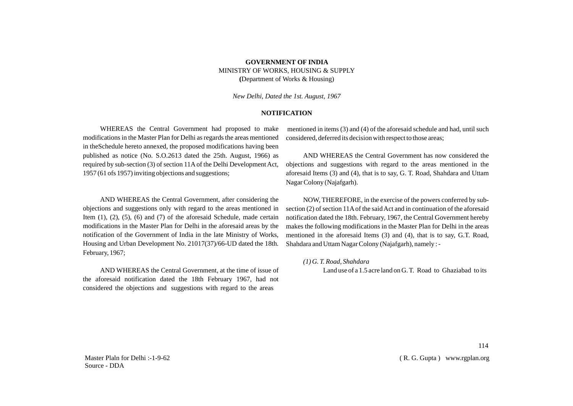#### **GOVERNMENT OF INDIA** MINISTRY OF WORKS, HOUSING & SUPPLY **(**Department of Works & Housing)

*New Delhi, Dated the 1st. August, 1967*

#### **NOTIFICATION**

WHEREAS the Central Government had proposed to make modifications in the Master Plan for Delhi as regards the areas mentioned in theSchedule hereto annexed, the proposed modifications having been published as notice (No. S.O.2613 dated the 25th. August, 1966) as required by sub-section (3) of section 11Aof the Delhi Development Act, 1957 (61 ofs 1957) inviting objections and suggestions;

AND WHEREAS the Central Government, after considering the objections and suggestions only with regard to the areas mentioned in Item  $(1)$ ,  $(2)$ ,  $(5)$ ,  $(6)$  and  $(7)$  of the aforesaid Schedule, made certain modifications in the Master Plan for Delhi in the aforesaid areas by the notification of the Government of India in the late Ministry of Works, Housing and Urban Development No. 21017(37)/66-UD dated the 18th. February, 1967;

AND WHEREAS the Central Government, at the time of issue of the aforesaid notification dated the 18th February 1967, had not considered the objections and suggestions with regard to the areas

mentioned in items (3) and (4) of the aforesaid schedule and had, until such considered, deferred its decision with respect to those areas;

AND WHEREAS the Central Government has now considered the objections and suggestions with regard to the areas mentioned in the aforesaid Items (3) and (4), that is to say, G. T. Road, Shahdara and Uttam Nagar Colony (Najafgarh).

NOW, THEREFORE, in the exercise of the powers conferred by subsection (2) of section 11Aof the said Act and in continuation of the aforesaid notification dated the 18th. February, 1967, the Central Government hereby makes the following modifications in the Master Plan for Delhi in the areas mentioned in the aforesaid Items (3) and (4), that is to say, G.T. Road, Shahdara and Uttam Nagar Colony (Najafgarh), namely : -

*(1) G. T. Road, Shahdara*

Land use of a 1.5 acre land on G. T. Road to Ghaziabad to its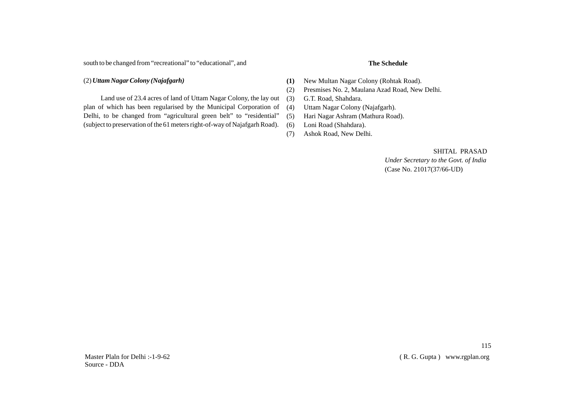south to be changed from "recreational" to "educational", and

#### (2) *Uttam Nagar Colony (Najafgarh)*

Land use of 23.4 acres of land of Uttam Nagar Colony, the lay out plan of which has been regularised by the Municipal Corporation of Delhi, to be changed from "agricultural green belt" to "residential" (subject to preservation of the 61 meters right-of-way of Najafgarh Road).

- **The Schedule**
- **(1)** New Multan Nagar Colony (Rohtak Road).
- (2) Presmises No. 2, Maulana Azad Road, New Delhi.
- (3) G.T. Road, Shahdara.
- (4) Uttam Nagar Colony (Najafgarh).
- (5) Hari Nagar Ashram (Mathura Road).
- (6) Loni Road (Shahdara).
- (7) Ashok Road, New Delhi.

SHITAL PRASAD  *Under Secretary to the Govt. of India*

(Case No. 21017(37/66-UD)

115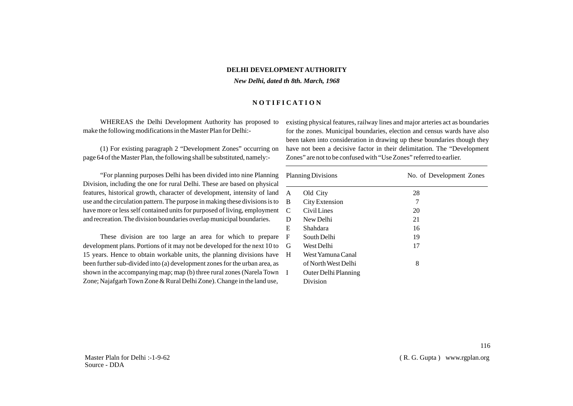#### **DELHI DEVELOPMENT AUTHORITY**

*New Delhi, dated th 8th. March, 1968*

#### **N O T I F I C A T I O N**

WHEREAS the Delhi Development Authority has proposed to make the following modifications in the Master Plan for Delhi:-

(1) For existing paragraph 2 "Development Zones" occurring on page 64 of the Master Plan, the following shall be substituted, namely:-

"For planning purposes Delhi has been divided into nine Planning Division, including the one for rural Delhi. These are based on physical features, historical growth, character of development, intensity of land use and the circulation pattern. The purpose in making these divisions is to have more or less self contained units for purposed of living, employment and recreation. The division boundaries overlap municipal boundaries.

These division are too large an area for which to prepare development plans. Portions of it may not be developed for the next 10 to 15 years. Hence to obtain workable units, the planning divisions have been further sub-divided into (a) development zones for the urban area, as shown in the accompanying map; map (b) three rural zones (Narela Town Zone; Najafgarh Town Zone & Rural Delhi Zone). Change in the land use,

existing physical features, railway lines and major arteries act as boundaries for the zones. Municipal boundaries, election and census wards have also been taken into consideration in drawing up these boundaries though they have not been a decisive factor in their delimitation. The "Development Zones" are not to be confused with "Use Zones" referred to earlier.

| <b>Planning Divisions</b> |                      | No. of Development Zones |  |
|---------------------------|----------------------|--------------------------|--|
| A                         | Old City             | 28                       |  |
| B                         | City Extension       | 7                        |  |
| C.                        | Civil Lines          | 20                       |  |
| D                         | New Delhi            | 21                       |  |
| E                         | Shahdara             | 16                       |  |
| F                         | South Delhi          | 19                       |  |
| G                         | West Delhi           | 17                       |  |
| H                         | West Yamuna Canal    |                          |  |
|                           | of North West Delhi  | 8                        |  |
| I                         | Outer Delhi Planning |                          |  |
|                           | Division             |                          |  |
|                           |                      |                          |  |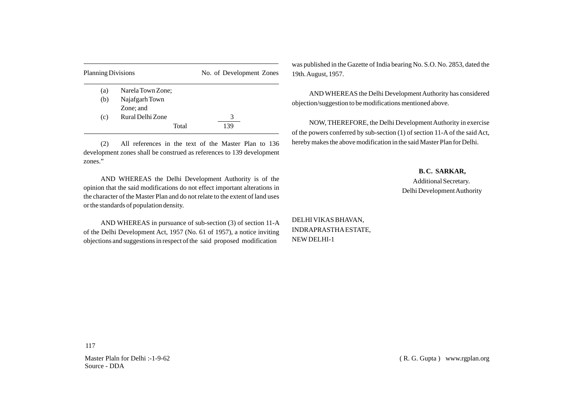| <b>Planning Divisions</b> |                   | No. of Development Zones |  |
|---------------------------|-------------------|--------------------------|--|
| (a)                       | Narela Town Zone; |                          |  |
| (b)                       | Najafgarh Town    |                          |  |
|                           | Zone; and         |                          |  |
| (c)                       | Rural Delhi Zone  | 3                        |  |
|                           | Total             |                          |  |

(2) All references in the text of the Master Plan to 136 development zones shall be construed as references to 139 development zones."

AND WHEREAS the Delhi Development Authority is of the opinion that the said modifications do not effect important alterations in the character of the Master Plan and do not relate to the extent of land uses or the standards of population density.

AND WHEREAS in pursuance of sub-section (3) of section 11-A of the Delhi Development Act, 1957 (No. 61 of 1957), a notice inviting objections and suggestions in respect of the said proposed modification

was published in the Gazette of India bearing No. S.O. No. 2853, dated the 19th. August, 1957.

AND WHEREAS the Delhi Development Authority has considered objection/suggestion to be modifications mentioned above.

NOW, THEREFORE, the Delhi Development Authority in exercise of the powers conferred by sub-section (1) of section 11-A of the said Act, hereby makes the above modification in the said Master Plan for Delhi.

**B. C. SARKAR,**

 Additional Secretary. Delhi Development Authority

DELHI VIKAS BHAVAN, INDRAPRASTHAESTATE, NEWDELHI-1

117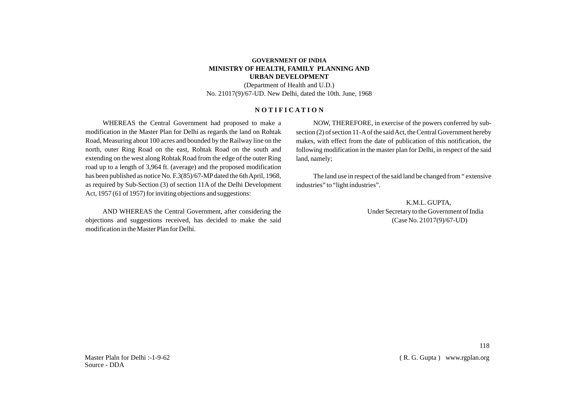#### **GOVERNMENT OF INDIA MINISTRY OF HEALTH, FAMILY PLANNING AND URBAN DEVELOPMENT**

(Department of Health and U.D.) No. 21017(9)/67-UD. New Delhi, dated the 10th. June, 1968

#### **N O T I F I C A T I O N**

WHEREAS the Central Government had proposed to make a modification in the Master Plan for Delhi as regards the land on Rohtak Road, Measuring about 100 acres and bounded by the Railway line on the north, outer Ring Road on the east, Rohtak Road on the south and extending on the west along Rohtak Road from the edge of the outer Ring road up to a length of 3,964 ft. (average) and the proposed modification has been published as notice No. F.3(85)/67-MPdated the 6th April, 1968, as required by Sub-Section (3) of section 11A of the Delhi Development Act, 1957 (61 of 1957) for inviting objections and suggestions:

AND WHEREAS the Central Government, after considering the objections and suggestions received, has decided to make the said modification in the Master Plan for Delhi.

NOW, THEREFORE, in exercise of the powers conferred by subsection (2) of section 11-Aof the said Act, the Central Government hereby makes, with effect from the date of publication of this notification, the following modification in the master plan for Delhi, in respect of the said land, namely;

The land use in respect of the said land be changed from " extensive industries" to "light industries".

> K.M.L. GUPTA, Under Secretary to the Government of India (Case No. 21017(9)/67-UD)

Master Plaln for Delhi :-1-9-62 Source - DDA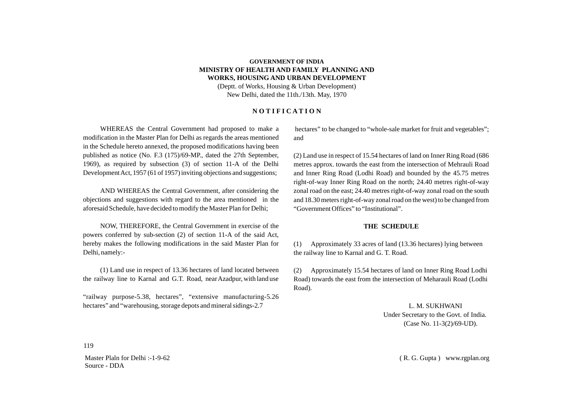#### **GOVERNMENT OF INDIA MINISTRY OF HEALTH AND FAMILY PLANNING AND WORKS, HOUSING AND URBAN DEVELOPMENT**

(Deptt. of Works, Housing & Urban Development) New Delhi, dated the 11th./13th. May, 1970

#### **N O T I F I C A T I O N**

WHEREAS the Central Government had proposed to make a modification in the Master Plan for Delhi as regards the areas mentioned in the Schedule hereto annexed, the proposed modifications having been published as notice (No. F.3 (175)/69-MP., dated the 27th September, 1969), as required by subsection (3) of section 11-A of the Delhi Development Act, 1957 (61 of 1957) inviting objections and suggestions;

AND WHEREAS the Central Government, after considering the objections and suggestions with regard to the area mentioned in the aforesaid Schedule, have decided to modify the Master Plan for Delhi;

NOW, THEREFORE, the Central Government in exercise of the powers conferred by sub-section (2) of section 11-A of the said Act, hereby makes the following modifications in the said Master Plan for Delhi, namely:-

(1) Land use in respect of 13.36 hectares of land located between the railway line to Karnal and G.T. Road, near Azadpur, with land use

"railway purpose-5.38, hectares", "extensive manufacturing-5.26 hectares" and "warehousing, storage depots and mineral sidings-2.7

hectares" to be changed to "whole-sale market for fruit and vegetables"; and

(2) Land use in respect of 15.54 hectares of land on Inner Ring Road (686 metres approx. towards the east from the intersection of Mehrauli Road and Inner Ring Road (Lodhi Road) and bounded by the 45.75 metres right-of-way Inner Ring Road on the north; 24.40 metres right-of-way zonal road on the east; 24.40 metres right-of-way zonal road on the south and 18.30 meters right-of-way zonal road on the west) to be changed from "Government Offices" to "Institutional".

#### **THE SCHEDULE**

(1) Approximately 33 acres of land (13.36 hectares) lying between the railway line to Karnal and G. T. Road.

(2) Approximately 15.54 hectares of land on Inner Ring Road Lodhi Road) towards the east from the intersection of Meharauli Road (Lodhi Road).

> L. M. SUKHWANI Under Secretary to the Govt. of India. (Case No. 11-3(2)/69-UD).

119

Master Plaln for Delhi :-1-9-62 Source - DDA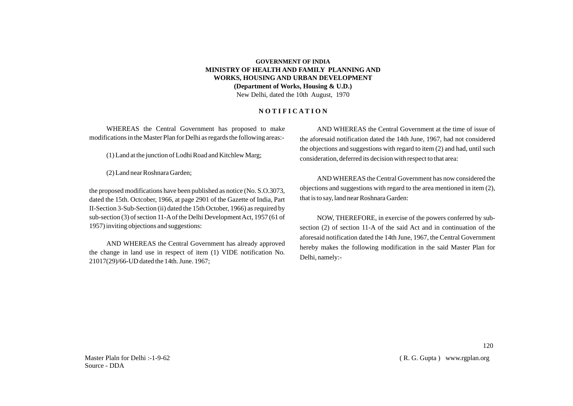#### **GOVERNMENT OF INDIA MINISTRY OF HEALTH AND FAMILY PLANNING AND WORKS, HOUSING AND URBAN DEVELOPMENT (Department of Works, Housing & U.D.)** New Delhi, dated the 10th August, 1970

#### **N O T I F I C A T I O N**

WHEREAS the Central Government has proposed to make modifications in the Master Plan for Delhi as regards the following areas:-

(1) Land at the junction of Lodhi Road and Kitchlew Marg;

(2) Land near Roshnara Garden;

the proposed modifications have been published as notice (No. S.O.3073, dated the 15th. Octcober, 1966, at page 2901 of the Gazette of India, Part II-Section 3-Sub-Section (ii) dated the 15th October, 1966) as required by sub-section (3) of section 11-Aof the Delhi Development Act, 1957 (61 of 1957) inviting objections and suggestions:

AND WHEREAS the Central Government has already approved the change in land use in respect of item (1) VIDE notification No. 21017(29)/66-UD dated the 14th. June. 1967;

AND WHEREAS the Central Government at the time of issue of the aforesaid notification dated the 14th June, 1967, had not considered the objections and suggestions with regard to item (2) and had, until such consideration, deferred its decision with respect to that area:

AND WHEREAS the Central Government has now considered the objections and suggestions with regard to the area mentioned in item (2), that is to say, land near Roshnara Garden:

NOW, THEREFORE, in exercise of the powers conferred by subsection (2) of section 11-A of the said Act and in continuation of the aforesaid notification dated the 14th June, 1967, the Central Government hereby makes the following modification in the said Master Plan for Delhi, namely:-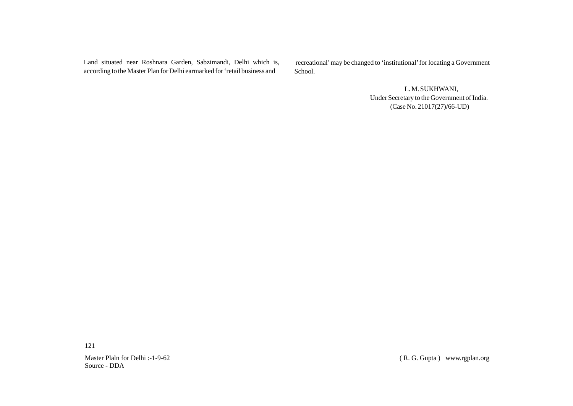Land situated near Roshnara Garden, Sabzimandi, Delhi which is, according to the Master Plan for Delhi earmarked for 'retail business and

recreational' may be changed to 'institutional' for locating a Government School.

> L. M. SUKHWANI, Under Secretary to the Government of India. (Case No. 21017(27)/66-UD)

121

Master Plaln for Delhi :-1-9-62 Source - DDA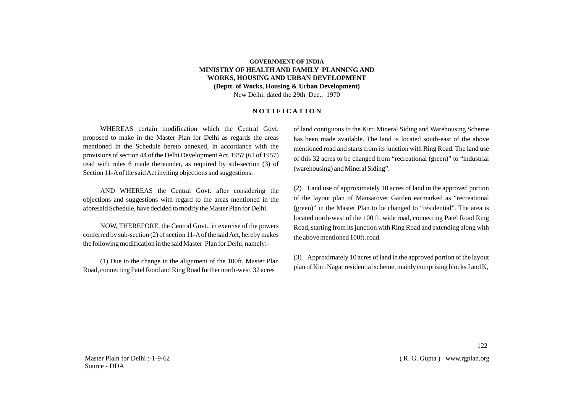#### **GOVERNMENT OF INDIA MINISTRY OF HEALTH AND FAMILY PLANNING AND WORKS, HOUSING AND URBAN DEVELOPMENT (Deptt. of Works, Housing & Urban Development)** New Delhi, dated the 29th Dec., 1970

#### **N O T I F I C A T I O N**

WHEREAS certain modification which the Central Govt. proposed to make in the Master Plan for Delhi as regards the areas mentioned in the Schedule hereto annexed, in accordance with the provisions of section 44 of the Delhi Development Act, 1957 (61 of 1957) read with rules 6 made thereunder, as required by sub-section (3) of Section 11-Aof the said Act inviting objections and suggestions:

AND WHEREAS the Central Govt. after considering the objections and suggestions with regard to the areas mentioned in the aforesaid Schedule, have decided to modify the Master Plan for Delhi.

NOW, THEREFORE, the Central Govt., in exercise of the powers conferred by sub-section (2) of section 11-Aof the said Act, hereby makes the following modification in the said Master Plan for Delhi, namely:-

(1) Due to the change in the alignment of the 100ft. Master Plan Road, connecting Patel Road and Ring Road further north-west, 32 acres

of land contiguous to the Kirti Mineral Siding and Warehousing Scheme has been made available. The land is located south-east of the above mentioned road and starts from its junction with Ring Road. The land use of this 32 acres to be changed from "recreational (green)" to "industrial (warehousing) and Mineral Siding".

(2) Land use of approximately 10 acres of land in the approved portion of the layout plan of Mansarover Garden earmarked as "recreational (green)" in the Master Plan to be changed to "residential". The area is located north-west of the 100 ft. wide road, connecting Patel Road Ring Road, starting from its junction with Ring Road and extending along with the above mentioned 100ft. road.

(3) Approximately 10 acres of land in the approved portion of the layout plan of Kirti Nagar residential scheme, mainly comprising blocks J and K,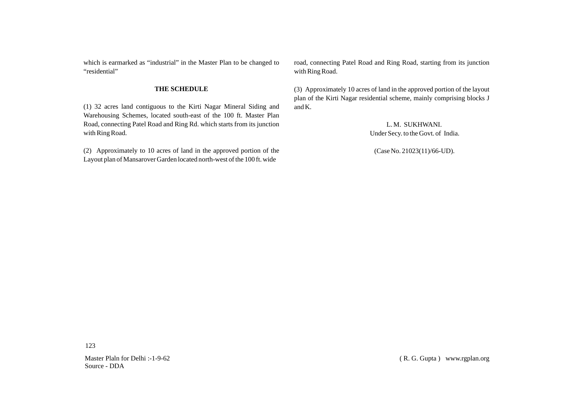which is earmarked as "industrial" in the Master Plan to be changed to "residential"

#### **THE SCHEDULE**

(1) 32 acres land contiguous to the Kirti Nagar Mineral Siding and Warehousing Schemes, located south-east of the 100 ft. Master Plan Road, connecting Patel Road and Ring Rd. which starts from its junction with Ring Road.

(2) Approximately to 10 acres of land in the approved portion of the Layout plan of Mansarover Garden located north-west of the 100 ft. wide

road, connecting Patel Road and Ring Road, starting from its junction with Ring Road.

(3) Approximately 10 acres of land in the approved portion of the layout plan of the Kirti Nagar residential scheme, mainly comprising blocks J and K.

> L. M. SUKHWANI. Under Secy. to the Govt. of India.

(Case No. 21023(11)/66-UD).

123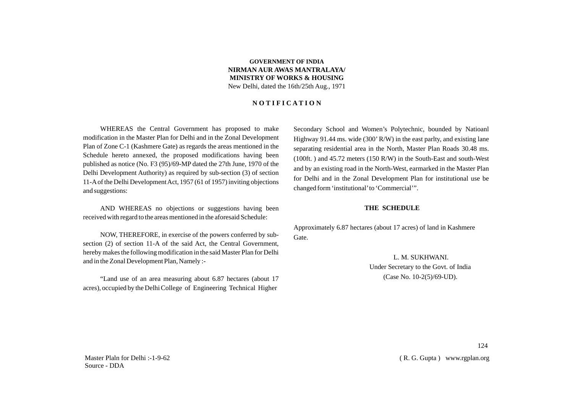#### **GOVERNMENT OF INDIA NIRMAN AUR AWAS MANTRALAYA/ MINISTRY OF WORKS & HOUSING** New Delhi, dated the 16th/25th Aug., 1971

#### **N O T I F I C A T I O N**

WHEREAS the Central Government has proposed to make modification in the Master Plan for Delhi and in the Zonal Development Plan of Zone C-1 (Kashmere Gate) as regards the areas mentioned in the Schedule hereto annexed, the proposed modifications having been published as notice (No. F3 (95)/69-MPdated the 27th June, 1970 of the Delhi Development Authority) as required by sub-section (3) of section 11-Aof the Delhi Development Act, 1957 (61 of 1957) inviting objections and suggestions:

AND WHEREAS no objections or suggestions having been received with regard to the areas mentioned in the aforesaid Schedule:

NOW, THEREFORE, in exercise of the powers conferred by subsection (2) of section 11-A of the said Act, the Central Government, hereby makes the following modification in the said Master Plan for Delhi and in the Zonal Development Plan, Namely :-

"Land use of an area measuring about 6.87 hectares (about 17 acres), occupied by the Delhi College of Engineering Technical Higher

Secondary School and Women's Polytechnic, bounded by Natioanl Highway 91.44 ms. wide (300'R/W) in the east parlty, and existing lane separating residential area in the North, Master Plan Roads 30.48 ms. (100ft. ) and 45.72 meters (150 R/W) in the South-East and south-West and by an existing road in the North-West, earmarked in the Master Plan for Delhi and in the Zonal Development Plan for institutional use be changed form 'institutional'to 'Commercial'".

#### **THE SCHEDULE**

Approximately 6.87 hectares (about 17 acres) of land in Kashmere Gate.

> L. M. SUKHWANI. Under Secretary to the Govt. of India (Case No. 10-2(5)/69-UD).

Master Plaln for Delhi :-1-9-62 Source - DDA

124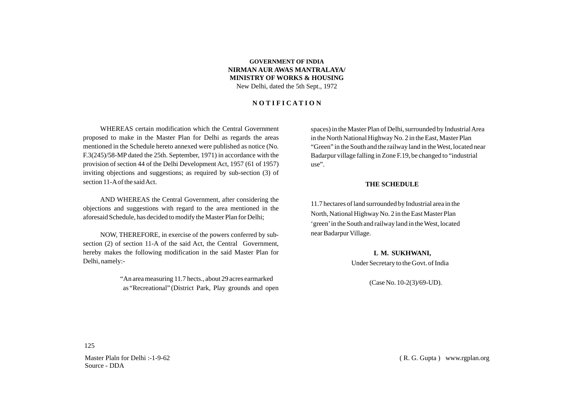#### **GOVERNMENT OF INDIA NIRMAN AUR AWAS MANTRALAYA/ MINISTRY OF WORKS & HOUSING** New Delhi, dated the 5th Sept., 1972

#### **N O T I F I C A T I O N**

WHEREAS certain modification which the Central Government proposed to make in the Master Plan for Delhi as regards the areas mentioned in the Schedule hereto annexed were published as notice (No. F.3(245)/58-MPdated the 25th. September, 1971) in accordance with the provision of section 44 of the Delhi Development Act, 1957 (61 of 1957) inviting objections and suggestions; as required by sub-section (3) of section 11-Aof the said Act.

AND WHEREAS the Central Government, after considering the objections and suggestions with regard to the area mentioned in the aforesaid Schedule, has decided to modify the Master Plan for Delhi;

NOW, THEREFORE, in exercise of the powers conferred by subsection (2) of section 11-A of the said Act, the Central Government, hereby makes the following modification in the said Master Plan for Delhi, namely:-

> "An area measuring 11.7 hects., about 29 acres earmarked as "Recreational" (District Park, Play grounds and open

spaces) in the Master Plan of Delhi, surrounded by Industrial Area in the North National Highway No. 2 in the East, Master Plan "Green" in the South and the railway land in the West, located near Badarpur village falling in Zone F.19, be changed to "industrial use".

#### **THE SCHEDULE**

11.7 hectares of land surrounded by Industrial area in the North, National Highway No. 2 in the East Master Plan 'green'in the South and railway land in the West, located near Badarpur Village.

> **L M. SUKHWANI,** Under Secretary to the Govt. of India

> > (Case No. 10-2(3)/69-UD).

125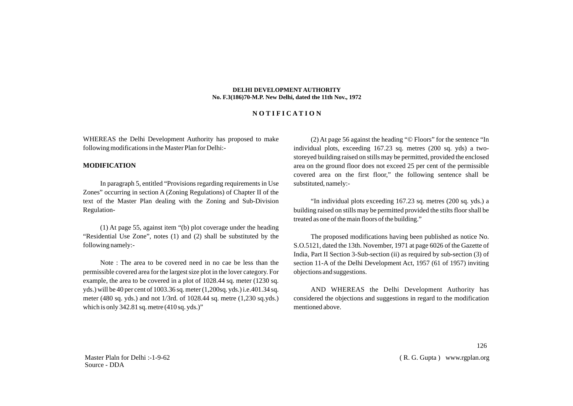#### **DELHI DEVELOPMENT AUTHORITY No. F.3(186)70-M.P. New Delhi, dated the 11th Nov., 1972**

#### **N O T I F I C A T I O N**

WHEREAS the Delhi Development Authority has proposed to make following modifications in the Master Plan for Delhi:-

#### **MODIFICATION**

In paragraph 5, entitled "Provisions regarding requirements in Use Zones" occurring in section A (Zoning Regulations) of Chapter II of the text of the Master Plan dealing with the Zoning and Sub-Division Regulation-

(1) At page 55, against item "(b) plot coverage under the heading "Residential Use Zone", notes (1) and (2) shall be substituted by the following namely:-

Note : The area to be covered need in no cae be less than the permissible covered area for the largest size plot in the lover category. For example, the area to be covered in a plot of 1028.44 sq. meter (1230 sq. yds.) will be 40 per cent of 1003.36 sq. meter (1,200sq. yds.) i.e.401.34 sq. meter (480 sq. yds.) and not 1/3rd. of 1028.44 sq. metre (1,230 sq.yds.) which is only 342.81 sq. metre (410 sq. yds.)"

(2) At page 56 against the heading "© Floors" for the sentence "In individual plots, exceeding 167.23 sq. metres (200 sq. yds) a twostoreyed building raised on stills may be permitted, provided the enclosed area on the ground floor does not exceed 25 per cent of the permissible covered area on the first floor," the following sentence shall be substituted, namely:-

"In individual plots exceeding 167.23 sq. metres (200 sq. yds.) a building raised on stills may be permitted provided the stilts floor shall be treated as one of the main floors of the building."

The proposed modifications having been published as notice No. S.O.5121, dated the 13th. November, 1971 at page 6026 of the Gazette of India, Part II Section 3-Sub-section (ii) as required by sub-section (3) of section 11-A of the Delhi Development Act, 1957 (61 of 1957) inviting objections and suggestions.

AND WHEREAS the Delhi Development Authority has considered the objections and suggestions in regard to the modification mentioned above.

Master Plaln for Delhi :-1-9-62 Source - DDA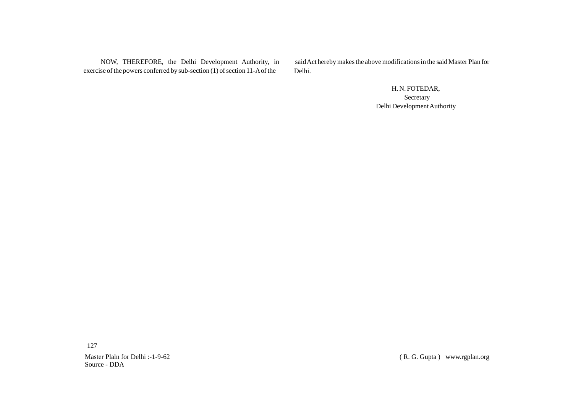NOW, THEREFORE, the Delhi Development Authority, in exercise of the powers conferred by sub-section (1) of section 11-Aof the

said Act hereby makes the above modifications in the said Master Plan for Delhi.

> H. N. FOTEDAR, Secretary Delhi Development Authority

127

Master Plaln for Delhi :-1-9-62 Source - DDA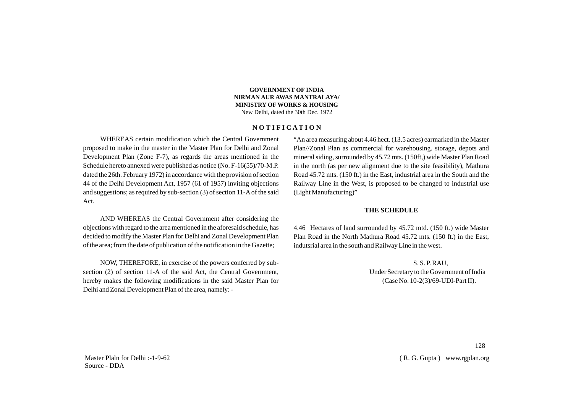#### **GOVERNMENT OF INDIA NIRMAN AUR AWAS MANTRALAYA/ MINISTRY OF WORKS & HOUSING** New Delhi, dated the 30th Dec. 1972

#### **N O T I F I C A T I O N**

WHEREAS certain modification which the Central Government proposed to make in the master in the Master Plan for Delhi and Zonal Development Plan (Zone F-7), as regards the areas mentioned in the Schedule hereto annexed were published as notice (No. F-16(55)/70-M.P. dated the 26th. February 1972) in accordance with the provision of section 44 of the Delhi Development Act, 1957 (61 of 1957) inviting objections and suggestions; as required by sub-section (3) of section 11-Aof the said Act.

AND WHEREAS the Central Government after considering the objections with regard to the area mentioned in the aforesaid schedule, has decided to modify the Master Plan for Delhi and Zonal Development Plan of the area; from the date of publication of the notification in the Gazette;

NOW, THEREFORE, in exercise of the powers conferred by subsection (2) of section 11-A of the said Act, the Central Government, hereby makes the following modifications in the said Master Plan for Delhi and Zonal Development Plan of the area, namely: -

"An area measuring about 4.46 hect. (13.5 acres) earmarked in the Master Plan//Zonal Plan as commercial for warehousing. storage, depots and mineral siding, surrounded by 45.72 mts. (150ft,) wide Master Plan Road in the north (as per new alignment due to the site feasibility), Mathura Road 45.72 mts. (150 ft.) in the East, industrial area in the South and the Railway Line in the West, is proposed to be changed to industrial use (Light Manufacturing)"

#### **THE SCHEDULE**

4.46 Hectares of land surrounded by 45.72 mtd. (150 ft.) wide Master Plan Road in the North Mathura Road 45.72 mts. (150 ft.) in the East, indutsrial area in the south and Railway Line in the west.

> S. S. P. RAU, Under Secretary to the Government of India (Case No. 10-2(3)/69-UDI-Part II).

Master Plaln for Delhi :-1-9-62 Source - DDA

128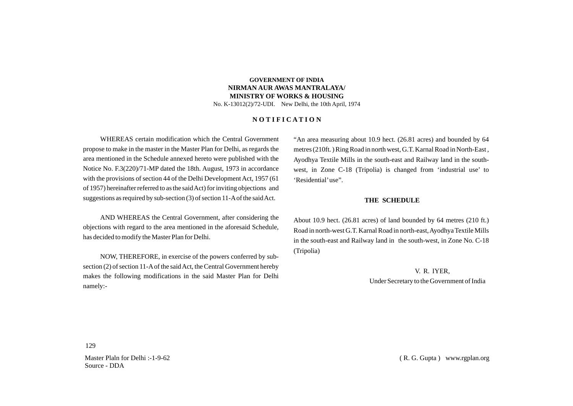#### **GOVERNMENT OF INDIA NIRMAN AUR AWAS MANTRALAYA/ MINISTRY OF WORKS & HOUSING**

No. K-13012(2)/72-UDI. New Delhi, the 10th April, 1974

#### **N O T I F I C A T I O N**

WHEREAS certain modification which the Central Government propose to make in the master in the Master Plan for Delhi, as regards the area mentioned in the Schedule annexed hereto were published with the Notice No. F.3(220)/71-MP dated the 18th. August, 1973 in accordance with the provisions of section 44 of the Delhi Development Act, 1957 (61 of 1957) hereinafter referred to as the said Act) for inviting objections and suggestions as required by sub-section (3) of section 11-Aof the said Act.

AND WHEREAS the Central Government, after considering the objections with regard to the area mentioned in the aforesaid Schedule, has decided to modify the Master Plan for Delhi.

NOW, THEREFORE, in exercise of the powers conferred by subsection (2) of section 11-Aof the said Act, the Central Government hereby makes the following modifications in the said Master Plan for Delhi namely:-

"An area measuring about 10.9 hect. (26.81 acres) and bounded by 64 metres (210ft. ) Ring Road in north west, G.T. Karnal Road in North-East , Ayodhya Textile Mills in the south-east and Railway land in the southwest, in Zone C-18 (Tripolia) is changed from 'industrial use' to 'Residential'use".

#### **THE SCHEDULE**

About 10.9 hect. (26.81 acres) of land bounded by 64 metres (210 ft.) Road in north-west G.T. Karnal Road in north-east, Ayodhya Textile Mills in the south-east and Railway land in the south-west, in Zone No. C-18 (Tripolia)

> V. R. IYER, Under Secretary to the Government of India

129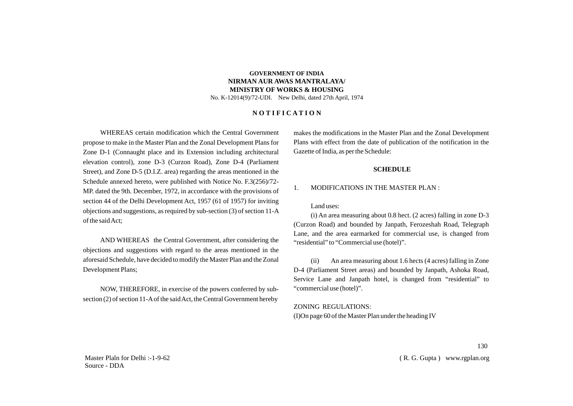#### **GOVERNMENT OF INDIA NIRMAN AUR AWAS MANTRALAYA/ MINISTRY OF WORKS & HOUSING**

No. K-12014(9)/72-UDI. New Delhi, dated 27th April, 1974

#### **N O T I F I C A T I O N**

WHEREAS certain modification which the Central Government propose to make in the Master Plan and the Zonal Development Plans for Zone D-1 (Connaught place and its Extension including architectural elevation control), zone D-3 (Curzon Road), Zone D-4 (Parliament Street), and Zone D-5 (D.I.Z. area) regarding the areas mentioned in the Schedule annexed hereto, were published with Notice No. F.3(256)/72- MP. dated the 9th. December, 1972, in accordance with the provisions of section 44 of the Delhi Development Act, 1957 (61 of 1957) for inviting objections and suggestions, as required by sub-section (3) of section 11-A of the said Act;

AND WHEREAS the Central Government, after considering the objections and suggestions with regard to the areas mentioned in the aforesaid Schedule, have decided to modify the Master Plan and the Zonal Development Plans;

NOW, THEREFORE, in exercise of the powers conferred by subsection (2) of section 11-Aof the said Act, the Central Government hereby

makes the modifications in the Master Plan and the Zonal Development Plans with effect from the date of publication of the notification in the Gazette of India, as per the Schedule:

#### **SCHEDULE**

#### 1. MODIFICATIONS IN THE MASTER PLAN :

#### Land uses:

(i) An area measuring about 0.8 hect. (2 acres) falling in zone D-3 (Curzon Road) and bounded by Janpath, Ferozeshah Road, Telegraph Lane, and the area earmarked for commercial use, is changed from "residential" to "Commercial use (hotel)".

(ii) An area measuring about 1.6 hects (4 acres) falling in Zone D-4 (Parliament Street areas) and bounded by Janpath, Ashoka Road, Service Lane and Janpath hotel, is changed from "residential" to "commercial use (hotel)".

ZONING REGULATIONS: (I)On page 60 of the Master Plan under the heading IV

Master Plaln for Delhi :-1-9-62 Source - DDA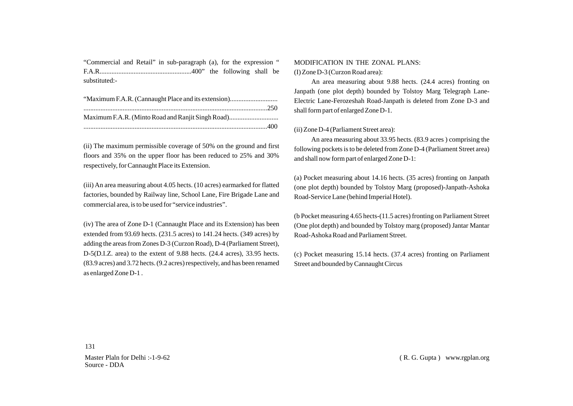"Commercial and Retail" in sub-paragraph (a), for the expression " F.A.R......................................................400" the following shall be substituted:-

| Maximum F.A.R. (Minto Road and Ranjit Singh Road) |
|---------------------------------------------------|
|                                                   |

(ii) The maximum permissible coverage of 50% on the ground and first floors and 35% on the upper floor has been reduced to 25% and 30% respectively, for Cannaught Place its Extension.

(iii) An area measuring about 4.05 hects. (10 acres) earmarked for flatted factories, bounded by Railway line, School Lane, Fire Brigade Lane and commercial area, is to be used for "service industries".

(iv) The area of Zone D-1 (Cannaught Place and its Extension) has been extended from 93.69 hects. (231.5 acres) to 141.24 hects. (349 acres) by adding the areas from Zones D-3 (Curzon Road), D-4 (Parliament Street), D-5(D.I.Z. area) to the extent of 9.88 hects. (24.4 acres), 33.95 hects. (83.9 acres) and 3.72 hects. (9.2 acres) respectively, and has been renamed as enlarged Zone D-1 .

#### MODIFICATION IN THE ZONAL PLANS:

(I) Zone D-3 (Curzon Road area):

An area measuring about 9.88 hects. (24.4 acres) fronting on Janpath (one plot depth) bounded by Tolstoy Marg Telegraph Lane-Electric Lane-Ferozeshah Road-Janpath is deleted from Zone D-3 and shall form part of enlarged Zone D-1.

#### (ii) Zone D-4 (Parliament Street area):

An area measuring about 33.95 hects. (83.9 acres ) comprising the following pockets is to be deleted from Zone D-4 (Parliament Street area) and shall now form part of enlarged Zone D-1:

(a) Pocket measuring about 14.16 hects. (35 acres) fronting on Janpath (one plot depth) bounded by Tolstoy Marg (proposed)-Janpath-Ashoka Road-Service Lane (behind Imperial Hotel).

(b Pocket measuring 4.65 hects-(11.5 acres) fronting on Parliament Street (One plot depth) and bounded by Tolstoy marg (proposed) Jantar Mantar Road-Ashoka Road and Parliament Street.

(c) Pocket measuring 15.14 hects. (37.4 acres) fronting on Parliament Street and bounded by Cannaught Circus

131

Master Plaln for Delhi :-1-9-62 Source - DDA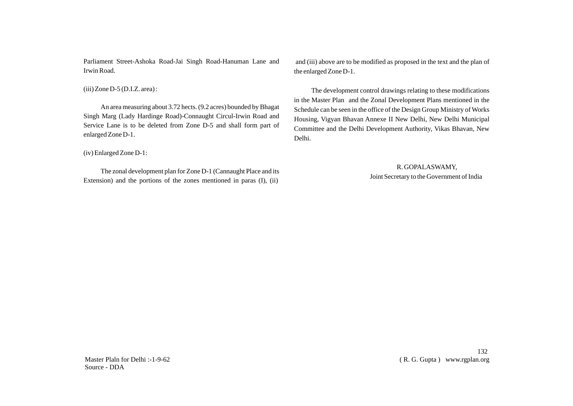Parliament Street-Ashoka Road-Jai Singh Road-Hanuman Lane and Irwin Road.

 $(iii)$  Zone D-5 (D.I.Z. area) :

An area measuring about 3.72 hects. (9.2 acres) bounded by Bhagat Singh Marg (Lady Hardinge Road)-Connaught Circul-Irwin Road and Service Lane is to be deleted from Zone D-5 and shall form part of enlarged Zone D-1.

(iv) Enlarged Zone D-1:

The zonal development plan for Zone D-1 (Cannaught Place and its Extension) and the portions of the zones mentioned in paras (I), (ii)

and (iii) above are to be modified as proposed in the text and the plan of the enlarged Zone D-1.

The development control drawings relating to these modifications in the Master Plan and the Zonal Development Plans mentioned in the Schedule can be seen in the office of the Design Group Ministry of Works Housing, Vigyan Bhavan Annexe II New Delhi, New Delhi Municipal Committee and the Delhi Development Authority, Vikas Bhavan, New Delhi.

> R. GOPALASWAMY, Joint Secretary to the Government of India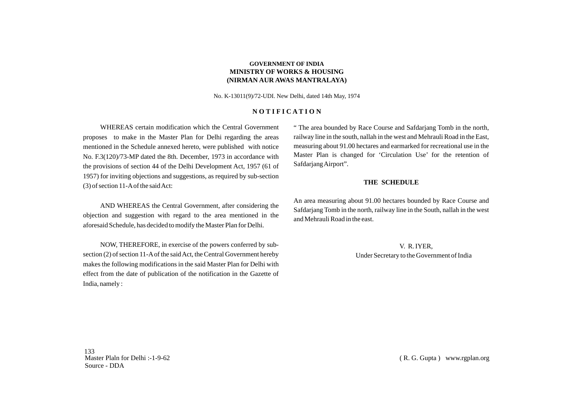#### **GOVERNMENT OF INDIA MINISTRY OF WORKS & HOUSING (NIRMAN AUR AWAS MANTRALAYA)**

No. K-13011(9)/72-UDI. New Delhi, dated 14th May, 1974

#### **N O T I F I C A T I O N**

WHEREAS certain modification which the Central Government proposes to make in the Master Plan for Delhi regarding the areas mentioned in the Schedule annexed hereto, were published with notice No. F.3(120)/73-MP dated the 8th. December, 1973 in accordance with the provisions of section 44 of the Delhi Development Act, 1957 (61 of 1957) for inviting objections and suggestions, as required by sub-section (3) of section 11-Aof the said Act:

AND WHEREAS the Central Government, after considering the objection and suggestion with regard to the area mentioned in the aforesaid Schedule, has decided to modify the Master Plan for Delhi.

NOW, THEREFORE, in exercise of the powers conferred by subsection (2) of section 11-Aof the said Act, the Central Government hereby makes the following modifications in the said Master Plan for Delhi with effect from the date of publication of the notification in the Gazette of India, namely :

" The area bounded by Race Course and Safdarjang Tomb in the north, railway line in the south, nallah in the west and Mehrauli Road in the East, measuring about 91.00 hectares and earmarked for recreational use in the Master Plan is changed for 'Circulation Use' for the retention of Safdarjang Airport".

#### **THE SCHEDULE**

An area measuring about 91.00 hectares bounded by Race Course and Safdarjang Tomb in the north, railway line in the South, nallah in the west and Mehrauli Road in the east.

> V. R. IYER, Under Secretary to the Government of India

133 Master Plaln for Delhi :-1-9-62 Source - DDA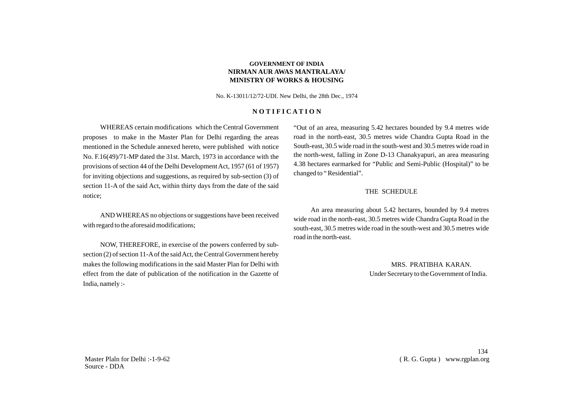No. K-13011/12/72-UDI. New Delhi, the 28th Dec., 1974

### **N O T I F I C A T I O N**

WHEREAS certain modifications which the Central Government proposes to make in the Master Plan for Delhi regarding the areas mentioned in the Schedule annexed hereto, were published with notice No. F.16(49)/71-MP dated the 31st. March, 1973 in accordance with the provisions of section 44 of the Delhi Development Act, 1957 (61 of 1957) for inviting objections and suggestions, as required by sub-section (3) of section 11-A of the said Act, within thirty days from the date of the said notice;

AND WHEREAS no objections or suggestions have been received with regard to the aforesaid modifications;

NOW, THEREFORE, in exercise of the powers conferred by subsection (2) of section 11-Aof the said Act, the Central Government hereby makes the following modifications in the said Master Plan for Delhi with effect from the date of publication of the notification in the Gazette of India, namely :-

"Out of an area, measuring 5.42 hectares bounded by 9.4 metres wide road in the north-east, 30.5 metres wide Chandra Gupta Road in the South-east, 30.5 wide road in the south-west and 30.5 metres wide road in the north-west, falling in Zone D-13 Chanakyapuri, an area measuring 4.38 hectares earmarked for "Public and Semi-Public (Hospital)" to be changed to " Residential".

#### THE SCHEDULE

An area measuring about 5.42 hectares, bounded by 9.4 metres wide road in the north-east, 30.5 metres wide Chandra Gupta Road in the south-east, 30.5 metres wide road in the south-west and 30.5 metres wide road in the north-east.

> MRS. PRATIBHA KARAN. Under Secretary to the Government of India.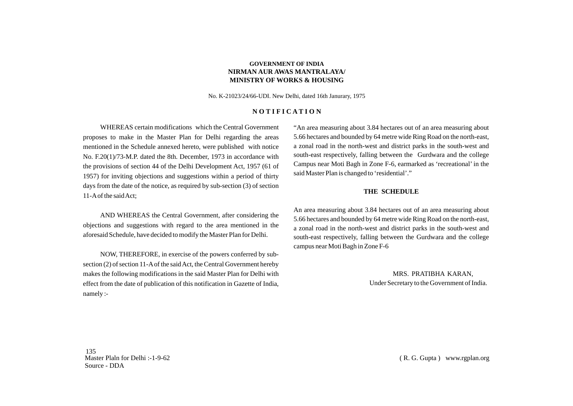No. K-21023/24/66-UDI. New Delhi, dated 16th Janurary, 1975

### **N O T I F I C A T I O N**

WHEREAS certain modifications which the Central Government proposes to make in the Master Plan for Delhi regarding the areas mentioned in the Schedule annexed hereto, were published with notice No. F.20(1)/73-M.P. dated the 8th. December, 1973 in accordance with the provisions of section 44 of the Delhi Development Act, 1957 (61 of 1957) for inviting objections and suggestions within a period of thirty days from the date of the notice, as required by sub-section (3) of section 11-Aof the said Act;

AND WHEREAS the Central Government, after considering the objections and suggestions with regard to the area mentioned in the aforesaid Schedule, have decided to modify the Master Plan for Delhi.

NOW, THEREFORE, in exercise of the powers conferred by subsection (2) of section 11-Aof the said Act, the Central Government hereby makes the following modifications in the said Master Plan for Delhi with effect from the date of publication of this notification in Gazette of India, namely :-

"An area measuring about 3.84 hectares out of an area measuring about 5.66 hectares and bounded by 64 metre wide Ring Road on the north-east, a zonal road in the north-west and district parks in the south-west and south-east respectively, falling between the Gurdwara and the college Campus near Moti Bagh in Zone F-6, earmarked as 'recreational' in the said Master Plan is changed to 'residential'."

#### **THE SCHEDULE**

An area measuring about 3.84 hectares out of an area measuring about 5.66 hectares and bounded by 64 metre wide Ring Road on the north-east, a zonal road in the north-west and district parks in the south-west and south-east respectively, falling between the Gurdwara and the college campus near Moti Bagh in Zone F-6

> MRS. PRATIBHA KARAN, Under Secretary to the Government of India.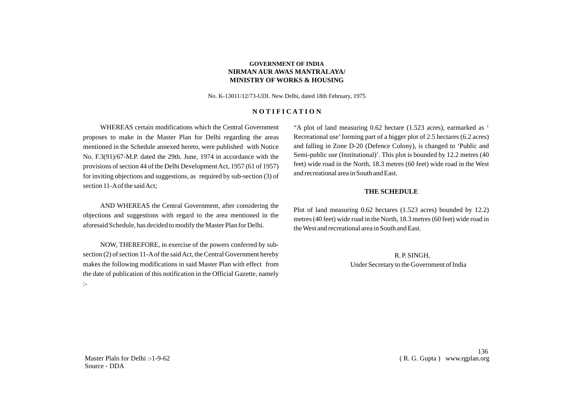No. K-13011/12/73-UDI. New Delhi, dated 18th February, 1975

### **N O T I F I C A T I O N**

WHEREAS certain modifications which the Central Government proposes to make in the Master Plan for Delhi regarding the areas mentioned in the Schedule annexed hereto, were published with Notice No. F.3(91)/67-M.P. dated the 29th. June, 1974 in accordance with the provisions of section 44 of the Delhi Development Act, 1957 (61 of 1957) for inviting objections and suggestions, as required by sub-section (3) of section 11-Aof the said Act;

AND WHEREAS the Central Government, after considering the objections and suggestions with regard to the area mentioned in the aforesaid Schedule, has decided to modify the Master Plan for Delhi.

NOW, THEREFORE, in exercise of the powers conferred by subsection (2) of section 11-Aof the said Act, the Central Government hereby makes the following modifications in said Master Plan with effect from the date of publication of this notification in the Official Gazette, namely :-

"A plot of land measuring 0.62 hectare (1.523 acres), earmarked as ' Recreational use' forming part of a bigger plot of 2.5 hectares (6.2 acres) and falling in Zone D-20 (Defence Colony), is changed to 'Public and Semi-public use (Institutional)'. This plot is bounded by 12.2 metres (40 feet) wide road in the North, 18.3 metres (60 feet) wide road in the West and recreational area in South and East.

#### **THE SCHEDULE**

Plot of land measuring 0.62 hectares (1.523 acres) bounded by 12.2) metres (40 feet) wide road in the North, 18.3 metres (60 feet) wide road in the West and recreational area in South and East.

> R. P. SINGH, Under Secretary to the Government of India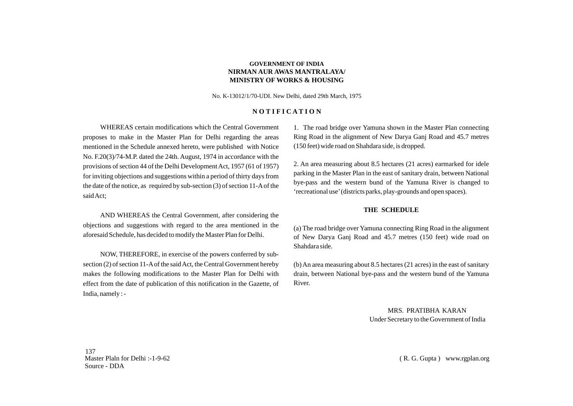No. K-13012/1/70-UDI. New Delhi, dated 29th March, 1975

#### **N O T I F I C A T I O N**

WHEREAS certain modifications which the Central Government proposes to make in the Master Plan for Delhi regarding the areas mentioned in the Schedule annexed hereto, were published with Notice No. F.20(3)/74-M.P. dated the 24th. August, 1974 in accordance with the provisions of section 44 of the Delhi Development Act, 1957 (61 of 1957) for inviting objections and suggestions within a period of thirty days from the date of the notice, as required by sub-section (3) of section 11-Aof the said Act;

AND WHEREAS the Central Government, after considering the objections and suggestions with regard to the area mentioned in the aforesaid Schedule, has decided to modify the Master Plan for Delhi.

NOW, THEREFORE, in exercise of the powers conferred by subsection (2) of section 11-Aof the said Act, the Central Government hereby makes the following modifications to the Master Plan for Delhi with effect from the date of publication of this notification in the Gazette, of India, namely : -

1. The road bridge over Yamuna shown in the Master Plan connecting Ring Road in the alignment of New Darya Ganj Road and 45.7 metres (150 feet) wide road on Shahdara side, is dropped.

2. An area measuring about 8.5 hectares (21 acres) earmarked for idele parking in the Master Plan in the east of sanitary drain, between National bye-pass and the western bund of the Yamuna River is changed to 'recreational use'(districts parks, play-grounds and open spaces).

## **THE SCHEDULE**

(a) The road bridge over Yamuna connecting Ring Road in the alignment of New Darya Ganj Road and 45.7 metres (150 feet) wide road on Shahdara side.

(b) An area measuring about 8.5 hectares (21 acres) in the east of sanitary drain, between National bye-pass and the western bund of the Yamuna River.

> MRS. PRATIBHA KARAN Under Secretary to the Government of India

137 Master Plaln for Delhi :-1-9-62 Source - DDA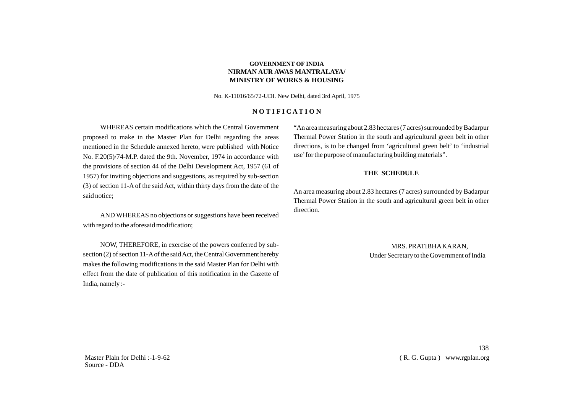No. K-11016/65/72-UDI. New Delhi, dated 3rd April, 1975

### **N O T I F I C A T I O N**

WHEREAS certain modifications which the Central Government proposed to make in the Master Plan for Delhi regarding the areas mentioned in the Schedule annexed hereto, were published with Notice No. F.20(5)/74-M.P. dated the 9th. November, 1974 in accordance with the provisions of section 44 of the Delhi Development Act, 1957 (61 of 1957) for inviting objections and suggestions, as required by sub-section (3) of section 11-A of the said Act, within thirty days from the date of the said notice;

AND WHEREAS no objections or suggestions have been received with regard to the aforesaid modification;

NOW, THEREFORE, in exercise of the powers conferred by subsection (2) of section 11-Aof the said Act, the Central Government hereby makes the following modifications in the said Master Plan for Delhi with effect from the date of publication of this notification in the Gazette of India, namely :-

"An area measuring about 2.83 hectares (7 acres) surrounded by Badarpur Thermal Power Station in the south and agricultural green belt in other directions, is to be changed from 'agricultural green belt' to 'industrial use'for the purpose of manufacturing building materials".

#### **THE SCHEDULE**

An area measuring about 2.83 hectares (7 acres) surrounded by Badarpur Thermal Power Station in the south and agricultural green belt in other direction.

> MRS. PRATIBHAKARAN, Under Secretary to the Government of India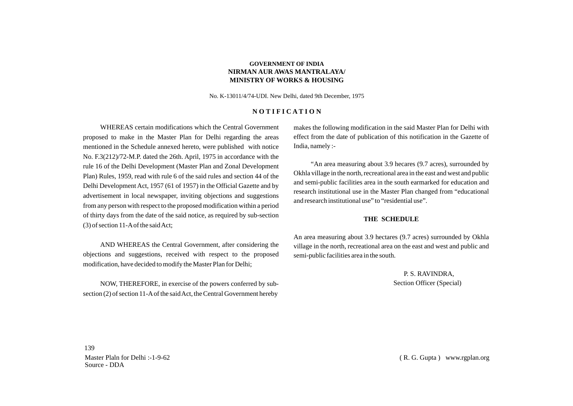No. K-13011/4/74-UDI. New Delhi, dated 9th December, 1975

## **N O T I F I C A T I O N**

WHEREAS certain modifications which the Central Government proposed to make in the Master Plan for Delhi regarding the areas mentioned in the Schedule annexed hereto, were published with notice No. F.3(212)/72-M.P. dated the 26th. April, 1975 in accordance with the rule 16 of the Delhi Development (Master Plan and Zonal Development Plan) Rules, 1959, read with rule 6 of the said rules and section 44 of the Delhi Development Act, 1957 (61 of 1957) in the Official Gazette and by advertisement in local newspaper, inviting objections and suggestions from any person with respect to the proposed modification within a period of thirty days from the date of the said notice, as required by sub-section (3) of section 11-Aof the said Act;

AND WHEREAS the Central Government, after considering the objections and suggestions, received with respect to the proposed modification, have decided to modify the Master Plan for Delhi;

NOW, THEREFORE, in exercise of the powers conferred by subsection (2) of section 11-Aof the said Act, the Central Government hereby

makes the following modification in the said Master Plan for Delhi with effect from the date of publication of this notification in the Gazette of India, namely :-

"An area measuring about 3.9 hecares (9.7 acres), surrounded by Okhla village in the north, recreational area in the east and west and public and semi-public facilities area in the south earmarked for education and research institutional use in the Master Plan changed from "educational and research institutional use" to "residential use".

#### **THE SCHEDULE**

An area measuring about 3.9 hectares (9.7 acres) surrounded by Okhla village in the north, recreational area on the east and west and public and semi-public facilities area in the south.

> P. S. RAVINDRA, Section Officer (Special)

139 Master Plaln for Delhi :-1-9-62 Source - DDA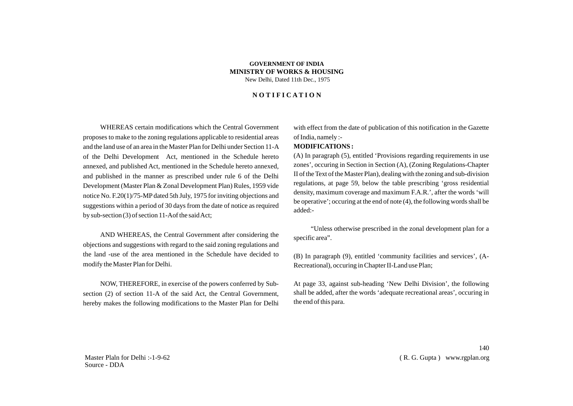#### **GOVERNMENT OF INDIA MINISTRY OF WORKS & HOUSING** New Delhi, Dated 11th Dec., 1975

## **N O T I F I C A T I O N**

WHEREAS certain modifications which the Central Government proposes to make to the zoning regulations applicable to residential areas and the land use of an area in the Master Plan for Delhi under Section 11-A of the Delhi Development Act, mentioned in the Schedule hereto annexed, and published Act, mentioned in the Schedule hereto annexed, and published in the manner as prescribed under rule 6 of the Delhi Development (Master Plan & Zonal Development Plan) Rules, 1959 vide notice No. F.20(1)/75-MPdated 5th July, 1975 for inviting objections and suggestions within a period of 30 days from the date of notice as required by sub-section (3) of section 11-Aof the said Act;

AND WHEREAS, the Central Government after considering the objections and suggestions with regard to the said zoning regulations and the land -use of the area mentioned in the Schedule have decided to modify the Master Plan for Delhi.

NOW, THEREFORE, in exercise of the powers conferred by Subsection (2) of section 11-A of the said Act, the Central Government, hereby makes the following modifications to the Master Plan for Delhi with effect from the date of publication of this notification in the Gazette of India, namely :-

## **MODIFICATIONS :**

(A) In paragraph (5), entitled 'Provisions regarding requirements in use zones', occuring in Section in Section (A), (Zoning Regulations-Chapter II of the Text of the Master Plan), dealing with the zoning and sub-division regulations, at page 59, below the table prescribing 'gross residential density, maximum coverage and maximum F.A.R.', after the words 'will be operative'; occuring at the end of note (4), the following words shall be added:-

"Unless otherwise prescribed in the zonal development plan for a specific area".

(B) In paragraph (9), entitled 'community facilities and services', (A-Recreational), occuring in Chapter II-Land use Plan;

At page 33, against sub-heading 'New Delhi Division', the following shall be added, after the words 'adequate recreational areas', occuring in the end of this para.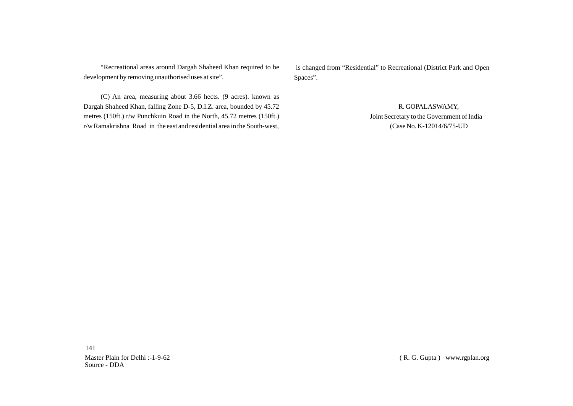"Recreational areas around Dargah Shaheed Khan required to be development by removing unauthorised uses at site".

(C) An area, measuring about 3.66 hects. (9 acres). known as Dargah Shaheed Khan, falling Zone D-5, D.I.Z. area, bounded by 45.72 metres (150ft.) r/w Punchkuin Road in the North, 45.72 metres (150ft.) r/w Ramakrishna Road in the east and residential area in the South-west,

is changed from "Residential" to Recreational (District Park and Open Spaces".

> R. GOPALASWAMY, Joint Secretary to the Government of India (Case No. K-12014/6/75-UD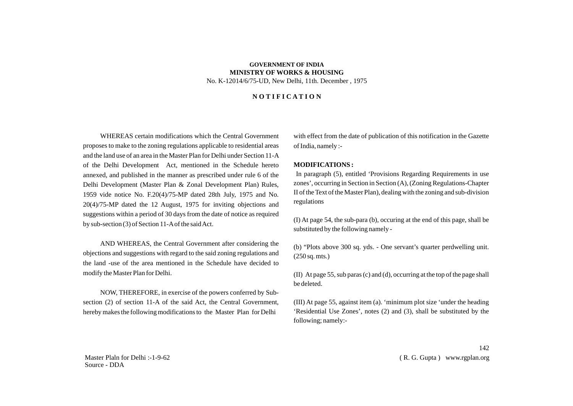# **GOVERNMENT OF INDIA MINISTRY OF WORKS & HOUSING** No. K-12014/6/75-UD, New Delhi, 11th. December , 1975

## **N O T I F I C A T I O N**

WHEREAS certain modifications which the Central Government proposes to make to the zoning regulations applicable to residential areas and the land use of an area in the Master Plan for Delhi under Section 11-A of the Delhi Development Act, mentioned in the Schedule hereto annexed, and published in the manner as prescribed under rule 6 of the Delhi Development (Master Plan & Zonal Development Plan) Rules, 1959 vide notice No. F.20(4)/75-MP dated 28th July, 1975 and No. 20(4)/75-MP dated the 12 August, 1975 for inviting objections and suggestions within a period of 30 days from the date of notice as required by sub-section (3) of Section 11-Aof the said Act.

AND WHEREAS, the Central Government after considering the objections and suggestions with regard to the said zoning regulations and the land -use of the area mentioned in the Schedule have decided to modify the Master Plan for Delhi.

NOW, THEREFORE, in exercise of the powers conferred by Subsection (2) of section 11-A of the said Act, the Central Government, hereby makes the following modifications to the Master Plan for Delhi

with effect from the date of publication of this notification in the Gazette of India, namely :-

## **MODIFICATIONS :**

In paragraph (5), entitled 'Provisions Regarding Requirements in use zones', occurring in Section in Section (A), (Zoning Regulations-Chapter II of the Text of the Master Plan), dealing with the zoning and sub-division regulations

(I) At page 54, the sub-para (b), occuring at the end of this page, shall be substituted by the following namely -

(b) "Plots above 300 sq. yds. - One servant's quarter perdwelling unit. (250 sq. mts.)

(II) At page 55, sub paras (c) and (d), occurring at the top of the page shall be deleted.

(III) At page 55, against item (a). 'minimum plot size 'under the heading 'Residential Use Zones', notes (2) and (3), shall be substituted by the following; namely:-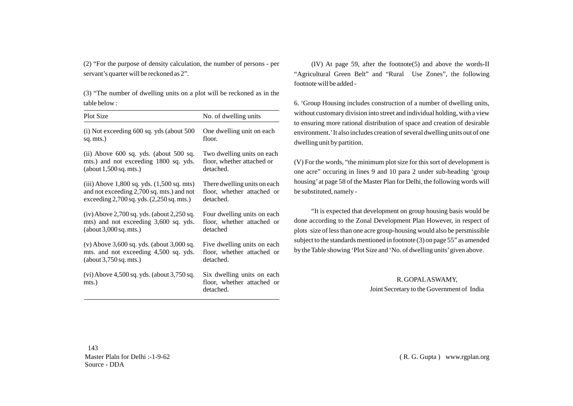(2) "For the purpose of density calculation, the number of persons - per servant's quarter will be reckoned as 2".

(3) "The number of dwelling units on a plot will be reckoned as in the table below :

| <b>Plot Size</b>                                      | No. of dwelling units                                                 |
|-------------------------------------------------------|-----------------------------------------------------------------------|
| $(i)$ Not exceeding 600 sq. yds (about 500)           | One dwelling unit on each.                                            |
| sq. mts.)                                             | floor.                                                                |
| $(ii)$ Above 600 sq. yds. (about 500 sq.              | Two dwelling units on each                                            |
| mts.) and not exceeding 1800 sq. yds.                 | floor, whether attached or                                            |
| (about 1,500 sq. mts.)                                | detached.                                                             |
| (iii) Above 1,800 sq. yds. (1,500 sq. mts)            | There dwelling units on each                                          |
| and not exceeding 2,700 sq. mts.) and not             | floor, whether attached or                                            |
| exceeding $2,700$ sq. yds. $(2,250$ sq. mts.)         | detached.                                                             |
| $(iv)$ Above 2,700 sq. yds. (about 2,250 sq.          | Four dwelling units on each                                           |
| mts) and not exceeding 3,600 sq. yds.                 | floor, whether attached or                                            |
| (about 3,000 sq. mts.)                                | detached                                                              |
| $(v)$ Above 3,600 sq. yds. (about 3,000 sq.           | Five dwelling units on each                                           |
| mts. and not exceeding 4,500 sq. yds.                 | floor, whether attached or                                            |
| (about 3,750 sq. mts.)                                | detached.                                                             |
| $(vi)$ Above 4,500 sq. yds. (about 3,750 sq.<br>mts.) | Six dwelling units on each<br>floor, whether attached or<br>detached. |

(IV) At page 59, after the footnote(5) and above the words-II "Agricultural Green Belt" and "Rural Use Zones", the following footnote will be added -

6. 'Group Housing includes construction of a number of dwelling units, without customary division into street and individual holding, with a view to ensuring more rational distribution of space and creation of desirable environment.'It also includes creation of several dwelling units out of one dwelling unit by partition.

(V) For the words, "the minimum plot size for this sort of development is one acre" occuring in lines 9 and 10 para 2 under sub-heading 'group housing'at page 58 of the Master Plan for Delhi, the following words will be substituted, namely -

"It is expected that development on group housing basis would be done according to the Zonal Development Plan However, in respect of plots size of less than one acre group-housing would also be persmissible subject to the standards mentioned in footnote (3) on page 55" as amended by the Table showing 'Plot Size and 'No. of dwelling units'given above.

> R. GOPALASWAMY, Joint Secretary to the Government of India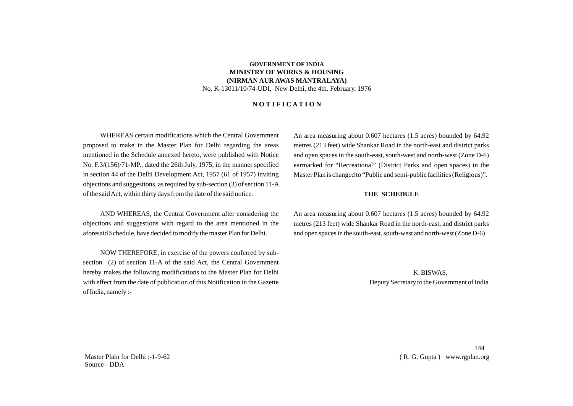## **GOVERNMENT OF INDIA MINISTRY OF WORKS & HOUSING (NIRMAN AUR AWAS MANTRALAYA)** No. K-13011/10/74-UDI, New Delhi, the 4th. February, 1976

## **N O T I F I C A T I O N**

WHEREAS certain modifications which the Central Government proposed to make in the Master Plan for Delhi regarding the areas mentioned in the Schedule annexed hereto, were published with Notice No. F.3/(156)/71-MP., dated the 26th July, 1975, in the manner specified in section 44 of the Delhi Development Act, 1957 (61 of 1957) inviting objections and suggestions, as required by sub-section (3) of section 11-A of the said Act, within thirty days from the date of the said notice.

AND WHEREAS, the Central Government after considering the objections and suggestions with regard to the area mentioned in the aforesaid Schedule, have decided to modify the master Plan for Delhi.

NOW THEREFORE, in exercise of the powers conferred by subsection (2) of section 11-A of the said Act, the Central Government hereby makes the following modifications to the Master Plan for Delhi with effect from the date of publication of this Notification in the Gazette of India, namely :-

An area measuring about 0.607 hectares (1.5 acres) bounded by 64.92 metres (213 feet) wide Shankar Road in the north-east and district parks and open spaces in the south-east, south-west and north-west (Zone D-6) earmarked for "Recreational" (District Parks and open spaces) in the Master Plan is changed to "Public and semi-public facilities (Religious)".

#### **THE SCHEDULE**

An area measuring about 0.607 hectares (1.5 acres) bounded by 64.92 metres (213 feet) wide Shankar Road in the north-east, and district parks and open spaces in the south-east, south-west and north-west (Zone D-6)

> K. BISWAS, Deputy Secretary to the Government of India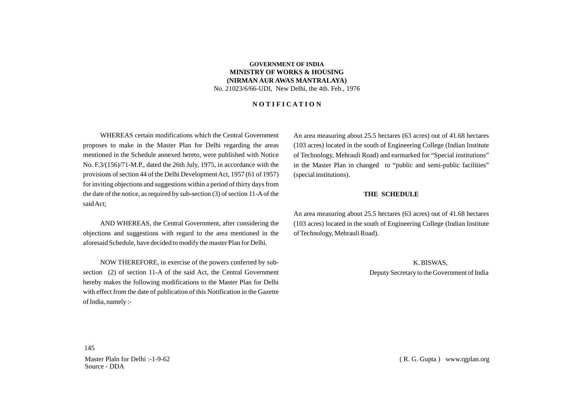## **GOVERNMENT OF INDIA MINISTRY OF WORKS & HOUSING (NIRMAN AUR AWAS MANTRALAYA)** No. 21023/6/66-UDI, New Delhi, the 4th. Feb., 1976

### **N O T I F I C A T I O N**

WHEREAS certain modifications which the Central Government proposes to make in the Master Plan for Delhi regarding the areas mentioned in the Schedule annexed hereto, were published with Notice No. F.3/(156)/71-M.P., dated the 26th July, 1975, in accordance with the provisions of section 44 of the Delhi Development Act, 1957 (61 of 1957) for inviting objections and suggestions within a period of thirty days from the date of the notice, as required by sub-section (3) of section 11-Aof the said Act;

AND WHEREAS, the Central Government, after considering the objections and suggestions with regard to the area mentioned in the aforesaid Schedule, have decided to modify the master Plan for Delhi.

NOW THEREFORE, in exercise of the powers conferred by subsection (2) of section 11-A of the said Act, the Central Government hereby makes the following modifications to the Master Plan for Delhi with effect from the date of publication of this Notification in the Gazette of India, namely :-

An area measuring about 25.5 hectares (63 acres) out of 41.68 hectares (103 acres) located in the south of Engineering College (Indian Institute of Technology, Mehrauli Road) and earmarked for "Special institutions" in the Master Plan in changed to "public and semi-public facilities" (special institutions).

#### **THE SCHEDULE**

An area measuring about 25.5 hectares (63 acres) out of 41.68 hectares (103 acres) located in the south of Engineering College (Indian Institute of Technology, Mehrauli Road).

> K. BISWAS, Deputy Secretary to the Government of India

Master Plaln for Delhi :-1-9-62 Source - DDA

145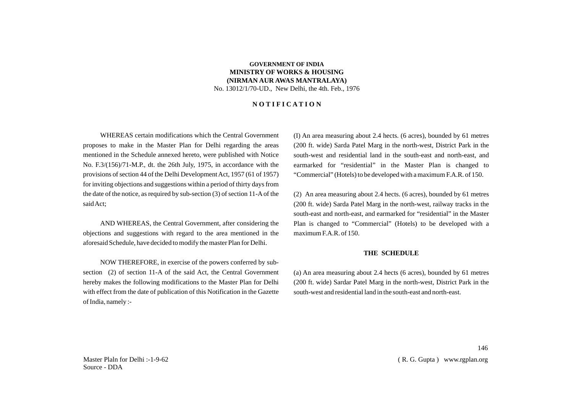## **GOVERNMENT OF INDIA MINISTRY OF WORKS & HOUSING (NIRMAN AUR AWAS MANTRALAYA)** No. 13012/1/70-UD., New Delhi, the 4th. Feb., 1976

## **N O T I F I C A T I O N**

WHEREAS certain modifications which the Central Government proposes to make in the Master Plan for Delhi regarding the areas mentioned in the Schedule annexed hereto, were published with Notice No. F.3/(156)/71-M.P., dt. the 26th July, 1975, in accordance with the provisions of section 44 of the Delhi Development Act, 1957 (61 of 1957) for inviting objections and suggestions within a period of thirty days from the date of the notice, as required by sub-section (3) of section 11-Aof the said Act;

AND WHEREAS, the Central Government, after considering the objections and suggestions with regard to the area mentioned in the aforesaid Schedule, have decided to modify the master Plan for Delhi.

NOW THEREFORE, in exercise of the powers conferred by subsection (2) of section 11-A of the said Act, the Central Government hereby makes the following modifications to the Master Plan for Delhi with effect from the date of publication of this Notification in the Gazette of India, namely :-

(I) An area measuring about 2.4 hects. (6 acres), bounded by 61 metres (200 ft. wide) Sarda Patel Marg in the north-west, District Park in the south-west and residential land in the south-east and north-east, and earmarked for "residential" in the Master Plan is changed to "Commercial" (Hotels) to be developed with a maximum F.A.R. of 150.

(2) An area measuring about 2.4 hects. (6 acres), bounded by 61 metres (200 ft. wide) Sarda Patel Marg in the north-west, railway tracks in the south-east and north-east, and earmarked for "residential" in the Master Plan is changed to "Commercial" (Hotels) to be developed with a maximum F.A.R. of 150.

#### **THE SCHEDULE**

(a) An area measuring about 2.4 hects (6 acres), bounded by 61 metres (200 ft. wide) Sardar Patel Marg in the north-west, District Park in the south-west and residential land in the south-east and north-east.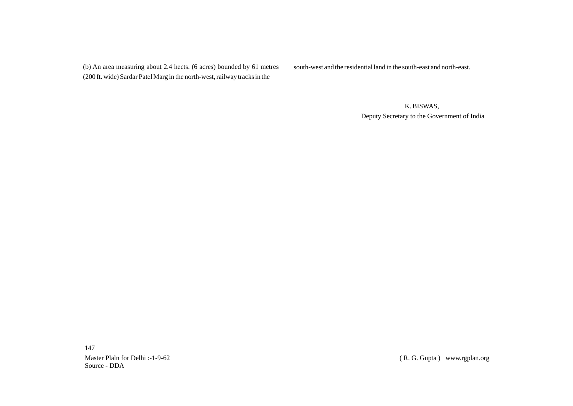(b) An area measuring about 2.4 hects. (6 acres) bounded by 61 metres (200 ft. wide) Sardar Patel Marg in the north-west, railway tracks in the

south-west and the residential land in the south-east and north-east.

 K. BISWAS, Deputy Secretary to the Government of India

147 Master Plaln for Delhi :-1-9-62 Source - DDA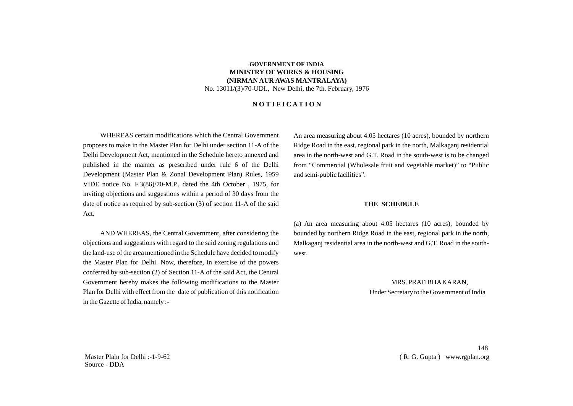## **GOVERNMENT OF INDIA MINISTRY OF WORKS & HOUSING (NIRMAN AUR AWAS MANTRALAYA)** No. 13011/(3)/70-UDI., New Delhi, the 7th. February, 1976

## **N O T I F I C A T I O N**

WHEREAS certain modifications which the Central Government proposes to make in the Master Plan for Delhi under section 11-A of the Delhi Development Act, mentioned in the Schedule hereto annexed and published in the manner as prescribed under rule 6 of the Delhi Development (Master Plan & Zonal Development Plan) Rules, 1959 VIDE notice No. F.3(86)/70-M.P., dated the 4th October , 1975, for inviting objections and suggestions within a period of 30 days from the date of notice as required by sub-section (3) of section 11-A of the said Act.

AND WHEREAS, the Central Government, after considering the objections and suggestions with regard to the said zoning regulations and the land-use of the area mentioned in the Schedule have decided to modify the Master Plan for Delhi. Now, therefore, in exercise of the powers conferred by sub-section (2) of Section 11-A of the said Act, the Central Government hereby makes the following modifications to the Master Plan for Delhi with effect from the date of publication of this notification in the Gazette of India, namely :-

An area measuring about 4.05 hectares (10 acres), bounded by northern Ridge Road in the east, regional park in the north, Malkaganj residential area in the north-west and G.T. Road in the south-west is to be changed from "Commercial (Wholesale fruit and vegetable market)" to "Public and semi-public facilities".

#### **THE SCHEDULE**

(a) An area measuring about 4.05 hectares (10 acres), bounded by bounded by northern Ridge Road in the east, regional park in the north, Malkaganj residential area in the north-west and G.T. Road in the southwest.

> MRS. PRATIBHAKARAN, Under Secretary to the Government of India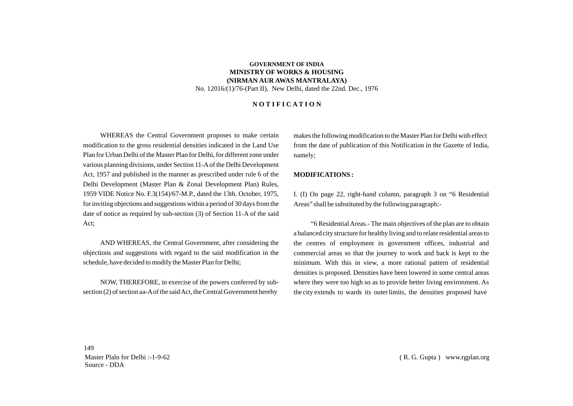## **GOVERNMENT OF INDIA MINISTRY OF WORKS & HOUSING (NIRMAN AUR AWAS MANTRALAYA)** No. 12016/(1)/76-(Part II), New Delhi, dated the 22nd. Dec., 1976

### **N O T I F I C A T I O N**

WHEREAS the Central Government proposes to make certain modification to the gross residential densities indicated in the Land Use Plan for Urban Delhi of the Master Plan for Delhi, for different zone under various planning divisions, under Section 11-Aof the Delhi Development Act, 1957 and published in the manner as prescribed under rule 6 of the Delhi Development (Master Plan & Zonal Development Plan) Rules, 1959 VIDE Notice No. F.3(154)/67-M.P., dated the 13th. October, 1975, for inviting objections and suggestions within a period of 30 days from the date of notice as required by sub-section (3) of Section 11-A of the said Act;

AND WHEREAS, the Central Government, after considering the objections and suggestions with regard to the said modification in the schedule, have decided to modify the Master Plan for Delhi;

NOW, THEREFORE, in exercise of the powers conferred by subsection (2) of section aa-Aof the said Act, the Central Government hereby

makes the following modification to the Master Plan for Delhi with effect from the date of publication of this Notification in the Gazette of India, namely;

#### **MODIFICATIONS :**

I. (I) On page 22, right-hand column, paragraph 3 on "6 Residential Areas" shall be substituted by the following paragraph:-

"6 Residential Areas.- The main objectives of the plan are to obtain a balanced city structure for healthy living and to relate residential areas to the centres of employment in government offices, industrial and commercial areas so that the journey to work and back is kept to the minimum. With this in view, a more rational pattern of residential densities is proposed. Densities have been lowered in some central areas where they were too high so as to provide better living environment. As the city extends to wards its outer limits, the densities proposed have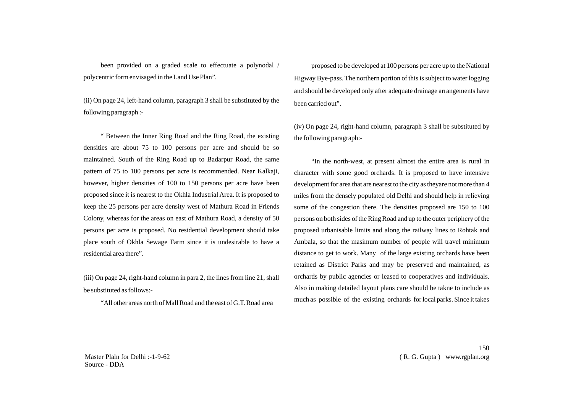been provided on a graded scale to effectuate a polynodal / polycentric form envisaged in the Land Use Plan".

(ii) On page 24, left-hand column, paragraph 3 shall be substituted by the following paragraph :-

" Between the Inner Ring Road and the Ring Road, the existing densities are about 75 to 100 persons per acre and should be so maintained. South of the Ring Road up to Badarpur Road, the same pattern of 75 to 100 persons per acre is recommended. Near Kalkaji, however, higher densities of 100 to 150 persons per acre have been proposed since it is nearest to the Okhla Industrial Area. It is proposed to keep the 25 persons per acre density west of Mathura Road in Friends Colony, whereas for the areas on east of Mathura Road, a density of 50 persons per acre is proposed. No residential development should take place south of Okhla Sewage Farm since it is undesirable to have a residential area there".

(iii) On page 24, right-hand column in para 2, the lines from line 21, shall be substituted as follows:-

"All other areas north of Mall Road and the east of G.T. Road area

proposed to be developed at 100 persons per acre up to the National Higway Bye-pass. The northern portion of this is subject to water logging and should be developed only after adequate drainage arrangements have been carried out".

(iv) On page 24, right-hand column, paragraph 3 shall be substituted by the following paragraph:-

"In the north-west, at present almost the entire area is rural in character with some good orchards. It is proposed to have intensive development for area that are nearest to the city as theyare not more than 4 miles from the densely populated old Delhi and should help in relieving some of the congestion there. The densities proposed are 150 to 100 persons on both sides of the Ring Road and up to the outer periphery of the proposed urbanisable limits and along the railway lines to Rohtak and Ambala, so that the masimum number of people will travel minimum distance to get to work. Many of the large existing orchards have been retained as District Parks and may be preserved and maintained, as orchards by public agencies or leased to cooperatives and individuals. Also in making detailed layout plans care should be takne to include as much as possible of the existing orchards for local parks. Since it takes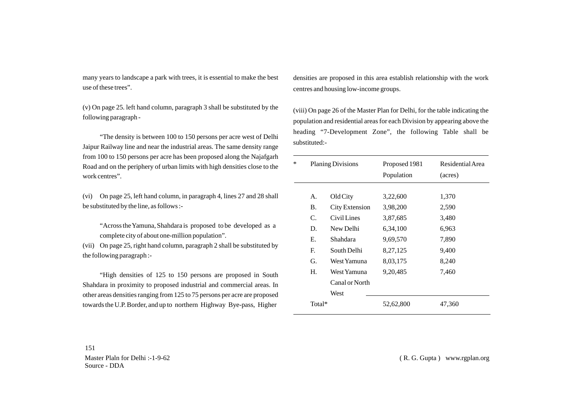many years to landscape a park with trees, it is essential to make the best use of these trees".

(v) On page 25. left hand column, paragraph 3 shall be substituted by the following paragraph -

"The density is between 100 to 150 persons per acre west of Delhi Jaipur Railway line and near the industrial areas. The same density range from 100 to 150 persons per acre has been proposed along the Najafgarh Road and on the periphery of urban limits with high densities close to the work centres".

(vi) On page 25, left hand column, in paragraph 4, lines 27 and 28 shall be substituted by the line, as follows :-

"Across the Yamuna, Shahdara is proposed to be developed as a complete city of about one-million population".

(vii) On page 25, right hand column, paragraph 2 shall be substituted by the following paragraph :-

"High densities of 125 to 150 persons are proposed in South Shahdara in proximity to proposed industrial and commercial areas. In other areas densities ranging from 125 to 75 persons per acre are proposed towards the U.P. Border, and up to northern Highway Bye-pass, Higher

densities are proposed in this area establish relationship with the work centres and housing low-income groups.

(viii) On page 26 of the Master Plan for Delhi, for the table indicating the population and residential areas for each Division by appearing above the heading "7-Development Zone", the following Table shall be substituted:-

| * | <b>Planing Divisions</b> |                | Proposed 1981<br>Population | Residential Area<br>(acres) |  |
|---|--------------------------|----------------|-----------------------------|-----------------------------|--|
|   | А.                       | Old City       | 3,22,600                    | 1,370                       |  |
|   | <b>B.</b>                | City Extension | 3,98,200                    | 2,590                       |  |
|   | $\mathcal{C}$            | Civil Lines    | 3,87,685                    | 3,480                       |  |
|   | D.                       | New Delhi      | 6,34,100                    | 6,963                       |  |
|   | Е.                       | Shahdara       | 9,69,570                    | 7,890                       |  |
|   | $\mathbf{E}$             | South Delhi    | 8,27,125                    | 9,400                       |  |
|   | G.                       | West Yamuna    | 8,03,175                    | 8,240                       |  |
|   | H.                       | West Yamuna    | 9, 20, 485                  | 7,460                       |  |
|   |                          | Canal or North |                             |                             |  |
|   |                          | West           |                             |                             |  |
|   | Total*                   |                | 52,62,800                   | 47,360                      |  |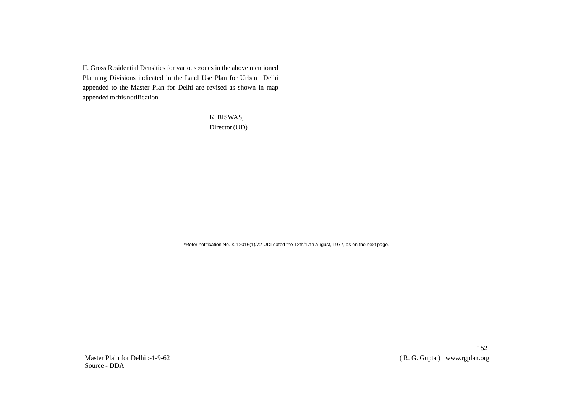II. Gross Residential Densities for various zones in the above mentioned Planning Divisions indicated in the Land Use Plan for Urban Delhi appended to the Master Plan for Delhi are revised as shown in map appended to this notification.

> K. BISWAS, Director (UD)

\*Refer notification No. K-12016(1)/72-UDI dated the 12th/17th August, 1977, as on the next page.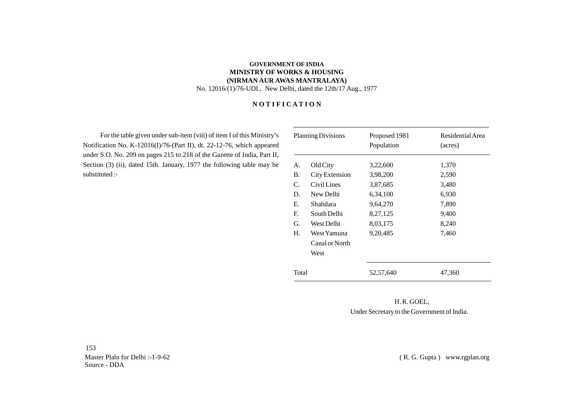# **GOVERNMENT OF INDIA MINISTRY OF WORKS & HOUSING (NIRMAN AUR AWAS MANTRALAYA)** No. 12016/(1)/76-UDI., New Delhi, dated the 12th/17 Aug., 1977

# **N O T I F I C A T I O N**

For the table given under sub-item (viii) of item I of this Ministry's Notification No. K-12016(I)/76-(Part II), dt. 22-12-76, which appeared under S.O. No. 209 on pages 215 to 218 of the Gazette of India, Part II, Section (3) (ii), dated 15th. January, 1977 the following table may be substituted :-

| <b>Planning Divisions</b> |                | Proposed 1981 | Residential Area |
|---------------------------|----------------|---------------|------------------|
|                           |                | Population    | (acres)          |
| A.                        | Old City       | 3,22,600      | 1,370            |
| <b>B.</b>                 | City Extension | 3,98,200      | 2,590            |
| C.                        | Civil Lines    | 3,87,685      | 3,480            |
| D.                        | New Delhi      | 6,34,100      | 6,930            |
| Е.                        | Shahdara       | 9,64,270      | 7,890            |
| E.                        | South Delhi    | 8,27,125      | 9,400            |
| G.                        | West Delhi     | 8,03,175      | 8,240            |
| Н.                        | West Yamuna    | 9, 20, 485    | 7,460            |
|                           | Canal or North |               |                  |
|                           | West           |               |                  |
| Total                     |                | 52,57,640     | 47,360           |

 H. R. GOEL, Under Secretary to the Government of India.

153 Master Plaln for Delhi :-1-9-62 Source - DDA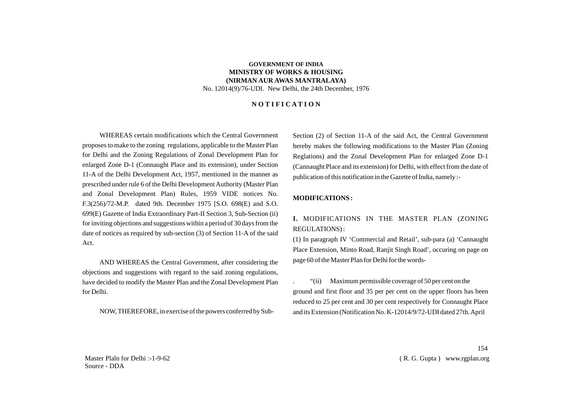## **GOVERNMENT OF INDIA MINISTRY OF WORKS & HOUSING (NIRMAN AUR AWAS MANTRALAYA)** No. 12014(9)/76-UDI. New Delhi, the 24th December, 1976

### **N O T I F I C A T I O N**

WHEREAS certain modifications which the Central Government proposes to make to the zoning regulations, applicable to the Master Plan for Delhi and the Zoning Regulations of Zonal Development Plan for enlarged Zone D-1 (Connaught Place and its extension), under Section 11-A of the Delhi Development Act, 1957, mentioned in the manner as prescribed under rule 6 of the Delhi Development Authority (Master Plan and Zonal Development Plan) Rules, 1959 VIDE notices No. F.3(256)/72-M.P. dated 9th. December 1975 [S.O. 698(E) and S.O. 699(E) Gazette of India Extraordinary Part-II Section 3, Sub-Section (ii) for inviting objections and suggestions within a period of 30 days from the date of notices as required by sub-section (3) of Section 11-A of the said Act.

AND WHEREAS the Central Government, after considering the objections and suggestions with regard to the said zoning regulations, have decided to modify the Master Plan and the Zonal Development Plan for Delhi.

NOW, THEREFORE, in exercise of the powers conferred by Sub-

Section (2) of Section 11-A of the said Act, the Central Government hereby makes the following modifications to the Master Plan (Zoning Reglations) and the Zonal Development Plan for enlarged Zone D-1 (Cannaught Place and its extension) for Delhi, with effect from the date of publication of this notification in the Gazette of India, namely :-

#### **MODIFICATIONS :**

# **I.** MODIFICATIONS IN THE MASTER PLAN (ZONING REGULATIONS) :

(1) In paragraph IV 'Commercial and Retail', sub-para (a) 'Cannaught Place Extension, Minto Road, Ranjit Singh Road', occuring on page on page 60 of the Master Plan for Delhi for the words-

. "(ii) Maximum permissible coverage of 50 per cent on the ground and first floor and 35 per per cent on the upper floors has been reduced to 25 per cent and 30 per cent respectively for Connaught Place and its Extension (Notification No. K-12014/9/72-UDI dated 27th. April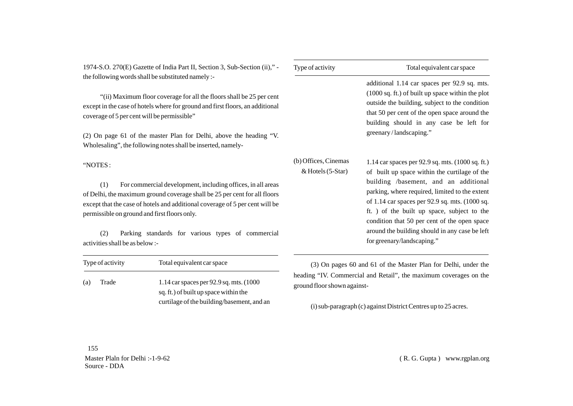1974-S.O. 270(E) Gazette of India Part II, Section 3, Sub-Section (ii)," the following words shall be substituted namely :-

"(ii) Maximum floor coverage for all the floors shall be 25 per cent except in the case of hotels where for ground and first floors, an additional coverage of 5 per cent will be permissible"

(2) On page 61 of the master Plan for Delhi, above the heading "V. Wholesaling", the following notes shall be inserted, namely-

"NOTES :

(1) For commercial development, including offices, in all areas of Delhi, the maximum ground coverage shall be 25 per cent for all floors except that the case of hotels and additional coverage of 5 per cent will be permissible on ground and first floors only.

(2) Parking standards for various types of commercial activities shall be as below :-

| Type of activity | Total equivalent car space                                                        | (3) On pages 60 and 61 of the Master Plan for D                                     |
|------------------|-----------------------------------------------------------------------------------|-------------------------------------------------------------------------------------|
| (a)<br>Trade     | 1.14 car spaces per 92.9 sq. mts. (1000)<br>sq. ft.) of built up space within the | heading "IV. Commercial and Retail", the maximum co-<br>ground floor shown against- |
|                  | curtilage of the building/basement, and an                                        | (i) sub-paragraph (c) against District Centres up to $22$                           |

| Type of activity                            | Total equivalent car space                                                                                                                                                                                                                                                                                                                                                                                                              |  |  |
|---------------------------------------------|-----------------------------------------------------------------------------------------------------------------------------------------------------------------------------------------------------------------------------------------------------------------------------------------------------------------------------------------------------------------------------------------------------------------------------------------|--|--|
|                                             | additional 1.14 car spaces per 92.9 sq. mts.<br>$(1000 \text{ sq. ft.})$ of built up space within the plot<br>outside the building, subject to the condition<br>that 50 per cent of the open space around the<br>building should in any case be left for<br>greenary/landscaping."                                                                                                                                                      |  |  |
| (b) Offices, Cinemas<br>$& Hotels (5-Star)$ | 1.14 car spaces per 92.9 sq. mts. $(1000 \text{ sq. ft.})$<br>of built up space within the curtilage of the<br>building /basement, and an additional<br>parking, where required, limited to the extent<br>of 1.14 car spaces per 92.9 sq. mts. (1000 sq.<br>ft. ) of the built up space, subject to the<br>condition that 50 per cent of the open space<br>around the building should in any case be left<br>for greenary/landscaping." |  |  |

learchter 60 and 61 and 61 and 61 and 61 and 61 and 61 and 61 and 61 and 61 and 61 and 61 and 61 and 61 and 61 a werages on the

(i) sub-paragraph (c) against District Centres up to 25 acres.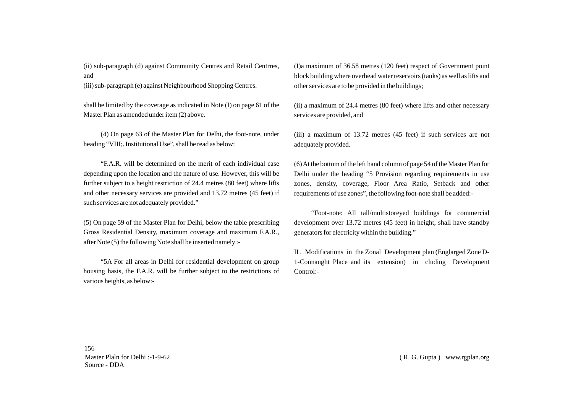(ii) sub-paragraph (d) against Community Centres and Retail Centrres, and

(iii) sub-paragraph (e) against Neighbourhood Shopping Centres.

shall be limited by the coverage as indicated in Note (I) on page 61 of the Master Plan as amended under item (2) above.

(4) On page 63 of the Master Plan for Delhi, the foot-note, under heading "VIII:. Institutional Use", shall be read as below:

"F.A.R. will be determined on the merit of each individual case depending upon the location and the nature of use. However, this will be further subject to a height restriction of 24.4 metres (80 feet) where lifts and other necessary services are provided and 13.72 metres (45 feet) if such services are not adequately provided."

(5) On page 59 of the Master Plan for Delhi, below the table prescribing Gross Residential Density, maximum coverage and maximum F.A.R., after Note (5) the following Note shall be inserted namely :-

"5A For all areas in Delhi for residential development on group housing hasis, the F.A.R. will be further subject to the restrictions of various heights, as below:-

(I)a maximum of 36.58 metres (120 feet) respect of Government point block building where overhead water reservoirs (tanks) as well as lifts and other services are to be provided in the buildings;

(ii) a maximum of 24.4 metres (80 feet) where lifts and other necessary services are provided, and

(iii) a maximum of 13.72 metres (45 feet) if such services are not adequately provided.

(6) At the bottom of the left hand column of page 54 of the Master Plan for Delhi under the heading "5 Provision regarding requirements in use zones, density, coverage, Floor Area Ratio, Setback and other requirements of use zones", the following foot-note shall be added:-

"Foot-note: All tall/multistoreyed buildings for commercial development over 13.72 metres (45 feet) in height, shall have standby generators for electricity within the building."

II . Modifications in the Zonal Development plan (Englarged Zone D-1-Connaught Place and its extension) in cluding Development Control:-

156 Master Plaln for Delhi :-1-9-62 Source - DDA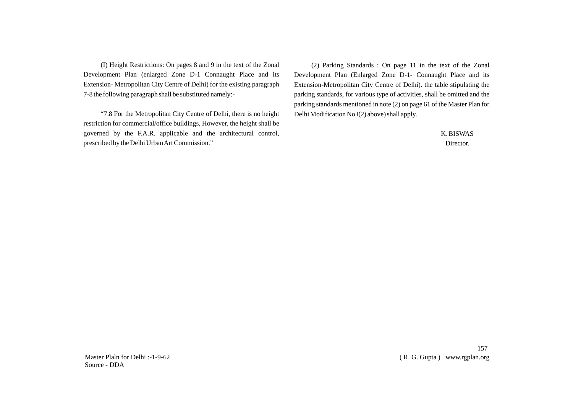(I) Height Restrictions: On pages 8 and 9 in the text of the Zonal Development Plan (enlarged Zone D-1 Connaught Place and its Extension- Metropolitan City Centre of Delhi) for the existing paragraph 7-8 the following paragraph shall be substituted namely:-

"7.8 For the Metropolitan City Centre of Delhi, there is no height restriction for commercial/office buildings, However, the height shall be governed by the F.A.R. applicable and the architectural control, prescribed by the Delhi Urban Art Commission."

(2) Parking Standards : On page 11 in the text of the Zonal Development Plan (Enlarged Zone D-1- Connaught Place and its Extension-Metropolitan City Centre of Delhi). the table stipulating the parking standards, for various type of activities, shall be omitted and the parking standards mentioned in note (2) on page 61 of the Master Plan for Delhi Modification No I(2) above) shall apply.

> K. BISWAS Director.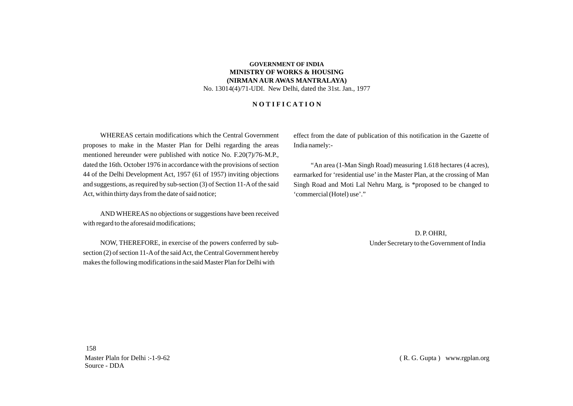## **GOVERNMENT OF INDIA MINISTRY OF WORKS & HOUSING (NIRMAN AUR AWAS MANTRALAYA)** No. 13014(4)/71-UDI. New Delhi, dated the 31st. Jan., 1977

## **N O T I F I C A T I O N**

WHEREAS certain modifications which the Central Government proposes to make in the Master Plan for Delhi regarding the areas mentioned hereunder were published with notice No. F.20(7)/76-M.P., dated the 16th. October 1976 in accordance with the provisions of section 44 of the Delhi Development Act, 1957 (61 of 1957) inviting objections and suggestions, as required by sub-section (3) of Section 11-Aof the said Act, within thirty days from the date of said notice;

AND WHEREAS no objections or suggestions have been received with regard to the aforesaid modifications;

NOW, THEREFORE, in exercise of the powers conferred by subsection (2) of section 11-Aof the said Act, the Central Government hereby makes the following modifications in the said Master Plan for Delhi with

effect from the date of publication of this notification in the Gazette of India namely:-

"An area (1-Man Singh Road) measuring 1.618 hectares (4 acres), earmarked for 'residential use'in the Master Plan, at the crossing of Man Singh Road and Moti Lal Nehru Marg, is \*proposed to be changed to 'commercial (Hotel) use'."

> D. P. OHRI, Under Secretary to the Government of India

158 Master Plaln for Delhi :-1-9-62 Source - DDA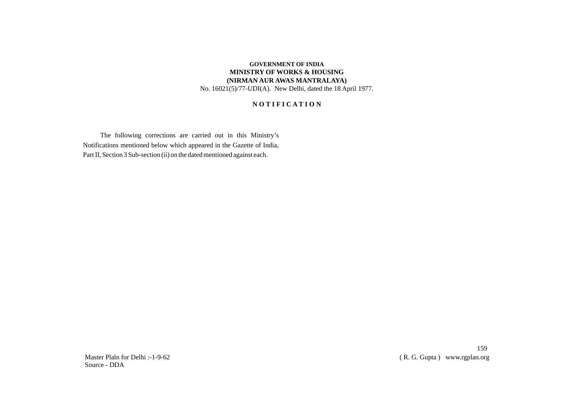# **GOVERNMENT OF INDIA MINISTRY OF WORKS & HOUSING (NIRMAN AUR AWAS MANTRALAYA)** No. 16021(5)/77-UDI(A). New Delhi, dated the 18 April 1977.

# **N O T I F I C A T I O N**

The following corrections are carried out in this Ministry's Notifications mentioned below which appeared in the Gazette of India, Part II, Section 3 Sub-section (ii) on the dated mentioned against each.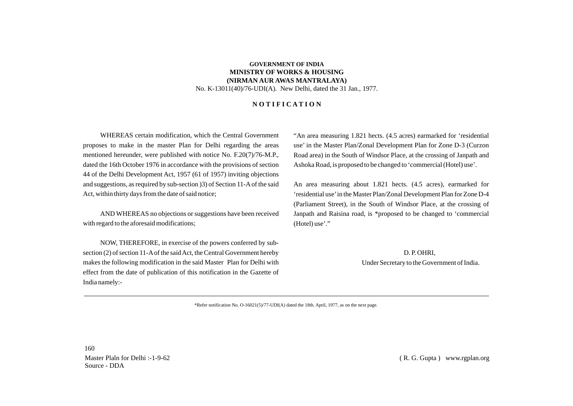## **GOVERNMENT OF INDIA MINISTRY OF WORKS & HOUSING (NIRMAN AUR AWAS MANTRALAYA)** No. K-13011(40)/76-UDI(A). New Delhi, dated the 31 Jan., 1977.

## **N O T I F I C A T I O N**

WHEREAS certain modification, which the Central Government proposes to make in the master Plan for Delhi regarding the areas mentioned hereunder, were published with notice No. F.20(7)/76-M.P., dated the 16th October 1976 in accordance with the provisions of section 44 of the Delhi Development Act, 1957 (61 of 1957) inviting objections and suggestions, as required by sub-section )3) of Section 11-Aof the said Act, within thirty days from the date of said notice;

AND WHEREAS no objections or suggestions have been received with regard to the aforesaid modifications;

NOW, THEREFORE, in exercise of the powers conferred by subsection (2) of section 11-Aof the said Act, the Central Government hereby makes the following modification in the said Master Plan for Delhi with effect from the date of publication of this notification in the Gazette of India namely:-

"An area measuring 1.821 hects. (4.5 acres) earmarked for 'residential use' in the Master Plan/Zonal Development Plan for Zone D-3 (Curzon Road area) in the South of Windsor Place, at the crossing of Janpath and Ashoka Road, is proposed to be changed to 'commercial (Hotel) use'.

An area measuring about 1.821 hects. (4.5 acres), earmarked for 'residential use'in the Master Plan/Zonal Development Plan for Zone D-4 (Parliament Street), in the South of Windsor Place, at the crossing of Janpath and Raisina road, is \*proposed to be changed to 'commercial (Hotel) use'."

> D. P. OHRI, Under Secretary to the Government of India.

\*Refer notification No. O-16021(5)/77-UDI(A) dated the 18th. April, 1977, as on the next page.

160 Master Plaln for Delhi :-1-9-62 Source - DDA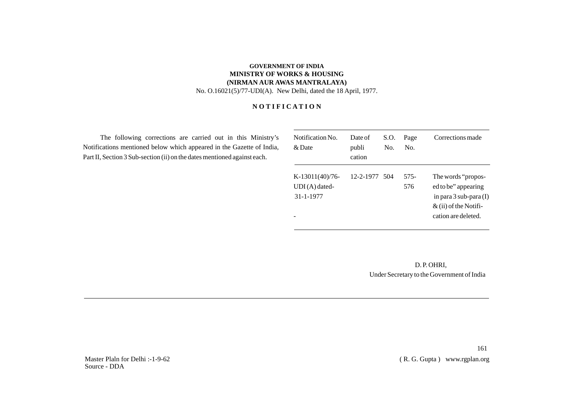# **GOVERNMENT OF INDIA MINISTRY OF WORKS & HOUSING (NIRMAN AUR AWAS MANTRALAYA)** No. O.16021(5)/77-UDI(A). New Delhi, dated the 18 April, 1977.

# **N O T I F I C A T I O N**

The following corrections are carried out in this Ministry's Notifications mentioned below which appeared in the Gazette of India, Part II, Section 3 Sub-section (ii) on the dates mentioned against each.

| Notification No.<br>$\&$ Date                    | Date of<br>publi<br>cation | S.O.<br>No. | Page<br>No. | Corrections made                                                                                                           |
|--------------------------------------------------|----------------------------|-------------|-------------|----------------------------------------------------------------------------------------------------------------------------|
| $K-13011(40)/76$<br>$UDI(A)$ dated-<br>31-1-1977 | 12-2-1977 504              |             | 575-<br>576 | The words "propos-<br>ed to be" appearing<br>in para $3$ sub-para $(I)$<br>$\&$ (ii) of the Notifi-<br>cation are deleted. |

 D. P. OHRI, Under Secretary to the Government of India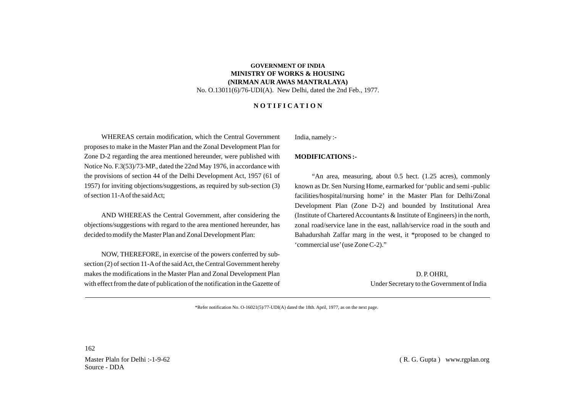## **GOVERNMENT OF INDIA MINISTRY OF WORKS & HOUSING (NIRMAN AUR AWAS MANTRALAYA)** No. O.13011(6)/76-UDI(A). New Delhi, dated the 2nd Feb., 1977.

#### **N O T I F I C A T I O N**

WHEREAS certain modification, which the Central Government proposes to make in the Master Plan and the Zonal Development Plan for Zone D-2 regarding the area mentioned hereunder, were published with Notice No. F.3(53)/73-MP., dated the 22nd May 1976, in accordance with the provisions of section 44 of the Delhi Development Act, 1957 (61 of 1957) for inviting objections/suggestions, as required by sub-section (3) of section 11-Aof the said Act;

AND WHEREAS the Central Government, after considering the objections/suggestions with regard to the area mentioned hereunder, has decided to modify the Master Plan and Zonal Development Plan:

NOW, THEREFORE, in exercise of the powers conferred by subsection (2) of section 11-Aof the said Act, the Central Government hereby makes the modifications in the Master Plan and Zonal Development Plan with effect from the date of publication of the notification in the Gazette of India, namely :-

#### **MODIFICATIONS :-**

"An area, measuring, about 0.5 hect. (1.25 acres), commonly known as Dr. Sen Nursing Home, earmarked for 'public and semi -public facilities/hospital/nursing home' in the Master Plan for Delhi/Zonal Development Plan (Zone D-2) and bounded by Institutional Area (Institute of Chartered Accountants & Institute of Engineers) in the north, zonal road/service lane in the east, nallah/service road in the south and Bahadurshah Zaffar marg in the west, it \*proposed to be changed to 'commercial use'(use Zone C-2)."

> D. P. OHRI, Under Secretary to the Government of India

\*Refer notification No. O-16021(5)/77-UDI(A) dated the 18th. April, 1977, as on the next page.

162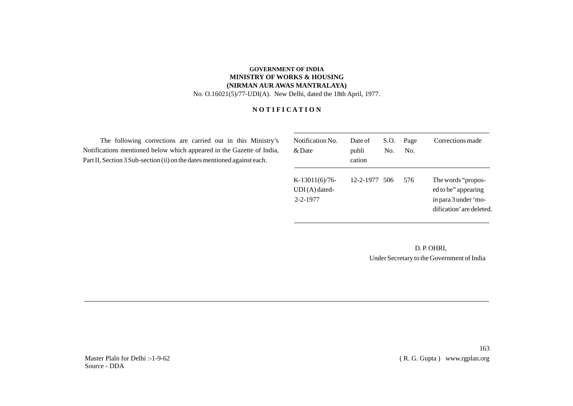# **GOVERNMENT OF INDIA MINISTRY OF WORKS & HOUSING (NIRMAN AUR AWAS MANTRALAYA)** No. O.16021(5)/77-UDI(A). New Delhi, dated the 18th April, 1977.

# **N O T I F I C A T I O N**

The following corrections are carried out in this Ministry's Notifications mentioned below which appeared in the Gazette of India, Part II, Section 3 Sub-section (ii) on the dates mentioned against each.

| Notification No.<br>& Date                           | Date of<br>publi<br>cation | S.O.<br>No. | Page<br>No. | Corrections made                                                                              |
|------------------------------------------------------|----------------------------|-------------|-------------|-----------------------------------------------------------------------------------------------|
| $K-13011(6)/76$<br>$UDI(A)$ dated-<br>$2 - 2 - 1977$ | 12-2-1977 506              |             | 576         | The words "propos-<br>ed to be" appearing<br>in para 3 under 'mo-<br>dification' are deleted. |

 D. P. OHRI, Under Secretary to the Government of India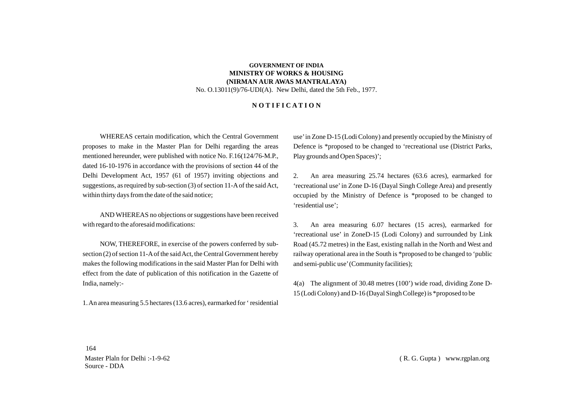# **GOVERNMENT OF INDIA MINISTRY OF WORKS & HOUSING (NIRMAN AUR AWAS MANTRALAYA)** No. O.13011(9)/76-UDI(A). New Delhi, dated the 5th Feb., 1977.

#### **N O T I F I C A T I O N**

WHEREAS certain modification, which the Central Government proposes to make in the Master Plan for Delhi regarding the areas mentioned hereunder, were published with notice No. F.16(124/76-M.P., dated 16-10-1976 in accordance with the provisions of section 44 of the Delhi Development Act, 1957 (61 of 1957) inviting objections and suggestions, as required by sub-section (3) of section 11-Aof the said Act, within thirty days from the date of the said notice;

AND WHEREAS no objections or suggestions have been received with regard to the aforesaid modifications:

NOW, THEREFORE, in exercise of the powers conferred by subsection (2) of section 11-Aof the said Act, the Central Government hereby makes the following modifications in the said Master Plan for Delhi with effect from the date of publication of this notification in the Gazette of India, namely:-

1. An area measuring 5.5 hectares (13.6 acres), earmarked for ' residential

use'in Zone D-15 (Lodi Colony) and presently occupied by the Ministry of Defence is \*proposed to be changed to 'recreational use (District Parks, Play grounds and Open Spaces)';

2. An area measuring 25.74 hectares (63.6 acres), earmarked for 'recreational use'in Zone D-16 (Dayal Singh College Area) and presently occupied by the Ministry of Defence is \*proposed to be changed to 'residential use';

3. An area measuring 6.07 hectares (15 acres), earmarked for 'recreational use' in ZoneD-15 (Lodi Colony) and surrounded by Link Road (45.72 metres) in the East, existing nallah in the North and West and railway operational area in the South is \*proposed to be changed to 'public and semi-public use'(Community facilities);

4(a) The alignment of 30.48 metres (100') wide road, dividing Zone D-15 (Lodi Colony) and D-16 (Dayal Singh College) is \*proposed to be

164 Master Plaln for Delhi :-1-9-62 Source - DDA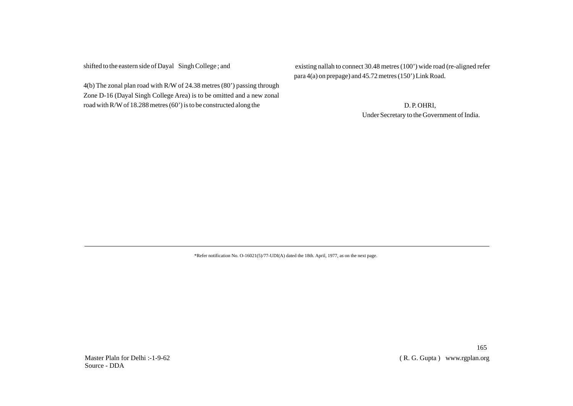shifted to the eastern side of Dayal Singh College ; and

4(b) The zonal plan road with R/W of 24.38 metres (80') passing through Zone D-16 (Dayal Singh College Area) is to be omitted and a new zonal road with R/Wof 18.288 metres (60') is to be constructed along the

existing nallah to connect 30.48 metres (100') wide road (re-aligned refer para 4(a) on prepage) and 45.72 metres (150') Link Road.

> D. P. OHRI, Under Secretary to the Government of India.

\*Refer notification No. O-16021(5)/77-UDI(A) dated the 18th. April, 1977, as on the next page.

165 ( R. G. Gupta ) www.rgplan.org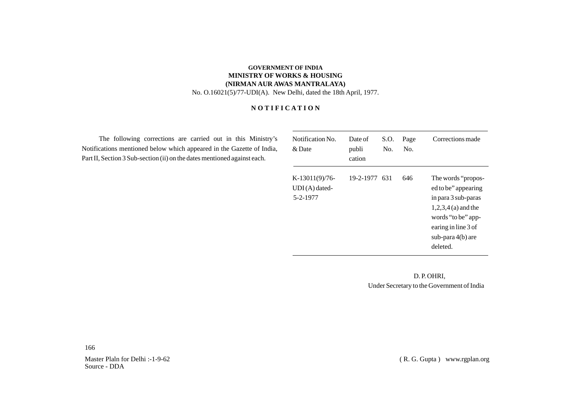# **GOVERNMENT OF INDIA MINISTRY OF WORKS & HOUSING (NIRMAN AUR AWAS MANTRALAYA)** No. O.16021(5)/77-UDI(A). New Delhi, dated the 18th April, 1977.

# **N O T I F I C A T I O N**

The following corrections are carried out in this Ministry's Notifications mentioned below which appeared in the Gazette of India, Part II, Section 3 Sub-section (ii) on the dates mentioned against each.

| Notification No.<br>& Date                       | Date of<br>publi<br>cation | S.O.<br>No. | Page<br>No. | Corrections made                                                                                                                                                        |
|--------------------------------------------------|----------------------------|-------------|-------------|-------------------------------------------------------------------------------------------------------------------------------------------------------------------------|
| $K-13011(9)/76$ -<br>$UDI(A)$ dated-<br>5-2-1977 | 19-2-1977 631              |             | 646         | The words "propos-<br>ed to be" appearing<br>in para 3 sub-paras<br>$1,2,3,4$ (a) and the<br>words "to be" app-<br>earing in line 3 of<br>sub-para 4(b) are<br>deleted. |

 D. P. OHRI, Under Secretary to the Government of India

166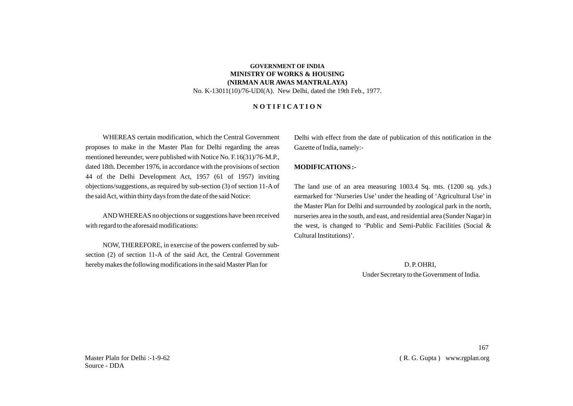## **GOVERNMENT OF INDIA MINISTRY OF WORKS & HOUSING (NIRMAN AUR AWAS MANTRALAYA)** No. K-13011(10)/76-UDI(A). New Delhi, dated the 19th Feb., 1977.

### **N O T I F I C A T I O N**

WHEREAS certain modification, which the Central Government proposes to make in the Master Plan for Delhi regarding the areas mentioned hereunder, were published with Notice No. F.16(31)/76-M.P., dated 18th. December 1976, in accordance with the provisions of section 44 of the Delhi Development Act, 1957 (61 of 1957) inviting objections/suggestions, as required by sub-section (3) of section 11-A of the said Act, within thirty days from the date of the said Notice:

AND WHEREAS no objections or suggestions have been received with regard to the aforesaid modifications:

NOW, THEREFORE, in exercise of the powers conferred by subsection (2) of section 11-A of the said Act, the Central Government hereby makes the following modifications in the said Master Plan for

Delhi with effect from the date of publication of this notification in the Gazette of India, namely:-

#### **MODIFICATIONS :-**

The land use of an area measuring 1003.4 Sq. mts. (1200 sq. yds.) earmarked for 'Nurseries Use' under the heading of 'Agricultural Use'in the Master Plan for Delhi and surrounded by zoological park in the north, nurseries area in the south, and east, and residential area (Sunder Nagar) in the west, is changed to 'Public and Semi-Public Facilities (Social & Cultural Institutions)'.

D. P. OHRI,

Under Secretary to the Government of India.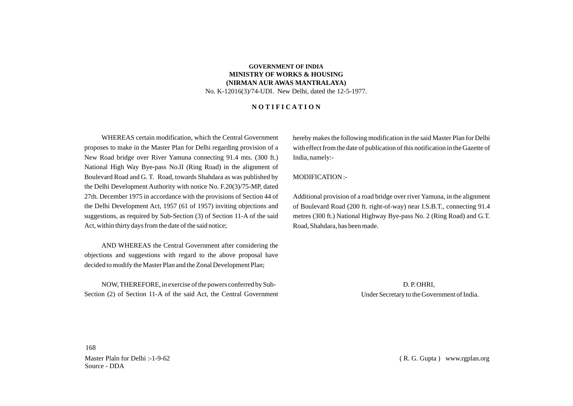## **GOVERNMENT OF INDIA MINISTRY OF WORKS & HOUSING (NIRMAN AUR AWAS MANTRALAYA)** No. K-12016(3)/74-UDI. New Delhi, dated the 12-5-1977.

#### **N O T I F I C A T I O N**

WHEREAS certain modification, which the Central Government proposes to make in the Master Plan for Delhi regarding provision of a New Road bridge over River Yamuna connecting 91.4 mts. (300 ft.) National High Way Bye-pass No.II (Ring Road) in the alignment of Boulevard Road and G. T. Road, towards Shahdara as was published by the Delhi Development Authority with notice No. F.20(3)/75-MP, dated 27th. December 1975 in accordance with the provisions of Section 44 of the Delhi Development Act, 1957 (61 of 1957) inviting objections and suggestions, as required by Sub-Section (3) of Section 11-A of the said Act, within thirty days from the date of the said notice;

AND WHEREAS the Central Government after considering the objections and suggestions with regard to the above proposal have decided to modify the Master Plan and the Zonal Development Plan;

NOW, THEREFORE, in exercise of the powers conferred by Sub-Section (2) of Section 11-A of the said Act, the Central Government hereby makes the following modification in the said Master Plan for Delhi with effect from the date of publication of this notification in the Gazette of India, namely:-

MODIFICATION :-

Additional provision of a road bridge over river Yamuna, in the alignment of Boulevard Road (200 ft. right-of-way) near I.S.B.T., connecting 91.4 metres (300 ft.) National Highway Bye-pass No. 2 (Ring Road) and G.T. Road, Shahdara, has been made.

> D. P. OHRI, Under Secretary to the Government of India.

168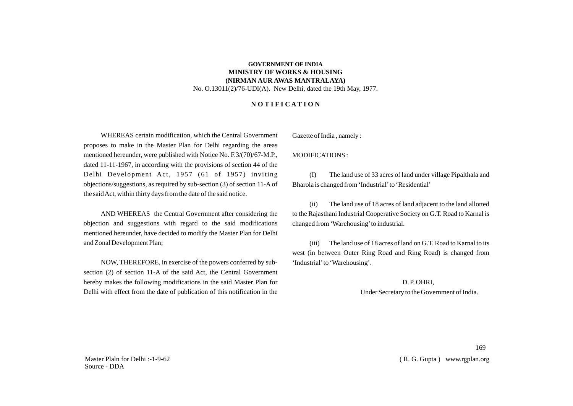## **GOVERNMENT OF INDIA MINISTRY OF WORKS & HOUSING (NIRMAN AUR AWAS MANTRALAYA)** No. O.13011(2)/76-UDI(A). New Delhi, dated the 19th May, 1977.

## **N O T I F I C A T I O N**

WHEREAS certain modification, which the Central Government proposes to make in the Master Plan for Delhi regarding the areas mentioned hereunder, were published with Notice No. F.3/(70)/67-M.P., dated 11-11-1967, in according with the provisions of section 44 of the Delhi Development Act, 1957 (61 of 1957) inviting objections/suggestions, as required by sub-section (3) of section 11-A of the said Act, within thirty days from the date of the said notice.

AND WHEREAS the Central Government after considering the objection and suggestions with regard to the said modifications mentioned hereunder, have decided to modify the Master Plan for Delhi and Zonal Development Plan;

NOW, THEREFORE, in exercise of the powers conferred by subsection (2) of section 11-A of the said Act, the Central Government hereby makes the following modifications in the said Master Plan for Delhi with effect from the date of publication of this notification in the

Gazette of India , namely :

MODIFICATIONS :

(I) The land use of 33 acres of land under village Pipalthala and Bharola is changed from 'Industrial' to 'Residential'

(ii) The land use of 18 acres of land adjacent to the land allotted to the Rajasthani Industrial Cooperative Society on G.T. Road to Karnal is changed from 'Warehousing'to industrial.

(iii) The land use of 18 acres of land on G.T. Road to Karnal to its west (in between Outer Ring Road and Ring Road) is changed from 'Industrial'to 'Warehousing'.

> D. P. OHRI, Under Secretary to the Government of India.